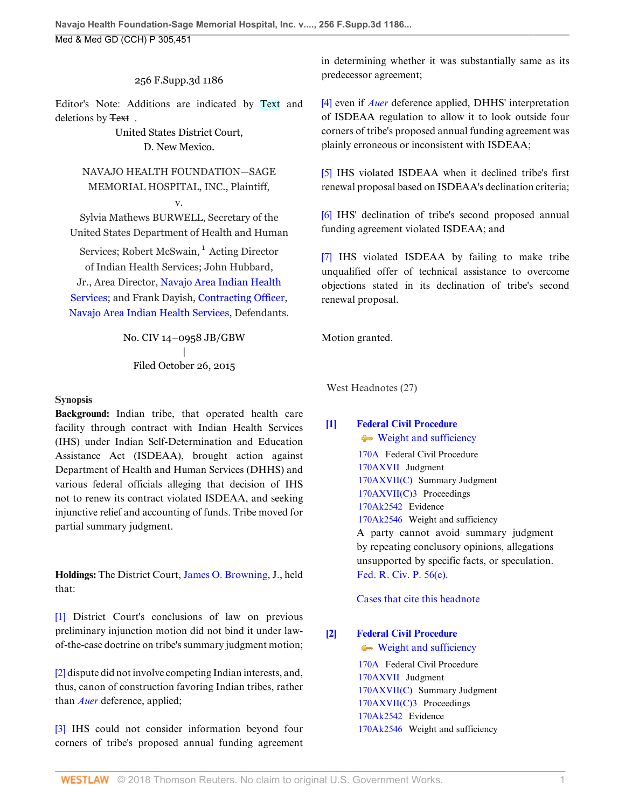### 256 F.Supp.3d 1186

Editor's Note: Additions are indicated by Text and deletions by Text .

> United States District Court, D. New Mexico.

# NAVAJO HEALTH FOUNDATION—SAGE MEMORIAL HOSPITAL, INC., Plaintiff,

v.

Sylvia Mathews BURWELL, Secretary of the United States Department of Health and Human

Services; Robert McSwain,<sup>1</sup> Acting Director of Indian Health Services; John Hubbard, Jr., Area Director, [Navajo Area Indian Health](http://www.westlaw.com/Search/Results.html?query=advanced%3a+OAID(5034739025)&saveJuris=False&contentType=BUSINESS-INVESTIGATOR&startIndex=1&contextData=(sc.Default)&categoryPageUrl=Home%2fCompanyInvestigator&originationContext=document&vr=3.0&rs=cblt1.0&transitionType=DocumentItem) [Services](http://www.westlaw.com/Search/Results.html?query=advanced%3a+OAID(5034739025)&saveJuris=False&contentType=BUSINESS-INVESTIGATOR&startIndex=1&contextData=(sc.Default)&categoryPageUrl=Home%2fCompanyInvestigator&originationContext=document&vr=3.0&rs=cblt1.0&transitionType=DocumentItem); and Frank Dayish, [Contracting Officer](http://www.westlaw.com/Search/Results.html?query=advanced%3a+OAID(5013778914)&saveJuris=False&contentType=BUSINESS-INVESTIGATOR&startIndex=1&contextData=(sc.Default)&categoryPageUrl=Home%2fCompanyInvestigator&originationContext=document&vr=3.0&rs=cblt1.0&transitionType=DocumentItem), [Navajo Area Indian Health Services,](http://www.westlaw.com/Search/Results.html?query=advanced%3a+OAID(5034739025)&saveJuris=False&contentType=BUSINESS-INVESTIGATOR&startIndex=1&contextData=(sc.Default)&categoryPageUrl=Home%2fCompanyInvestigator&originationContext=document&vr=3.0&rs=cblt1.0&transitionType=DocumentItem) Defendants.

> No. CIV 14–0958 JB/GBW | Filed October 26, 2015

#### **Synopsis**

**Background:** Indian tribe, that operated health care facility through contract with Indian Health Services (IHS) under Indian Self-Determination and Education Assistance Act (ISDEAA), brought action against Department of Health and Human Services (DHHS) and various federal officials alleging that decision of IHS not to renew its contract violated ISDEAA, and seeking injunctive relief and accounting of funds. Tribe moved for partial summary judgment.

**Holdings:** The District Court, [James O. Browning](http://www.westlaw.com/Link/Document/FullText?findType=h&pubNum=176284&cite=0160643001&originatingDoc=I02a50c30bb1011e5be74e186f6bc2536&refType=RQ&originationContext=document&vr=3.0&rs=cblt1.0&transitionType=DocumentItem&contextData=(sc.UserEnteredCitation)), J., held that:

[\[1\]](#page-2-0) District Court's conclusions of law on previous preliminary injunction motion did not bind it under lawof-the-case doctrine on tribe's summary judgment motion;

[\[2\]](#page-2-1) dispute did not involve competing Indian interests, and, thus, canon of construction favoring Indian tribes, rather than *[Auer](http://www.westlaw.com/Link/Document/FullText?findType=Y&serNum=1997053629&pubNum=0000708&originatingDoc=I02a50c30bb1011e5be74e186f6bc2536&refType=RP&originationContext=document&vr=3.0&rs=cblt1.0&transitionType=DocumentItem&contextData=(sc.UserEnteredCitation))* deference, applied;

[\[3\]](#page-3-0) IHS could not consider information beyond four corners of tribe's proposed annual funding agreement

in determining whether it was substantially same as its predecessor agreement;

[\[4\]](#page-3-1) even if *[Auer](http://www.westlaw.com/Link/Document/FullText?findType=Y&serNum=1997053629&pubNum=0000708&originatingDoc=I02a50c30bb1011e5be74e186f6bc2536&refType=RP&originationContext=document&vr=3.0&rs=cblt1.0&transitionType=DocumentItem&contextData=(sc.UserEnteredCitation))* deference applied, DHHS' interpretation of ISDEAA regulation to allow it to look outside four corners of tribe's proposed annual funding agreement was plainly erroneous or inconsistent with ISDEAA;

[\[5\]](#page-3-2) IHS violated ISDEAA when it declined tribe's first renewal proposal based on ISDEAA's declination criteria;

[\[6\]](#page-5-0) IHS' declination of tribe's second proposed annual funding agreement violated ISDEAA; and

[\[7\]](#page-6-0) IHS violated ISDEAA by failing to make tribe unqualified offer of technical assistance to overcome objections stated in its declination of tribe's second renewal proposal.

Motion granted.

West Headnotes (27)

<span id="page-0-0"></span>**[\[1\]](#page-22-0) [Federal Civil Procedure](http://www.westlaw.com/Browse/Home/KeyNumber/170A/View.html?docGuid=I02a50c30bb1011e5be74e186f6bc2536&originationContext=document&vr=3.0&rs=cblt1.0&transitionType=DocumentItem&contextData=(sc.UserEnteredCitation))**

[Weight and sufficiency](http://www.westlaw.com/Browse/Home/KeyNumber/170Ak2546/View.html?docGuid=I02a50c30bb1011e5be74e186f6bc2536&originationContext=document&vr=3.0&rs=cblt1.0&transitionType=DocumentItem&contextData=(sc.UserEnteredCitation)) [170A](http://www.westlaw.com/Browse/Home/KeyNumber/170A/View.html?docGuid=I02a50c30bb1011e5be74e186f6bc2536&originationContext=document&vr=3.0&rs=cblt1.0&transitionType=DocumentItem&contextData=(sc.UserEnteredCitation)) Federal Civil Procedure [170AXVII](http://www.westlaw.com/Browse/Home/KeyNumber/170AXVII/View.html?docGuid=I02a50c30bb1011e5be74e186f6bc2536&originationContext=document&vr=3.0&rs=cblt1.0&transitionType=DocumentItem&contextData=(sc.UserEnteredCitation)) Judgment [170AXVII\(C\)](http://www.westlaw.com/Browse/Home/KeyNumber/170AXVII(C)/View.html?docGuid=I02a50c30bb1011e5be74e186f6bc2536&originationContext=document&vr=3.0&rs=cblt1.0&transitionType=DocumentItem&contextData=(sc.UserEnteredCitation)) Summary Judgment [170AXVII\(C\)3](http://www.westlaw.com/Browse/Home/KeyNumber/170AXVII(C)3/View.html?docGuid=I02a50c30bb1011e5be74e186f6bc2536&originationContext=document&vr=3.0&rs=cblt1.0&transitionType=DocumentItem&contextData=(sc.UserEnteredCitation)) Proceedings [170Ak2542](http://www.westlaw.com/Browse/Home/KeyNumber/170Ak2542/View.html?docGuid=I02a50c30bb1011e5be74e186f6bc2536&originationContext=document&vr=3.0&rs=cblt1.0&transitionType=DocumentItem&contextData=(sc.UserEnteredCitation)) Evidence [170Ak2546](http://www.westlaw.com/Browse/Home/KeyNumber/170Ak2546/View.html?docGuid=I02a50c30bb1011e5be74e186f6bc2536&originationContext=document&vr=3.0&rs=cblt1.0&transitionType=DocumentItem&contextData=(sc.UserEnteredCitation)) Weight and sufficiency A party cannot avoid summary judgment by repeating conclusory opinions, allegations unsupported by specific facts, or speculation. [Fed. R. Civ. P. 56\(e\).](http://www.westlaw.com/Link/Document/FullText?findType=L&pubNum=1000600&cite=USFRCPR56&originatingDoc=I02a50c30bb1011e5be74e186f6bc2536&refType=LQ&originationContext=document&vr=3.0&rs=cblt1.0&transitionType=DocumentItem&contextData=(sc.UserEnteredCitation))

[Cases that cite this headnote](http://www.westlaw.com/Link/RelatedInformation/DocHeadnoteLink?docGuid=I02a50c30bb1011e5be74e186f6bc2536&headnoteId=203807982500220171226035147&originationContext=document&vr=3.0&rs=cblt1.0&transitionType=CitingReferences&contextData=(sc.UserEnteredCitation))

<span id="page-0-1"></span>**[\[2\]](#page-22-1) [Federal Civil Procedure](http://www.westlaw.com/Browse/Home/KeyNumber/170A/View.html?docGuid=I02a50c30bb1011e5be74e186f6bc2536&originationContext=document&vr=3.0&rs=cblt1.0&transitionType=DocumentItem&contextData=(sc.UserEnteredCitation))**

[Weight and sufficiency](http://www.westlaw.com/Browse/Home/KeyNumber/170Ak2546/View.html?docGuid=I02a50c30bb1011e5be74e186f6bc2536&originationContext=document&vr=3.0&rs=cblt1.0&transitionType=DocumentItem&contextData=(sc.UserEnteredCitation)) [170A](http://www.westlaw.com/Browse/Home/KeyNumber/170A/View.html?docGuid=I02a50c30bb1011e5be74e186f6bc2536&originationContext=document&vr=3.0&rs=cblt1.0&transitionType=DocumentItem&contextData=(sc.UserEnteredCitation)) Federal Civil Procedure [170AXVII](http://www.westlaw.com/Browse/Home/KeyNumber/170AXVII/View.html?docGuid=I02a50c30bb1011e5be74e186f6bc2536&originationContext=document&vr=3.0&rs=cblt1.0&transitionType=DocumentItem&contextData=(sc.UserEnteredCitation)) Judgment [170AXVII\(C\)](http://www.westlaw.com/Browse/Home/KeyNumber/170AXVII(C)/View.html?docGuid=I02a50c30bb1011e5be74e186f6bc2536&originationContext=document&vr=3.0&rs=cblt1.0&transitionType=DocumentItem&contextData=(sc.UserEnteredCitation)) Summary Judgment [170AXVII\(C\)3](http://www.westlaw.com/Browse/Home/KeyNumber/170AXVII(C)3/View.html?docGuid=I02a50c30bb1011e5be74e186f6bc2536&originationContext=document&vr=3.0&rs=cblt1.0&transitionType=DocumentItem&contextData=(sc.UserEnteredCitation)) Proceedings [170Ak2542](http://www.westlaw.com/Browse/Home/KeyNumber/170Ak2542/View.html?docGuid=I02a50c30bb1011e5be74e186f6bc2536&originationContext=document&vr=3.0&rs=cblt1.0&transitionType=DocumentItem&contextData=(sc.UserEnteredCitation)) Evidence [170Ak2546](http://www.westlaw.com/Browse/Home/KeyNumber/170Ak2546/View.html?docGuid=I02a50c30bb1011e5be74e186f6bc2536&originationContext=document&vr=3.0&rs=cblt1.0&transitionType=DocumentItem&contextData=(sc.UserEnteredCitation)) Weight and sufficiency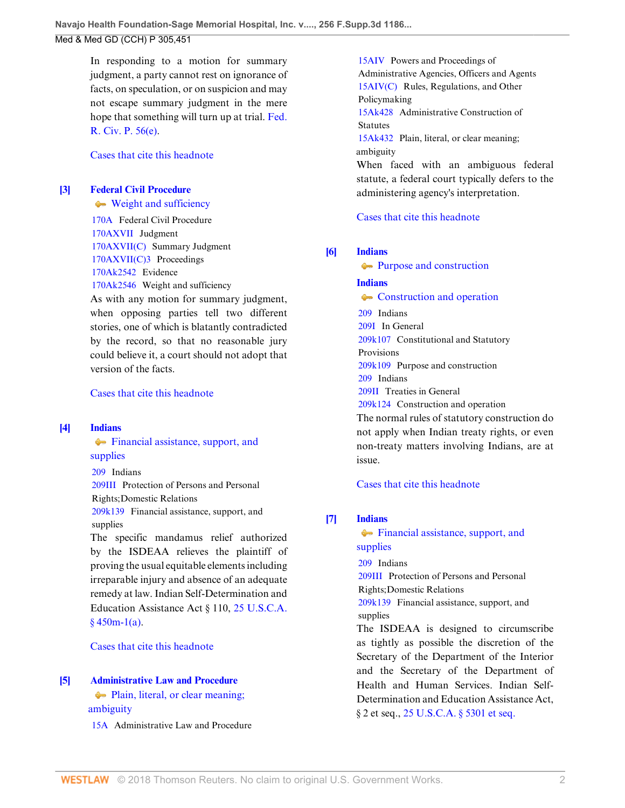In responding to a motion for summary judgment, a party cannot rest on ignorance of facts, on speculation, or on suspicion and may not escape summary judgment in the mere hope that something will turn up at trial. [Fed.](http://www.westlaw.com/Link/Document/FullText?findType=L&pubNum=1000600&cite=USFRCPR56&originatingDoc=I02a50c30bb1011e5be74e186f6bc2536&refType=LQ&originationContext=document&vr=3.0&rs=cblt1.0&transitionType=DocumentItem&contextData=(sc.UserEnteredCitation)) [R. Civ. P. 56\(e\).](http://www.westlaw.com/Link/Document/FullText?findType=L&pubNum=1000600&cite=USFRCPR56&originatingDoc=I02a50c30bb1011e5be74e186f6bc2536&refType=LQ&originationContext=document&vr=3.0&rs=cblt1.0&transitionType=DocumentItem&contextData=(sc.UserEnteredCitation))

### [Cases that cite this headnote](http://www.westlaw.com/Link/RelatedInformation/DocHeadnoteLink?docGuid=I02a50c30bb1011e5be74e186f6bc2536&headnoteId=203807982500120171226035147&originationContext=document&vr=3.0&rs=cblt1.0&transitionType=CitingReferences&contextData=(sc.UserEnteredCitation))

### <span id="page-1-0"></span>**[\[3\]](#page-23-0) [Federal Civil Procedure](http://www.westlaw.com/Browse/Home/KeyNumber/170A/View.html?docGuid=I02a50c30bb1011e5be74e186f6bc2536&originationContext=document&vr=3.0&rs=cblt1.0&transitionType=DocumentItem&contextData=(sc.UserEnteredCitation))**

#### [Weight and sufficiency](http://www.westlaw.com/Browse/Home/KeyNumber/170Ak2546/View.html?docGuid=I02a50c30bb1011e5be74e186f6bc2536&originationContext=document&vr=3.0&rs=cblt1.0&transitionType=DocumentItem&contextData=(sc.UserEnteredCitation))

[170A](http://www.westlaw.com/Browse/Home/KeyNumber/170A/View.html?docGuid=I02a50c30bb1011e5be74e186f6bc2536&originationContext=document&vr=3.0&rs=cblt1.0&transitionType=DocumentItem&contextData=(sc.UserEnteredCitation)) Federal Civil Procedure [170AXVII](http://www.westlaw.com/Browse/Home/KeyNumber/170AXVII/View.html?docGuid=I02a50c30bb1011e5be74e186f6bc2536&originationContext=document&vr=3.0&rs=cblt1.0&transitionType=DocumentItem&contextData=(sc.UserEnteredCitation)) Judgment [170AXVII\(C\)](http://www.westlaw.com/Browse/Home/KeyNumber/170AXVII(C)/View.html?docGuid=I02a50c30bb1011e5be74e186f6bc2536&originationContext=document&vr=3.0&rs=cblt1.0&transitionType=DocumentItem&contextData=(sc.UserEnteredCitation)) Summary Judgment [170AXVII\(C\)3](http://www.westlaw.com/Browse/Home/KeyNumber/170AXVII(C)3/View.html?docGuid=I02a50c30bb1011e5be74e186f6bc2536&originationContext=document&vr=3.0&rs=cblt1.0&transitionType=DocumentItem&contextData=(sc.UserEnteredCitation)) Proceedings [170Ak2542](http://www.westlaw.com/Browse/Home/KeyNumber/170Ak2542/View.html?docGuid=I02a50c30bb1011e5be74e186f6bc2536&originationContext=document&vr=3.0&rs=cblt1.0&transitionType=DocumentItem&contextData=(sc.UserEnteredCitation)) Evidence [170Ak2546](http://www.westlaw.com/Browse/Home/KeyNumber/170Ak2546/View.html?docGuid=I02a50c30bb1011e5be74e186f6bc2536&originationContext=document&vr=3.0&rs=cblt1.0&transitionType=DocumentItem&contextData=(sc.UserEnteredCitation)) Weight and sufficiency

As with any motion for summary judgment, when opposing parties tell two different stories, one of which is blatantly contradicted by the record, so that no reasonable jury could believe it, a court should not adopt that version of the facts.

### [Cases that cite this headnote](http://www.westlaw.com/Link/RelatedInformation/DocHeadnoteLink?docGuid=I02a50c30bb1011e5be74e186f6bc2536&headnoteId=203807982500320171226035147&originationContext=document&vr=3.0&rs=cblt1.0&transitionType=CitingReferences&contextData=(sc.UserEnteredCitation))

### <span id="page-1-1"></span>**[\[4\]](#page-26-0) [Indians](http://www.westlaw.com/Browse/Home/KeyNumber/209/View.html?docGuid=I02a50c30bb1011e5be74e186f6bc2536&originationContext=document&vr=3.0&rs=cblt1.0&transitionType=DocumentItem&contextData=(sc.UserEnteredCitation))**

[Financial assistance, support, and](http://www.westlaw.com/Browse/Home/KeyNumber/209k139/View.html?docGuid=I02a50c30bb1011e5be74e186f6bc2536&originationContext=document&vr=3.0&rs=cblt1.0&transitionType=DocumentItem&contextData=(sc.UserEnteredCitation)) [supplies](http://www.westlaw.com/Browse/Home/KeyNumber/209k139/View.html?docGuid=I02a50c30bb1011e5be74e186f6bc2536&originationContext=document&vr=3.0&rs=cblt1.0&transitionType=DocumentItem&contextData=(sc.UserEnteredCitation)) [209](http://www.westlaw.com/Browse/Home/KeyNumber/209/View.html?docGuid=I02a50c30bb1011e5be74e186f6bc2536&originationContext=document&vr=3.0&rs=cblt1.0&transitionType=DocumentItem&contextData=(sc.UserEnteredCitation)) Indians [209III](http://www.westlaw.com/Browse/Home/KeyNumber/209III/View.html?docGuid=I02a50c30bb1011e5be74e186f6bc2536&originationContext=document&vr=3.0&rs=cblt1.0&transitionType=DocumentItem&contextData=(sc.UserEnteredCitation)) Protection of Persons and Personal

Rights; Domestic Relations

[209k139](http://www.westlaw.com/Browse/Home/KeyNumber/209k139/View.html?docGuid=I02a50c30bb1011e5be74e186f6bc2536&originationContext=document&vr=3.0&rs=cblt1.0&transitionType=DocumentItem&contextData=(sc.UserEnteredCitation)) Financial assistance, support, and supplies

The specific mandamus relief authorized by the ISDEAA relieves the plaintiff of proving the usual equitable elements including irreparable injury and absence of an adequate remedy at law. Indian Self-Determination and Education Assistance Act § 110, [25 U.S.C.A.](http://www.westlaw.com/Link/Document/FullText?findType=L&pubNum=1000546&cite=25USCAS450M-1&originatingDoc=I02a50c30bb1011e5be74e186f6bc2536&refType=LQ&originationContext=document&vr=3.0&rs=cblt1.0&transitionType=DocumentItem&contextData=(sc.UserEnteredCitation))  $§$  450m-1(a).

[Cases that cite this headnote](http://www.westlaw.com/Link/RelatedInformation/DocHeadnoteLink?docGuid=I02a50c30bb1011e5be74e186f6bc2536&headnoteId=203807982500420171226035147&originationContext=document&vr=3.0&rs=cblt1.0&transitionType=CitingReferences&contextData=(sc.UserEnteredCitation))

### <span id="page-1-2"></span>**[\[5\]](#page-26-1) [Administrative Law and Procedure](http://www.westlaw.com/Browse/Home/KeyNumber/15A/View.html?docGuid=I02a50c30bb1011e5be74e186f6bc2536&originationContext=document&vr=3.0&rs=cblt1.0&transitionType=DocumentItem&contextData=(sc.UserEnteredCitation))**

• Plain, literal, or clear meaning;  [ambiguity](http://www.westlaw.com/Browse/Home/KeyNumber/15Ak432/View.html?docGuid=I02a50c30bb1011e5be74e186f6bc2536&originationContext=document&vr=3.0&rs=cblt1.0&transitionType=DocumentItem&contextData=(sc.UserEnteredCitation))

[15A](http://www.westlaw.com/Browse/Home/KeyNumber/15A/View.html?docGuid=I02a50c30bb1011e5be74e186f6bc2536&originationContext=document&vr=3.0&rs=cblt1.0&transitionType=DocumentItem&contextData=(sc.UserEnteredCitation)) Administrative Law and Procedure

[15AIV](http://www.westlaw.com/Browse/Home/KeyNumber/15AIV/View.html?docGuid=I02a50c30bb1011e5be74e186f6bc2536&originationContext=document&vr=3.0&rs=cblt1.0&transitionType=DocumentItem&contextData=(sc.UserEnteredCitation)) Powers and Proceedings of Administrative Agencies, Officers and Agents [15AIV\(C\)](http://www.westlaw.com/Browse/Home/KeyNumber/15AIV(C)/View.html?docGuid=I02a50c30bb1011e5be74e186f6bc2536&originationContext=document&vr=3.0&rs=cblt1.0&transitionType=DocumentItem&contextData=(sc.UserEnteredCitation)) Rules, Regulations, and Other Policymaking [15Ak428](http://www.westlaw.com/Browse/Home/KeyNumber/15Ak428/View.html?docGuid=I02a50c30bb1011e5be74e186f6bc2536&originationContext=document&vr=3.0&rs=cblt1.0&transitionType=DocumentItem&contextData=(sc.UserEnteredCitation)) Administrative Construction of Statutes [15Ak432](http://www.westlaw.com/Browse/Home/KeyNumber/15Ak432/View.html?docGuid=I02a50c30bb1011e5be74e186f6bc2536&originationContext=document&vr=3.0&rs=cblt1.0&transitionType=DocumentItem&contextData=(sc.UserEnteredCitation)) Plain, literal, or clear meaning; ambiguity When faced with an ambiguous federal statute, a federal court typically defers to the administering agency's interpretation.

[Cases that cite this headnote](http://www.westlaw.com/Link/RelatedInformation/DocHeadnoteLink?docGuid=I02a50c30bb1011e5be74e186f6bc2536&headnoteId=203807982500520171226035147&originationContext=document&vr=3.0&rs=cblt1.0&transitionType=CitingReferences&contextData=(sc.UserEnteredCitation))

### <span id="page-1-3"></span>**[\[6\]](#page-26-2) [Indians](http://www.westlaw.com/Browse/Home/KeyNumber/209/View.html?docGuid=I02a50c30bb1011e5be74e186f6bc2536&originationContext=document&vr=3.0&rs=cblt1.0&transitionType=DocumentItem&contextData=(sc.UserEnteredCitation))**

**[Purpose and construction](http://www.westlaw.com/Browse/Home/KeyNumber/209k109/View.html?docGuid=I02a50c30bb1011e5be74e186f6bc2536&originationContext=document&vr=3.0&rs=cblt1.0&transitionType=DocumentItem&contextData=(sc.UserEnteredCitation)) [Indians](http://www.westlaw.com/Browse/Home/KeyNumber/209/View.html?docGuid=I02a50c30bb1011e5be74e186f6bc2536&originationContext=document&vr=3.0&rs=cblt1.0&transitionType=DocumentItem&contextData=(sc.UserEnteredCitation)) [Construction and operation](http://www.westlaw.com/Browse/Home/KeyNumber/209k124/View.html?docGuid=I02a50c30bb1011e5be74e186f6bc2536&originationContext=document&vr=3.0&rs=cblt1.0&transitionType=DocumentItem&contextData=(sc.UserEnteredCitation))** [209](http://www.westlaw.com/Browse/Home/KeyNumber/209/View.html?docGuid=I02a50c30bb1011e5be74e186f6bc2536&originationContext=document&vr=3.0&rs=cblt1.0&transitionType=DocumentItem&contextData=(sc.UserEnteredCitation)) Indians [209I](http://www.westlaw.com/Browse/Home/KeyNumber/209I/View.html?docGuid=I02a50c30bb1011e5be74e186f6bc2536&originationContext=document&vr=3.0&rs=cblt1.0&transitionType=DocumentItem&contextData=(sc.UserEnteredCitation)) In General [209k107](http://www.westlaw.com/Browse/Home/KeyNumber/209k107/View.html?docGuid=I02a50c30bb1011e5be74e186f6bc2536&originationContext=document&vr=3.0&rs=cblt1.0&transitionType=DocumentItem&contextData=(sc.UserEnteredCitation)) Constitutional and Statutory Provisions [209k109](http://www.westlaw.com/Browse/Home/KeyNumber/209k109/View.html?docGuid=I02a50c30bb1011e5be74e186f6bc2536&originationContext=document&vr=3.0&rs=cblt1.0&transitionType=DocumentItem&contextData=(sc.UserEnteredCitation)) Purpose and construction [209](http://www.westlaw.com/Browse/Home/KeyNumber/209/View.html?docGuid=I02a50c30bb1011e5be74e186f6bc2536&originationContext=document&vr=3.0&rs=cblt1.0&transitionType=DocumentItem&contextData=(sc.UserEnteredCitation)) Indians [209II](http://www.westlaw.com/Browse/Home/KeyNumber/209II/View.html?docGuid=I02a50c30bb1011e5be74e186f6bc2536&originationContext=document&vr=3.0&rs=cblt1.0&transitionType=DocumentItem&contextData=(sc.UserEnteredCitation)) Treaties in General [209k124](http://www.westlaw.com/Browse/Home/KeyNumber/209k124/View.html?docGuid=I02a50c30bb1011e5be74e186f6bc2536&originationContext=document&vr=3.0&rs=cblt1.0&transitionType=DocumentItem&contextData=(sc.UserEnteredCitation)) Construction and operation The normal rules of statutory construction do not apply when Indian treaty rights, or even non-treaty matters involving Indians, are at issue.

[Cases that cite this headnote](http://www.westlaw.com/Link/RelatedInformation/DocHeadnoteLink?docGuid=I02a50c30bb1011e5be74e186f6bc2536&headnoteId=203807982500620171226035147&originationContext=document&vr=3.0&rs=cblt1.0&transitionType=CitingReferences&contextData=(sc.UserEnteredCitation))

### <span id="page-1-4"></span>**[\[7\]](#page-26-3) [Indians](http://www.westlaw.com/Browse/Home/KeyNumber/209/View.html?docGuid=I02a50c30bb1011e5be74e186f6bc2536&originationContext=document&vr=3.0&rs=cblt1.0&transitionType=DocumentItem&contextData=(sc.UserEnteredCitation))**

[Financial assistance, support, and](http://www.westlaw.com/Browse/Home/KeyNumber/209k139/View.html?docGuid=I02a50c30bb1011e5be74e186f6bc2536&originationContext=document&vr=3.0&rs=cblt1.0&transitionType=DocumentItem&contextData=(sc.UserEnteredCitation)) [supplies](http://www.westlaw.com/Browse/Home/KeyNumber/209k139/View.html?docGuid=I02a50c30bb1011e5be74e186f6bc2536&originationContext=document&vr=3.0&rs=cblt1.0&transitionType=DocumentItem&contextData=(sc.UserEnteredCitation))

[209](http://www.westlaw.com/Browse/Home/KeyNumber/209/View.html?docGuid=I02a50c30bb1011e5be74e186f6bc2536&originationContext=document&vr=3.0&rs=cblt1.0&transitionType=DocumentItem&contextData=(sc.UserEnteredCitation)) Indians

[209III](http://www.westlaw.com/Browse/Home/KeyNumber/209III/View.html?docGuid=I02a50c30bb1011e5be74e186f6bc2536&originationContext=document&vr=3.0&rs=cblt1.0&transitionType=DocumentItem&contextData=(sc.UserEnteredCitation)) Protection of Persons and Personal Rights; Domestic Relations [209k139](http://www.westlaw.com/Browse/Home/KeyNumber/209k139/View.html?docGuid=I02a50c30bb1011e5be74e186f6bc2536&originationContext=document&vr=3.0&rs=cblt1.0&transitionType=DocumentItem&contextData=(sc.UserEnteredCitation)) Financial assistance, support, and

supplies

The ISDEAA is designed to circumscribe as tightly as possible the discretion of the Secretary of the Department of the Interior and the Secretary of the Department of Health and Human Services. Indian Self-Determination and Education Assistance Act, § 2 et seq., [25 U.S.C.A. § 5301 et seq.](http://www.westlaw.com/Link/Document/FullText?findType=L&pubNum=1000546&cite=25USCAS5301&originatingDoc=I02a50c30bb1011e5be74e186f6bc2536&refType=LQ&originationContext=document&vr=3.0&rs=cblt1.0&transitionType=DocumentItem&contextData=(sc.UserEnteredCitation))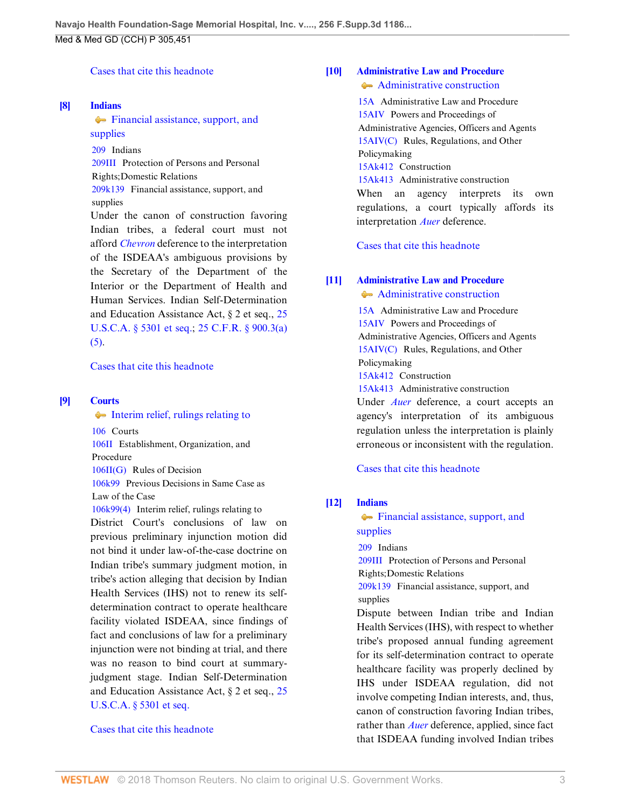[Cases that cite this headnote](http://www.westlaw.com/Link/RelatedInformation/DocHeadnoteLink?docGuid=I02a50c30bb1011e5be74e186f6bc2536&headnoteId=203807982500720171226035147&originationContext=document&vr=3.0&rs=cblt1.0&transitionType=CitingReferences&contextData=(sc.UserEnteredCitation))

#### <span id="page-2-2"></span>**[\[8\]](#page-26-4) [Indians](http://www.westlaw.com/Browse/Home/KeyNumber/209/View.html?docGuid=I02a50c30bb1011e5be74e186f6bc2536&originationContext=document&vr=3.0&rs=cblt1.0&transitionType=DocumentItem&contextData=(sc.UserEnteredCitation))**

[Financial assistance, support, and](http://www.westlaw.com/Browse/Home/KeyNumber/209k139/View.html?docGuid=I02a50c30bb1011e5be74e186f6bc2536&originationContext=document&vr=3.0&rs=cblt1.0&transitionType=DocumentItem&contextData=(sc.UserEnteredCitation)) [supplies](http://www.westlaw.com/Browse/Home/KeyNumber/209k139/View.html?docGuid=I02a50c30bb1011e5be74e186f6bc2536&originationContext=document&vr=3.0&rs=cblt1.0&transitionType=DocumentItem&contextData=(sc.UserEnteredCitation))

[209](http://www.westlaw.com/Browse/Home/KeyNumber/209/View.html?docGuid=I02a50c30bb1011e5be74e186f6bc2536&originationContext=document&vr=3.0&rs=cblt1.0&transitionType=DocumentItem&contextData=(sc.UserEnteredCitation)) Indians

[209III](http://www.westlaw.com/Browse/Home/KeyNumber/209III/View.html?docGuid=I02a50c30bb1011e5be74e186f6bc2536&originationContext=document&vr=3.0&rs=cblt1.0&transitionType=DocumentItem&contextData=(sc.UserEnteredCitation)) Protection of Persons and Personal Rights; Domestic Relations [209k139](http://www.westlaw.com/Browse/Home/KeyNumber/209k139/View.html?docGuid=I02a50c30bb1011e5be74e186f6bc2536&originationContext=document&vr=3.0&rs=cblt1.0&transitionType=DocumentItem&contextData=(sc.UserEnteredCitation)) Financial assistance, support, and

supplies

Under the canon of construction favoring Indian tribes, a federal court must not afford *[Chevron](http://www.westlaw.com/Link/Document/FullText?findType=Y&serNum=1984130736&pubNum=0000708&originatingDoc=I02a50c30bb1011e5be74e186f6bc2536&refType=RP&originationContext=document&vr=3.0&rs=cblt1.0&transitionType=DocumentItem&contextData=(sc.UserEnteredCitation))* deference to the interpretation of the ISDEAA's ambiguous provisions by the Secretary of the Department of the Interior or the Department of Health and Human Services. Indian Self-Determination and Education Assistance Act, § 2 et seq., [25](http://www.westlaw.com/Link/Document/FullText?findType=L&pubNum=1000546&cite=25USCAS5301&originatingDoc=I02a50c30bb1011e5be74e186f6bc2536&refType=LQ&originationContext=document&vr=3.0&rs=cblt1.0&transitionType=DocumentItem&contextData=(sc.UserEnteredCitation)) [U.S.C.A. § 5301 et seq.](http://www.westlaw.com/Link/Document/FullText?findType=L&pubNum=1000546&cite=25USCAS5301&originatingDoc=I02a50c30bb1011e5be74e186f6bc2536&refType=LQ&originationContext=document&vr=3.0&rs=cblt1.0&transitionType=DocumentItem&contextData=(sc.UserEnteredCitation)); [25 C.F.R. § 900.3\(a\)](http://www.westlaw.com/Link/Document/FullText?findType=L&pubNum=1000547&cite=25CFRS900.3&originatingDoc=I02a50c30bb1011e5be74e186f6bc2536&refType=LQ&originationContext=document&vr=3.0&rs=cblt1.0&transitionType=DocumentItem&contextData=(sc.UserEnteredCitation)) [\(5\)](http://www.westlaw.com/Link/Document/FullText?findType=L&pubNum=1000547&cite=25CFRS900.3&originatingDoc=I02a50c30bb1011e5be74e186f6bc2536&refType=LQ&originationContext=document&vr=3.0&rs=cblt1.0&transitionType=DocumentItem&contextData=(sc.UserEnteredCitation)).

[Cases that cite this headnote](http://www.westlaw.com/Link/RelatedInformation/DocHeadnoteLink?docGuid=I02a50c30bb1011e5be74e186f6bc2536&headnoteId=203807982500820171226035147&originationContext=document&vr=3.0&rs=cblt1.0&transitionType=CitingReferences&contextData=(sc.UserEnteredCitation))

### <span id="page-2-0"></span>**[\[9\]](#page-27-0) [Courts](http://www.westlaw.com/Browse/Home/KeyNumber/106/View.html?docGuid=I02a50c30bb1011e5be74e186f6bc2536&originationContext=document&vr=3.0&rs=cblt1.0&transitionType=DocumentItem&contextData=(sc.UserEnteredCitation))**

[Interim relief, rulings relating to](http://www.westlaw.com/Browse/Home/KeyNumber/106k99(4)/View.html?docGuid=I02a50c30bb1011e5be74e186f6bc2536&originationContext=document&vr=3.0&rs=cblt1.0&transitionType=DocumentItem&contextData=(sc.UserEnteredCitation))

[106](http://www.westlaw.com/Browse/Home/KeyNumber/106/View.html?docGuid=I02a50c30bb1011e5be74e186f6bc2536&originationContext=document&vr=3.0&rs=cblt1.0&transitionType=DocumentItem&contextData=(sc.UserEnteredCitation)) Courts [106II](http://www.westlaw.com/Browse/Home/KeyNumber/106II/View.html?docGuid=I02a50c30bb1011e5be74e186f6bc2536&originationContext=document&vr=3.0&rs=cblt1.0&transitionType=DocumentItem&contextData=(sc.UserEnteredCitation)) Establishment, Organization, and Procedure [106II\(G\)](http://www.westlaw.com/Browse/Home/KeyNumber/106II(G)/View.html?docGuid=I02a50c30bb1011e5be74e186f6bc2536&originationContext=document&vr=3.0&rs=cblt1.0&transitionType=DocumentItem&contextData=(sc.UserEnteredCitation)) Rules of Decision [106k99](http://www.westlaw.com/Browse/Home/KeyNumber/106k99/View.html?docGuid=I02a50c30bb1011e5be74e186f6bc2536&originationContext=document&vr=3.0&rs=cblt1.0&transitionType=DocumentItem&contextData=(sc.UserEnteredCitation)) Previous Decisions in Same Case as Law of the Case

[106k99\(4\)](http://www.westlaw.com/Browse/Home/KeyNumber/106k99(4)/View.html?docGuid=I02a50c30bb1011e5be74e186f6bc2536&originationContext=document&vr=3.0&rs=cblt1.0&transitionType=DocumentItem&contextData=(sc.UserEnteredCitation)) Interim relief, rulings relating to

District Court's conclusions of law on previous preliminary injunction motion did not bind it under law-of-the-case doctrine on Indian tribe's summary judgment motion, in tribe's action alleging that decision by Indian Health Services (IHS) not to renew its selfdetermination contract to operate healthcare facility violated ISDEAA, since findings of fact and conclusions of law for a preliminary injunction were not binding at trial, and there was no reason to bind court at summaryjudgment stage. Indian Self-Determination and Education Assistance Act, § 2 et seq., [25](http://www.westlaw.com/Link/Document/FullText?findType=L&pubNum=1000546&cite=25USCAS5301&originatingDoc=I02a50c30bb1011e5be74e186f6bc2536&refType=LQ&originationContext=document&vr=3.0&rs=cblt1.0&transitionType=DocumentItem&contextData=(sc.UserEnteredCitation)) [U.S.C.A. § 5301 et seq.](http://www.westlaw.com/Link/Document/FullText?findType=L&pubNum=1000546&cite=25USCAS5301&originatingDoc=I02a50c30bb1011e5be74e186f6bc2536&refType=LQ&originationContext=document&vr=3.0&rs=cblt1.0&transitionType=DocumentItem&contextData=(sc.UserEnteredCitation))

[Cases that cite this headnote](http://www.westlaw.com/Link/RelatedInformation/DocHeadnoteLink?docGuid=I02a50c30bb1011e5be74e186f6bc2536&headnoteId=203807982500920171226035147&originationContext=document&vr=3.0&rs=cblt1.0&transitionType=CitingReferences&contextData=(sc.UserEnteredCitation))

# <span id="page-2-3"></span>**[\[10\]](#page-29-0) [Administrative Law and Procedure](http://www.westlaw.com/Browse/Home/KeyNumber/15A/View.html?docGuid=I02a50c30bb1011e5be74e186f6bc2536&originationContext=document&vr=3.0&rs=cblt1.0&transitionType=DocumentItem&contextData=(sc.UserEnteredCitation))**

**[Administrative construction](http://www.westlaw.com/Browse/Home/KeyNumber/15Ak413/View.html?docGuid=I02a50c30bb1011e5be74e186f6bc2536&originationContext=document&vr=3.0&rs=cblt1.0&transitionType=DocumentItem&contextData=(sc.UserEnteredCitation))** 

[15A](http://www.westlaw.com/Browse/Home/KeyNumber/15A/View.html?docGuid=I02a50c30bb1011e5be74e186f6bc2536&originationContext=document&vr=3.0&rs=cblt1.0&transitionType=DocumentItem&contextData=(sc.UserEnteredCitation)) Administrative Law and Procedure [15AIV](http://www.westlaw.com/Browse/Home/KeyNumber/15AIV/View.html?docGuid=I02a50c30bb1011e5be74e186f6bc2536&originationContext=document&vr=3.0&rs=cblt1.0&transitionType=DocumentItem&contextData=(sc.UserEnteredCitation)) Powers and Proceedings of Administrative Agencies, Officers and Agents [15AIV\(C\)](http://www.westlaw.com/Browse/Home/KeyNumber/15AIV(C)/View.html?docGuid=I02a50c30bb1011e5be74e186f6bc2536&originationContext=document&vr=3.0&rs=cblt1.0&transitionType=DocumentItem&contextData=(sc.UserEnteredCitation)) Rules, Regulations, and Other Policymaking [15Ak412](http://www.westlaw.com/Browse/Home/KeyNumber/15Ak412/View.html?docGuid=I02a50c30bb1011e5be74e186f6bc2536&originationContext=document&vr=3.0&rs=cblt1.0&transitionType=DocumentItem&contextData=(sc.UserEnteredCitation)) Construction

[15Ak413](http://www.westlaw.com/Browse/Home/KeyNumber/15Ak413/View.html?docGuid=I02a50c30bb1011e5be74e186f6bc2536&originationContext=document&vr=3.0&rs=cblt1.0&transitionType=DocumentItem&contextData=(sc.UserEnteredCitation)) Administrative construction When an agency interprets its own regulations, a court typically affords its

interpretation *[Auer](http://www.westlaw.com/Link/Document/FullText?findType=Y&serNum=1997053629&pubNum=0000708&originatingDoc=I02a50c30bb1011e5be74e186f6bc2536&refType=RP&originationContext=document&vr=3.0&rs=cblt1.0&transitionType=DocumentItem&contextData=(sc.UserEnteredCitation))* deference.

[Cases that cite this headnote](http://www.westlaw.com/Link/RelatedInformation/DocHeadnoteLink?docGuid=I02a50c30bb1011e5be74e186f6bc2536&headnoteId=203807982501120171226035147&originationContext=document&vr=3.0&rs=cblt1.0&transitionType=CitingReferences&contextData=(sc.UserEnteredCitation))

### <span id="page-2-4"></span>**[\[11\]](#page-29-1) [Administrative Law and Procedure](http://www.westlaw.com/Browse/Home/KeyNumber/15A/View.html?docGuid=I02a50c30bb1011e5be74e186f6bc2536&originationContext=document&vr=3.0&rs=cblt1.0&transitionType=DocumentItem&contextData=(sc.UserEnteredCitation))**

[Administrative construction](http://www.westlaw.com/Browse/Home/KeyNumber/15Ak413/View.html?docGuid=I02a50c30bb1011e5be74e186f6bc2536&originationContext=document&vr=3.0&rs=cblt1.0&transitionType=DocumentItem&contextData=(sc.UserEnteredCitation))

[15A](http://www.westlaw.com/Browse/Home/KeyNumber/15A/View.html?docGuid=I02a50c30bb1011e5be74e186f6bc2536&originationContext=document&vr=3.0&rs=cblt1.0&transitionType=DocumentItem&contextData=(sc.UserEnteredCitation)) Administrative Law and Procedure [15AIV](http://www.westlaw.com/Browse/Home/KeyNumber/15AIV/View.html?docGuid=I02a50c30bb1011e5be74e186f6bc2536&originationContext=document&vr=3.0&rs=cblt1.0&transitionType=DocumentItem&contextData=(sc.UserEnteredCitation)) Powers and Proceedings of Administrative Agencies, Officers and Agents [15AIV\(C\)](http://www.westlaw.com/Browse/Home/KeyNumber/15AIV(C)/View.html?docGuid=I02a50c30bb1011e5be74e186f6bc2536&originationContext=document&vr=3.0&rs=cblt1.0&transitionType=DocumentItem&contextData=(sc.UserEnteredCitation)) Rules, Regulations, and Other Policymaking [15Ak412](http://www.westlaw.com/Browse/Home/KeyNumber/15Ak412/View.html?docGuid=I02a50c30bb1011e5be74e186f6bc2536&originationContext=document&vr=3.0&rs=cblt1.0&transitionType=DocumentItem&contextData=(sc.UserEnteredCitation)) Construction [15Ak413](http://www.westlaw.com/Browse/Home/KeyNumber/15Ak413/View.html?docGuid=I02a50c30bb1011e5be74e186f6bc2536&originationContext=document&vr=3.0&rs=cblt1.0&transitionType=DocumentItem&contextData=(sc.UserEnteredCitation)) Administrative construction Under *[Auer](http://www.westlaw.com/Link/Document/FullText?findType=Y&serNum=1997053629&pubNum=0000708&originatingDoc=I02a50c30bb1011e5be74e186f6bc2536&refType=RP&originationContext=document&vr=3.0&rs=cblt1.0&transitionType=DocumentItem&contextData=(sc.UserEnteredCitation))* deference, a court accepts an agency's interpretation of its ambiguous regulation unless the interpretation is plainly erroneous or inconsistent with the regulation.

[Cases that cite this headnote](http://www.westlaw.com/Link/RelatedInformation/DocHeadnoteLink?docGuid=I02a50c30bb1011e5be74e186f6bc2536&headnoteId=203807982501220171226035147&originationContext=document&vr=3.0&rs=cblt1.0&transitionType=CitingReferences&contextData=(sc.UserEnteredCitation))

# <span id="page-2-1"></span>**[\[12\]](#page-29-2) [Indians](http://www.westlaw.com/Browse/Home/KeyNumber/209/View.html?docGuid=I02a50c30bb1011e5be74e186f6bc2536&originationContext=document&vr=3.0&rs=cblt1.0&transitionType=DocumentItem&contextData=(sc.UserEnteredCitation))**

[Financial assistance, support, and](http://www.westlaw.com/Browse/Home/KeyNumber/209k139/View.html?docGuid=I02a50c30bb1011e5be74e186f6bc2536&originationContext=document&vr=3.0&rs=cblt1.0&transitionType=DocumentItem&contextData=(sc.UserEnteredCitation)) [supplies](http://www.westlaw.com/Browse/Home/KeyNumber/209k139/View.html?docGuid=I02a50c30bb1011e5be74e186f6bc2536&originationContext=document&vr=3.0&rs=cblt1.0&transitionType=DocumentItem&contextData=(sc.UserEnteredCitation))

[209](http://www.westlaw.com/Browse/Home/KeyNumber/209/View.html?docGuid=I02a50c30bb1011e5be74e186f6bc2536&originationContext=document&vr=3.0&rs=cblt1.0&transitionType=DocumentItem&contextData=(sc.UserEnteredCitation)) Indians

[209III](http://www.westlaw.com/Browse/Home/KeyNumber/209III/View.html?docGuid=I02a50c30bb1011e5be74e186f6bc2536&originationContext=document&vr=3.0&rs=cblt1.0&transitionType=DocumentItem&contextData=(sc.UserEnteredCitation)) Protection of Persons and Personal Rights; Domestic Relations [209k139](http://www.westlaw.com/Browse/Home/KeyNumber/209k139/View.html?docGuid=I02a50c30bb1011e5be74e186f6bc2536&originationContext=document&vr=3.0&rs=cblt1.0&transitionType=DocumentItem&contextData=(sc.UserEnteredCitation)) Financial assistance, support, and

supplies

Dispute between Indian tribe and Indian Health Services (IHS), with respect to whether tribe's proposed annual funding agreement for its self-determination contract to operate healthcare facility was properly declined by IHS under ISDEAA regulation, did not involve competing Indian interests, and, thus, canon of construction favoring Indian tribes, rather than *[Auer](http://www.westlaw.com/Link/Document/FullText?findType=Y&serNum=1997053629&pubNum=0000708&originatingDoc=I02a50c30bb1011e5be74e186f6bc2536&refType=RP&originationContext=document&vr=3.0&rs=cblt1.0&transitionType=DocumentItem&contextData=(sc.UserEnteredCitation))* deference, applied, since fact that ISDEAA funding involved Indian tribes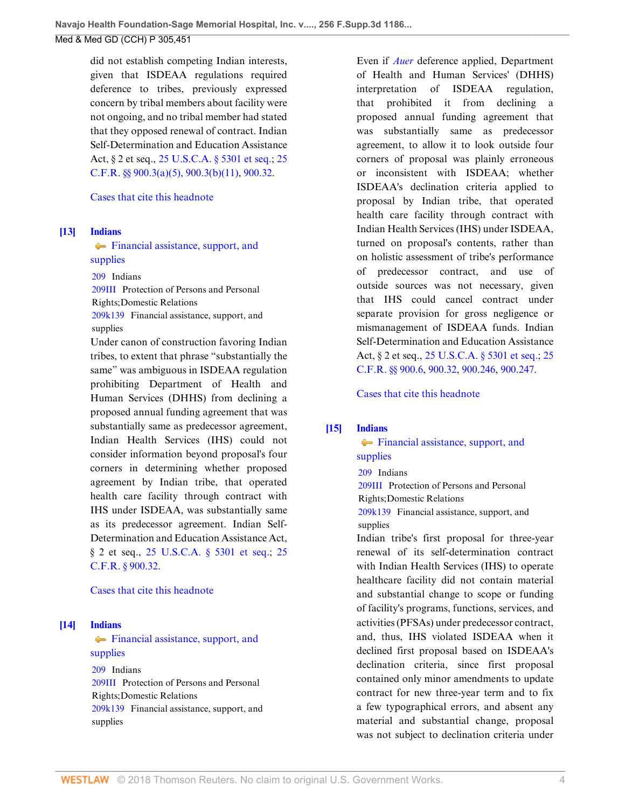did not establish competing Indian interests, given that ISDEAA regulations required deference to tribes, previously expressed concern by tribal members about facility were not ongoing, and no tribal member had stated that they opposed renewal of contract. Indian Self-Determination and Education Assistance Act, § 2 et seq., [25 U.S.C.A. § 5301 et seq.](http://www.westlaw.com/Link/Document/FullText?findType=L&pubNum=1000546&cite=25USCAS5301&originatingDoc=I02a50c30bb1011e5be74e186f6bc2536&refType=LQ&originationContext=document&vr=3.0&rs=cblt1.0&transitionType=DocumentItem&contextData=(sc.UserEnteredCitation)); [25](http://www.westlaw.com/Link/Document/FullText?findType=L&pubNum=1000547&cite=25CFRS900.3&originatingDoc=I02a50c30bb1011e5be74e186f6bc2536&refType=LQ&originationContext=document&vr=3.0&rs=cblt1.0&transitionType=DocumentItem&contextData=(sc.UserEnteredCitation)) [C.F.R. §§ 900.3\(a\)\(5\), 900.3\(b\)\(11\),](http://www.westlaw.com/Link/Document/FullText?findType=L&pubNum=1000547&cite=25CFRS900.3&originatingDoc=I02a50c30bb1011e5be74e186f6bc2536&refType=LQ&originationContext=document&vr=3.0&rs=cblt1.0&transitionType=DocumentItem&contextData=(sc.UserEnteredCitation)) [900.32.](http://www.westlaw.com/Link/Document/FullText?findType=L&pubNum=1000547&cite=25CFRS900.32&originatingDoc=I02a50c30bb1011e5be74e186f6bc2536&refType=LQ&originationContext=document&vr=3.0&rs=cblt1.0&transitionType=DocumentItem&contextData=(sc.UserEnteredCitation))

### [Cases that cite this headnote](http://www.westlaw.com/Link/RelatedInformation/DocHeadnoteLink?docGuid=I02a50c30bb1011e5be74e186f6bc2536&headnoteId=203807982501320171226035147&originationContext=document&vr=3.0&rs=cblt1.0&transitionType=CitingReferences&contextData=(sc.UserEnteredCitation))

### <span id="page-3-0"></span>**[\[13\]](#page-31-0) [Indians](http://www.westlaw.com/Browse/Home/KeyNumber/209/View.html?docGuid=I02a50c30bb1011e5be74e186f6bc2536&originationContext=document&vr=3.0&rs=cblt1.0&transitionType=DocumentItem&contextData=(sc.UserEnteredCitation))**

[Financial assistance, support, and](http://www.westlaw.com/Browse/Home/KeyNumber/209k139/View.html?docGuid=I02a50c30bb1011e5be74e186f6bc2536&originationContext=document&vr=3.0&rs=cblt1.0&transitionType=DocumentItem&contextData=(sc.UserEnteredCitation)) [supplies](http://www.westlaw.com/Browse/Home/KeyNumber/209k139/View.html?docGuid=I02a50c30bb1011e5be74e186f6bc2536&originationContext=document&vr=3.0&rs=cblt1.0&transitionType=DocumentItem&contextData=(sc.UserEnteredCitation))

[209](http://www.westlaw.com/Browse/Home/KeyNumber/209/View.html?docGuid=I02a50c30bb1011e5be74e186f6bc2536&originationContext=document&vr=3.0&rs=cblt1.0&transitionType=DocumentItem&contextData=(sc.UserEnteredCitation)) Indians

[209III](http://www.westlaw.com/Browse/Home/KeyNumber/209III/View.html?docGuid=I02a50c30bb1011e5be74e186f6bc2536&originationContext=document&vr=3.0&rs=cblt1.0&transitionType=DocumentItem&contextData=(sc.UserEnteredCitation)) Protection of Persons and Personal Rights; Domestic Relations

[209k139](http://www.westlaw.com/Browse/Home/KeyNumber/209k139/View.html?docGuid=I02a50c30bb1011e5be74e186f6bc2536&originationContext=document&vr=3.0&rs=cblt1.0&transitionType=DocumentItem&contextData=(sc.UserEnteredCitation)) Financial assistance, support, and supplies

Under canon of construction favoring Indian tribes, to extent that phrase "substantially the same" was ambiguous in ISDEAA regulation prohibiting Department of Health and Human Services (DHHS) from declining a proposed annual funding agreement that was substantially same as predecessor agreement, Indian Health Services (IHS) could not consider information beyond proposal's four corners in determining whether proposed agreement by Indian tribe, that operated health care facility through contract with IHS under ISDEAA, was substantially same as its predecessor agreement. Indian Self-Determination and Education Assistance Act, § 2 et seq., [25 U.S.C.A. § 5301 et seq.](http://www.westlaw.com/Link/Document/FullText?findType=L&pubNum=1000546&cite=25USCAS5301&originatingDoc=I02a50c30bb1011e5be74e186f6bc2536&refType=LQ&originationContext=document&vr=3.0&rs=cblt1.0&transitionType=DocumentItem&contextData=(sc.UserEnteredCitation)); [25](http://www.westlaw.com/Link/Document/FullText?findType=L&pubNum=1000547&cite=25CFRS900.32&originatingDoc=I02a50c30bb1011e5be74e186f6bc2536&refType=LQ&originationContext=document&vr=3.0&rs=cblt1.0&transitionType=DocumentItem&contextData=(sc.UserEnteredCitation)) [C.F.R. § 900.32.](http://www.westlaw.com/Link/Document/FullText?findType=L&pubNum=1000547&cite=25CFRS900.32&originatingDoc=I02a50c30bb1011e5be74e186f6bc2536&refType=LQ&originationContext=document&vr=3.0&rs=cblt1.0&transitionType=DocumentItem&contextData=(sc.UserEnteredCitation))

### [Cases that cite this headnote](http://www.westlaw.com/Link/RelatedInformation/DocHeadnoteLink?docGuid=I02a50c30bb1011e5be74e186f6bc2536&headnoteId=203807982501420171226035147&originationContext=document&vr=3.0&rs=cblt1.0&transitionType=CitingReferences&contextData=(sc.UserEnteredCitation))

### <span id="page-3-1"></span>**[\[14\]](#page-31-1) [Indians](http://www.westlaw.com/Browse/Home/KeyNumber/209/View.html?docGuid=I02a50c30bb1011e5be74e186f6bc2536&originationContext=document&vr=3.0&rs=cblt1.0&transitionType=DocumentItem&contextData=(sc.UserEnteredCitation))**

[Financial assistance, support, and](http://www.westlaw.com/Browse/Home/KeyNumber/209k139/View.html?docGuid=I02a50c30bb1011e5be74e186f6bc2536&originationContext=document&vr=3.0&rs=cblt1.0&transitionType=DocumentItem&contextData=(sc.UserEnteredCitation)) [supplies](http://www.westlaw.com/Browse/Home/KeyNumber/209k139/View.html?docGuid=I02a50c30bb1011e5be74e186f6bc2536&originationContext=document&vr=3.0&rs=cblt1.0&transitionType=DocumentItem&contextData=(sc.UserEnteredCitation)) [209](http://www.westlaw.com/Browse/Home/KeyNumber/209/View.html?docGuid=I02a50c30bb1011e5be74e186f6bc2536&originationContext=document&vr=3.0&rs=cblt1.0&transitionType=DocumentItem&contextData=(sc.UserEnteredCitation)) Indians [209III](http://www.westlaw.com/Browse/Home/KeyNumber/209III/View.html?docGuid=I02a50c30bb1011e5be74e186f6bc2536&originationContext=document&vr=3.0&rs=cblt1.0&transitionType=DocumentItem&contextData=(sc.UserEnteredCitation)) Protection of Persons and Personal Rights; Domestic Relations [209k139](http://www.westlaw.com/Browse/Home/KeyNumber/209k139/View.html?docGuid=I02a50c30bb1011e5be74e186f6bc2536&originationContext=document&vr=3.0&rs=cblt1.0&transitionType=DocumentItem&contextData=(sc.UserEnteredCitation)) Financial assistance, support, and supplies

Even if *[Auer](http://www.westlaw.com/Link/Document/FullText?findType=Y&serNum=1997053629&pubNum=0000708&originatingDoc=I02a50c30bb1011e5be74e186f6bc2536&refType=RP&originationContext=document&vr=3.0&rs=cblt1.0&transitionType=DocumentItem&contextData=(sc.UserEnteredCitation))* deference applied, Department of Health and Human Services' (DHHS) interpretation of ISDEAA regulation, that prohibited it from declining a proposed annual funding agreement that was substantially same as predecessor agreement, to allow it to look outside four corners of proposal was plainly erroneous or inconsistent with ISDEAA; whether ISDEAA's declination criteria applied to proposal by Indian tribe, that operated health care facility through contract with Indian Health Services (IHS) under ISDEAA, turned on proposal's contents, rather than on holistic assessment of tribe's performance of predecessor contract, and use of outside sources was not necessary, given that IHS could cancel contract under separate provision for gross negligence or mismanagement of ISDEAA funds. Indian Self-Determination and Education Assistance Act, § 2 et seq., [25 U.S.C.A. § 5301 et seq.](http://www.westlaw.com/Link/Document/FullText?findType=L&pubNum=1000546&cite=25USCAS5301&originatingDoc=I02a50c30bb1011e5be74e186f6bc2536&refType=LQ&originationContext=document&vr=3.0&rs=cblt1.0&transitionType=DocumentItem&contextData=(sc.UserEnteredCitation)); [25](http://www.westlaw.com/Link/Document/FullText?findType=L&pubNum=1000547&cite=25CFRS900.6&originatingDoc=I02a50c30bb1011e5be74e186f6bc2536&refType=LQ&originationContext=document&vr=3.0&rs=cblt1.0&transitionType=DocumentItem&contextData=(sc.UserEnteredCitation)) [C.F.R. §§ 900.6,](http://www.westlaw.com/Link/Document/FullText?findType=L&pubNum=1000547&cite=25CFRS900.6&originatingDoc=I02a50c30bb1011e5be74e186f6bc2536&refType=LQ&originationContext=document&vr=3.0&rs=cblt1.0&transitionType=DocumentItem&contextData=(sc.UserEnteredCitation)) [900.32,](http://www.westlaw.com/Link/Document/FullText?findType=L&pubNum=1000547&cite=25CFRS900.32&originatingDoc=I02a50c30bb1011e5be74e186f6bc2536&refType=LQ&originationContext=document&vr=3.0&rs=cblt1.0&transitionType=DocumentItem&contextData=(sc.UserEnteredCitation)) [900.246](http://www.westlaw.com/Link/Document/FullText?findType=L&pubNum=1000547&cite=25CFRS900.246&originatingDoc=I02a50c30bb1011e5be74e186f6bc2536&refType=LQ&originationContext=document&vr=3.0&rs=cblt1.0&transitionType=DocumentItem&contextData=(sc.UserEnteredCitation)), [900.247](http://www.westlaw.com/Link/Document/FullText?findType=L&pubNum=1000547&cite=25CFRS900.247&originatingDoc=I02a50c30bb1011e5be74e186f6bc2536&refType=LQ&originationContext=document&vr=3.0&rs=cblt1.0&transitionType=DocumentItem&contextData=(sc.UserEnteredCitation)).

[Cases that cite this headnote](http://www.westlaw.com/Link/RelatedInformation/DocHeadnoteLink?docGuid=I02a50c30bb1011e5be74e186f6bc2536&headnoteId=203807982501520171226035147&originationContext=document&vr=3.0&rs=cblt1.0&transitionType=CitingReferences&contextData=(sc.UserEnteredCitation))

### <span id="page-3-2"></span>**[\[15\]](#page-32-0) [Indians](http://www.westlaw.com/Browse/Home/KeyNumber/209/View.html?docGuid=I02a50c30bb1011e5be74e186f6bc2536&originationContext=document&vr=3.0&rs=cblt1.0&transitionType=DocumentItem&contextData=(sc.UserEnteredCitation))**

[Financial assistance, support, and](http://www.westlaw.com/Browse/Home/KeyNumber/209k139/View.html?docGuid=I02a50c30bb1011e5be74e186f6bc2536&originationContext=document&vr=3.0&rs=cblt1.0&transitionType=DocumentItem&contextData=(sc.UserEnteredCitation)) [supplies](http://www.westlaw.com/Browse/Home/KeyNumber/209k139/View.html?docGuid=I02a50c30bb1011e5be74e186f6bc2536&originationContext=document&vr=3.0&rs=cblt1.0&transitionType=DocumentItem&contextData=(sc.UserEnteredCitation))

[209](http://www.westlaw.com/Browse/Home/KeyNumber/209/View.html?docGuid=I02a50c30bb1011e5be74e186f6bc2536&originationContext=document&vr=3.0&rs=cblt1.0&transitionType=DocumentItem&contextData=(sc.UserEnteredCitation)) Indians

[209III](http://www.westlaw.com/Browse/Home/KeyNumber/209III/View.html?docGuid=I02a50c30bb1011e5be74e186f6bc2536&originationContext=document&vr=3.0&rs=cblt1.0&transitionType=DocumentItem&contextData=(sc.UserEnteredCitation)) Protection of Persons and Personal Rights; Domestic Relations

[209k139](http://www.westlaw.com/Browse/Home/KeyNumber/209k139/View.html?docGuid=I02a50c30bb1011e5be74e186f6bc2536&originationContext=document&vr=3.0&rs=cblt1.0&transitionType=DocumentItem&contextData=(sc.UserEnteredCitation)) Financial assistance, support, and supplies

Indian tribe's first proposal for three-year renewal of its self-determination contract with Indian Health Services (IHS) to operate healthcare facility did not contain material and substantial change to scope or funding of facility's programs, functions, services, and activities (PFSAs) under predecessor contract, and, thus, IHS violated ISDEAA when it declined first proposal based on ISDEAA's declination criteria, since first proposal contained only minor amendments to update contract for new three-year term and to fix a few typographical errors, and absent any material and substantial change, proposal was not subject to declination criteria under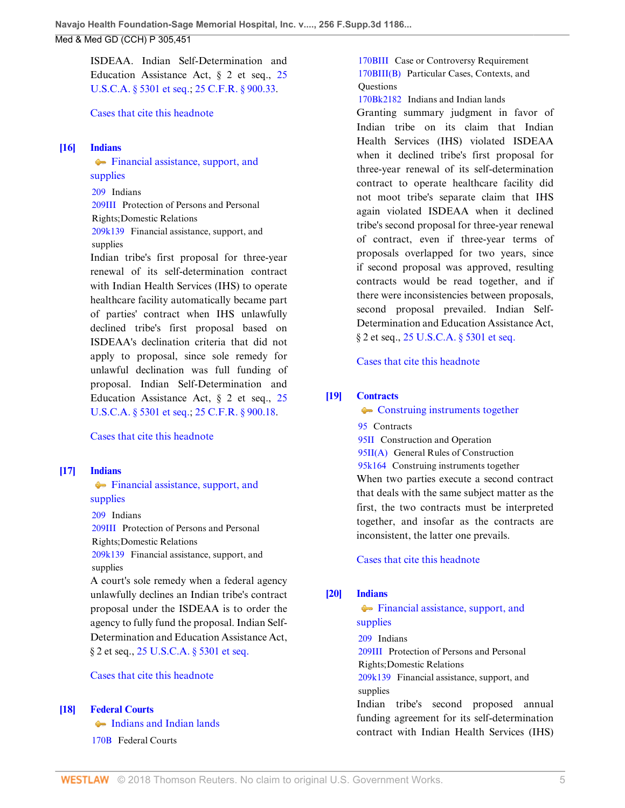ISDEAA. Indian Self-Determination and Education Assistance Act, § 2 et seq., [25](http://www.westlaw.com/Link/Document/FullText?findType=L&pubNum=1000546&cite=25USCAS5301&originatingDoc=I02a50c30bb1011e5be74e186f6bc2536&refType=LQ&originationContext=document&vr=3.0&rs=cblt1.0&transitionType=DocumentItem&contextData=(sc.UserEnteredCitation)) [U.S.C.A. § 5301 et seq.](http://www.westlaw.com/Link/Document/FullText?findType=L&pubNum=1000546&cite=25USCAS5301&originatingDoc=I02a50c30bb1011e5be74e186f6bc2536&refType=LQ&originationContext=document&vr=3.0&rs=cblt1.0&transitionType=DocumentItem&contextData=(sc.UserEnteredCitation)); [25 C.F.R. § 900.33.](http://www.westlaw.com/Link/Document/FullText?findType=L&pubNum=1000547&cite=25CFRS900.33&originatingDoc=I02a50c30bb1011e5be74e186f6bc2536&refType=LQ&originationContext=document&vr=3.0&rs=cblt1.0&transitionType=DocumentItem&contextData=(sc.UserEnteredCitation))

[Cases that cite this headnote](http://www.westlaw.com/Link/RelatedInformation/DocHeadnoteLink?docGuid=I02a50c30bb1011e5be74e186f6bc2536&headnoteId=203807982501020171226035147&originationContext=document&vr=3.0&rs=cblt1.0&transitionType=CitingReferences&contextData=(sc.UserEnteredCitation))

#### <span id="page-4-0"></span>**[\[16\]](#page-34-0) [Indians](http://www.westlaw.com/Browse/Home/KeyNumber/209/View.html?docGuid=I02a50c30bb1011e5be74e186f6bc2536&originationContext=document&vr=3.0&rs=cblt1.0&transitionType=DocumentItem&contextData=(sc.UserEnteredCitation))**

[Financial assistance, support, and](http://www.westlaw.com/Browse/Home/KeyNumber/209k139/View.html?docGuid=I02a50c30bb1011e5be74e186f6bc2536&originationContext=document&vr=3.0&rs=cblt1.0&transitionType=DocumentItem&contextData=(sc.UserEnteredCitation)) [supplies](http://www.westlaw.com/Browse/Home/KeyNumber/209k139/View.html?docGuid=I02a50c30bb1011e5be74e186f6bc2536&originationContext=document&vr=3.0&rs=cblt1.0&transitionType=DocumentItem&contextData=(sc.UserEnteredCitation))

[209](http://www.westlaw.com/Browse/Home/KeyNumber/209/View.html?docGuid=I02a50c30bb1011e5be74e186f6bc2536&originationContext=document&vr=3.0&rs=cblt1.0&transitionType=DocumentItem&contextData=(sc.UserEnteredCitation)) Indians

supplies

[209III](http://www.westlaw.com/Browse/Home/KeyNumber/209III/View.html?docGuid=I02a50c30bb1011e5be74e186f6bc2536&originationContext=document&vr=3.0&rs=cblt1.0&transitionType=DocumentItem&contextData=(sc.UserEnteredCitation)) Protection of Persons and Personal Rights; Domestic Relations [209k139](http://www.westlaw.com/Browse/Home/KeyNumber/209k139/View.html?docGuid=I02a50c30bb1011e5be74e186f6bc2536&originationContext=document&vr=3.0&rs=cblt1.0&transitionType=DocumentItem&contextData=(sc.UserEnteredCitation)) Financial assistance, support, and

Indian tribe's first proposal for three-year renewal of its self-determination contract with Indian Health Services (IHS) to operate healthcare facility automatically became part of parties' contract when IHS unlawfully declined tribe's first proposal based on ISDEAA's declination criteria that did not apply to proposal, since sole remedy for unlawful declination was full funding of proposal. Indian Self-Determination and Education Assistance Act, § 2 et seq., [25](http://www.westlaw.com/Link/Document/FullText?findType=L&pubNum=1000546&cite=25USCAS5301&originatingDoc=I02a50c30bb1011e5be74e186f6bc2536&refType=LQ&originationContext=document&vr=3.0&rs=cblt1.0&transitionType=DocumentItem&contextData=(sc.UserEnteredCitation)) [U.S.C.A. § 5301 et seq.](http://www.westlaw.com/Link/Document/FullText?findType=L&pubNum=1000546&cite=25USCAS5301&originatingDoc=I02a50c30bb1011e5be74e186f6bc2536&refType=LQ&originationContext=document&vr=3.0&rs=cblt1.0&transitionType=DocumentItem&contextData=(sc.UserEnteredCitation)); [25 C.F.R. § 900.18.](http://www.westlaw.com/Link/Document/FullText?findType=L&pubNum=1000547&cite=25CFRS900.18&originatingDoc=I02a50c30bb1011e5be74e186f6bc2536&refType=LQ&originationContext=document&vr=3.0&rs=cblt1.0&transitionType=DocumentItem&contextData=(sc.UserEnteredCitation))

### [Cases that cite this headnote](http://www.westlaw.com/Link/RelatedInformation/DocHeadnoteLink?docGuid=I02a50c30bb1011e5be74e186f6bc2536&headnoteId=203807982501620171226035147&originationContext=document&vr=3.0&rs=cblt1.0&transitionType=CitingReferences&contextData=(sc.UserEnteredCitation))

#### <span id="page-4-1"></span>**[\[17\]](#page-34-1) [Indians](http://www.westlaw.com/Browse/Home/KeyNumber/209/View.html?docGuid=I02a50c30bb1011e5be74e186f6bc2536&originationContext=document&vr=3.0&rs=cblt1.0&transitionType=DocumentItem&contextData=(sc.UserEnteredCitation))**

[Financial assistance, support, and](http://www.westlaw.com/Browse/Home/KeyNumber/209k139/View.html?docGuid=I02a50c30bb1011e5be74e186f6bc2536&originationContext=document&vr=3.0&rs=cblt1.0&transitionType=DocumentItem&contextData=(sc.UserEnteredCitation)) [supplies](http://www.westlaw.com/Browse/Home/KeyNumber/209k139/View.html?docGuid=I02a50c30bb1011e5be74e186f6bc2536&originationContext=document&vr=3.0&rs=cblt1.0&transitionType=DocumentItem&contextData=(sc.UserEnteredCitation))

[209](http://www.westlaw.com/Browse/Home/KeyNumber/209/View.html?docGuid=I02a50c30bb1011e5be74e186f6bc2536&originationContext=document&vr=3.0&rs=cblt1.0&transitionType=DocumentItem&contextData=(sc.UserEnteredCitation)) Indians [209III](http://www.westlaw.com/Browse/Home/KeyNumber/209III/View.html?docGuid=I02a50c30bb1011e5be74e186f6bc2536&originationContext=document&vr=3.0&rs=cblt1.0&transitionType=DocumentItem&contextData=(sc.UserEnteredCitation)) Protection of Persons and Personal Rights; Domestic Relations [209k139](http://www.westlaw.com/Browse/Home/KeyNumber/209k139/View.html?docGuid=I02a50c30bb1011e5be74e186f6bc2536&originationContext=document&vr=3.0&rs=cblt1.0&transitionType=DocumentItem&contextData=(sc.UserEnteredCitation)) Financial assistance, support, and supplies

A court's sole remedy when a federal agency unlawfully declines an Indian tribe's contract proposal under the ISDEAA is to order the agency to fully fund the proposal. Indian Self-Determination and Education Assistance Act, § 2 et seq., [25 U.S.C.A. § 5301 et seq.](http://www.westlaw.com/Link/Document/FullText?findType=L&pubNum=1000546&cite=25USCAS5301&originatingDoc=I02a50c30bb1011e5be74e186f6bc2536&refType=LQ&originationContext=document&vr=3.0&rs=cblt1.0&transitionType=DocumentItem&contextData=(sc.UserEnteredCitation))

### [Cases that cite this headnote](http://www.westlaw.com/Link/RelatedInformation/DocHeadnoteLink?docGuid=I02a50c30bb1011e5be74e186f6bc2536&headnoteId=203807982501920171226035147&originationContext=document&vr=3.0&rs=cblt1.0&transitionType=CitingReferences&contextData=(sc.UserEnteredCitation))

#### <span id="page-4-2"></span>**[\[18\]](#page-35-0) [Federal Courts](http://www.westlaw.com/Browse/Home/KeyNumber/170B/View.html?docGuid=I02a50c30bb1011e5be74e186f6bc2536&originationContext=document&vr=3.0&rs=cblt1.0&transitionType=DocumentItem&contextData=(sc.UserEnteredCitation))**

 $\rightarrow$  [Indians and Indian lands](http://www.westlaw.com/Browse/Home/KeyNumber/170Bk2182/View.html?docGuid=I02a50c30bb1011e5be74e186f6bc2536&originationContext=document&vr=3.0&rs=cblt1.0&transitionType=DocumentItem&contextData=(sc.UserEnteredCitation)) [170B](http://www.westlaw.com/Browse/Home/KeyNumber/170B/View.html?docGuid=I02a50c30bb1011e5be74e186f6bc2536&originationContext=document&vr=3.0&rs=cblt1.0&transitionType=DocumentItem&contextData=(sc.UserEnteredCitation)) Federal Courts

### [170BIII](http://www.westlaw.com/Browse/Home/KeyNumber/170BIII/View.html?docGuid=I02a50c30bb1011e5be74e186f6bc2536&originationContext=document&vr=3.0&rs=cblt1.0&transitionType=DocumentItem&contextData=(sc.UserEnteredCitation)) Case or Controversy Requirement [170BIII\(B\)](http://www.westlaw.com/Browse/Home/KeyNumber/170BIII(B)/View.html?docGuid=I02a50c30bb1011e5be74e186f6bc2536&originationContext=document&vr=3.0&rs=cblt1.0&transitionType=DocumentItem&contextData=(sc.UserEnteredCitation)) Particular Cases, Contexts, and **Ouestions**

[170Bk2182](http://www.westlaw.com/Browse/Home/KeyNumber/170Bk2182/View.html?docGuid=I02a50c30bb1011e5be74e186f6bc2536&originationContext=document&vr=3.0&rs=cblt1.0&transitionType=DocumentItem&contextData=(sc.UserEnteredCitation)) Indians and Indian lands

Granting summary judgment in favor of Indian tribe on its claim that Indian Health Services (IHS) violated ISDEAA when it declined tribe's first proposal for three-year renewal of its self-determination contract to operate healthcare facility did not moot tribe's separate claim that IHS again violated ISDEAA when it declined tribe's second proposal for three-year renewal of contract, even if three-year terms of proposals overlapped for two years, since if second proposal was approved, resulting contracts would be read together, and if there were inconsistencies between proposals, second proposal prevailed. Indian Self-Determination and Education Assistance Act, § 2 et seq., [25 U.S.C.A. § 5301 et seq.](http://www.westlaw.com/Link/Document/FullText?findType=L&pubNum=1000546&cite=25USCAS5301&originatingDoc=I02a50c30bb1011e5be74e186f6bc2536&refType=LQ&originationContext=document&vr=3.0&rs=cblt1.0&transitionType=DocumentItem&contextData=(sc.UserEnteredCitation))

[Cases that cite this headnote](http://www.westlaw.com/Link/RelatedInformation/DocHeadnoteLink?docGuid=I02a50c30bb1011e5be74e186f6bc2536&headnoteId=203807982501720171226035147&originationContext=document&vr=3.0&rs=cblt1.0&transitionType=CitingReferences&contextData=(sc.UserEnteredCitation))

#### <span id="page-4-3"></span>**[\[19\]](#page-35-1) [Contracts](http://www.westlaw.com/Browse/Home/KeyNumber/95/View.html?docGuid=I02a50c30bb1011e5be74e186f6bc2536&originationContext=document&vr=3.0&rs=cblt1.0&transitionType=DocumentItem&contextData=(sc.UserEnteredCitation))**

### [Construing instruments together](http://www.westlaw.com/Browse/Home/KeyNumber/95k164/View.html?docGuid=I02a50c30bb1011e5be74e186f6bc2536&originationContext=document&vr=3.0&rs=cblt1.0&transitionType=DocumentItem&contextData=(sc.UserEnteredCitation))

[95](http://www.westlaw.com/Browse/Home/KeyNumber/95/View.html?docGuid=I02a50c30bb1011e5be74e186f6bc2536&originationContext=document&vr=3.0&rs=cblt1.0&transitionType=DocumentItem&contextData=(sc.UserEnteredCitation)) Contracts [95II](http://www.westlaw.com/Browse/Home/KeyNumber/95II/View.html?docGuid=I02a50c30bb1011e5be74e186f6bc2536&originationContext=document&vr=3.0&rs=cblt1.0&transitionType=DocumentItem&contextData=(sc.UserEnteredCitation)) Construction and Operation [95II\(A\)](http://www.westlaw.com/Browse/Home/KeyNumber/95II(A)/View.html?docGuid=I02a50c30bb1011e5be74e186f6bc2536&originationContext=document&vr=3.0&rs=cblt1.0&transitionType=DocumentItem&contextData=(sc.UserEnteredCitation)) General Rules of Construction [95k164](http://www.westlaw.com/Browse/Home/KeyNumber/95k164/View.html?docGuid=I02a50c30bb1011e5be74e186f6bc2536&originationContext=document&vr=3.0&rs=cblt1.0&transitionType=DocumentItem&contextData=(sc.UserEnteredCitation)) Construing instruments together When two parties execute a second contract that deals with the same subject matter as the first, the two contracts must be interpreted together, and insofar as the contracts are inconsistent, the latter one prevails.

[Cases that cite this headnote](http://www.westlaw.com/Link/RelatedInformation/DocHeadnoteLink?docGuid=I02a50c30bb1011e5be74e186f6bc2536&headnoteId=203807982501820171226035147&originationContext=document&vr=3.0&rs=cblt1.0&transitionType=CitingReferences&contextData=(sc.UserEnteredCitation))

#### <span id="page-4-4"></span>**[\[20\]](#page-35-2) [Indians](http://www.westlaw.com/Browse/Home/KeyNumber/209/View.html?docGuid=I02a50c30bb1011e5be74e186f6bc2536&originationContext=document&vr=3.0&rs=cblt1.0&transitionType=DocumentItem&contextData=(sc.UserEnteredCitation))**

**[Financial assistance, support, and](http://www.westlaw.com/Browse/Home/KeyNumber/209k139/View.html?docGuid=I02a50c30bb1011e5be74e186f6bc2536&originationContext=document&vr=3.0&rs=cblt1.0&transitionType=DocumentItem&contextData=(sc.UserEnteredCitation))** [supplies](http://www.westlaw.com/Browse/Home/KeyNumber/209k139/View.html?docGuid=I02a50c30bb1011e5be74e186f6bc2536&originationContext=document&vr=3.0&rs=cblt1.0&transitionType=DocumentItem&contextData=(sc.UserEnteredCitation))

[209](http://www.westlaw.com/Browse/Home/KeyNumber/209/View.html?docGuid=I02a50c30bb1011e5be74e186f6bc2536&originationContext=document&vr=3.0&rs=cblt1.0&transitionType=DocumentItem&contextData=(sc.UserEnteredCitation)) Indians

[209III](http://www.westlaw.com/Browse/Home/KeyNumber/209III/View.html?docGuid=I02a50c30bb1011e5be74e186f6bc2536&originationContext=document&vr=3.0&rs=cblt1.0&transitionType=DocumentItem&contextData=(sc.UserEnteredCitation)) Protection of Persons and Personal Rights; Domestic Relations [209k139](http://www.westlaw.com/Browse/Home/KeyNumber/209k139/View.html?docGuid=I02a50c30bb1011e5be74e186f6bc2536&originationContext=document&vr=3.0&rs=cblt1.0&transitionType=DocumentItem&contextData=(sc.UserEnteredCitation)) Financial assistance, support, and supplies

Indian tribe's second proposed annual funding agreement for its self-determination contract with Indian Health Services (IHS)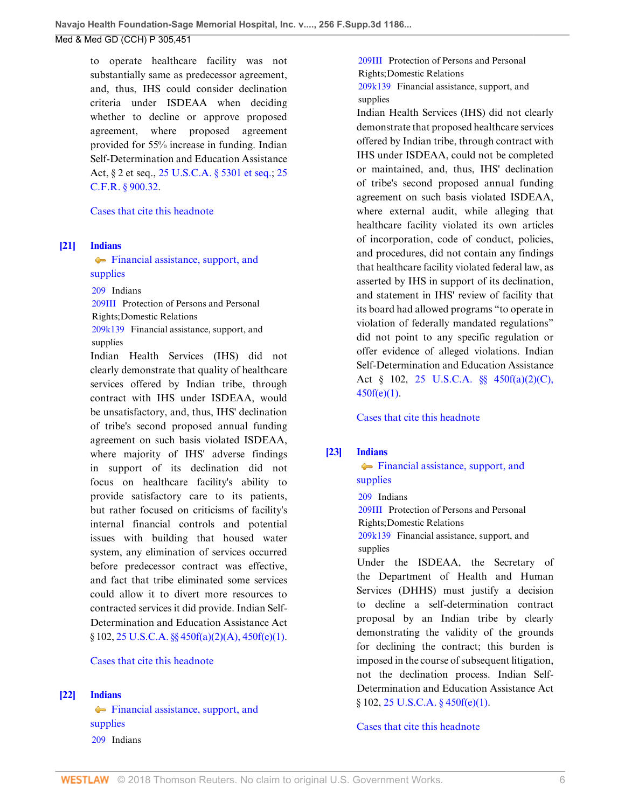to operate healthcare facility was not substantially same as predecessor agreement, and, thus, IHS could consider declination criteria under ISDEAA when deciding whether to decline or approve proposed agreement, where proposed agreement provided for 55% increase in funding. Indian Self-Determination and Education Assistance Act, § 2 et seq., [25 U.S.C.A. § 5301 et seq.](http://www.westlaw.com/Link/Document/FullText?findType=L&pubNum=1000546&cite=25USCAS5301&originatingDoc=I02a50c30bb1011e5be74e186f6bc2536&refType=LQ&originationContext=document&vr=3.0&rs=cblt1.0&transitionType=DocumentItem&contextData=(sc.UserEnteredCitation)); [25](http://www.westlaw.com/Link/Document/FullText?findType=L&pubNum=1000547&cite=25CFRS900.32&originatingDoc=I02a50c30bb1011e5be74e186f6bc2536&refType=LQ&originationContext=document&vr=3.0&rs=cblt1.0&transitionType=DocumentItem&contextData=(sc.UserEnteredCitation)) [C.F.R. § 900.32.](http://www.westlaw.com/Link/Document/FullText?findType=L&pubNum=1000547&cite=25CFRS900.32&originatingDoc=I02a50c30bb1011e5be74e186f6bc2536&refType=LQ&originationContext=document&vr=3.0&rs=cblt1.0&transitionType=DocumentItem&contextData=(sc.UserEnteredCitation))

[Cases that cite this headnote](http://www.westlaw.com/Link/RelatedInformation/DocHeadnoteLink?docGuid=I02a50c30bb1011e5be74e186f6bc2536&headnoteId=203807982502020171226035147&originationContext=document&vr=3.0&rs=cblt1.0&transitionType=CitingReferences&contextData=(sc.UserEnteredCitation))

#### <span id="page-5-0"></span>**[\[21\]](#page-36-0) [Indians](http://www.westlaw.com/Browse/Home/KeyNumber/209/View.html?docGuid=I02a50c30bb1011e5be74e186f6bc2536&originationContext=document&vr=3.0&rs=cblt1.0&transitionType=DocumentItem&contextData=(sc.UserEnteredCitation))**

[Financial assistance, support, and](http://www.westlaw.com/Browse/Home/KeyNumber/209k139/View.html?docGuid=I02a50c30bb1011e5be74e186f6bc2536&originationContext=document&vr=3.0&rs=cblt1.0&transitionType=DocumentItem&contextData=(sc.UserEnteredCitation)) [supplies](http://www.westlaw.com/Browse/Home/KeyNumber/209k139/View.html?docGuid=I02a50c30bb1011e5be74e186f6bc2536&originationContext=document&vr=3.0&rs=cblt1.0&transitionType=DocumentItem&contextData=(sc.UserEnteredCitation))

[209](http://www.westlaw.com/Browse/Home/KeyNumber/209/View.html?docGuid=I02a50c30bb1011e5be74e186f6bc2536&originationContext=document&vr=3.0&rs=cblt1.0&transitionType=DocumentItem&contextData=(sc.UserEnteredCitation)) Indians

[209III](http://www.westlaw.com/Browse/Home/KeyNumber/209III/View.html?docGuid=I02a50c30bb1011e5be74e186f6bc2536&originationContext=document&vr=3.0&rs=cblt1.0&transitionType=DocumentItem&contextData=(sc.UserEnteredCitation)) Protection of Persons and Personal Rights; Domestic Relations

[209k139](http://www.westlaw.com/Browse/Home/KeyNumber/209k139/View.html?docGuid=I02a50c30bb1011e5be74e186f6bc2536&originationContext=document&vr=3.0&rs=cblt1.0&transitionType=DocumentItem&contextData=(sc.UserEnteredCitation)) Financial assistance, support, and supplies

Indian Health Services (IHS) did not clearly demonstrate that quality of healthcare services offered by Indian tribe, through contract with IHS under ISDEAA, would be unsatisfactory, and, thus, IHS' declination of tribe's second proposed annual funding agreement on such basis violated ISDEAA, where majority of IHS' adverse findings in support of its declination did not focus on healthcare facility's ability to provide satisfactory care to its patients, but rather focused on criticisms of facility's internal financial controls and potential issues with building that housed water system, any elimination of services occurred before predecessor contract was effective, and fact that tribe eliminated some services could allow it to divert more resources to contracted services it did provide. Indian Self-Determination and Education Assistance Act § 102, [25 U.S.C.A. §§ 450f\(a\)\(2\)\(A\), 450f\(e\)\(1\).](http://www.westlaw.com/Link/Document/FullText?findType=L&pubNum=1000546&cite=25USCAS450F&originatingDoc=I02a50c30bb1011e5be74e186f6bc2536&refType=LQ&originationContext=document&vr=3.0&rs=cblt1.0&transitionType=DocumentItem&contextData=(sc.UserEnteredCitation))

[Cases that cite this headnote](http://www.westlaw.com/Link/RelatedInformation/DocHeadnoteLink?docGuid=I02a50c30bb1011e5be74e186f6bc2536&headnoteId=203807982502120171226035147&originationContext=document&vr=3.0&rs=cblt1.0&transitionType=CitingReferences&contextData=(sc.UserEnteredCitation))

#### <span id="page-5-1"></span>**[\[22\]](#page-36-1) [Indians](http://www.westlaw.com/Browse/Home/KeyNumber/209/View.html?docGuid=I02a50c30bb1011e5be74e186f6bc2536&originationContext=document&vr=3.0&rs=cblt1.0&transitionType=DocumentItem&contextData=(sc.UserEnteredCitation))**

[Financial assistance, support, and](http://www.westlaw.com/Browse/Home/KeyNumber/209k139/View.html?docGuid=I02a50c30bb1011e5be74e186f6bc2536&originationContext=document&vr=3.0&rs=cblt1.0&transitionType=DocumentItem&contextData=(sc.UserEnteredCitation)) [supplies](http://www.westlaw.com/Browse/Home/KeyNumber/209k139/View.html?docGuid=I02a50c30bb1011e5be74e186f6bc2536&originationContext=document&vr=3.0&rs=cblt1.0&transitionType=DocumentItem&contextData=(sc.UserEnteredCitation)) [209](http://www.westlaw.com/Browse/Home/KeyNumber/209/View.html?docGuid=I02a50c30bb1011e5be74e186f6bc2536&originationContext=document&vr=3.0&rs=cblt1.0&transitionType=DocumentItem&contextData=(sc.UserEnteredCitation)) Indians

[209III](http://www.westlaw.com/Browse/Home/KeyNumber/209III/View.html?docGuid=I02a50c30bb1011e5be74e186f6bc2536&originationContext=document&vr=3.0&rs=cblt1.0&transitionType=DocumentItem&contextData=(sc.UserEnteredCitation)) Protection of Persons and Personal Rights; Domestic Relations [209k139](http://www.westlaw.com/Browse/Home/KeyNumber/209k139/View.html?docGuid=I02a50c30bb1011e5be74e186f6bc2536&originationContext=document&vr=3.0&rs=cblt1.0&transitionType=DocumentItem&contextData=(sc.UserEnteredCitation)) Financial assistance, support, and supplies

Indian Health Services (IHS) did not clearly demonstrate that proposed healthcare services offered by Indian tribe, through contract with IHS under ISDEAA, could not be completed or maintained, and, thus, IHS' declination of tribe's second proposed annual funding agreement on such basis violated ISDEAA, where external audit, while alleging that healthcare facility violated its own articles of incorporation, code of conduct, policies, and procedures, did not contain any findings that healthcare facility violated federal law, as asserted by IHS in support of its declination, and statement in IHS' review of facility that its board had allowed programs "to operate in violation of federally mandated regulations" did not point to any specific regulation or offer evidence of alleged violations. Indian Self-Determination and Education Assistance Act § 102, [25 U.S.C.A. §§ 450f\(a\)\(2\)\(C\),](http://www.westlaw.com/Link/Document/FullText?findType=L&pubNum=1000546&cite=25USCAS450F&originatingDoc=I02a50c30bb1011e5be74e186f6bc2536&refType=LQ&originationContext=document&vr=3.0&rs=cblt1.0&transitionType=DocumentItem&contextData=(sc.UserEnteredCitation))  $450f(e)(1)$ .

[Cases that cite this headnote](http://www.westlaw.com/Link/RelatedInformation/DocHeadnoteLink?docGuid=I02a50c30bb1011e5be74e186f6bc2536&headnoteId=203807982502220171226035147&originationContext=document&vr=3.0&rs=cblt1.0&transitionType=CitingReferences&contextData=(sc.UserEnteredCitation))

### <span id="page-5-2"></span>**[\[23\]](#page-39-0) [Indians](http://www.westlaw.com/Browse/Home/KeyNumber/209/View.html?docGuid=I02a50c30bb1011e5be74e186f6bc2536&originationContext=document&vr=3.0&rs=cblt1.0&transitionType=DocumentItem&contextData=(sc.UserEnteredCitation))**

[Financial assistance, support, and](http://www.westlaw.com/Browse/Home/KeyNumber/209k139/View.html?docGuid=I02a50c30bb1011e5be74e186f6bc2536&originationContext=document&vr=3.0&rs=cblt1.0&transitionType=DocumentItem&contextData=(sc.UserEnteredCitation)) [supplies](http://www.westlaw.com/Browse/Home/KeyNumber/209k139/View.html?docGuid=I02a50c30bb1011e5be74e186f6bc2536&originationContext=document&vr=3.0&rs=cblt1.0&transitionType=DocumentItem&contextData=(sc.UserEnteredCitation))

[209](http://www.westlaw.com/Browse/Home/KeyNumber/209/View.html?docGuid=I02a50c30bb1011e5be74e186f6bc2536&originationContext=document&vr=3.0&rs=cblt1.0&transitionType=DocumentItem&contextData=(sc.UserEnteredCitation)) Indians

[209III](http://www.westlaw.com/Browse/Home/KeyNumber/209III/View.html?docGuid=I02a50c30bb1011e5be74e186f6bc2536&originationContext=document&vr=3.0&rs=cblt1.0&transitionType=DocumentItem&contextData=(sc.UserEnteredCitation)) Protection of Persons and Personal Rights; Domestic Relations

[209k139](http://www.westlaw.com/Browse/Home/KeyNumber/209k139/View.html?docGuid=I02a50c30bb1011e5be74e186f6bc2536&originationContext=document&vr=3.0&rs=cblt1.0&transitionType=DocumentItem&contextData=(sc.UserEnteredCitation)) Financial assistance, support, and supplies

Under the ISDEAA, the Secretary of the Department of Health and Human Services (DHHS) must justify a decision to decline a self-determination contract proposal by an Indian tribe by clearly demonstrating the validity of the grounds for declining the contract; this burden is imposed in the course of subsequent litigation, not the declination process. Indian Self-Determination and Education Assistance Act § 102, [25 U.S.C.A. § 450f\(e\)\(1\).](http://www.westlaw.com/Link/Document/FullText?findType=L&pubNum=1000546&cite=25USCAS450F&originatingDoc=I02a50c30bb1011e5be74e186f6bc2536&refType=LQ&originationContext=document&vr=3.0&rs=cblt1.0&transitionType=DocumentItem&contextData=(sc.UserEnteredCitation))

### [Cases that cite this headnote](http://www.westlaw.com/Link/RelatedInformation/DocHeadnoteLink?docGuid=I02a50c30bb1011e5be74e186f6bc2536&headnoteId=203807982502320171226035147&originationContext=document&vr=3.0&rs=cblt1.0&transitionType=CitingReferences&contextData=(sc.UserEnteredCitation))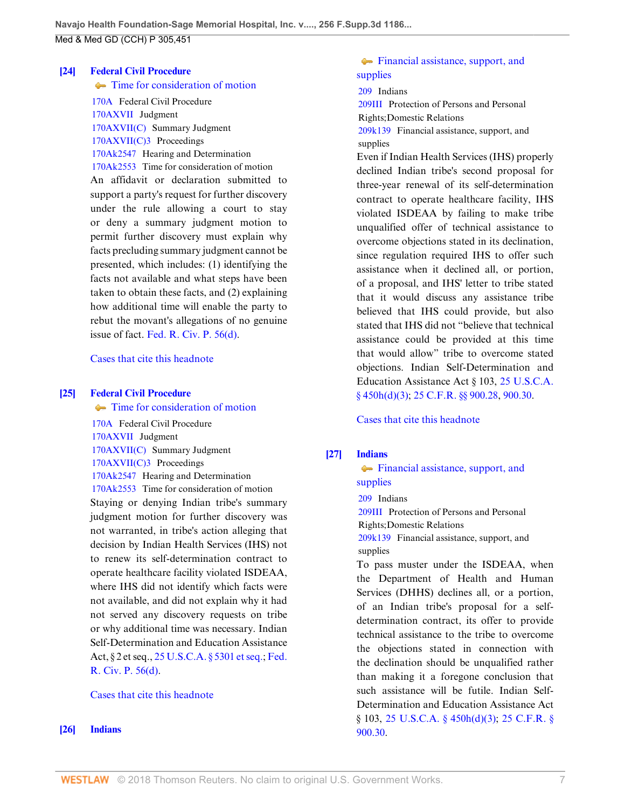### <span id="page-6-1"></span>**[\[24\]](#page-39-1) [Federal Civil Procedure](http://www.westlaw.com/Browse/Home/KeyNumber/170A/View.html?docGuid=I02a50c30bb1011e5be74e186f6bc2536&originationContext=document&vr=3.0&rs=cblt1.0&transitionType=DocumentItem&contextData=(sc.UserEnteredCitation))**

#### $\leftarrow$  [Time for consideration of motion](http://www.westlaw.com/Browse/Home/KeyNumber/170Ak2553/View.html?docGuid=I02a50c30bb1011e5be74e186f6bc2536&originationContext=document&vr=3.0&rs=cblt1.0&transitionType=DocumentItem&contextData=(sc.UserEnteredCitation))

[170A](http://www.westlaw.com/Browse/Home/KeyNumber/170A/View.html?docGuid=I02a50c30bb1011e5be74e186f6bc2536&originationContext=document&vr=3.0&rs=cblt1.0&transitionType=DocumentItem&contextData=(sc.UserEnteredCitation)) Federal Civil Procedure [170AXVII](http://www.westlaw.com/Browse/Home/KeyNumber/170AXVII/View.html?docGuid=I02a50c30bb1011e5be74e186f6bc2536&originationContext=document&vr=3.0&rs=cblt1.0&transitionType=DocumentItem&contextData=(sc.UserEnteredCitation)) Judgment [170AXVII\(C\)](http://www.westlaw.com/Browse/Home/KeyNumber/170AXVII(C)/View.html?docGuid=I02a50c30bb1011e5be74e186f6bc2536&originationContext=document&vr=3.0&rs=cblt1.0&transitionType=DocumentItem&contextData=(sc.UserEnteredCitation)) Summary Judgment [170AXVII\(C\)3](http://www.westlaw.com/Browse/Home/KeyNumber/170AXVII(C)3/View.html?docGuid=I02a50c30bb1011e5be74e186f6bc2536&originationContext=document&vr=3.0&rs=cblt1.0&transitionType=DocumentItem&contextData=(sc.UserEnteredCitation)) Proceedings [170Ak2547](http://www.westlaw.com/Browse/Home/KeyNumber/170Ak2547/View.html?docGuid=I02a50c30bb1011e5be74e186f6bc2536&originationContext=document&vr=3.0&rs=cblt1.0&transitionType=DocumentItem&contextData=(sc.UserEnteredCitation)) Hearing and Determination [170Ak2553](http://www.westlaw.com/Browse/Home/KeyNumber/170Ak2553/View.html?docGuid=I02a50c30bb1011e5be74e186f6bc2536&originationContext=document&vr=3.0&rs=cblt1.0&transitionType=DocumentItem&contextData=(sc.UserEnteredCitation)) Time for consideration of motion An affidavit or declaration submitted to support a party's request for further discovery under the rule allowing a court to stay or deny a summary judgment motion to permit further discovery must explain why facts precluding summary judgment cannot be presented, which includes: (1) identifying the facts not available and what steps have been taken to obtain these facts, and (2) explaining how additional time will enable the party to rebut the movant's allegations of no genuine issue of fact. [Fed. R. Civ. P. 56\(d\)](http://www.westlaw.com/Link/Document/FullText?findType=L&pubNum=1000600&cite=USFRCPR56&originatingDoc=I02a50c30bb1011e5be74e186f6bc2536&refType=LQ&originationContext=document&vr=3.0&rs=cblt1.0&transitionType=DocumentItem&contextData=(sc.UserEnteredCitation)).

[Cases that cite this headnote](http://www.westlaw.com/Link/RelatedInformation/DocHeadnoteLink?docGuid=I02a50c30bb1011e5be74e186f6bc2536&headnoteId=203807982502420171226035147&originationContext=document&vr=3.0&rs=cblt1.0&transitionType=CitingReferences&contextData=(sc.UserEnteredCitation))

#### <span id="page-6-2"></span>**[\[25\]](#page-39-2) [Federal Civil Procedure](http://www.westlaw.com/Browse/Home/KeyNumber/170A/View.html?docGuid=I02a50c30bb1011e5be74e186f6bc2536&originationContext=document&vr=3.0&rs=cblt1.0&transitionType=DocumentItem&contextData=(sc.UserEnteredCitation))**

• [Time for consideration of motion](http://www.westlaw.com/Browse/Home/KeyNumber/170Ak2553/View.html?docGuid=I02a50c30bb1011e5be74e186f6bc2536&originationContext=document&vr=3.0&rs=cblt1.0&transitionType=DocumentItem&contextData=(sc.UserEnteredCitation)) [170A](http://www.westlaw.com/Browse/Home/KeyNumber/170A/View.html?docGuid=I02a50c30bb1011e5be74e186f6bc2536&originationContext=document&vr=3.0&rs=cblt1.0&transitionType=DocumentItem&contextData=(sc.UserEnteredCitation)) Federal Civil Procedure [170AXVII](http://www.westlaw.com/Browse/Home/KeyNumber/170AXVII/View.html?docGuid=I02a50c30bb1011e5be74e186f6bc2536&originationContext=document&vr=3.0&rs=cblt1.0&transitionType=DocumentItem&contextData=(sc.UserEnteredCitation)) Judgment [170AXVII\(C\)](http://www.westlaw.com/Browse/Home/KeyNumber/170AXVII(C)/View.html?docGuid=I02a50c30bb1011e5be74e186f6bc2536&originationContext=document&vr=3.0&rs=cblt1.0&transitionType=DocumentItem&contextData=(sc.UserEnteredCitation)) Summary Judgment [170AXVII\(C\)3](http://www.westlaw.com/Browse/Home/KeyNumber/170AXVII(C)3/View.html?docGuid=I02a50c30bb1011e5be74e186f6bc2536&originationContext=document&vr=3.0&rs=cblt1.0&transitionType=DocumentItem&contextData=(sc.UserEnteredCitation)) Proceedings [170Ak2547](http://www.westlaw.com/Browse/Home/KeyNumber/170Ak2547/View.html?docGuid=I02a50c30bb1011e5be74e186f6bc2536&originationContext=document&vr=3.0&rs=cblt1.0&transitionType=DocumentItem&contextData=(sc.UserEnteredCitation)) Hearing and Determination [170Ak2553](http://www.westlaw.com/Browse/Home/KeyNumber/170Ak2553/View.html?docGuid=I02a50c30bb1011e5be74e186f6bc2536&originationContext=document&vr=3.0&rs=cblt1.0&transitionType=DocumentItem&contextData=(sc.UserEnteredCitation)) Time for consideration of motion Staying or denying Indian tribe's summary judgment motion for further discovery was not warranted, in tribe's action alleging that decision by Indian Health Services (IHS) not to renew its self-determination contract to operate healthcare facility violated ISDEAA, where IHS did not identify which facts were not available, and did not explain why it had not served any discovery requests on tribe or why additional time was necessary. Indian Self-Determination and Education Assistance Act, § 2 et seq., [25 U.S.C.A. § 5301 et seq.;](http://www.westlaw.com/Link/Document/FullText?findType=L&pubNum=1000546&cite=25USCAS5301&originatingDoc=I02a50c30bb1011e5be74e186f6bc2536&refType=LQ&originationContext=document&vr=3.0&rs=cblt1.0&transitionType=DocumentItem&contextData=(sc.UserEnteredCitation)) [Fed.](http://www.westlaw.com/Link/Document/FullText?findType=L&pubNum=1000600&cite=USFRCPR56&originatingDoc=I02a50c30bb1011e5be74e186f6bc2536&refType=LQ&originationContext=document&vr=3.0&rs=cblt1.0&transitionType=DocumentItem&contextData=(sc.UserEnteredCitation)) [R. Civ. P. 56\(d\).](http://www.westlaw.com/Link/Document/FullText?findType=L&pubNum=1000600&cite=USFRCPR56&originatingDoc=I02a50c30bb1011e5be74e186f6bc2536&refType=LQ&originationContext=document&vr=3.0&rs=cblt1.0&transitionType=DocumentItem&contextData=(sc.UserEnteredCitation))

### [Cases that cite this headnote](http://www.westlaw.com/Link/RelatedInformation/DocHeadnoteLink?docGuid=I02a50c30bb1011e5be74e186f6bc2536&headnoteId=203807982502520171226035147&originationContext=document&vr=3.0&rs=cblt1.0&transitionType=CitingReferences&contextData=(sc.UserEnteredCitation))

#### <span id="page-6-0"></span>**[\[26\]](#page-40-0) [Indians](http://www.westlaw.com/Browse/Home/KeyNumber/209/View.html?docGuid=I02a50c30bb1011e5be74e186f6bc2536&originationContext=document&vr=3.0&rs=cblt1.0&transitionType=DocumentItem&contextData=(sc.UserEnteredCitation))**

#### [Financial assistance, support, and](http://www.westlaw.com/Browse/Home/KeyNumber/209k139/View.html?docGuid=I02a50c30bb1011e5be74e186f6bc2536&originationContext=document&vr=3.0&rs=cblt1.0&transitionType=DocumentItem&contextData=(sc.UserEnteredCitation)) [supplies](http://www.westlaw.com/Browse/Home/KeyNumber/209k139/View.html?docGuid=I02a50c30bb1011e5be74e186f6bc2536&originationContext=document&vr=3.0&rs=cblt1.0&transitionType=DocumentItem&contextData=(sc.UserEnteredCitation))

# [209](http://www.westlaw.com/Browse/Home/KeyNumber/209/View.html?docGuid=I02a50c30bb1011e5be74e186f6bc2536&originationContext=document&vr=3.0&rs=cblt1.0&transitionType=DocumentItem&contextData=(sc.UserEnteredCitation)) Indians

[209III](http://www.westlaw.com/Browse/Home/KeyNumber/209III/View.html?docGuid=I02a50c30bb1011e5be74e186f6bc2536&originationContext=document&vr=3.0&rs=cblt1.0&transitionType=DocumentItem&contextData=(sc.UserEnteredCitation)) Protection of Persons and Personal Rights; Domestic Relations

[209k139](http://www.westlaw.com/Browse/Home/KeyNumber/209k139/View.html?docGuid=I02a50c30bb1011e5be74e186f6bc2536&originationContext=document&vr=3.0&rs=cblt1.0&transitionType=DocumentItem&contextData=(sc.UserEnteredCitation)) Financial assistance, support, and supplies

Even if Indian Health Services (IHS) properly declined Indian tribe's second proposal for three-year renewal of its self-determination contract to operate healthcare facility, IHS violated ISDEAA by failing to make tribe unqualified offer of technical assistance to overcome objections stated in its declination, since regulation required IHS to offer such assistance when it declined all, or portion, of a proposal, and IHS' letter to tribe stated that it would discuss any assistance tribe believed that IHS could provide, but also stated that IHS did not "believe that technical assistance could be provided at this time that would allow" tribe to overcome stated objections. Indian Self-Determination and Education Assistance Act § 103, [25 U.S.C.A.](http://www.westlaw.com/Link/Document/FullText?findType=L&pubNum=1000546&cite=25USCAS450H&originatingDoc=I02a50c30bb1011e5be74e186f6bc2536&refType=LQ&originationContext=document&vr=3.0&rs=cblt1.0&transitionType=DocumentItem&contextData=(sc.UserEnteredCitation)) [§ 450h\(d\)\(3\)](http://www.westlaw.com/Link/Document/FullText?findType=L&pubNum=1000546&cite=25USCAS450H&originatingDoc=I02a50c30bb1011e5be74e186f6bc2536&refType=LQ&originationContext=document&vr=3.0&rs=cblt1.0&transitionType=DocumentItem&contextData=(sc.UserEnteredCitation)); [25 C.F.R. §§ 900.28](http://www.westlaw.com/Link/Document/FullText?findType=L&pubNum=1000547&cite=25CFRS900.28&originatingDoc=I02a50c30bb1011e5be74e186f6bc2536&refType=LQ&originationContext=document&vr=3.0&rs=cblt1.0&transitionType=DocumentItem&contextData=(sc.UserEnteredCitation)), [900.30.](http://www.westlaw.com/Link/Document/FullText?findType=L&pubNum=1000547&cite=25CFRS900.30&originatingDoc=I02a50c30bb1011e5be74e186f6bc2536&refType=LQ&originationContext=document&vr=3.0&rs=cblt1.0&transitionType=DocumentItem&contextData=(sc.UserEnteredCitation))

### [Cases that cite this headnote](http://www.westlaw.com/Link/RelatedInformation/DocHeadnoteLink?docGuid=I02a50c30bb1011e5be74e186f6bc2536&headnoteId=203807982502620171226035147&originationContext=document&vr=3.0&rs=cblt1.0&transitionType=CitingReferences&contextData=(sc.UserEnteredCitation))

#### <span id="page-6-3"></span>**[\[27\]](#page-40-1) [Indians](http://www.westlaw.com/Browse/Home/KeyNumber/209/View.html?docGuid=I02a50c30bb1011e5be74e186f6bc2536&originationContext=document&vr=3.0&rs=cblt1.0&transitionType=DocumentItem&contextData=(sc.UserEnteredCitation))**

**[Financial assistance, support, and](http://www.westlaw.com/Browse/Home/KeyNumber/209k139/View.html?docGuid=I02a50c30bb1011e5be74e186f6bc2536&originationContext=document&vr=3.0&rs=cblt1.0&transitionType=DocumentItem&contextData=(sc.UserEnteredCitation))** [supplies](http://www.westlaw.com/Browse/Home/KeyNumber/209k139/View.html?docGuid=I02a50c30bb1011e5be74e186f6bc2536&originationContext=document&vr=3.0&rs=cblt1.0&transitionType=DocumentItem&contextData=(sc.UserEnteredCitation))

[209](http://www.westlaw.com/Browse/Home/KeyNumber/209/View.html?docGuid=I02a50c30bb1011e5be74e186f6bc2536&originationContext=document&vr=3.0&rs=cblt1.0&transitionType=DocumentItem&contextData=(sc.UserEnteredCitation)) Indians

[209III](http://www.westlaw.com/Browse/Home/KeyNumber/209III/View.html?docGuid=I02a50c30bb1011e5be74e186f6bc2536&originationContext=document&vr=3.0&rs=cblt1.0&transitionType=DocumentItem&contextData=(sc.UserEnteredCitation)) Protection of Persons and Personal Rights; Domestic Relations

[209k139](http://www.westlaw.com/Browse/Home/KeyNumber/209k139/View.html?docGuid=I02a50c30bb1011e5be74e186f6bc2536&originationContext=document&vr=3.0&rs=cblt1.0&transitionType=DocumentItem&contextData=(sc.UserEnteredCitation)) Financial assistance, support, and supplies

To pass muster under the ISDEAA, when the Department of Health and Human Services (DHHS) declines all, or a portion, of an Indian tribe's proposal for a selfdetermination contract, its offer to provide technical assistance to the tribe to overcome the objections stated in connection with the declination should be unqualified rather than making it a foregone conclusion that such assistance will be futile. Indian Self-Determination and Education Assistance Act § 103, [25 U.S.C.A. § 450h\(d\)\(3\);](http://www.westlaw.com/Link/Document/FullText?findType=L&pubNum=1000546&cite=25USCAS450H&originatingDoc=I02a50c30bb1011e5be74e186f6bc2536&refType=LQ&originationContext=document&vr=3.0&rs=cblt1.0&transitionType=DocumentItem&contextData=(sc.UserEnteredCitation)) [25 C.F.R. §](http://www.westlaw.com/Link/Document/FullText?findType=L&pubNum=1000547&cite=25CFRS900.30&originatingDoc=I02a50c30bb1011e5be74e186f6bc2536&refType=LQ&originationContext=document&vr=3.0&rs=cblt1.0&transitionType=DocumentItem&contextData=(sc.UserEnteredCitation)) [900.30](http://www.westlaw.com/Link/Document/FullText?findType=L&pubNum=1000547&cite=25CFRS900.30&originatingDoc=I02a50c30bb1011e5be74e186f6bc2536&refType=LQ&originationContext=document&vr=3.0&rs=cblt1.0&transitionType=DocumentItem&contextData=(sc.UserEnteredCitation)).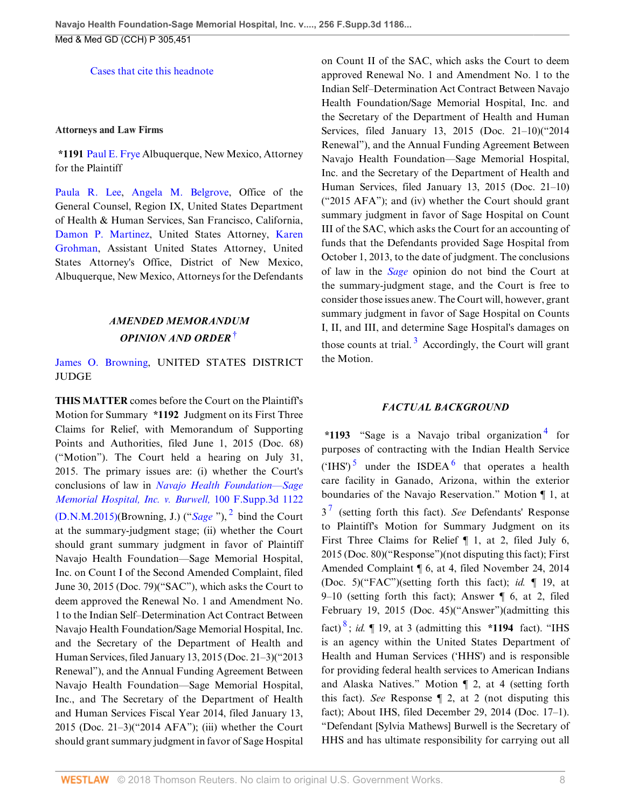[Cases that cite this headnote](http://www.westlaw.com/Link/RelatedInformation/DocHeadnoteLink?docGuid=I02a50c30bb1011e5be74e186f6bc2536&headnoteId=203807982502720171226035147&originationContext=document&vr=3.0&rs=cblt1.0&transitionType=CitingReferences&contextData=(sc.UserEnteredCitation))

#### **Attorneys and Law Firms**

**\*1191** [Paul E. Frye](http://www.westlaw.com/Link/Document/FullText?findType=h&pubNum=176284&cite=0222238801&originatingDoc=I02a50c30bb1011e5be74e186f6bc2536&refType=RQ&originationContext=document&vr=3.0&rs=cblt1.0&transitionType=DocumentItem&contextData=(sc.UserEnteredCitation)) Albuquerque, New Mexico, Attorney for the Plaintiff

[Paula R. Lee,](http://www.westlaw.com/Link/Document/FullText?findType=h&pubNum=176284&cite=0316581701&originatingDoc=I02a50c30bb1011e5be74e186f6bc2536&refType=RQ&originationContext=document&vr=3.0&rs=cblt1.0&transitionType=DocumentItem&contextData=(sc.UserEnteredCitation)) [Angela M. Belgrove](http://www.westlaw.com/Link/Document/FullText?findType=h&pubNum=176284&cite=0316581601&originatingDoc=I02a50c30bb1011e5be74e186f6bc2536&refType=RQ&originationContext=document&vr=3.0&rs=cblt1.0&transitionType=DocumentItem&contextData=(sc.UserEnteredCitation)), Office of the General Counsel, Region IX, United States Department of Health & Human Services, San Francisco, California, [Damon P. Martinez](http://www.westlaw.com/Link/Document/FullText?findType=h&pubNum=176284&cite=0135535601&originatingDoc=I02a50c30bb1011e5be74e186f6bc2536&refType=RQ&originationContext=document&vr=3.0&rs=cblt1.0&transitionType=DocumentItem&contextData=(sc.UserEnteredCitation)), United States Attorney, [Karen](http://www.westlaw.com/Link/Document/FullText?findType=h&pubNum=176284&cite=0467973501&originatingDoc=I02a50c30bb1011e5be74e186f6bc2536&refType=RQ&originationContext=document&vr=3.0&rs=cblt1.0&transitionType=DocumentItem&contextData=(sc.UserEnteredCitation)) [Grohman,](http://www.westlaw.com/Link/Document/FullText?findType=h&pubNum=176284&cite=0467973501&originatingDoc=I02a50c30bb1011e5be74e186f6bc2536&refType=RQ&originationContext=document&vr=3.0&rs=cblt1.0&transitionType=DocumentItem&contextData=(sc.UserEnteredCitation)) Assistant United States Attorney, United States Attorney's Office, District of New Mexico, Albuquerque, New Mexico, Attorneys for the Defendants

# <span id="page-7-0"></span>*AMENDED MEMORANDUM OPINION AND ORDER* [†](#page-42-0)

[James O. Browning,](http://www.westlaw.com/Link/Document/FullText?findType=h&pubNum=176284&cite=0160643001&originatingDoc=I02a50c30bb1011e5be74e186f6bc2536&refType=RQ&originationContext=document&vr=3.0&rs=cblt1.0&transitionType=DocumentItem&contextData=(sc.UserEnteredCitation)) UNITED STATES DISTRICT JUDGE

**THIS MATTER** comes before the Court on the Plaintiff's Motion for Summary **\*1192** Judgment on its First Three Claims for Relief, with Memorandum of Supporting Points and Authorities, filed June 1, 2015 (Doc. 68) ("Motion"). The Court held a hearing on July 31, 2015. The primary issues are: (i) whether the Court's conclusions of law in *[Navajo Health Foundation—Sage](http://www.westlaw.com/Link/Document/FullText?findType=Y&serNum=2036163936&pubNum=0007903&originatingDoc=I02a50c30bb1011e5be74e186f6bc2536&refType=RP&originationContext=document&vr=3.0&rs=cblt1.0&transitionType=DocumentItem&contextData=(sc.UserEnteredCitation)) [Memorial Hospital, Inc. v. Burwell,](http://www.westlaw.com/Link/Document/FullText?findType=Y&serNum=2036163936&pubNum=0007903&originatingDoc=I02a50c30bb1011e5be74e186f6bc2536&refType=RP&originationContext=document&vr=3.0&rs=cblt1.0&transitionType=DocumentItem&contextData=(sc.UserEnteredCitation))* 100 F.Supp.3d 1122 [\(D.N.M.2015\)](http://www.westlaw.com/Link/Document/FullText?findType=Y&serNum=2036163936&pubNum=0007903&originatingDoc=I02a50c30bb1011e5be74e186f6bc2536&refType=RP&originationContext=document&vr=3.0&rs=cblt1.0&transitionType=DocumentItem&contextData=(sc.UserEnteredCitation))(Browning, J.) ("*[Sage](http://www.westlaw.com/Link/Document/FullText?findType=Y&serNum=2036163936&pubNum=0007903&originatingDoc=I02a50c30bb1011e5be74e186f6bc2536&refType=RP&originationContext=document&vr=3.0&rs=cblt1.0&transitionType=DocumentItem&contextData=(sc.UserEnteredCitation))* "), [2](#page-43-0) bind the Court at the summary-judgment stage; (ii) whether the Court should grant summary judgment in favor of Plaintiff Navajo Health Foundation—Sage Memorial Hospital, Inc. on Count I of the Second Amended Complaint, filed June 30, 2015 (Doc. 79)("SAC"), which asks the Court to deem approved the Renewal No. 1 and Amendment No. 1 to the Indian Self–Determination Act Contract Between Navajo Health Foundation/Sage Memorial Hospital, Inc. and the Secretary of the Department of Health and Human Services, filed January 13, 2015 (Doc. 21–3)("2013 Renewal"), and the Annual Funding Agreement Between Navajo Health Foundation—Sage Memorial Hospital, Inc., and The Secretary of the Department of Health and Human Services Fiscal Year 2014, filed January 13, 2015 (Doc. 21–3)("2014 AFA"); (iii) whether the Court should grant summary judgment in favor of Sage Hospital on Count II of the SAC, which asks the Court to deem approved Renewal No. 1 and Amendment No. 1 to the Indian Self–Determination Act Contract Between Navajo Health Foundation/Sage Memorial Hospital, Inc. and the Secretary of the Department of Health and Human Services, filed January 13, 2015 (Doc. 21–10)("2014 Renewal"), and the Annual Funding Agreement Between Navajo Health Foundation—Sage Memorial Hospital, Inc. and the Secretary of the Department of Health and Human Services, filed January 13, 2015 (Doc. 21–10) ("2015 AFA"); and (iv) whether the Court should grant summary judgment in favor of Sage Hospital on Count III of the SAC, which asks the Court for an accounting of funds that the Defendants provided Sage Hospital from October 1, 2013, to the date of judgment. The conclusions of law in the *[Sage](http://www.westlaw.com/Link/Document/FullText?findType=Y&serNum=2036163936&pubNum=0000999&originatingDoc=I02a50c30bb1011e5be74e186f6bc2536&refType=RP&originationContext=document&vr=3.0&rs=cblt1.0&transitionType=DocumentItem&contextData=(sc.UserEnteredCitation))* opinion do not bind the Court at the summary-judgment stage, and the Court is free to consider those issues anew. The Court will, however, grant summary judgment in favor of Sage Hospital on Counts I, II, and III, and determine Sage Hospital's damages on those counts at trial.<sup>[3](#page-43-1)</sup> Accordingly, the Court will grant the Motion.

### <span id="page-7-5"></span><span id="page-7-3"></span><span id="page-7-2"></span>*FACTUAL BACKGROUND*

<span id="page-7-7"></span><span id="page-7-6"></span><span id="page-7-4"></span><span id="page-7-1"></span>**\*1193** "Sage is a Navajo tribal organization [4](#page-43-2) for purposes of contracting with the Indian Health Service ('IHS')<sup>[5](#page-43-3)</sup> under the ISDEA<sup>[6](#page-43-4)</sup> that operates a health care facility in Ganado, Arizona, within the exterior boundaries of the Navajo Reservation." Motion ¶ 1, at 3 [7](#page-43-5) (setting forth this fact). *See* Defendants' Response to Plaintiff's Motion for Summary Judgment on its First Three Claims for Relief ¶ 1, at 2, filed July 6, 2015 (Doc. 80)("Response")(not disputing this fact); First Amended Complaint ¶ 6, at 4, filed November 24, 2014 (Doc. 5)("FAC")(setting forth this fact); *id.* ¶ 19, at 9–10 (setting forth this fact); Answer  $\P$  6, at 2, filed February 19, 2015 (Doc. 45)("Answer")(admitting this fact)<sup>[8](#page-43-6)</sup>; *id.*  $\P$  19, at 3 (admitting this \*1194 fact). "IHS is an agency within the United States Department of Health and Human Services ('HHS') and is responsible for providing federal health services to American Indians and Alaska Natives." Motion ¶ 2, at 4 (setting forth this fact). *See* Response ¶ 2, at 2 (not disputing this fact); About IHS, filed December 29, 2014 (Doc. 17–1). "Defendant [Sylvia Mathews] Burwell is the Secretary of HHS and has ultimate responsibility for carrying out all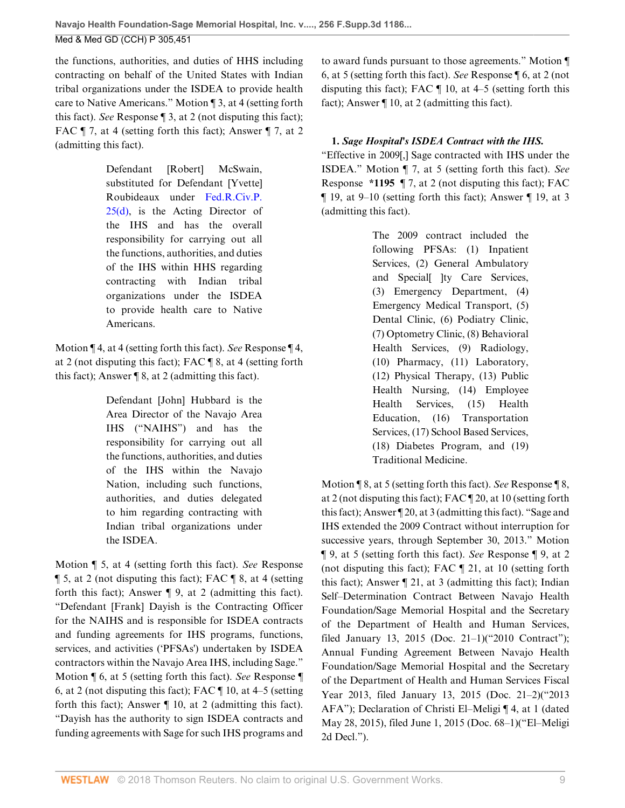**Navajo Health Foundation-Sage Memorial Hospital, Inc. v...., 256 F.Supp.3d 1186...** Med & Med GD (CCH) P 305,451

the functions, authorities, and duties of HHS including contracting on behalf of the United States with Indian tribal organizations under the ISDEA to provide health care to Native Americans." Motion ¶ 3, at 4 (setting forth this fact). *See* Response ¶ 3, at 2 (not disputing this fact); FAC  $\parallel$  7, at 4 (setting forth this fact); Answer  $\parallel$  7, at 2 (admitting this fact).

> Defendant [Robert] McSwain, substituted for Defendant [Yvette] Roubideaux under [Fed.R.Civ.P.](http://www.westlaw.com/Link/Document/FullText?findType=L&pubNum=1000600&cite=USFRCPR25&originatingDoc=I02a50c30bb1011e5be74e186f6bc2536&refType=LQ&originationContext=document&vr=3.0&rs=cblt1.0&transitionType=DocumentItem&contextData=(sc.UserEnteredCitation))  $25(d)$ , is the Acting Director of the IHS and has the overall responsibility for carrying out all the functions, authorities, and duties of the IHS within HHS regarding contracting with Indian tribal organizations under the ISDEA to provide health care to Native Americans.

Motion ¶ 4, at 4 (setting forth this fact). *See* Response ¶ 4, at 2 (not disputing this fact); FAC ¶ 8, at 4 (setting forth this fact); Answer ¶ 8, at 2 (admitting this fact).

> Defendant [John] Hubbard is the Area Director of the Navajo Area IHS ("NAIHS") and has the responsibility for carrying out all the functions, authorities, and duties of the IHS within the Navajo Nation, including such functions, authorities, and duties delegated to him regarding contracting with Indian tribal organizations under the ISDEA.

Motion ¶ 5, at 4 (setting forth this fact). *See* Response ¶ 5, at 2 (not disputing this fact); FAC ¶ 8, at 4 (setting forth this fact); Answer ¶ 9, at 2 (admitting this fact). "Defendant [Frank] Dayish is the Contracting Officer for the NAIHS and is responsible for ISDEA contracts and funding agreements for IHS programs, functions, services, and activities ('PFSAs') undertaken by ISDEA contractors within the Navajo Area IHS, including Sage." Motion ¶ 6, at 5 (setting forth this fact). *See* Response ¶ 6, at 2 (not disputing this fact); FAC ¶ 10, at 4–5 (setting forth this fact); Answer ¶ 10, at 2 (admitting this fact). "Dayish has the authority to sign ISDEA contracts and funding agreements with Sage for such IHS programs and

to award funds pursuant to those agreements." Motion ¶ 6, at 5 (setting forth this fact). *See* Response ¶ 6, at 2 (not disputing this fact); FAC  $\P$  10, at 4–5 (setting forth this fact); Answer ¶ 10, at 2 (admitting this fact).

### **1.** *Sage Hospital's ISDEA Contract with the IHS.*

"Effective in 2009[,] Sage contracted with IHS under the ISDEA." Motion ¶ 7, at 5 (setting forth this fact). *See* Response **\*1195** ¶ 7, at 2 (not disputing this fact); FAC ¶ 19, at 9–10 (setting forth this fact); Answer ¶ 19, at 3 (admitting this fact).

> The 2009 contract included the following PFSAs: (1) Inpatient Services, (2) General Ambulatory and Special[ ]ty Care Services, (3) Emergency Department, (4) Emergency Medical Transport, (5) Dental Clinic, (6) Podiatry Clinic, (7) Optometry Clinic, (8) Behavioral Health Services, (9) Radiology, (10) Pharmacy, (11) Laboratory, (12) Physical Therapy, (13) Public Health Nursing, (14) Employee Health Services, (15) Health Education, (16) Transportation Services, (17) School Based Services, (18) Diabetes Program, and (19) Traditional Medicine.

Motion ¶ 8, at 5 (setting forth this fact). *See* Response ¶ 8, at 2 (not disputing this fact); FAC ¶ 20, at 10 (setting forth this fact); Answer ¶ 20, at 3 (admitting this fact). "Sage and IHS extended the 2009 Contract without interruption for successive years, through September 30, 2013." Motion ¶ 9, at 5 (setting forth this fact). *See* Response ¶ 9, at 2 (not disputing this fact); FAC ¶ 21, at 10 (setting forth this fact); Answer ¶ 21, at 3 (admitting this fact); Indian Self–Determination Contract Between Navajo Health Foundation/Sage Memorial Hospital and the Secretary of the Department of Health and Human Services, filed January 13, 2015 (Doc. 21–1)("2010 Contract"); Annual Funding Agreement Between Navajo Health Foundation/Sage Memorial Hospital and the Secretary of the Department of Health and Human Services Fiscal Year 2013, filed January 13, 2015 (Doc. 21–2)("2013 AFA"); Declaration of Christi El–Meligi ¶ 4, at 1 (dated May 28, 2015), filed June 1, 2015 (Doc. 68–1)("El–Meligi 2d Decl.").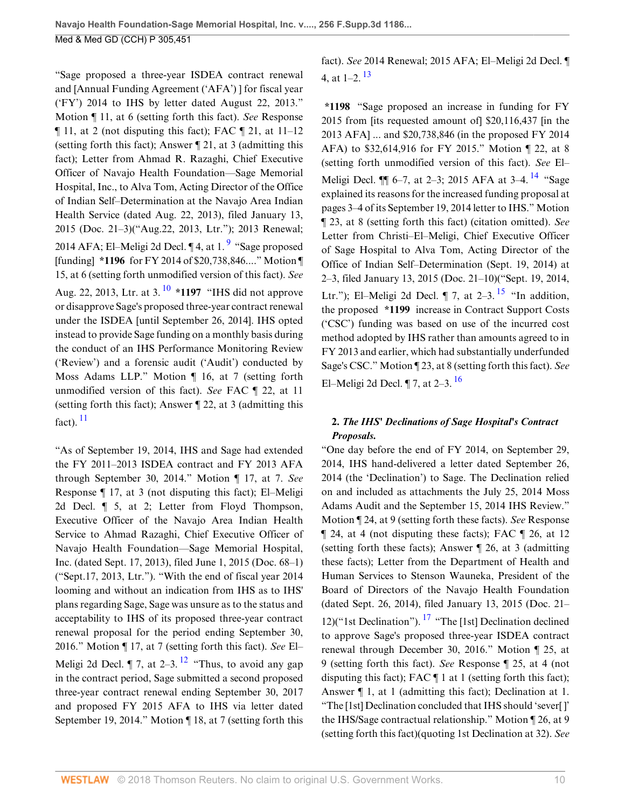"Sage proposed a three-year ISDEA contract renewal and [Annual Funding Agreement ('AFA') ] for fiscal year ('FY') 2014 to IHS by letter dated August 22, 2013." Motion ¶ 11, at 6 (setting forth this fact). *See* Response  $\P$  11, at 2 (not disputing this fact); FAC  $\P$  21, at 11–12 (setting forth this fact); Answer ¶ 21, at 3 (admitting this fact); Letter from Ahmad R. Razaghi, Chief Executive Officer of Navajo Health Foundation—Sage Memorial Hospital, Inc., to Alva Tom, Acting Director of the Office of Indian Self–Determination at the Navajo Area Indian Health Service (dated Aug. 22, 2013), filed January 13, 2015 (Doc. 21–3)("Aug.22, 2013, Ltr."); 2013 Renewal; 2014 AFA; El–Meligi 2d Decl.  $\P$ 4, at 1. $\frac{9}{9}$  $\frac{9}{9}$  $\frac{9}{9}$  "Sage proposed [funding] **\*1196** for FY 2014 of \$20,738,846...." Motion ¶ 15, at 6 (setting forth unmodified version of this fact). *See* Aug. 22, 2013, Ltr. at 3. [10](#page-44-1) **\*1197** "IHS did not approve or disapprove Sage's proposed three-year contract renewal under the ISDEA [until September 26, 2014]. IHS opted instead to provide Sage funding on a monthly basis during the conduct of an IHS Performance Monitoring Review ('Review') and a forensic audit ('Audit') conducted by Moss Adams LLP." Motion ¶ 16, at 7 (setting forth unmodified version of this fact). *See* FAC ¶ 22, at 11 (setting forth this fact); Answer ¶ 22, at 3 (admitting this  $fact)$ .  $^{11}$  $^{11}$  $^{11}$ 

<span id="page-9-3"></span><span id="page-9-2"></span><span id="page-9-1"></span>"As of September 19, 2014, IHS and Sage had extended the FY 2011–2013 ISDEA contract and FY 2013 AFA through September 30, 2014." Motion ¶ 17, at 7. *See* Response ¶ 17, at 3 (not disputing this fact); El–Meligi 2d Decl. ¶ 5, at 2; Letter from Floyd Thompson, Executive Officer of the Navajo Area Indian Health Service to Ahmad Razaghi, Chief Executive Officer of Navajo Health Foundation—Sage Memorial Hospital, Inc. (dated Sept. 17, 2013), filed June 1, 2015 (Doc. 68–1) ("Sept.17, 2013, Ltr."). "With the end of fiscal year 2014 looming and without an indication from IHS as to IHS' plans regarding Sage, Sage was unsure as to the status and acceptability to IHS of its proposed three-year contract renewal proposal for the period ending September 30, 2016." Motion ¶ 17, at 7 (setting forth this fact). *See* El– Meligi 2d Decl.  $\parallel$  7, at 2–3.<sup>[12](#page-45-1)</sup> "Thus, to avoid any gap in the contract period, Sage submitted a second proposed three-year contract renewal ending September 30, 2017 and proposed FY 2015 AFA to IHS via letter dated September 19, 2014." Motion ¶ 18, at 7 (setting forth this <span id="page-9-4"></span>fact). *See* 2014 Renewal; 2015 AFA; El–Meligi 2d Decl. ¶ 4, at  $1-2$ ,  $13$ 

<span id="page-9-5"></span><span id="page-9-0"></span>**\*1198** "Sage proposed an increase in funding for FY 2015 from [its requested amount of] \$20,116,437 [in the 2013 AFA] ... and \$20,738,846 (in the proposed FY 2014 AFA) to \$32,614,916 for FY 2015." Motion ¶ 22, at 8 (setting forth unmodified version of this fact). *See* El– Meligi Decl.  $\P$  6–7, at 2–3; 2015 AFA at 3–4.<sup>[14](#page-46-0)</sup> "Sage explained its reasons for the increased funding proposal at pages 3–4 of its September 19, 2014 letter to IHS." Motion ¶ 23, at 8 (setting forth this fact) (citation omitted). *See* Letter from Christi–El–Meligi, Chief Executive Officer of Sage Hospital to Alva Tom, Acting Director of the Office of Indian Self–Determination (Sept. 19, 2014) at 2–3, filed January 13, 2015 (Doc. 21–10)("Sept. 19, 2014, Ltr."); El–Meligi 2d Decl.  $\P$  7, at 2–3.<sup>[15](#page-46-1)</sup> "In addition, the proposed **\*1199** increase in Contract Support Costs ('CSC') funding was based on use of the incurred cost method adopted by IHS rather than amounts agreed to in FY 2013 and earlier, which had substantially underfunded Sage's CSC." Motion ¶ 23, at 8 (setting forth this fact). *See* El–Meligi 2d Decl.  $\P$  7, at 2–3.  $^{16}$  $^{16}$  $^{16}$ 

# <span id="page-9-7"></span><span id="page-9-6"></span>**2.** *The IHS' Declinations of Sage Hospital's Contract Proposals.*

<span id="page-9-8"></span>"One day before the end of FY 2014, on September 29, 2014, IHS hand-delivered a letter dated September 26, 2014 (the 'Declination') to Sage. The Declination relied on and included as attachments the July 25, 2014 Moss Adams Audit and the September 15, 2014 IHS Review." Motion ¶ 24, at 9 (setting forth these facts). *See* Response ¶ 24, at 4 (not disputing these facts); FAC ¶ 26, at 12 (setting forth these facts); Answer ¶ 26, at 3 (admitting these facts); Letter from the Department of Health and Human Services to Stenson Wauneka, President of the Board of Directors of the Navajo Health Foundation (dated Sept. 26, 2014), filed January 13, 2015 (Doc. 21– 12)("1st Declination").  $^{17}$  $^{17}$  $^{17}$  "The [1st] Declination declined to approve Sage's proposed three-year ISDEA contract renewal through December 30, 2016." Motion ¶ 25, at 9 (setting forth this fact). *See* Response ¶ 25, at 4 (not disputing this fact); FAC ¶ 1 at 1 (setting forth this fact); Answer ¶ 1, at 1 (admitting this fact); Declination at 1. "The [1st] Declination concluded that IHS should 'sever[ ]' the IHS/Sage contractual relationship." Motion ¶ 26, at 9 (setting forth this fact)(quoting 1st Declination at 32). *See*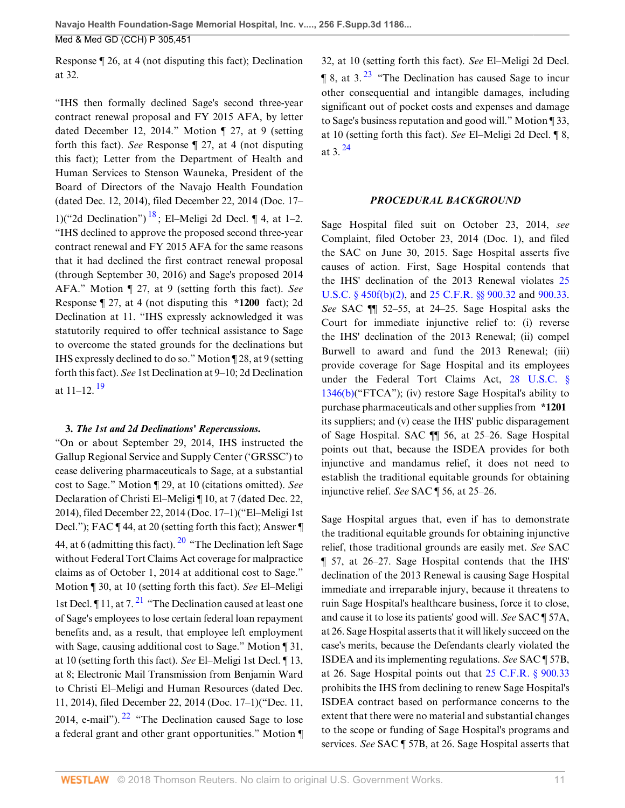**Navajo Health Foundation-Sage Memorial Hospital, Inc. v...., 256 F.Supp.3d 1186...** Med & Med GD (CCH) P 305,451

Response ¶ 26, at 4 (not disputing this fact); Declination at 32.

<span id="page-10-0"></span>"IHS then formally declined Sage's second three-year contract renewal proposal and FY 2015 AFA, by letter dated December 12, 2014." Motion ¶ 27, at 9 (setting forth this fact). *See* Response ¶ 27, at 4 (not disputing this fact); Letter from the Department of Health and Human Services to Stenson Wauneka, President of the Board of Directors of the Navajo Health Foundation (dated Dec. 12, 2014), filed December 22, 2014 (Doc. 17– 1)("2d Declination")  $^{18}$  $^{18}$  $^{18}$ ; El–Meligi 2d Decl. ¶ 4, at 1–2. "IHS declined to approve the proposed second three-year contract renewal and FY 2015 AFA for the same reasons that it had declined the first contract renewal proposal (through September 30, 2016) and Sage's proposed 2014 AFA." Motion ¶ 27, at 9 (setting forth this fact). *See* Response ¶ 27, at 4 (not disputing this **\*1200** fact); 2d Declination at 11. "IHS expressly acknowledged it was statutorily required to offer technical assistance to Sage to overcome the stated grounds for the declinations but IHS expressly declined to do so." Motion ¶ 28, at 9 (setting forth this fact). *See* 1st Declination at 9–10; 2d Declination at  $11-12$ .  $19$ 

### <span id="page-10-1"></span>**3.** *The 1st and 2d Declinations' Repercussions.*

<span id="page-10-3"></span>"On or about September 29, 2014, IHS instructed the Gallup Regional Service and Supply Center ('GRSSC') to cease delivering pharmaceuticals to Sage, at a substantial cost to Sage." Motion ¶ 29, at 10 (citations omitted). *See* Declaration of Christi El–Meligi ¶ 10, at 7 (dated Dec. 22, 2014), filed December 22, 2014 (Doc. 17–1)("El–Meligi 1st Decl."); FAC ¶ 44, at 20 (setting forth this fact); Answer ¶ 44, at 6 (admitting this fact).  $20$  "The Declination left Sage without Federal Tort Claims Act coverage for malpractice claims as of October 1, 2014 at additional cost to Sage." Motion ¶ 30, at 10 (setting forth this fact). *See* El–Meligi 1st Decl.  $\P$ 11, at 7.  $2^1$  "The Declination caused at least one of Sage's employees to lose certain federal loan repayment benefits and, as a result, that employee left employment with Sage, causing additional cost to Sage." Motion 1 31, at 10 (setting forth this fact). *See* El–Meligi 1st Decl. ¶ 13, at 8; Electronic Mail Transmission from Benjamin Ward to Christi El–Meligi and Human Resources (dated Dec. 11, 2014), filed December 22, 2014 (Doc. 17–1)("Dec. 11, 2014, e-mail").  $22$  "The Declination caused Sage to lose a federal grant and other grant opportunities." Motion ¶ <span id="page-10-5"></span>32, at 10 (setting forth this fact). *See* El–Meligi 2d Decl.  $\llbracket$  8, at 3.<sup>[23](#page-46-9)</sup> "The Declination has caused Sage to incur other consequential and intangible damages, including significant out of pocket costs and expenses and damage to Sage's business reputation and good will." Motion ¶ 33, at 10 (setting forth this fact). *See* El–Meligi 2d Decl. ¶ 8, at 3. [24](#page-46-10)

### <span id="page-10-6"></span>*PROCEDURAL BACKGROUND*

Sage Hospital filed suit on October 23, 2014, *see* Complaint, filed October 23, 2014 (Doc. 1), and filed the SAC on June 30, 2015. Sage Hospital asserts five causes of action. First, Sage Hospital contends that the IHS' declination of the 2013 Renewal violates [25](http://www.westlaw.com/Link/Document/FullText?findType=L&pubNum=1000546&cite=25USCAS450F&originatingDoc=I02a50c30bb1011e5be74e186f6bc2536&refType=LQ&originationContext=document&vr=3.0&rs=cblt1.0&transitionType=DocumentItem&contextData=(sc.UserEnteredCitation)) [U.S.C. § 450f\(b\)\(2\)](http://www.westlaw.com/Link/Document/FullText?findType=L&pubNum=1000546&cite=25USCAS450F&originatingDoc=I02a50c30bb1011e5be74e186f6bc2536&refType=LQ&originationContext=document&vr=3.0&rs=cblt1.0&transitionType=DocumentItem&contextData=(sc.UserEnteredCitation)), and [25 C.F.R. §§ 900.32](http://www.westlaw.com/Link/Document/FullText?findType=L&pubNum=1000547&cite=25CFRS900.32&originatingDoc=I02a50c30bb1011e5be74e186f6bc2536&refType=LQ&originationContext=document&vr=3.0&rs=cblt1.0&transitionType=DocumentItem&contextData=(sc.UserEnteredCitation)) and [900.33](http://www.westlaw.com/Link/Document/FullText?findType=L&pubNum=1000547&cite=25CFRS900.33&originatingDoc=I02a50c30bb1011e5be74e186f6bc2536&refType=LQ&originationContext=document&vr=3.0&rs=cblt1.0&transitionType=DocumentItem&contextData=(sc.UserEnteredCitation)). *See* SAC ¶¶ 52–55, at 24–25. Sage Hospital asks the Court for immediate injunctive relief to: (i) reverse the IHS' declination of the 2013 Renewal; (ii) compel Burwell to award and fund the 2013 Renewal; (iii) provide coverage for Sage Hospital and its employees under the Federal Tort Claims Act, [28 U.S.C. §](http://www.westlaw.com/Link/Document/FullText?findType=L&pubNum=1000546&cite=28USCAS1346&originatingDoc=I02a50c30bb1011e5be74e186f6bc2536&refType=SP&originationContext=document&vr=3.0&rs=cblt1.0&transitionType=DocumentItem&contextData=(sc.UserEnteredCitation)#co_pp_a83b000018c76) [1346\(b\)](http://www.westlaw.com/Link/Document/FullText?findType=L&pubNum=1000546&cite=28USCAS1346&originatingDoc=I02a50c30bb1011e5be74e186f6bc2536&refType=SP&originationContext=document&vr=3.0&rs=cblt1.0&transitionType=DocumentItem&contextData=(sc.UserEnteredCitation)#co_pp_a83b000018c76)("FTCA"); (iv) restore Sage Hospital's ability to purchase pharmaceuticals and other supplies from **\*1201** its suppliers; and (v) cease the IHS' public disparagement of Sage Hospital. SAC ¶¶ 56, at 25–26. Sage Hospital points out that, because the ISDEA provides for both injunctive and mandamus relief, it does not need to establish the traditional equitable grounds for obtaining injunctive relief. *See* SAC ¶ 56, at 25–26.

<span id="page-10-4"></span><span id="page-10-2"></span>Sage Hospital argues that, even if has to demonstrate the traditional equitable grounds for obtaining injunctive relief, those traditional grounds are easily met. *See* SAC ¶ 57, at 26–27. Sage Hospital contends that the IHS' declination of the 2013 Renewal is causing Sage Hospital immediate and irreparable injury, because it threatens to ruin Sage Hospital's healthcare business, force it to close, and cause it to lose its patients' good will. *See* SAC ¶ 57A, at 26. Sage Hospital asserts that it will likely succeed on the case's merits, because the Defendants clearly violated the ISDEA and its implementing regulations. *See* SAC ¶ 57B, at 26. Sage Hospital points out that [25 C.F.R. § 900.33](http://www.westlaw.com/Link/Document/FullText?findType=L&pubNum=1000547&cite=25CFRS900.33&originatingDoc=I02a50c30bb1011e5be74e186f6bc2536&refType=LQ&originationContext=document&vr=3.0&rs=cblt1.0&transitionType=DocumentItem&contextData=(sc.UserEnteredCitation)) prohibits the IHS from declining to renew Sage Hospital's ISDEA contract based on performance concerns to the extent that there were no material and substantial changes to the scope or funding of Sage Hospital's programs and services. *See* SAC ¶ 57B, at 26. Sage Hospital asserts that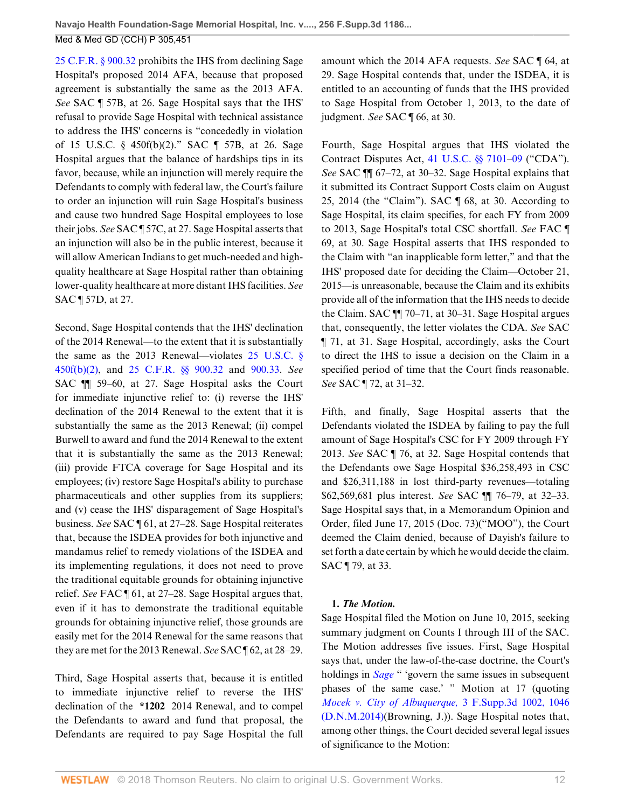[25 C.F.R. § 900.32](http://www.westlaw.com/Link/Document/FullText?findType=L&pubNum=1000547&cite=25CFRS900.32&originatingDoc=I02a50c30bb1011e5be74e186f6bc2536&refType=LQ&originationContext=document&vr=3.0&rs=cblt1.0&transitionType=DocumentItem&contextData=(sc.UserEnteredCitation)) prohibits the IHS from declining Sage Hospital's proposed 2014 AFA, because that proposed agreement is substantially the same as the 2013 AFA. *See* SAC ¶ 57B, at 26. Sage Hospital says that the IHS' refusal to provide Sage Hospital with technical assistance to address the IHS' concerns is "concededly in violation of 15 U.S.C. § 450f(b)(2)." SAC ¶ 57B, at 26. Sage Hospital argues that the balance of hardships tips in its favor, because, while an injunction will merely require the Defendants to comply with federal law, the Court's failure to order an injunction will ruin Sage Hospital's business and cause two hundred Sage Hospital employees to lose their jobs. *See* SAC ¶ 57C, at 27. Sage Hospital asserts that an injunction will also be in the public interest, because it will allow American Indians to get much-needed and highquality healthcare at Sage Hospital rather than obtaining lower-quality healthcare at more distant IHS facilities. *See* SAC ¶ 57D, at 27.

Second, Sage Hospital contends that the IHS' declination of the 2014 Renewal—to the extent that it is substantially the same as the 2013 Renewal—violates [25 U.S.C. §](http://www.westlaw.com/Link/Document/FullText?findType=L&pubNum=1000546&cite=25USCAS450F&originatingDoc=I02a50c30bb1011e5be74e186f6bc2536&refType=LQ&originationContext=document&vr=3.0&rs=cblt1.0&transitionType=DocumentItem&contextData=(sc.UserEnteredCitation)) [450f\(b\)\(2\)](http://www.westlaw.com/Link/Document/FullText?findType=L&pubNum=1000546&cite=25USCAS450F&originatingDoc=I02a50c30bb1011e5be74e186f6bc2536&refType=LQ&originationContext=document&vr=3.0&rs=cblt1.0&transitionType=DocumentItem&contextData=(sc.UserEnteredCitation)), and [25 C.F.R. §§ 900.32](http://www.westlaw.com/Link/Document/FullText?findType=L&pubNum=1000547&cite=25CFRS900.32&originatingDoc=I02a50c30bb1011e5be74e186f6bc2536&refType=LQ&originationContext=document&vr=3.0&rs=cblt1.0&transitionType=DocumentItem&contextData=(sc.UserEnteredCitation)) and [900.33.](http://www.westlaw.com/Link/Document/FullText?findType=L&pubNum=1000547&cite=25CFRS900.33&originatingDoc=I02a50c30bb1011e5be74e186f6bc2536&refType=LQ&originationContext=document&vr=3.0&rs=cblt1.0&transitionType=DocumentItem&contextData=(sc.UserEnteredCitation)) *See* SAC ¶¶ 59–60, at 27. Sage Hospital asks the Court for immediate injunctive relief to: (i) reverse the IHS' declination of the 2014 Renewal to the extent that it is substantially the same as the 2013 Renewal; (ii) compel Burwell to award and fund the 2014 Renewal to the extent that it is substantially the same as the 2013 Renewal; (iii) provide FTCA coverage for Sage Hospital and its employees; (iv) restore Sage Hospital's ability to purchase pharmaceuticals and other supplies from its suppliers; and (v) cease the IHS' disparagement of Sage Hospital's business. *See* SAC ¶ 61, at 27–28. Sage Hospital reiterates that, because the ISDEA provides for both injunctive and mandamus relief to remedy violations of the ISDEA and its implementing regulations, it does not need to prove the traditional equitable grounds for obtaining injunctive relief. *See* FAC ¶ 61, at 27–28. Sage Hospital argues that, even if it has to demonstrate the traditional equitable grounds for obtaining injunctive relief, those grounds are easily met for the 2014 Renewal for the same reasons that they are met for the 2013 Renewal. *See* SAC ¶ 62, at 28–29.

Third, Sage Hospital asserts that, because it is entitled to immediate injunctive relief to reverse the IHS' declination of the **\*1202** 2014 Renewal, and to compel the Defendants to award and fund that proposal, the Defendants are required to pay Sage Hospital the full amount which the 2014 AFA requests. *See* SAC ¶ 64, at 29. Sage Hospital contends that, under the ISDEA, it is entitled to an accounting of funds that the IHS provided to Sage Hospital from October 1, 2013, to the date of judgment. *See* SAC ¶ 66, at 30.

Fourth, Sage Hospital argues that IHS violated the Contract Disputes Act, [41 U.S.C. §§ 7101–](http://www.westlaw.com/Link/Document/FullText?findType=L&pubNum=1000546&cite=41USCAS7101&originatingDoc=I02a50c30bb1011e5be74e186f6bc2536&refType=LQ&originationContext=document&vr=3.0&rs=cblt1.0&transitionType=DocumentItem&contextData=(sc.UserEnteredCitation))[09](http://www.westlaw.com/Link/Document/FullText?findType=L&pubNum=1000546&cite=41USCAS7109&originatingDoc=I02a50c30bb1011e5be74e186f6bc2536&refType=LQ&originationContext=document&vr=3.0&rs=cblt1.0&transitionType=DocumentItem&contextData=(sc.UserEnteredCitation)) ("CDA"). *See* SAC ¶¶ 67–72, at 30–32. Sage Hospital explains that it submitted its Contract Support Costs claim on August 25, 2014 (the "Claim"). SAC ¶ 68, at 30. According to Sage Hospital, its claim specifies, for each FY from 2009 to 2013, Sage Hospital's total CSC shortfall. *See* FAC ¶ 69, at 30. Sage Hospital asserts that IHS responded to the Claim with "an inapplicable form letter," and that the IHS' proposed date for deciding the Claim—October 21, 2015—is unreasonable, because the Claim and its exhibits provide all of the information that the IHS needs to decide the Claim. SAC ¶¶ 70–71, at 30–31. Sage Hospital argues that, consequently, the letter violates the CDA. *See* SAC ¶ 71, at 31. Sage Hospital, accordingly, asks the Court to direct the IHS to issue a decision on the Claim in a specified period of time that the Court finds reasonable. *See* SAC ¶ 72, at 31–32.

Fifth, and finally, Sage Hospital asserts that the Defendants violated the ISDEA by failing to pay the full amount of Sage Hospital's CSC for FY 2009 through FY 2013. *See* SAC ¶ 76, at 32. Sage Hospital contends that the Defendants owe Sage Hospital \$36,258,493 in CSC and \$26,311,188 in lost third-party revenues—totaling \$62,569,681 plus interest. *See* SAC ¶¶ 76–79, at 32–33. Sage Hospital says that, in a Memorandum Opinion and Order, filed June 17, 2015 (Doc. 73)("MOO"), the Court deemed the Claim denied, because of Dayish's failure to set forth a date certain by which he would decide the claim. SAC ¶ 79, at 33.

### **1.** *The Motion.*

Sage Hospital filed the Motion on June 10, 2015, seeking summary judgment on Counts I through III of the SAC. The Motion addresses five issues. First, Sage Hospital says that, under the law-of-the-case doctrine, the Court's holdings in *[Sage](http://www.westlaw.com/Link/Document/FullText?findType=Y&serNum=2036163936&pubNum=0000999&originatingDoc=I02a50c30bb1011e5be74e186f6bc2536&refType=RP&originationContext=document&vr=3.0&rs=cblt1.0&transitionType=DocumentItem&contextData=(sc.UserEnteredCitation))* " 'govern the same issues in subsequent phases of the same case.' " Motion at 17 (quoting *[Mocek v. City of Albuquerque,](http://www.westlaw.com/Link/Document/FullText?findType=Y&serNum=2032875508&pubNum=0007903&originatingDoc=I02a50c30bb1011e5be74e186f6bc2536&refType=RP&fi=co_pp_sp_7903_1046&originationContext=document&vr=3.0&rs=cblt1.0&transitionType=DocumentItem&contextData=(sc.UserEnteredCitation)#co_pp_sp_7903_1046)* 3 F.Supp.3d 1002, 1046 [\(D.N.M.2014\)](http://www.westlaw.com/Link/Document/FullText?findType=Y&serNum=2032875508&pubNum=0007903&originatingDoc=I02a50c30bb1011e5be74e186f6bc2536&refType=RP&fi=co_pp_sp_7903_1046&originationContext=document&vr=3.0&rs=cblt1.0&transitionType=DocumentItem&contextData=(sc.UserEnteredCitation)#co_pp_sp_7903_1046)(Browning, J.)). Sage Hospital notes that, among other things, the Court decided several legal issues of significance to the Motion: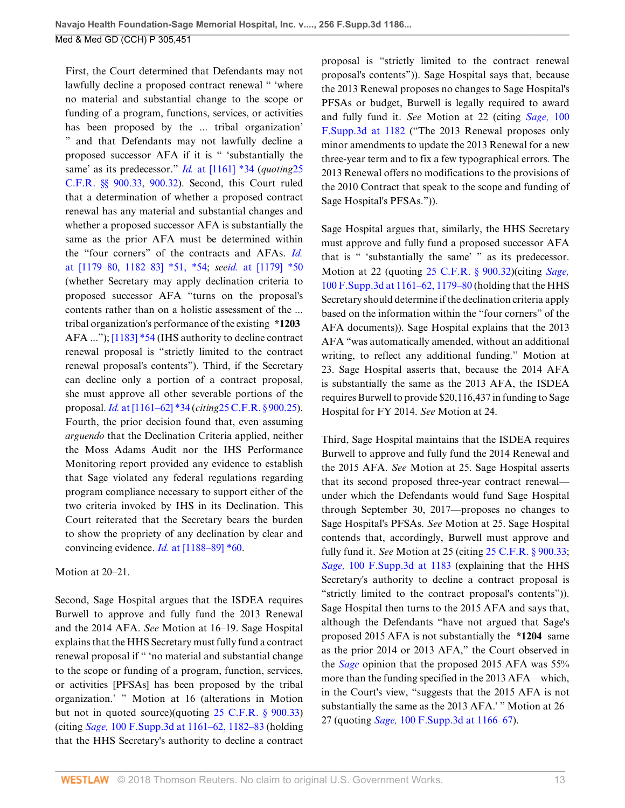First, the Court determined that Defendants may not lawfully decline a proposed contract renewal " 'where no material and substantial change to the scope or funding of a program, functions, services, or activities has been proposed by the ... tribal organization' " and that Defendants may not lawfully decline a proposed successor AFA if it is " 'substantially the same' as its predecessor." *Id.* [at \[1161\] \\*34](http://www.westlaw.com/Link/Document/FullText?findType=Y&serNum=2036163936&pubNum=0007903&originatingDoc=I02a50c30bb1011e5be74e186f6bc2536&refType=RP&originationContext=document&vr=3.0&rs=cblt1.0&transitionType=DocumentItem&contextData=(sc.UserEnteredCitation)) (*quoting*[25](http://www.westlaw.com/Link/Document/FullText?findType=L&pubNum=1000547&cite=25CFRS900.33&originatingDoc=I02a50c30bb1011e5be74e186f6bc2536&refType=LQ&originationContext=document&vr=3.0&rs=cblt1.0&transitionType=DocumentItem&contextData=(sc.UserEnteredCitation)) [C.F.R. §§ 900.33](http://www.westlaw.com/Link/Document/FullText?findType=L&pubNum=1000547&cite=25CFRS900.33&originatingDoc=I02a50c30bb1011e5be74e186f6bc2536&refType=LQ&originationContext=document&vr=3.0&rs=cblt1.0&transitionType=DocumentItem&contextData=(sc.UserEnteredCitation)), [900.32\)](http://www.westlaw.com/Link/Document/FullText?findType=L&pubNum=1000547&cite=25CFRS900.32&originatingDoc=I02a50c30bb1011e5be74e186f6bc2536&refType=LQ&originationContext=document&vr=3.0&rs=cblt1.0&transitionType=DocumentItem&contextData=(sc.UserEnteredCitation)). Second, this Court ruled that a determination of whether a proposed contract renewal has any material and substantial changes and whether a proposed successor AFA is substantially the same as the prior AFA must be determined within the "four corners" of the contracts and AFAs. *[Id.](http://www.westlaw.com/Link/Document/FullText?findType=Y&serNum=2036163936&pubNum=0007903&originatingDoc=I02a50c30bb1011e5be74e186f6bc2536&refType=RP&originationContext=document&vr=3.0&rs=cblt1.0&transitionType=DocumentItem&contextData=(sc.UserEnteredCitation))* [at \[1179–80, 1182–83\] \\*51, \\*54;](http://www.westlaw.com/Link/Document/FullText?findType=Y&serNum=2036163936&pubNum=0007903&originatingDoc=I02a50c30bb1011e5be74e186f6bc2536&refType=RP&originationContext=document&vr=3.0&rs=cblt1.0&transitionType=DocumentItem&contextData=(sc.UserEnteredCitation)) *seeid.* [at \[1179\] \\*50](http://www.westlaw.com/Link/Document/FullText?findType=Y&serNum=2036163936&pubNum=0007903&originatingDoc=I02a50c30bb1011e5be74e186f6bc2536&refType=RP&originationContext=document&vr=3.0&rs=cblt1.0&transitionType=DocumentItem&contextData=(sc.UserEnteredCitation)) (whether Secretary may apply declination criteria to proposed successor AFA "turns on the proposal's contents rather than on a holistic assessment of the ... tribal organization's performance of the existing **\*1203** AFA ..."); [\[1183\] \\*54](http://www.westlaw.com/Link/Document/FullText?findType=Y&serNum=2036163936&originatingDoc=I02a50c30bb1011e5be74e186f6bc2536&refType=RP&originationContext=document&vr=3.0&rs=cblt1.0&transitionType=DocumentItem&contextData=(sc.UserEnteredCitation)) (IHS authority to decline contract renewal proposal is "strictly limited to the contract renewal proposal's contents"). Third, if the Secretary can decline only a portion of a contract proposal, she must approve all other severable portions of the proposal. *Id.* [at \[1161–62\] \\*34](http://www.westlaw.com/Link/Document/FullText?findType=Y&serNum=2036163936&pubNum=0007903&originatingDoc=I02a50c30bb1011e5be74e186f6bc2536&refType=RP&originationContext=document&vr=3.0&rs=cblt1.0&transitionType=DocumentItem&contextData=(sc.UserEnteredCitation)) (*citing*[25 C.F.R. § 900.25\)](http://www.westlaw.com/Link/Document/FullText?findType=L&pubNum=1000547&cite=25CFRS900.25&originatingDoc=I02a50c30bb1011e5be74e186f6bc2536&refType=LQ&originationContext=document&vr=3.0&rs=cblt1.0&transitionType=DocumentItem&contextData=(sc.UserEnteredCitation)). Fourth, the prior decision found that, even assuming *arguendo* that the Declination Criteria applied, neither the Moss Adams Audit nor the IHS Performance Monitoring report provided any evidence to establish that Sage violated any federal regulations regarding program compliance necessary to support either of the two criteria invoked by IHS in its Declination. This Court reiterated that the Secretary bears the burden to show the propriety of any declination by clear and convincing evidence. *Id.* [at \[1188–89\] \\*60](http://www.westlaw.com/Link/Document/FullText?findType=Y&serNum=2036163936&pubNum=0007903&originatingDoc=I02a50c30bb1011e5be74e186f6bc2536&refType=RP&originationContext=document&vr=3.0&rs=cblt1.0&transitionType=DocumentItem&contextData=(sc.UserEnteredCitation)).

Motion at 20–21.

Second, Sage Hospital argues that the ISDEA requires Burwell to approve and fully fund the 2013 Renewal and the 2014 AFA. *See* Motion at 16–19. Sage Hospital explains that the HHS Secretary must fully fund a contract renewal proposal if " 'no material and substantial change to the scope or funding of a program, function, services, or activities [PFSAs] has been proposed by the tribal organization.' " Motion at 16 (alterations in Motion but not in quoted source)(quoting [25 C.F.R. § 900.33\)](http://www.westlaw.com/Link/Document/FullText?findType=L&pubNum=1000547&cite=25CFRS900.33&originatingDoc=I02a50c30bb1011e5be74e186f6bc2536&refType=LQ&originationContext=document&vr=3.0&rs=cblt1.0&transitionType=DocumentItem&contextData=(sc.UserEnteredCitation)) (citing *Sage,* [100 F.Supp.3d at 1161–62, 1182–83](http://www.westlaw.com/Link/Document/FullText?findType=Y&serNum=2036163936&pubNum=0007903&originatingDoc=I02a50c30bb1011e5be74e186f6bc2536&refType=RP&fi=co_pp_sp_7903_1161&originationContext=document&vr=3.0&rs=cblt1.0&transitionType=DocumentItem&contextData=(sc.UserEnteredCitation)#co_pp_sp_7903_1161) (holding that the HHS Secretary's authority to decline a contract proposal is "strictly limited to the contract renewal proposal's contents")). Sage Hospital says that, because the 2013 Renewal proposes no changes to Sage Hospital's PFSAs or budget, Burwell is legally required to award and fully fund it. *See* Motion at 22 (citing *[Sage,](http://www.westlaw.com/Link/Document/FullText?findType=Y&serNum=2036163936&pubNum=0007903&originatingDoc=I02a50c30bb1011e5be74e186f6bc2536&refType=RP&fi=co_pp_sp_7903_1182&originationContext=document&vr=3.0&rs=cblt1.0&transitionType=DocumentItem&contextData=(sc.UserEnteredCitation)#co_pp_sp_7903_1182)* 100 [F.Supp.3d at 1182](http://www.westlaw.com/Link/Document/FullText?findType=Y&serNum=2036163936&pubNum=0007903&originatingDoc=I02a50c30bb1011e5be74e186f6bc2536&refType=RP&fi=co_pp_sp_7903_1182&originationContext=document&vr=3.0&rs=cblt1.0&transitionType=DocumentItem&contextData=(sc.UserEnteredCitation)#co_pp_sp_7903_1182) ("The 2013 Renewal proposes only minor amendments to update the 2013 Renewal for a new three-year term and to fix a few typographical errors. The 2013 Renewal offers no modifications to the provisions of the 2010 Contract that speak to the scope and funding of Sage Hospital's PFSAs.")).

Sage Hospital argues that, similarly, the HHS Secretary must approve and fully fund a proposed successor AFA that is " 'substantially the same' " as its predecessor. Motion at 22 (quoting [25 C.F.R. § 900.32\)](http://www.westlaw.com/Link/Document/FullText?findType=L&pubNum=1000547&cite=25CFRS900.32&originatingDoc=I02a50c30bb1011e5be74e186f6bc2536&refType=LQ&originationContext=document&vr=3.0&rs=cblt1.0&transitionType=DocumentItem&contextData=(sc.UserEnteredCitation))(citing *[Sage,](http://www.westlaw.com/Link/Document/FullText?findType=Y&serNum=2036163936&pubNum=0007903&originatingDoc=I02a50c30bb1011e5be74e186f6bc2536&refType=RP&fi=co_pp_sp_7903_1161&originationContext=document&vr=3.0&rs=cblt1.0&transitionType=DocumentItem&contextData=(sc.UserEnteredCitation)#co_pp_sp_7903_1161)* [100 F.Supp.3d at 1161–62, 1179–80](http://www.westlaw.com/Link/Document/FullText?findType=Y&serNum=2036163936&pubNum=0007903&originatingDoc=I02a50c30bb1011e5be74e186f6bc2536&refType=RP&fi=co_pp_sp_7903_1161&originationContext=document&vr=3.0&rs=cblt1.0&transitionType=DocumentItem&contextData=(sc.UserEnteredCitation)#co_pp_sp_7903_1161) (holding that the HHS Secretary should determine if the declination criteria apply based on the information within the "four corners" of the AFA documents)). Sage Hospital explains that the 2013 AFA "was automatically amended, without an additional writing, to reflect any additional funding." Motion at 23. Sage Hospital asserts that, because the 2014 AFA is substantially the same as the 2013 AFA, the ISDEA requires Burwell to provide \$20,116,437 in funding to Sage Hospital for FY 2014. *See* Motion at 24.

Third, Sage Hospital maintains that the ISDEA requires Burwell to approve and fully fund the 2014 Renewal and the 2015 AFA. *See* Motion at 25. Sage Hospital asserts that its second proposed three-year contract renewal under which the Defendants would fund Sage Hospital through September 30, 2017—proposes no changes to Sage Hospital's PFSAs. *See* Motion at 25. Sage Hospital contends that, accordingly, Burwell must approve and fully fund it. *See* Motion at 25 (citing [25 C.F.R. § 900.33](http://www.westlaw.com/Link/Document/FullText?findType=L&pubNum=1000547&cite=25CFRS900.33&originatingDoc=I02a50c30bb1011e5be74e186f6bc2536&refType=LQ&originationContext=document&vr=3.0&rs=cblt1.0&transitionType=DocumentItem&contextData=(sc.UserEnteredCitation)); *Sage,* [100 F.Supp.3d at 1183](http://www.westlaw.com/Link/Document/FullText?findType=Y&serNum=2036163936&pubNum=0007903&originatingDoc=I02a50c30bb1011e5be74e186f6bc2536&refType=RP&fi=co_pp_sp_7903_1183&originationContext=document&vr=3.0&rs=cblt1.0&transitionType=DocumentItem&contextData=(sc.UserEnteredCitation)#co_pp_sp_7903_1183) (explaining that the HHS Secretary's authority to decline a contract proposal is "strictly limited to the contract proposal's contents")). Sage Hospital then turns to the 2015 AFA and says that, although the Defendants "have not argued that Sage's proposed 2015 AFA is not substantially the **\*1204** same as the prior 2014 or 2013 AFA," the Court observed in the *[Sage](http://www.westlaw.com/Link/Document/FullText?findType=Y&serNum=2036163936&pubNum=0000999&originatingDoc=I02a50c30bb1011e5be74e186f6bc2536&refType=RP&originationContext=document&vr=3.0&rs=cblt1.0&transitionType=DocumentItem&contextData=(sc.UserEnteredCitation))* opinion that the proposed 2015 AFA was 55% more than the funding specified in the 2013 AFA—which, in the Court's view, "suggests that the 2015 AFA is not substantially the same as the 2013 AFA.' " Motion at 26– 27 (quoting *Sage,* [100 F.Supp.3d at 1166–67\)](http://www.westlaw.com/Link/Document/FullText?findType=Y&serNum=2036163936&pubNum=0007903&originatingDoc=I02a50c30bb1011e5be74e186f6bc2536&refType=RP&fi=co_pp_sp_7903_1166&originationContext=document&vr=3.0&rs=cblt1.0&transitionType=DocumentItem&contextData=(sc.UserEnteredCitation)#co_pp_sp_7903_1166).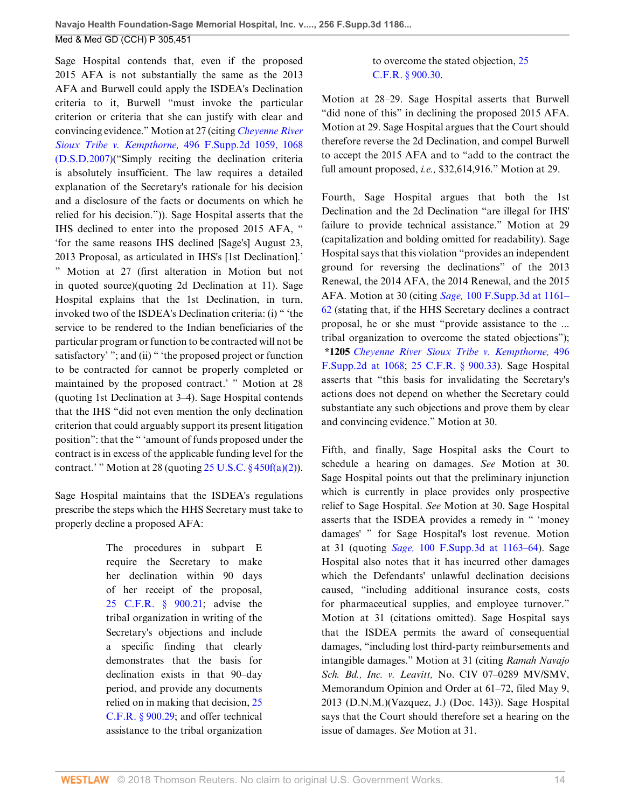Sage Hospital contends that, even if the proposed 2015 AFA is not substantially the same as the 2013 AFA and Burwell could apply the ISDEA's Declination criteria to it, Burwell "must invoke the particular criterion or criteria that she can justify with clear and convincing evidence." Motion at 27 (citing *[Cheyenne River](http://www.westlaw.com/Link/Document/FullText?findType=Y&serNum=2012707091&pubNum=0004637&originatingDoc=I02a50c30bb1011e5be74e186f6bc2536&refType=RP&fi=co_pp_sp_4637_1068&originationContext=document&vr=3.0&rs=cblt1.0&transitionType=DocumentItem&contextData=(sc.UserEnteredCitation)#co_pp_sp_4637_1068) [Sioux Tribe v. Kempthorne,](http://www.westlaw.com/Link/Document/FullText?findType=Y&serNum=2012707091&pubNum=0004637&originatingDoc=I02a50c30bb1011e5be74e186f6bc2536&refType=RP&fi=co_pp_sp_4637_1068&originationContext=document&vr=3.0&rs=cblt1.0&transitionType=DocumentItem&contextData=(sc.UserEnteredCitation)#co_pp_sp_4637_1068)* 496 F.Supp.2d 1059, 1068 [\(D.S.D.2007\)\(](http://www.westlaw.com/Link/Document/FullText?findType=Y&serNum=2012707091&pubNum=0004637&originatingDoc=I02a50c30bb1011e5be74e186f6bc2536&refType=RP&fi=co_pp_sp_4637_1068&originationContext=document&vr=3.0&rs=cblt1.0&transitionType=DocumentItem&contextData=(sc.UserEnteredCitation)#co_pp_sp_4637_1068)"Simply reciting the declination criteria is absolutely insufficient. The law requires a detailed explanation of the Secretary's rationale for his decision and a disclosure of the facts or documents on which he relied for his decision.")). Sage Hospital asserts that the IHS declined to enter into the proposed 2015 AFA, " 'for the same reasons IHS declined [Sage's] August 23, 2013 Proposal, as articulated in IHS's [1st Declination].' " Motion at 27 (first alteration in Motion but not in quoted source)(quoting 2d Declination at 11). Sage Hospital explains that the 1st Declination, in turn, invoked two of the ISDEA's Declination criteria: (i) " 'the service to be rendered to the Indian beneficiaries of the particular program or function to be contracted will not be satisfactory' "; and (ii) " 'the proposed project or function to be contracted for cannot be properly completed or maintained by the proposed contract.' " Motion at 28 (quoting 1st Declination at 3–4). Sage Hospital contends that the IHS "did not even mention the only declination criterion that could arguably support its present litigation position": that the " 'amount of funds proposed under the contract is in excess of the applicable funding level for the contract.' " Motion at 28 (quoting  $25 \text{ U.S.C.} \frac{6}{5} \cdot 450f(a)(2)$ ).

Sage Hospital maintains that the ISDEA's regulations prescribe the steps which the HHS Secretary must take to properly decline a proposed AFA:

> The procedures in subpart E require the Secretary to make her declination within 90 days of her receipt of the proposal, [25 C.F.R. § 900.21;](http://www.westlaw.com/Link/Document/FullText?findType=L&pubNum=1000547&cite=25CFRS900.21&originatingDoc=I02a50c30bb1011e5be74e186f6bc2536&refType=LQ&originationContext=document&vr=3.0&rs=cblt1.0&transitionType=DocumentItem&contextData=(sc.UserEnteredCitation)) advise the tribal organization in writing of the Secretary's objections and include a specific finding that clearly demonstrates that the basis for declination exists in that 90–day period, and provide any documents relied on in making that decision, [25](http://www.westlaw.com/Link/Document/FullText?findType=L&pubNum=1000547&cite=25CFRS900.29&originatingDoc=I02a50c30bb1011e5be74e186f6bc2536&refType=LQ&originationContext=document&vr=3.0&rs=cblt1.0&transitionType=DocumentItem&contextData=(sc.UserEnteredCitation)) [C.F.R. § 900.29](http://www.westlaw.com/Link/Document/FullText?findType=L&pubNum=1000547&cite=25CFRS900.29&originatingDoc=I02a50c30bb1011e5be74e186f6bc2536&refType=LQ&originationContext=document&vr=3.0&rs=cblt1.0&transitionType=DocumentItem&contextData=(sc.UserEnteredCitation)); and offer technical assistance to the tribal organization

### to overcome the stated objection, [25](http://www.westlaw.com/Link/Document/FullText?findType=L&pubNum=1000547&cite=25CFRS900.30&originatingDoc=I02a50c30bb1011e5be74e186f6bc2536&refType=LQ&originationContext=document&vr=3.0&rs=cblt1.0&transitionType=DocumentItem&contextData=(sc.UserEnteredCitation)) [C.F.R. § 900.30](http://www.westlaw.com/Link/Document/FullText?findType=L&pubNum=1000547&cite=25CFRS900.30&originatingDoc=I02a50c30bb1011e5be74e186f6bc2536&refType=LQ&originationContext=document&vr=3.0&rs=cblt1.0&transitionType=DocumentItem&contextData=(sc.UserEnteredCitation)).

Motion at 28–29. Sage Hospital asserts that Burwell "did none of this" in declining the proposed 2015 AFA. Motion at 29. Sage Hospital argues that the Court should therefore reverse the 2d Declination, and compel Burwell to accept the 2015 AFA and to "add to the contract the full amount proposed, *i.e.,* \$32,614,916." Motion at 29.

Fourth, Sage Hospital argues that both the 1st Declination and the 2d Declination "are illegal for IHS' failure to provide technical assistance." Motion at 29 (capitalization and bolding omitted for readability). Sage Hospital says that this violation "provides an independent ground for reversing the declinations" of the 2013 Renewal, the 2014 AFA, the 2014 Renewal, and the 2015 AFA. Motion at 30 (citing *Sage,* [100 F.Supp.3d at 1161–](http://www.westlaw.com/Link/Document/FullText?findType=Y&serNum=2036163936&pubNum=0007903&originatingDoc=I02a50c30bb1011e5be74e186f6bc2536&refType=RP&fi=co_pp_sp_7903_1161&originationContext=document&vr=3.0&rs=cblt1.0&transitionType=DocumentItem&contextData=(sc.UserEnteredCitation)#co_pp_sp_7903_1161) [62](http://www.westlaw.com/Link/Document/FullText?findType=Y&serNum=2036163936&pubNum=0007903&originatingDoc=I02a50c30bb1011e5be74e186f6bc2536&refType=RP&fi=co_pp_sp_7903_1161&originationContext=document&vr=3.0&rs=cblt1.0&transitionType=DocumentItem&contextData=(sc.UserEnteredCitation)#co_pp_sp_7903_1161) (stating that, if the HHS Secretary declines a contract proposal, he or she must "provide assistance to the ... tribal organization to overcome the stated objections"); **\*1205** *[Cheyenne River Sioux Tribe v. Kempthorne,](http://www.westlaw.com/Link/Document/FullText?findType=Y&serNum=2012707091&pubNum=0004637&originatingDoc=I02a50c30bb1011e5be74e186f6bc2536&refType=RP&fi=co_pp_sp_4637_1068&originationContext=document&vr=3.0&rs=cblt1.0&transitionType=DocumentItem&contextData=(sc.UserEnteredCitation)#co_pp_sp_4637_1068)* 496 [F.Supp.2d at 1068](http://www.westlaw.com/Link/Document/FullText?findType=Y&serNum=2012707091&pubNum=0004637&originatingDoc=I02a50c30bb1011e5be74e186f6bc2536&refType=RP&fi=co_pp_sp_4637_1068&originationContext=document&vr=3.0&rs=cblt1.0&transitionType=DocumentItem&contextData=(sc.UserEnteredCitation)#co_pp_sp_4637_1068); [25 C.F.R. § 900.33\)](http://www.westlaw.com/Link/Document/FullText?findType=L&pubNum=1000547&cite=25CFRS900.33&originatingDoc=I02a50c30bb1011e5be74e186f6bc2536&refType=LQ&originationContext=document&vr=3.0&rs=cblt1.0&transitionType=DocumentItem&contextData=(sc.UserEnteredCitation)). Sage Hospital asserts that "this basis for invalidating the Secretary's actions does not depend on whether the Secretary could substantiate any such objections and prove them by clear and convincing evidence." Motion at 30.

Fifth, and finally, Sage Hospital asks the Court to schedule a hearing on damages. *See* Motion at 30. Sage Hospital points out that the preliminary injunction which is currently in place provides only prospective relief to Sage Hospital. *See* Motion at 30. Sage Hospital asserts that the ISDEA provides a remedy in " 'money damages' " for Sage Hospital's lost revenue. Motion at 31 (quoting *Sage,* [100 F.Supp.3d at 1163–64\)](http://www.westlaw.com/Link/Document/FullText?findType=Y&serNum=2036163936&pubNum=0007903&originatingDoc=I02a50c30bb1011e5be74e186f6bc2536&refType=RP&fi=co_pp_sp_7903_1163&originationContext=document&vr=3.0&rs=cblt1.0&transitionType=DocumentItem&contextData=(sc.UserEnteredCitation)#co_pp_sp_7903_1163). Sage Hospital also notes that it has incurred other damages which the Defendants' unlawful declination decisions caused, "including additional insurance costs, costs for pharmaceutical supplies, and employee turnover." Motion at 31 (citations omitted). Sage Hospital says that the ISDEA permits the award of consequential damages, "including lost third-party reimbursements and intangible damages." Motion at 31 (citing *Ramah Navajo Sch. Bd., Inc. v. Leavitt,* No. CIV 07–0289 MV/SMV, Memorandum Opinion and Order at 61–72, filed May 9, 2013 (D.N.M.)(Vazquez, J.) (Doc. 143)). Sage Hospital says that the Court should therefore set a hearing on the issue of damages. *See* Motion at 31.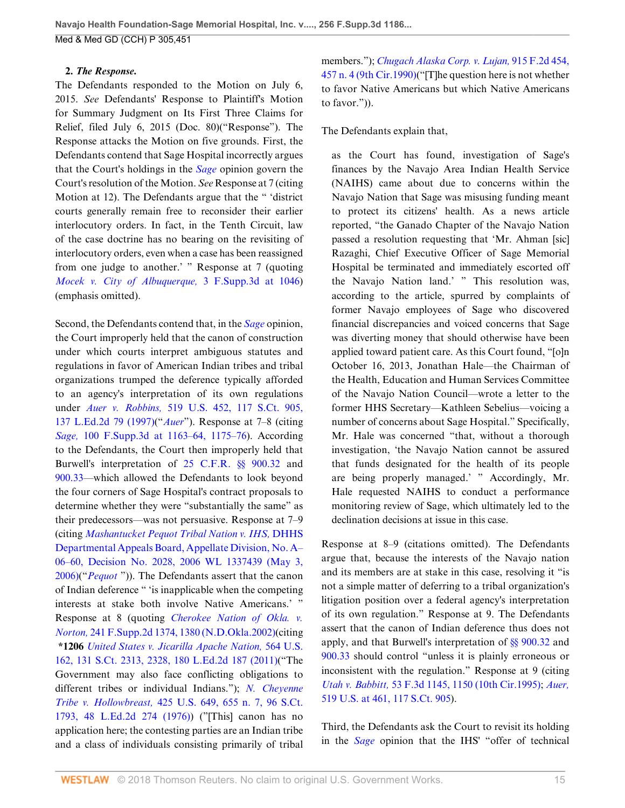### **2.** *The Response.*

The Defendants responded to the Motion on July 6, 2015. *See* Defendants' Response to Plaintiff's Motion for Summary Judgment on Its First Three Claims for Relief, filed July 6, 2015 (Doc. 80)("Response"). The Response attacks the Motion on five grounds. First, the Defendants contend that Sage Hospital incorrectly argues that the Court's holdings in the *[Sage](http://www.westlaw.com/Link/Document/FullText?findType=Y&serNum=2036163936&pubNum=0000999&originatingDoc=I02a50c30bb1011e5be74e186f6bc2536&refType=RP&originationContext=document&vr=3.0&rs=cblt1.0&transitionType=DocumentItem&contextData=(sc.UserEnteredCitation))* opinion govern the Court's resolution of the Motion. *See* Response at 7 (citing Motion at 12). The Defendants argue that the " 'district courts generally remain free to reconsider their earlier interlocutory orders. In fact, in the Tenth Circuit, law of the case doctrine has no bearing on the revisiting of interlocutory orders, even when a case has been reassigned from one judge to another.' " Response at 7 (quoting *[Mocek v. City of Albuquerque,](http://www.westlaw.com/Link/Document/FullText?findType=Y&serNum=2032875508&pubNum=0007903&originatingDoc=I02a50c30bb1011e5be74e186f6bc2536&refType=RP&fi=co_pp_sp_7903_1046&originationContext=document&vr=3.0&rs=cblt1.0&transitionType=DocumentItem&contextData=(sc.UserEnteredCitation)#co_pp_sp_7903_1046)* 3 F.Supp.3d at 1046) (emphasis omitted).

Second, the Defendants contend that, in the *[Sage](http://www.westlaw.com/Link/Document/FullText?findType=Y&serNum=2036163936&pubNum=0000999&originatingDoc=I02a50c30bb1011e5be74e186f6bc2536&refType=RP&originationContext=document&vr=3.0&rs=cblt1.0&transitionType=DocumentItem&contextData=(sc.UserEnteredCitation))* opinion, the Court improperly held that the canon of construction under which courts interpret ambiguous statutes and regulations in favor of American Indian tribes and tribal organizations trumped the deference typically afforded to an agency's interpretation of its own regulations under *Auer v. Robbins,* [519 U.S. 452, 117 S.Ct. 905,](http://www.westlaw.com/Link/Document/FullText?findType=Y&serNum=1997053629&pubNum=0000708&originatingDoc=I02a50c30bb1011e5be74e186f6bc2536&refType=RP&originationContext=document&vr=3.0&rs=cblt1.0&transitionType=DocumentItem&contextData=(sc.UserEnteredCitation)) [137 L.Ed.2d 79 \(1997\)](http://www.westlaw.com/Link/Document/FullText?findType=Y&serNum=1997053629&pubNum=0000708&originatingDoc=I02a50c30bb1011e5be74e186f6bc2536&refType=RP&originationContext=document&vr=3.0&rs=cblt1.0&transitionType=DocumentItem&contextData=(sc.UserEnteredCitation))("*[Auer](http://www.westlaw.com/Link/Document/FullText?findType=Y&serNum=1997053629&pubNum=0000708&originatingDoc=I02a50c30bb1011e5be74e186f6bc2536&refType=RP&originationContext=document&vr=3.0&rs=cblt1.0&transitionType=DocumentItem&contextData=(sc.UserEnteredCitation))*"). Response at 7–8 (citing *Sage,* [100 F.Supp.3d at 1163–64, 1175–76\)](http://www.westlaw.com/Link/Document/FullText?findType=Y&serNum=2036163936&pubNum=0007903&originatingDoc=I02a50c30bb1011e5be74e186f6bc2536&refType=RP&fi=co_pp_sp_7903_1163&originationContext=document&vr=3.0&rs=cblt1.0&transitionType=DocumentItem&contextData=(sc.UserEnteredCitation)#co_pp_sp_7903_1163). According to the Defendants, the Court then improperly held that Burwell's interpretation of [25 C.F.R. §§ 900.32](http://www.westlaw.com/Link/Document/FullText?findType=L&pubNum=1000547&cite=25CFRS900.32&originatingDoc=I02a50c30bb1011e5be74e186f6bc2536&refType=LQ&originationContext=document&vr=3.0&rs=cblt1.0&transitionType=DocumentItem&contextData=(sc.UserEnteredCitation)) and [900.33—](http://www.westlaw.com/Link/Document/FullText?findType=L&pubNum=1000547&cite=25CFRS900.33&originatingDoc=I02a50c30bb1011e5be74e186f6bc2536&refType=LQ&originationContext=document&vr=3.0&rs=cblt1.0&transitionType=DocumentItem&contextData=(sc.UserEnteredCitation))which allowed the Defendants to look beyond the four corners of Sage Hospital's contract proposals to determine whether they were "substantially the same" as their predecessors—was not persuasive. Response at 7–9 (citing *[Mashantucket Pequot Tribal Nation v. IHS,](http://www.westlaw.com/Link/Document/FullText?findType=Y&serNum=0318655259&pubNum=0000999&originatingDoc=I02a50c30bb1011e5be74e186f6bc2536&refType=DE&originationContext=document&vr=3.0&rs=cblt1.0&transitionType=DocumentItem&contextData=(sc.UserEnteredCitation))* DHHS [Departmental Appeals Board, Appellate Division, No. A–](http://www.westlaw.com/Link/Document/FullText?findType=Y&serNum=0318655259&pubNum=0000999&originatingDoc=I02a50c30bb1011e5be74e186f6bc2536&refType=DE&originationContext=document&vr=3.0&rs=cblt1.0&transitionType=DocumentItem&contextData=(sc.UserEnteredCitation)) [06–60, Decision No. 2028, 2006 WL 1337439 \(May 3,](http://www.westlaw.com/Link/Document/FullText?findType=Y&serNum=0318655259&pubNum=0000999&originatingDoc=I02a50c30bb1011e5be74e186f6bc2536&refType=DE&originationContext=document&vr=3.0&rs=cblt1.0&transitionType=DocumentItem&contextData=(sc.UserEnteredCitation)) [2006\)](http://www.westlaw.com/Link/Document/FullText?findType=Y&serNum=0318655259&pubNum=0000999&originatingDoc=I02a50c30bb1011e5be74e186f6bc2536&refType=DE&originationContext=document&vr=3.0&rs=cblt1.0&transitionType=DocumentItem&contextData=(sc.UserEnteredCitation))("*[Pequot](http://www.westlaw.com/Link/Document/FullText?findType=Y&serNum=0318655259&originatingDoc=I02a50c30bb1011e5be74e186f6bc2536&refType=RP&originationContext=document&vr=3.0&rs=cblt1.0&transitionType=DocumentItem&contextData=(sc.UserEnteredCitation))* ")). The Defendants assert that the canon of Indian deference " 'is inapplicable when the competing interests at stake both involve Native Americans.' " Response at 8 (quoting *[Cherokee Nation of Okla. v.](http://www.westlaw.com/Link/Document/FullText?findType=Y&serNum=2003125140&pubNum=0004637&originatingDoc=I02a50c30bb1011e5be74e186f6bc2536&refType=RP&fi=co_pp_sp_4637_1380&originationContext=document&vr=3.0&rs=cblt1.0&transitionType=DocumentItem&contextData=(sc.UserEnteredCitation)#co_pp_sp_4637_1380) Norton,* [241 F.Supp.2d 1374, 1380 \(N.D.Okla.2002\)](http://www.westlaw.com/Link/Document/FullText?findType=Y&serNum=2003125140&pubNum=0004637&originatingDoc=I02a50c30bb1011e5be74e186f6bc2536&refType=RP&fi=co_pp_sp_4637_1380&originationContext=document&vr=3.0&rs=cblt1.0&transitionType=DocumentItem&contextData=(sc.UserEnteredCitation)#co_pp_sp_4637_1380)(citing **\*1206** *[United States v. Jicarilla Apache Nation,](http://www.westlaw.com/Link/Document/FullText?findType=Y&serNum=2025477231&pubNum=0000708&originatingDoc=I02a50c30bb1011e5be74e186f6bc2536&refType=RP&fi=co_pp_sp_708_2328&originationContext=document&vr=3.0&rs=cblt1.0&transitionType=DocumentItem&contextData=(sc.UserEnteredCitation)#co_pp_sp_708_2328)* 564 U.S. [162, 131 S.Ct. 2313, 2328, 180 L.Ed.2d 187 \(2011\)](http://www.westlaw.com/Link/Document/FullText?findType=Y&serNum=2025477231&pubNum=0000708&originatingDoc=I02a50c30bb1011e5be74e186f6bc2536&refType=RP&fi=co_pp_sp_708_2328&originationContext=document&vr=3.0&rs=cblt1.0&transitionType=DocumentItem&contextData=(sc.UserEnteredCitation)#co_pp_sp_708_2328)("The Government may also face conflicting obligations to different tribes or individual Indians."); *[N. Cheyenne](http://www.westlaw.com/Link/Document/FullText?findType=Y&serNum=1976142379&pubNum=0000708&originatingDoc=I02a50c30bb1011e5be74e186f6bc2536&refType=RP&originationContext=document&vr=3.0&rs=cblt1.0&transitionType=DocumentItem&contextData=(sc.UserEnteredCitation)) Tribe v. Hollowbreast,* [425 U.S. 649, 655 n. 7, 96 S.Ct.](http://www.westlaw.com/Link/Document/FullText?findType=Y&serNum=1976142379&pubNum=0000708&originatingDoc=I02a50c30bb1011e5be74e186f6bc2536&refType=RP&originationContext=document&vr=3.0&rs=cblt1.0&transitionType=DocumentItem&contextData=(sc.UserEnteredCitation)) [1793, 48 L.Ed.2d 274 \(1976\)](http://www.westlaw.com/Link/Document/FullText?findType=Y&serNum=1976142379&pubNum=0000708&originatingDoc=I02a50c30bb1011e5be74e186f6bc2536&refType=RP&originationContext=document&vr=3.0&rs=cblt1.0&transitionType=DocumentItem&contextData=(sc.UserEnteredCitation))) ("[This] canon has no application here; the contesting parties are an Indian tribe and a class of individuals consisting primarily of tribal members."); *[Chugach Alaska Corp. v. Lujan,](http://www.westlaw.com/Link/Document/FullText?findType=Y&serNum=1990136042&pubNum=0000350&originatingDoc=I02a50c30bb1011e5be74e186f6bc2536&refType=RP&fi=co_pp_sp_350_457&originationContext=document&vr=3.0&rs=cblt1.0&transitionType=DocumentItem&contextData=(sc.UserEnteredCitation)#co_pp_sp_350_457)* 915 F.2d 454, [457 n. 4 \(9th Cir.1990\)](http://www.westlaw.com/Link/Document/FullText?findType=Y&serNum=1990136042&pubNum=0000350&originatingDoc=I02a50c30bb1011e5be74e186f6bc2536&refType=RP&fi=co_pp_sp_350_457&originationContext=document&vr=3.0&rs=cblt1.0&transitionType=DocumentItem&contextData=(sc.UserEnteredCitation)#co_pp_sp_350_457)("[T]he question here is not whether to favor Native Americans but which Native Americans to favor.")).

### The Defendants explain that,

as the Court has found, investigation of Sage's finances by the Navajo Area Indian Health Service (NAIHS) came about due to concerns within the Navajo Nation that Sage was misusing funding meant to protect its citizens' health. As a news article reported, "the Ganado Chapter of the Navajo Nation passed a resolution requesting that 'Mr. Ahman [sic] Razaghi, Chief Executive Officer of Sage Memorial Hospital be terminated and immediately escorted off the Navajo Nation land.' " This resolution was, according to the article, spurred by complaints of former Navajo employees of Sage who discovered financial discrepancies and voiced concerns that Sage was diverting money that should otherwise have been applied toward patient care. As this Court found, "[o]n October 16, 2013, Jonathan Hale—the Chairman of the Health, Education and Human Services Committee of the Navajo Nation Council—wrote a letter to the former HHS Secretary—Kathleen Sebelius—voicing a number of concerns about Sage Hospital." Specifically, Mr. Hale was concerned "that, without a thorough investigation, 'the Navajo Nation cannot be assured that funds designated for the health of its people are being properly managed.' " Accordingly, Mr. Hale requested NAIHS to conduct a performance monitoring review of Sage, which ultimately led to the declination decisions at issue in this case.

Response at 8–9 (citations omitted). The Defendants argue that, because the interests of the Navajo nation and its members are at stake in this case, resolving it "is not a simple matter of deferring to a tribal organization's litigation position over a federal agency's interpretation of its own regulation." Response at 9. The Defendants assert that the canon of Indian deference thus does not apply, and that Burwell's interpretation of [§§ 900.32](http://www.westlaw.com/Link/Document/FullText?findType=L&pubNum=1000547&cite=25CFRS900.32&originatingDoc=I02a50c30bb1011e5be74e186f6bc2536&refType=LQ&originationContext=document&vr=3.0&rs=cblt1.0&transitionType=DocumentItem&contextData=(sc.UserEnteredCitation)) and [900.33](http://www.westlaw.com/Link/Document/FullText?findType=L&pubNum=1000547&cite=25CFRS900.33&originatingDoc=I02a50c30bb1011e5be74e186f6bc2536&refType=LQ&originationContext=document&vr=3.0&rs=cblt1.0&transitionType=DocumentItem&contextData=(sc.UserEnteredCitation)) should control "unless it is plainly erroneous or inconsistent with the regulation." Response at 9 (citing *Utah v. Babbitt,* [53 F.3d 1145, 1150 \(10th Cir.1995\);](http://www.westlaw.com/Link/Document/FullText?findType=Y&serNum=1995097478&pubNum=0000506&originatingDoc=I02a50c30bb1011e5be74e186f6bc2536&refType=RP&fi=co_pp_sp_506_1150&originationContext=document&vr=3.0&rs=cblt1.0&transitionType=DocumentItem&contextData=(sc.UserEnteredCitation)#co_pp_sp_506_1150) *[Auer,](http://www.westlaw.com/Link/Document/FullText?findType=Y&serNum=1997053629&pubNum=0000708&originatingDoc=I02a50c30bb1011e5be74e186f6bc2536&refType=RP&originationContext=document&vr=3.0&rs=cblt1.0&transitionType=DocumentItem&contextData=(sc.UserEnteredCitation))* [519 U.S. at 461, 117 S.Ct. 905\)](http://www.westlaw.com/Link/Document/FullText?findType=Y&serNum=1997053629&pubNum=0000708&originatingDoc=I02a50c30bb1011e5be74e186f6bc2536&refType=RP&originationContext=document&vr=3.0&rs=cblt1.0&transitionType=DocumentItem&contextData=(sc.UserEnteredCitation)).

Third, the Defendants ask the Court to revisit its holding in the *[Sage](http://www.westlaw.com/Link/Document/FullText?findType=Y&serNum=2036163936&pubNum=0000999&originatingDoc=I02a50c30bb1011e5be74e186f6bc2536&refType=RP&originationContext=document&vr=3.0&rs=cblt1.0&transitionType=DocumentItem&contextData=(sc.UserEnteredCitation))* opinion that the IHS' "offer of technical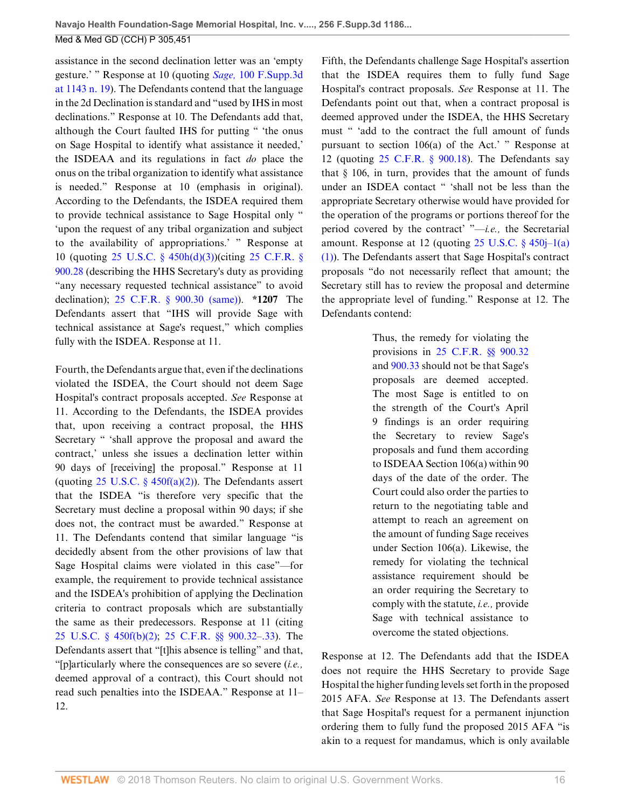assistance in the second declination letter was an 'empty gesture.' " Response at 10 (quoting *Sage,* [100 F.Supp.3d](http://www.westlaw.com/Link/Document/FullText?findType=Y&serNum=2036163936&pubNum=0007903&originatingDoc=I02a50c30bb1011e5be74e186f6bc2536&refType=RP&fi=co_pp_sp_7903_1143&originationContext=document&vr=3.0&rs=cblt1.0&transitionType=DocumentItem&contextData=(sc.UserEnteredCitation)#co_pp_sp_7903_1143) [at 1143 n. 19\)](http://www.westlaw.com/Link/Document/FullText?findType=Y&serNum=2036163936&pubNum=0007903&originatingDoc=I02a50c30bb1011e5be74e186f6bc2536&refType=RP&fi=co_pp_sp_7903_1143&originationContext=document&vr=3.0&rs=cblt1.0&transitionType=DocumentItem&contextData=(sc.UserEnteredCitation)#co_pp_sp_7903_1143). The Defendants contend that the language in the 2d Declination is standard and "used by IHS in most declinations." Response at 10. The Defendants add that, although the Court faulted IHS for putting " 'the onus on Sage Hospital to identify what assistance it needed,' the ISDEAA and its regulations in fact *do* place the onus on the tribal organization to identify what assistance is needed." Response at 10 (emphasis in original). According to the Defendants, the ISDEA required them to provide technical assistance to Sage Hospital only " 'upon the request of any tribal organization and subject to the availability of appropriations.' " Response at 10 (quoting [25 U.S.C. § 450h\(d\)\(3\)\)](http://www.westlaw.com/Link/Document/FullText?findType=L&pubNum=1000546&cite=25USCAS450H&originatingDoc=I02a50c30bb1011e5be74e186f6bc2536&refType=LQ&originationContext=document&vr=3.0&rs=cblt1.0&transitionType=DocumentItem&contextData=(sc.UserEnteredCitation))(citing [25 C.F.R. §](http://www.westlaw.com/Link/Document/FullText?findType=L&pubNum=1000547&cite=25CFRS900.28&originatingDoc=I02a50c30bb1011e5be74e186f6bc2536&refType=LQ&originationContext=document&vr=3.0&rs=cblt1.0&transitionType=DocumentItem&contextData=(sc.UserEnteredCitation)) [900.28](http://www.westlaw.com/Link/Document/FullText?findType=L&pubNum=1000547&cite=25CFRS900.28&originatingDoc=I02a50c30bb1011e5be74e186f6bc2536&refType=LQ&originationContext=document&vr=3.0&rs=cblt1.0&transitionType=DocumentItem&contextData=(sc.UserEnteredCitation)) (describing the HHS Secretary's duty as providing "any necessary requested technical assistance" to avoid declination); [25 C.F.R. § 900.30 \(same\)\)](http://www.westlaw.com/Link/Document/FullText?findType=L&pubNum=1000547&cite=25CFRS900.30&originatingDoc=I02a50c30bb1011e5be74e186f6bc2536&refType=LQ&originationContext=document&vr=3.0&rs=cblt1.0&transitionType=DocumentItem&contextData=(sc.UserEnteredCitation)). **\*1207** The Defendants assert that "IHS will provide Sage with technical assistance at Sage's request," which complies fully with the ISDEA. Response at 11.

Fourth, the Defendants argue that, even if the declinations violated the ISDEA, the Court should not deem Sage Hospital's contract proposals accepted. *See* Response at 11. According to the Defendants, the ISDEA provides that, upon receiving a contract proposal, the HHS Secretary " 'shall approve the proposal and award the contract,' unless she issues a declination letter within 90 days of [receiving] the proposal." Response at 11 (quoting  $25$  U.S.C. § 450f(a)(2)). The Defendants assert that the ISDEA "is therefore very specific that the Secretary must decline a proposal within 90 days; if she does not, the contract must be awarded." Response at 11. The Defendants contend that similar language "is decidedly absent from the other provisions of law that Sage Hospital claims were violated in this case"—for example, the requirement to provide technical assistance and the ISDEA's prohibition of applying the Declination criteria to contract proposals which are substantially the same as their predecessors. Response at 11 (citing [25 U.S.C. § 450f\(b\)\(2\)](http://www.westlaw.com/Link/Document/FullText?findType=L&pubNum=1000546&cite=25USCAS450F&originatingDoc=I02a50c30bb1011e5be74e186f6bc2536&refType=LQ&originationContext=document&vr=3.0&rs=cblt1.0&transitionType=DocumentItem&contextData=(sc.UserEnteredCitation)); [25 C.F.R. §§ 900.32–](http://www.westlaw.com/Link/Document/FullText?findType=L&pubNum=1000547&cite=25CFRS900.32&originatingDoc=I02a50c30bb1011e5be74e186f6bc2536&refType=LQ&originationContext=document&vr=3.0&rs=cblt1.0&transitionType=DocumentItem&contextData=(sc.UserEnteredCitation))[.33](http://www.westlaw.com/Link/Document/FullText?findType=L&pubNum=1000547&cite=25CFRS900.33&originatingDoc=I02a50c30bb1011e5be74e186f6bc2536&refType=LQ&originationContext=document&vr=3.0&rs=cblt1.0&transitionType=DocumentItem&contextData=(sc.UserEnteredCitation))). The Defendants assert that "[t]his absence is telling" and that, "[p]articularly where the consequences are so severe (*i.e.,* deemed approval of a contract), this Court should not read such penalties into the ISDEAA." Response at 11– 12.

Fifth, the Defendants challenge Sage Hospital's assertion that the ISDEA requires them to fully fund Sage Hospital's contract proposals. *See* Response at 11. The Defendants point out that, when a contract proposal is deemed approved under the ISDEA, the HHS Secretary must " 'add to the contract the full amount of funds pursuant to section 106(a) of the Act.' " Response at 12 (quoting [25 C.F.R. § 900.18\)](http://www.westlaw.com/Link/Document/FullText?findType=L&pubNum=1000547&cite=25CFRS900.18&originatingDoc=I02a50c30bb1011e5be74e186f6bc2536&refType=LQ&originationContext=document&vr=3.0&rs=cblt1.0&transitionType=DocumentItem&contextData=(sc.UserEnteredCitation)). The Defendants say that § 106, in turn, provides that the amount of funds under an ISDEA contact " 'shall not be less than the appropriate Secretary otherwise would have provided for the operation of the programs or portions thereof for the period covered by the contract' "—*i.e.,* the Secretarial amount. Response at 12 (quoting  $25$  U.S.C. § 450 $j-1$ (a) [\(1\)\)](http://www.westlaw.com/Link/Document/FullText?findType=L&pubNum=1000546&cite=25USCAS450J-1&originatingDoc=I02a50c30bb1011e5be74e186f6bc2536&refType=LQ&originationContext=document&vr=3.0&rs=cblt1.0&transitionType=DocumentItem&contextData=(sc.UserEnteredCitation)). The Defendants assert that Sage Hospital's contract proposals "do not necessarily reflect that amount; the Secretary still has to review the proposal and determine the appropriate level of funding." Response at 12. The Defendants contend:

> Thus, the remedy for violating the provisions in [25 C.F.R. §§ 900.32](http://www.westlaw.com/Link/Document/FullText?findType=L&pubNum=1000547&cite=25CFRS900.32&originatingDoc=I02a50c30bb1011e5be74e186f6bc2536&refType=LQ&originationContext=document&vr=3.0&rs=cblt1.0&transitionType=DocumentItem&contextData=(sc.UserEnteredCitation)) and [900.33](http://www.westlaw.com/Link/Document/FullText?findType=L&pubNum=1000547&cite=25CFRS900.33&originatingDoc=I02a50c30bb1011e5be74e186f6bc2536&refType=LQ&originationContext=document&vr=3.0&rs=cblt1.0&transitionType=DocumentItem&contextData=(sc.UserEnteredCitation)) should not be that Sage's proposals are deemed accepted. The most Sage is entitled to on the strength of the Court's April 9 findings is an order requiring the Secretary to review Sage's proposals and fund them according to ISDEAA Section 106(a) within 90 days of the date of the order. The Court could also order the parties to return to the negotiating table and attempt to reach an agreement on the amount of funding Sage receives under Section 106(a). Likewise, the remedy for violating the technical assistance requirement should be an order requiring the Secretary to comply with the statute, *i.e.,* provide Sage with technical assistance to overcome the stated objections.

Response at 12. The Defendants add that the ISDEA does not require the HHS Secretary to provide Sage Hospital the higher funding levels set forth in the proposed 2015 AFA. *See* Response at 13. The Defendants assert that Sage Hospital's request for a permanent injunction ordering them to fully fund the proposed 2015 AFA "is akin to a request for mandamus, which is only available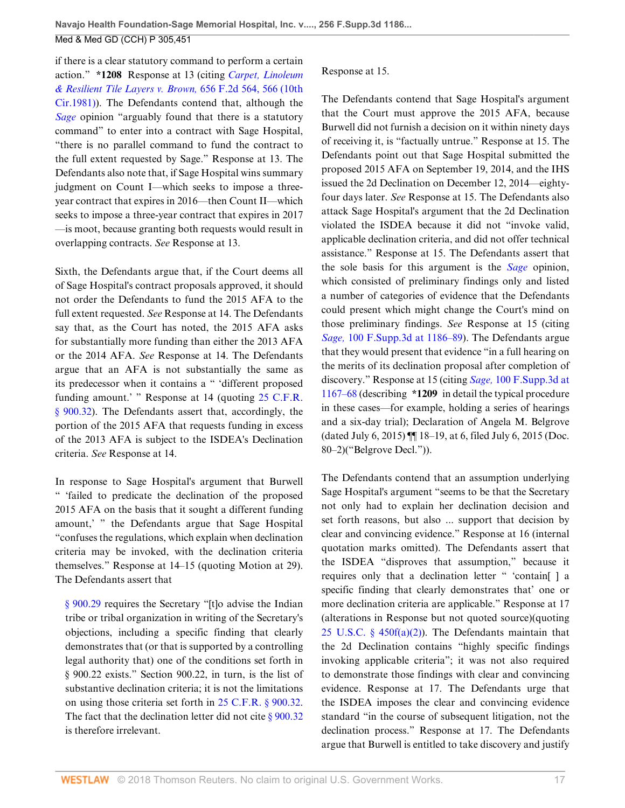if there is a clear statutory command to perform a certain action." **\*1208** Response at 13 (citing *[Carpet, Linoleum](http://www.westlaw.com/Link/Document/FullText?findType=Y&serNum=1981133371&pubNum=0000350&originatingDoc=I02a50c30bb1011e5be74e186f6bc2536&refType=RP&fi=co_pp_sp_350_566&originationContext=document&vr=3.0&rs=cblt1.0&transitionType=DocumentItem&contextData=(sc.UserEnteredCitation)#co_pp_sp_350_566) [& Resilient Tile Layers v. Brown,](http://www.westlaw.com/Link/Document/FullText?findType=Y&serNum=1981133371&pubNum=0000350&originatingDoc=I02a50c30bb1011e5be74e186f6bc2536&refType=RP&fi=co_pp_sp_350_566&originationContext=document&vr=3.0&rs=cblt1.0&transitionType=DocumentItem&contextData=(sc.UserEnteredCitation)#co_pp_sp_350_566)* 656 F.2d 564, 566 (10th [Cir.1981\)\)](http://www.westlaw.com/Link/Document/FullText?findType=Y&serNum=1981133371&pubNum=0000350&originatingDoc=I02a50c30bb1011e5be74e186f6bc2536&refType=RP&fi=co_pp_sp_350_566&originationContext=document&vr=3.0&rs=cblt1.0&transitionType=DocumentItem&contextData=(sc.UserEnteredCitation)#co_pp_sp_350_566). The Defendants contend that, although the *[Sage](http://www.westlaw.com/Link/Document/FullText?findType=Y&serNum=2036163936&pubNum=0000999&originatingDoc=I02a50c30bb1011e5be74e186f6bc2536&refType=RP&originationContext=document&vr=3.0&rs=cblt1.0&transitionType=DocumentItem&contextData=(sc.UserEnteredCitation))* opinion "arguably found that there is a statutory command" to enter into a contract with Sage Hospital, "there is no parallel command to fund the contract to the full extent requested by Sage." Response at 13. The Defendants also note that, if Sage Hospital wins summary judgment on Count I—which seeks to impose a threeyear contract that expires in 2016—then Count II—which seeks to impose a three-year contract that expires in 2017 —is moot, because granting both requests would result in overlapping contracts. *See* Response at 13.

Sixth, the Defendants argue that, if the Court deems all of Sage Hospital's contract proposals approved, it should not order the Defendants to fund the 2015 AFA to the full extent requested. *See* Response at 14. The Defendants say that, as the Court has noted, the 2015 AFA asks for substantially more funding than either the 2013 AFA or the 2014 AFA. *See* Response at 14. The Defendants argue that an AFA is not substantially the same as its predecessor when it contains a " 'different proposed funding amount.' " Response at 14 (quoting [25 C.F.R.](http://www.westlaw.com/Link/Document/FullText?findType=L&pubNum=1000547&cite=25CFRS900.32&originatingDoc=I02a50c30bb1011e5be74e186f6bc2536&refType=LQ&originationContext=document&vr=3.0&rs=cblt1.0&transitionType=DocumentItem&contextData=(sc.UserEnteredCitation)) [§ 900.32\)](http://www.westlaw.com/Link/Document/FullText?findType=L&pubNum=1000547&cite=25CFRS900.32&originatingDoc=I02a50c30bb1011e5be74e186f6bc2536&refType=LQ&originationContext=document&vr=3.0&rs=cblt1.0&transitionType=DocumentItem&contextData=(sc.UserEnteredCitation)). The Defendants assert that, accordingly, the portion of the 2015 AFA that requests funding in excess of the 2013 AFA is subject to the ISDEA's Declination criteria. *See* Response at 14.

In response to Sage Hospital's argument that Burwell " 'failed to predicate the declination of the proposed 2015 AFA on the basis that it sought a different funding amount,' " the Defendants argue that Sage Hospital "confuses the regulations, which explain when declination criteria may be invoked, with the declination criteria themselves." Response at 14–15 (quoting Motion at 29). The Defendants assert that

[§ 900.29](http://www.westlaw.com/Link/Document/FullText?findType=L&pubNum=1000547&cite=25CFRS900.29&originatingDoc=I02a50c30bb1011e5be74e186f6bc2536&refType=LQ&originationContext=document&vr=3.0&rs=cblt1.0&transitionType=DocumentItem&contextData=(sc.UserEnteredCitation)) requires the Secretary "[t]o advise the Indian tribe or tribal organization in writing of the Secretary's objections, including a specific finding that clearly demonstrates that (or that is supported by a controlling legal authority that) one of the conditions set forth in § 900.22 exists." Section 900.22, in turn, is the list of substantive declination criteria; it is not the limitations on using those criteria set forth in [25 C.F.R. § 900.32](http://www.westlaw.com/Link/Document/FullText?findType=L&pubNum=1000547&cite=25CFRS900.32&originatingDoc=I02a50c30bb1011e5be74e186f6bc2536&refType=LQ&originationContext=document&vr=3.0&rs=cblt1.0&transitionType=DocumentItem&contextData=(sc.UserEnteredCitation)). The fact that the declination letter did not cite  $\S 900.32$ is therefore irrelevant.

### Response at 15.

The Defendants contend that Sage Hospital's argument that the Court must approve the 2015 AFA, because Burwell did not furnish a decision on it within ninety days of receiving it, is "factually untrue." Response at 15. The Defendants point out that Sage Hospital submitted the proposed 2015 AFA on September 19, 2014, and the IHS issued the 2d Declination on December 12, 2014—eightyfour days later. *See* Response at 15. The Defendants also attack Sage Hospital's argument that the 2d Declination violated the ISDEA because it did not "invoke valid, applicable declination criteria, and did not offer technical assistance." Response at 15. The Defendants assert that the sole basis for this argument is the *[Sage](http://www.westlaw.com/Link/Document/FullText?findType=Y&serNum=2036163936&pubNum=0000999&originatingDoc=I02a50c30bb1011e5be74e186f6bc2536&refType=RP&originationContext=document&vr=3.0&rs=cblt1.0&transitionType=DocumentItem&contextData=(sc.UserEnteredCitation))* opinion, which consisted of preliminary findings only and listed a number of categories of evidence that the Defendants could present which might change the Court's mind on those preliminary findings. *See* Response at 15 (citing *Sage,* [100 F.Supp.3d at 1186–89](http://www.westlaw.com/Link/Document/FullText?findType=Y&serNum=2036163936&pubNum=0007903&originatingDoc=I02a50c30bb1011e5be74e186f6bc2536&refType=RP&fi=co_pp_sp_7903_1186&originationContext=document&vr=3.0&rs=cblt1.0&transitionType=DocumentItem&contextData=(sc.UserEnteredCitation)#co_pp_sp_7903_1186)). The Defendants argue that they would present that evidence "in a full hearing on the merits of its declination proposal after completion of discovery." Response at 15 (citing *Sage,* [100 F.Supp.3d at](http://www.westlaw.com/Link/Document/FullText?findType=Y&serNum=2036163936&pubNum=0007903&originatingDoc=I02a50c30bb1011e5be74e186f6bc2536&refType=RP&fi=co_pp_sp_7903_1167&originationContext=document&vr=3.0&rs=cblt1.0&transitionType=DocumentItem&contextData=(sc.UserEnteredCitation)#co_pp_sp_7903_1167) [1167–68](http://www.westlaw.com/Link/Document/FullText?findType=Y&serNum=2036163936&pubNum=0007903&originatingDoc=I02a50c30bb1011e5be74e186f6bc2536&refType=RP&fi=co_pp_sp_7903_1167&originationContext=document&vr=3.0&rs=cblt1.0&transitionType=DocumentItem&contextData=(sc.UserEnteredCitation)#co_pp_sp_7903_1167) (describing **\*1209** in detail the typical procedure in these cases—for example, holding a series of hearings and a six-day trial); Declaration of Angela M. Belgrove (dated July 6, 2015) ¶¶ 18–19, at 6, filed July 6, 2015 (Doc. 80–2)("Belgrove Decl.")).

The Defendants contend that an assumption underlying Sage Hospital's argument "seems to be that the Secretary not only had to explain her declination decision and set forth reasons, but also ... support that decision by clear and convincing evidence." Response at 16 (internal quotation marks omitted). The Defendants assert that the ISDEA "disproves that assumption," because it requires only that a declination letter " 'contain[ ] a specific finding that clearly demonstrates that' one or more declination criteria are applicable." Response at 17 (alterations in Response but not quoted source)(quoting 25 U.S.C.  $\S$  450f(a)(2)). The Defendants maintain that the 2d Declination contains "highly specific findings invoking applicable criteria"; it was not also required to demonstrate those findings with clear and convincing evidence. Response at 17. The Defendants urge that the ISDEA imposes the clear and convincing evidence standard "in the course of subsequent litigation, not the declination process." Response at 17. The Defendants argue that Burwell is entitled to take discovery and justify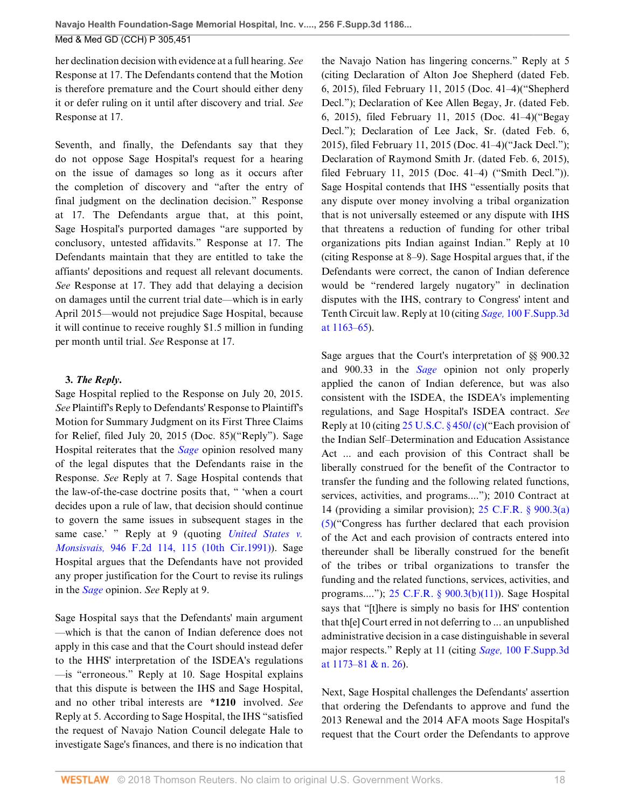her declination decision with evidence at a full hearing. *See* Response at 17. The Defendants contend that the Motion is therefore premature and the Court should either deny it or defer ruling on it until after discovery and trial. *See* Response at 17.

Seventh, and finally, the Defendants say that they do not oppose Sage Hospital's request for a hearing on the issue of damages so long as it occurs after the completion of discovery and "after the entry of final judgment on the declination decision." Response at 17. The Defendants argue that, at this point, Sage Hospital's purported damages "are supported by conclusory, untested affidavits." Response at 17. The Defendants maintain that they are entitled to take the affiants' depositions and request all relevant documents. *See* Response at 17. They add that delaying a decision on damages until the current trial date—which is in early April 2015—would not prejudice Sage Hospital, because it will continue to receive roughly \$1.5 million in funding per month until trial. *See* Response at 17.

### **3.** *The Reply.*

Sage Hospital replied to the Response on July 20, 2015. *See* Plaintiff's Reply to Defendants' Response to Plaintiff's Motion for Summary Judgment on its First Three Claims for Relief, filed July 20, 2015 (Doc. 85)("Reply"). Sage Hospital reiterates that the *[Sage](http://www.westlaw.com/Link/Document/FullText?findType=Y&serNum=2036163936&pubNum=0000999&originatingDoc=I02a50c30bb1011e5be74e186f6bc2536&refType=RP&originationContext=document&vr=3.0&rs=cblt1.0&transitionType=DocumentItem&contextData=(sc.UserEnteredCitation))* opinion resolved many of the legal disputes that the Defendants raise in the Response. *See* Reply at 7. Sage Hospital contends that the law-of-the-case doctrine posits that, " 'when a court decides upon a rule of law, that decision should continue to govern the same issues in subsequent stages in the same case.' " Reply at 9 (quoting *[United States v.](http://www.westlaw.com/Link/Document/FullText?findType=Y&serNum=1991165062&pubNum=0000350&originatingDoc=I02a50c30bb1011e5be74e186f6bc2536&refType=RP&fi=co_pp_sp_350_115&originationContext=document&vr=3.0&rs=cblt1.0&transitionType=DocumentItem&contextData=(sc.UserEnteredCitation)#co_pp_sp_350_115) Monsisvais,* [946 F.2d 114, 115 \(10th Cir.1991\)\)](http://www.westlaw.com/Link/Document/FullText?findType=Y&serNum=1991165062&pubNum=0000350&originatingDoc=I02a50c30bb1011e5be74e186f6bc2536&refType=RP&fi=co_pp_sp_350_115&originationContext=document&vr=3.0&rs=cblt1.0&transitionType=DocumentItem&contextData=(sc.UserEnteredCitation)#co_pp_sp_350_115). Sage Hospital argues that the Defendants have not provided any proper justification for the Court to revise its rulings in the *[Sage](http://www.westlaw.com/Link/Document/FullText?findType=Y&serNum=2036163936&pubNum=0000999&originatingDoc=I02a50c30bb1011e5be74e186f6bc2536&refType=RP&originationContext=document&vr=3.0&rs=cblt1.0&transitionType=DocumentItem&contextData=(sc.UserEnteredCitation))* opinion. *See* Reply at 9.

Sage Hospital says that the Defendants' main argument —which is that the canon of Indian deference does not apply in this case and that the Court should instead defer to the HHS' interpretation of the ISDEA's regulations —is "erroneous." Reply at 10. Sage Hospital explains that this dispute is between the IHS and Sage Hospital, and no other tribal interests are **\*1210** involved. *See* Reply at 5. According to Sage Hospital, the IHS "satisfied the request of Navajo Nation Council delegate Hale to investigate Sage's finances, and there is no indication that the Navajo Nation has lingering concerns." Reply at 5 (citing Declaration of Alton Joe Shepherd (dated Feb. 6, 2015), filed February 11, 2015 (Doc. 41–4)("Shepherd Decl."); Declaration of Kee Allen Begay, Jr. (dated Feb. 6, 2015), filed February 11, 2015 (Doc. 41–4)("Begay Decl."); Declaration of Lee Jack, Sr. (dated Feb. 6, 2015), filed February 11, 2015 (Doc. 41–4)("Jack Decl."); Declaration of Raymond Smith Jr. (dated Feb. 6, 2015), filed February 11, 2015 (Doc. 41–4) ("Smith Decl.")). Sage Hospital contends that IHS "essentially posits that any dispute over money involving a tribal organization that is not universally esteemed or any dispute with IHS that threatens a reduction of funding for other tribal organizations pits Indian against Indian." Reply at 10 (citing Response at 8–9). Sage Hospital argues that, if the Defendants were correct, the canon of Indian deference would be "rendered largely nugatory" in declination disputes with the IHS, contrary to Congress' intent and Tenth Circuit law. Reply at 10 (citing *Sage,* [100 F.Supp.3d](http://www.westlaw.com/Link/Document/FullText?findType=Y&serNum=2036163936&pubNum=0007903&originatingDoc=I02a50c30bb1011e5be74e186f6bc2536&refType=RP&fi=co_pp_sp_7903_1163&originationContext=document&vr=3.0&rs=cblt1.0&transitionType=DocumentItem&contextData=(sc.UserEnteredCitation)#co_pp_sp_7903_1163) [at 1163–65\)](http://www.westlaw.com/Link/Document/FullText?findType=Y&serNum=2036163936&pubNum=0007903&originatingDoc=I02a50c30bb1011e5be74e186f6bc2536&refType=RP&fi=co_pp_sp_7903_1163&originationContext=document&vr=3.0&rs=cblt1.0&transitionType=DocumentItem&contextData=(sc.UserEnteredCitation)#co_pp_sp_7903_1163).

Sage argues that the Court's interpretation of §§ 900.32 and 900.33 in the *[Sage](http://www.westlaw.com/Link/Document/FullText?findType=Y&serNum=2036163936&pubNum=0000999&originatingDoc=I02a50c30bb1011e5be74e186f6bc2536&refType=RP&originationContext=document&vr=3.0&rs=cblt1.0&transitionType=DocumentItem&contextData=(sc.UserEnteredCitation))* opinion not only properly applied the canon of Indian deference, but was also consistent with the ISDEA, the ISDEA's implementing regulations, and Sage Hospital's ISDEA contract. *See* Reply at 10 (citing [25 U.S.C. § 450](http://www.westlaw.com/Link/Document/FullText?findType=L&pubNum=1000546&cite=25USCAS450L&originatingDoc=I02a50c30bb1011e5be74e186f6bc2536&refType=LQ&originationContext=document&vr=3.0&rs=cblt1.0&transitionType=DocumentItem&contextData=(sc.UserEnteredCitation))*l* (c)("Each provision of the Indian Self–Determination and Education Assistance Act ... and each provision of this Contract shall be liberally construed for the benefit of the Contractor to transfer the funding and the following related functions, services, activities, and programs...."); 2010 Contract at 14 (providing a similar provision); [25 C.F.R. § 900.3\(a\)](http://www.westlaw.com/Link/Document/FullText?findType=L&pubNum=1000547&cite=25CFRS900.3&originatingDoc=I02a50c30bb1011e5be74e186f6bc2536&refType=LQ&originationContext=document&vr=3.0&rs=cblt1.0&transitionType=DocumentItem&contextData=(sc.UserEnteredCitation)) [\(5\)\(](http://www.westlaw.com/Link/Document/FullText?findType=L&pubNum=1000547&cite=25CFRS900.3&originatingDoc=I02a50c30bb1011e5be74e186f6bc2536&refType=LQ&originationContext=document&vr=3.0&rs=cblt1.0&transitionType=DocumentItem&contextData=(sc.UserEnteredCitation))"Congress has further declared that each provision of the Act and each provision of contracts entered into thereunder shall be liberally construed for the benefit of the tribes or tribal organizations to transfer the funding and the related functions, services, activities, and programs...."); [25 C.F.R. § 900.3\(b\)\(11\)\)](http://www.westlaw.com/Link/Document/FullText?findType=L&pubNum=1000547&cite=25CFRS900.3&originatingDoc=I02a50c30bb1011e5be74e186f6bc2536&refType=LQ&originationContext=document&vr=3.0&rs=cblt1.0&transitionType=DocumentItem&contextData=(sc.UserEnteredCitation)). Sage Hospital says that "[t]here is simply no basis for IHS' contention that th[e] Court erred in not deferring to ... an unpublished administrative decision in a case distinguishable in several major respects." Reply at 11 (citing *Sage,* [100 F.Supp.3d](http://www.westlaw.com/Link/Document/FullText?findType=Y&serNum=2036163936&pubNum=0007903&originatingDoc=I02a50c30bb1011e5be74e186f6bc2536&refType=RP&fi=co_pp_sp_7903_1173&originationContext=document&vr=3.0&rs=cblt1.0&transitionType=DocumentItem&contextData=(sc.UserEnteredCitation)#co_pp_sp_7903_1173) [at 1173–81 & n. 26](http://www.westlaw.com/Link/Document/FullText?findType=Y&serNum=2036163936&pubNum=0007903&originatingDoc=I02a50c30bb1011e5be74e186f6bc2536&refType=RP&fi=co_pp_sp_7903_1173&originationContext=document&vr=3.0&rs=cblt1.0&transitionType=DocumentItem&contextData=(sc.UserEnteredCitation)#co_pp_sp_7903_1173)).

Next, Sage Hospital challenges the Defendants' assertion that ordering the Defendants to approve and fund the 2013 Renewal and the 2014 AFA moots Sage Hospital's request that the Court order the Defendants to approve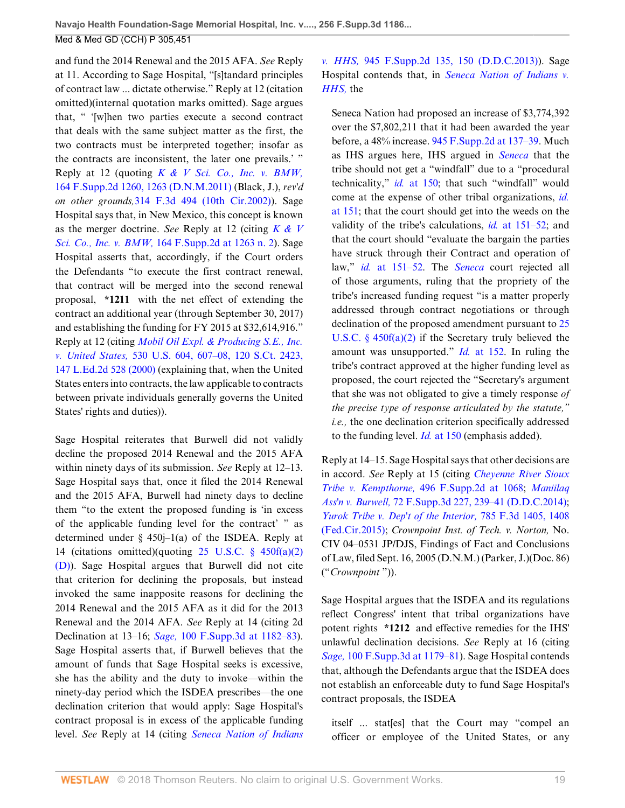and fund the 2014 Renewal and the 2015 AFA. *See* Reply at 11. According to Sage Hospital, "[s]tandard principles of contract law ... dictate otherwise." Reply at 12 (citation omitted)(internal quotation marks omitted). Sage argues that, " '[w]hen two parties execute a second contract that deals with the same subject matter as the first, the two contracts must be interpreted together; insofar as the contracts are inconsistent, the later one prevails.' " Reply at 12 (quoting *[K & V Sci. Co., Inc. v. BMW,](http://www.westlaw.com/Link/Document/FullText?findType=Y&serNum=2001830037&pubNum=0004637&originatingDoc=I02a50c30bb1011e5be74e186f6bc2536&refType=RP&fi=co_pp_sp_4637_1263&originationContext=document&vr=3.0&rs=cblt1.0&transitionType=DocumentItem&contextData=(sc.UserEnteredCitation)#co_pp_sp_4637_1263)* [164 F.Supp.2d 1260, 1263 \(D.N.M.2011\)](http://www.westlaw.com/Link/Document/FullText?findType=Y&serNum=2001830037&pubNum=0004637&originatingDoc=I02a50c30bb1011e5be74e186f6bc2536&refType=RP&fi=co_pp_sp_4637_1263&originationContext=document&vr=3.0&rs=cblt1.0&transitionType=DocumentItem&contextData=(sc.UserEnteredCitation)#co_pp_sp_4637_1263) (Black, J.), *rev'd on other grounds,*[314 F.3d 494 \(10th Cir.2002\)\)](http://www.westlaw.com/Link/Document/FullText?findType=Y&serNum=2002795920&pubNum=0000506&originatingDoc=I02a50c30bb1011e5be74e186f6bc2536&refType=RP&originationContext=document&vr=3.0&rs=cblt1.0&transitionType=DocumentItem&contextData=(sc.UserEnteredCitation)). Sage Hospital says that, in New Mexico, this concept is known as the merger doctrine. *See* Reply at 12 (citing *[K & V](http://www.westlaw.com/Link/Document/FullText?findType=Y&serNum=2001830037&pubNum=0004637&originatingDoc=I02a50c30bb1011e5be74e186f6bc2536&refType=RP&fi=co_pp_sp_4637_1263&originationContext=document&vr=3.0&rs=cblt1.0&transitionType=DocumentItem&contextData=(sc.UserEnteredCitation)#co_pp_sp_4637_1263) Sci. Co., Inc. v. BMW,* [164 F.Supp.2d at 1263 n. 2](http://www.westlaw.com/Link/Document/FullText?findType=Y&serNum=2001830037&pubNum=0004637&originatingDoc=I02a50c30bb1011e5be74e186f6bc2536&refType=RP&fi=co_pp_sp_4637_1263&originationContext=document&vr=3.0&rs=cblt1.0&transitionType=DocumentItem&contextData=(sc.UserEnteredCitation)#co_pp_sp_4637_1263)). Sage Hospital asserts that, accordingly, if the Court orders the Defendants "to execute the first contract renewal, that contract will be merged into the second renewal proposal, **\*1211** with the net effect of extending the contract an additional year (through September 30, 2017) and establishing the funding for FY 2015 at \$32,614,916." Reply at 12 (citing *[Mobil Oil Expl. & Producing S.E., Inc.](http://www.westlaw.com/Link/Document/FullText?findType=Y&serNum=2000387233&pubNum=0000708&originatingDoc=I02a50c30bb1011e5be74e186f6bc2536&refType=RP&fi=co_pp_sp_708_607&originationContext=document&vr=3.0&rs=cblt1.0&transitionType=DocumentItem&contextData=(sc.UserEnteredCitation)#co_pp_sp_708_607) v. United States,* [530 U.S. 604, 607–08, 120 S.Ct. 2423,](http://www.westlaw.com/Link/Document/FullText?findType=Y&serNum=2000387233&pubNum=0000708&originatingDoc=I02a50c30bb1011e5be74e186f6bc2536&refType=RP&fi=co_pp_sp_708_607&originationContext=document&vr=3.0&rs=cblt1.0&transitionType=DocumentItem&contextData=(sc.UserEnteredCitation)#co_pp_sp_708_607) [147 L.Ed.2d 528 \(2000\)](http://www.westlaw.com/Link/Document/FullText?findType=Y&serNum=2000387233&pubNum=0000708&originatingDoc=I02a50c30bb1011e5be74e186f6bc2536&refType=RP&fi=co_pp_sp_708_607&originationContext=document&vr=3.0&rs=cblt1.0&transitionType=DocumentItem&contextData=(sc.UserEnteredCitation)#co_pp_sp_708_607) (explaining that, when the United States enters into contracts, the law applicable to contracts between private individuals generally governs the United States' rights and duties)).

Sage Hospital reiterates that Burwell did not validly decline the proposed 2014 Renewal and the 2015 AFA within ninety days of its submission. *See* Reply at 12–13. Sage Hospital says that, once it filed the 2014 Renewal and the 2015 AFA, Burwell had ninety days to decline them "to the extent the proposed funding is 'in excess of the applicable funding level for the contract' " as determined under  $\S$  450j-1(a) of the ISDEA. Reply at 14 (citations omitted)(quoting [25 U.S.C. § 450f\(a\)\(2\)](http://www.westlaw.com/Link/Document/FullText?findType=L&pubNum=1000546&cite=25USCAS450F&originatingDoc=I02a50c30bb1011e5be74e186f6bc2536&refType=LQ&originationContext=document&vr=3.0&rs=cblt1.0&transitionType=DocumentItem&contextData=(sc.UserEnteredCitation)) [\(D\)\)](http://www.westlaw.com/Link/Document/FullText?findType=L&pubNum=1000546&cite=25USCAS450F&originatingDoc=I02a50c30bb1011e5be74e186f6bc2536&refType=LQ&originationContext=document&vr=3.0&rs=cblt1.0&transitionType=DocumentItem&contextData=(sc.UserEnteredCitation)). Sage Hospital argues that Burwell did not cite that criterion for declining the proposals, but instead invoked the same inapposite reasons for declining the 2014 Renewal and the 2015 AFA as it did for the 2013 Renewal and the 2014 AFA. *See* Reply at 14 (citing 2d Declination at 13–16; *Sage,* [100 F.Supp.3d at 1182–83\)](http://www.westlaw.com/Link/Document/FullText?findType=Y&serNum=2036163936&pubNum=0007903&originatingDoc=I02a50c30bb1011e5be74e186f6bc2536&refType=RP&fi=co_pp_sp_7903_1182&originationContext=document&vr=3.0&rs=cblt1.0&transitionType=DocumentItem&contextData=(sc.UserEnteredCitation)#co_pp_sp_7903_1182). Sage Hospital asserts that, if Burwell believes that the amount of funds that Sage Hospital seeks is excessive, she has the ability and the duty to invoke—within the ninety-day period which the ISDEA prescribes—the one declination criterion that would apply: Sage Hospital's contract proposal is in excess of the applicable funding level. *See* Reply at 14 (citing *[Seneca Nation of Indians](http://www.westlaw.com/Link/Document/FullText?findType=Y&serNum=2030595298&pubNum=0004637&originatingDoc=I02a50c30bb1011e5be74e186f6bc2536&refType=RP&fi=co_pp_sp_4637_150&originationContext=document&vr=3.0&rs=cblt1.0&transitionType=DocumentItem&contextData=(sc.UserEnteredCitation)#co_pp_sp_4637_150)*

*v. HHS,* [945 F.Supp.2d 135, 150 \(D.D.C.2013\)](http://www.westlaw.com/Link/Document/FullText?findType=Y&serNum=2030595298&pubNum=0004637&originatingDoc=I02a50c30bb1011e5be74e186f6bc2536&refType=RP&fi=co_pp_sp_4637_150&originationContext=document&vr=3.0&rs=cblt1.0&transitionType=DocumentItem&contextData=(sc.UserEnteredCitation)#co_pp_sp_4637_150)). Sage Hospital contends that, in *[Seneca Nation of Indians v.](http://www.westlaw.com/Link/Document/FullText?findType=Y&serNum=2030595298&pubNum=0004637&originatingDoc=I02a50c30bb1011e5be74e186f6bc2536&refType=RP&originationContext=document&vr=3.0&rs=cblt1.0&transitionType=DocumentItem&contextData=(sc.UserEnteredCitation)) [HHS,](http://www.westlaw.com/Link/Document/FullText?findType=Y&serNum=2030595298&pubNum=0004637&originatingDoc=I02a50c30bb1011e5be74e186f6bc2536&refType=RP&originationContext=document&vr=3.0&rs=cblt1.0&transitionType=DocumentItem&contextData=(sc.UserEnteredCitation))* the

Seneca Nation had proposed an increase of \$3,774,392 over the \$7,802,211 that it had been awarded the year before, a 48% increase. [945 F.Supp.2d at 137–39.](http://www.westlaw.com/Link/Document/FullText?findType=Y&serNum=2030595298&pubNum=0004637&originatingDoc=I02a50c30bb1011e5be74e186f6bc2536&refType=RP&fi=co_pp_sp_4637_137&originationContext=document&vr=3.0&rs=cblt1.0&transitionType=DocumentItem&contextData=(sc.UserEnteredCitation)#co_pp_sp_4637_137) Much as IHS argues here, IHS argued in *[Seneca](http://www.westlaw.com/Link/Document/FullText?findType=Y&serNum=2030595298&pubNum=0004637&originatingDoc=I02a50c30bb1011e5be74e186f6bc2536&refType=RP&originationContext=document&vr=3.0&rs=cblt1.0&transitionType=DocumentItem&contextData=(sc.UserEnteredCitation))* that the tribe should not get a "windfall" due to a "procedural technicality," *id.* [at 150](http://www.westlaw.com/Link/Document/FullText?findType=Y&serNum=2030595298&pubNum=0004637&originatingDoc=I02a50c30bb1011e5be74e186f6bc2536&refType=RP&fi=co_pp_sp_4637_150&originationContext=document&vr=3.0&rs=cblt1.0&transitionType=DocumentItem&contextData=(sc.UserEnteredCitation)#co_pp_sp_4637_150); that such "windfall" would come at the expense of other tribal organizations, *[id.](http://www.westlaw.com/Link/Document/FullText?findType=Y&serNum=2030595298&pubNum=0004637&originatingDoc=I02a50c30bb1011e5be74e186f6bc2536&refType=RP&fi=co_pp_sp_4637_151&originationContext=document&vr=3.0&rs=cblt1.0&transitionType=DocumentItem&contextData=(sc.UserEnteredCitation)#co_pp_sp_4637_151)* [at 151](http://www.westlaw.com/Link/Document/FullText?findType=Y&serNum=2030595298&pubNum=0004637&originatingDoc=I02a50c30bb1011e5be74e186f6bc2536&refType=RP&fi=co_pp_sp_4637_151&originationContext=document&vr=3.0&rs=cblt1.0&transitionType=DocumentItem&contextData=(sc.UserEnteredCitation)#co_pp_sp_4637_151); that the court should get into the weeds on the validity of the tribe's calculations, *id.* [at 151–52](http://www.westlaw.com/Link/Document/FullText?findType=Y&serNum=2030595298&pubNum=0004637&originatingDoc=I02a50c30bb1011e5be74e186f6bc2536&refType=RP&fi=co_pp_sp_4637_151&originationContext=document&vr=3.0&rs=cblt1.0&transitionType=DocumentItem&contextData=(sc.UserEnteredCitation)#co_pp_sp_4637_151); and that the court should "evaluate the bargain the parties have struck through their Contract and operation of law," *id.* [at 151–52](http://www.westlaw.com/Link/Document/FullText?findType=Y&serNum=2030595298&pubNum=0004637&originatingDoc=I02a50c30bb1011e5be74e186f6bc2536&refType=RP&fi=co_pp_sp_4637_151&originationContext=document&vr=3.0&rs=cblt1.0&transitionType=DocumentItem&contextData=(sc.UserEnteredCitation)#co_pp_sp_4637_151). The *[Seneca](http://www.westlaw.com/Link/Document/FullText?findType=Y&serNum=2030595298&pubNum=0004637&originatingDoc=I02a50c30bb1011e5be74e186f6bc2536&refType=RP&originationContext=document&vr=3.0&rs=cblt1.0&transitionType=DocumentItem&contextData=(sc.UserEnteredCitation))* court rejected all of those arguments, ruling that the propriety of the tribe's increased funding request "is a matter properly addressed through contract negotiations or through declination of the proposed amendment pursuant to [25](http://www.westlaw.com/Link/Document/FullText?findType=L&pubNum=1000546&cite=25USCAS450F&originatingDoc=I02a50c30bb1011e5be74e186f6bc2536&refType=LQ&originationContext=document&vr=3.0&rs=cblt1.0&transitionType=DocumentItem&contextData=(sc.UserEnteredCitation)) U.S.C.  $\S$  450f(a)(2) if the Secretary truly believed the amount was unsupported." *Id.* [at 152.](http://www.westlaw.com/Link/Document/FullText?findType=Y&serNum=2030595298&pubNum=0004637&originatingDoc=I02a50c30bb1011e5be74e186f6bc2536&refType=RP&fi=co_pp_sp_4637_152&originationContext=document&vr=3.0&rs=cblt1.0&transitionType=DocumentItem&contextData=(sc.UserEnteredCitation)#co_pp_sp_4637_152) In ruling the tribe's contract approved at the higher funding level as proposed, the court rejected the "Secretary's argument that she was not obligated to give a timely response *of the precise type of response articulated by the statute," i.e.,* the one declination criterion specifically addressed to the funding level. *Id.* [at 150](http://www.westlaw.com/Link/Document/FullText?findType=Y&serNum=2030595298&pubNum=0004637&originatingDoc=I02a50c30bb1011e5be74e186f6bc2536&refType=RP&fi=co_pp_sp_4637_150&originationContext=document&vr=3.0&rs=cblt1.0&transitionType=DocumentItem&contextData=(sc.UserEnteredCitation)#co_pp_sp_4637_150) (emphasis added).

Reply at 14–15. Sage Hospital says that other decisions are in accord. *See* Reply at 15 (citing *[Cheyenne River Sioux](http://www.westlaw.com/Link/Document/FullText?findType=Y&serNum=2012707091&pubNum=0004637&originatingDoc=I02a50c30bb1011e5be74e186f6bc2536&refType=RP&fi=co_pp_sp_4637_1068&originationContext=document&vr=3.0&rs=cblt1.0&transitionType=DocumentItem&contextData=(sc.UserEnteredCitation)#co_pp_sp_4637_1068) Tribe v. Kempthorne,* [496 F.Supp.2d at 1068;](http://www.westlaw.com/Link/Document/FullText?findType=Y&serNum=2012707091&pubNum=0004637&originatingDoc=I02a50c30bb1011e5be74e186f6bc2536&refType=RP&fi=co_pp_sp_4637_1068&originationContext=document&vr=3.0&rs=cblt1.0&transitionType=DocumentItem&contextData=(sc.UserEnteredCitation)#co_pp_sp_4637_1068) *[Maniilaq](http://www.westlaw.com/Link/Document/FullText?findType=Y&serNum=2034716127&pubNum=0007903&originatingDoc=I02a50c30bb1011e5be74e186f6bc2536&refType=RP&fi=co_pp_sp_7903_239&originationContext=document&vr=3.0&rs=cblt1.0&transitionType=DocumentItem&contextData=(sc.UserEnteredCitation)#co_pp_sp_7903_239) Ass'n v. Burwell,* [72 F.Supp.3d 227, 239–41 \(D.D.C.2014\)](http://www.westlaw.com/Link/Document/FullText?findType=Y&serNum=2034716127&pubNum=0007903&originatingDoc=I02a50c30bb1011e5be74e186f6bc2536&refType=RP&fi=co_pp_sp_7903_239&originationContext=document&vr=3.0&rs=cblt1.0&transitionType=DocumentItem&contextData=(sc.UserEnteredCitation)#co_pp_sp_7903_239); *[Yurok Tribe v. Dep't of the Interior,](http://www.westlaw.com/Link/Document/FullText?findType=Y&serNum=2036243282&pubNum=0000506&originatingDoc=I02a50c30bb1011e5be74e186f6bc2536&refType=RP&fi=co_pp_sp_506_1408&originationContext=document&vr=3.0&rs=cblt1.0&transitionType=DocumentItem&contextData=(sc.UserEnteredCitation)#co_pp_sp_506_1408)* 785 F.3d 1405, 1408 [\(Fed.Cir.2015\)](http://www.westlaw.com/Link/Document/FullText?findType=Y&serNum=2036243282&pubNum=0000506&originatingDoc=I02a50c30bb1011e5be74e186f6bc2536&refType=RP&fi=co_pp_sp_506_1408&originationContext=document&vr=3.0&rs=cblt1.0&transitionType=DocumentItem&contextData=(sc.UserEnteredCitation)#co_pp_sp_506_1408); *Crownpoint Inst. of Tech. v. Norton,* No. CIV 04–0531 JP/DJS, Findings of Fact and Conclusions of Law, filed Sept. 16, 2005 (D.N.M.) (Parker, J.)(Doc. 86) ("*Crownpoint* ")).

Sage Hospital argues that the ISDEA and its regulations reflect Congress' intent that tribal organizations have potent rights **\*1212** and effective remedies for the IHS' unlawful declination decisions. *See* Reply at 16 (citing *Sage,* [100 F.Supp.3d at 1179–81](http://www.westlaw.com/Link/Document/FullText?findType=Y&serNum=2036163936&pubNum=0007903&originatingDoc=I02a50c30bb1011e5be74e186f6bc2536&refType=RP&fi=co_pp_sp_7903_1179&originationContext=document&vr=3.0&rs=cblt1.0&transitionType=DocumentItem&contextData=(sc.UserEnteredCitation)#co_pp_sp_7903_1179)). Sage Hospital contends that, although the Defendants argue that the ISDEA does not establish an enforceable duty to fund Sage Hospital's contract proposals, the ISDEA

itself ... stat[es] that the Court may "compel an officer or employee of the United States, or any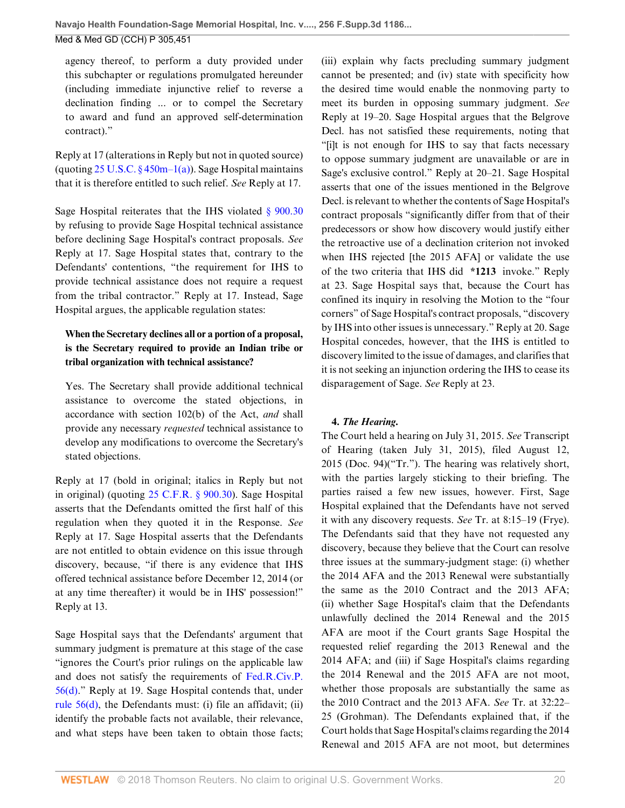agency thereof, to perform a duty provided under this subchapter or regulations promulgated hereunder (including immediate injunctive relief to reverse a declination finding ... or to compel the Secretary to award and fund an approved self-determination contract)."

Reply at 17 (alterations in Reply but not in quoted source) (quoting  $25 \text{ U.S.C.}$  § 450m–1(a)). Sage Hospital maintains that it is therefore entitled to such relief. *See* Reply at 17.

Sage Hospital reiterates that the IHS violated  $\S$  900.30 by refusing to provide Sage Hospital technical assistance before declining Sage Hospital's contract proposals. *See* Reply at 17. Sage Hospital states that, contrary to the Defendants' contentions, "the requirement for IHS to provide technical assistance does not require a request from the tribal contractor." Reply at 17. Instead, Sage Hospital argues, the applicable regulation states:

# **When the Secretary declines all or a portion of a proposal, is the Secretary required to provide an Indian tribe or tribal organization with technical assistance?**

Yes. The Secretary shall provide additional technical assistance to overcome the stated objections, in accordance with section 102(b) of the Act, *and* shall provide any necessary *requested* technical assistance to develop any modifications to overcome the Secretary's stated objections.

Reply at 17 (bold in original; italics in Reply but not in original) (quoting [25 C.F.R. § 900.30](http://www.westlaw.com/Link/Document/FullText?findType=L&pubNum=1000547&cite=25CFRS900.30&originatingDoc=I02a50c30bb1011e5be74e186f6bc2536&refType=LQ&originationContext=document&vr=3.0&rs=cblt1.0&transitionType=DocumentItem&contextData=(sc.UserEnteredCitation))). Sage Hospital asserts that the Defendants omitted the first half of this regulation when they quoted it in the Response. *See* Reply at 17. Sage Hospital asserts that the Defendants are not entitled to obtain evidence on this issue through discovery, because, "if there is any evidence that IHS offered technical assistance before December 12, 2014 (or at any time thereafter) it would be in IHS' possession!" Reply at 13.

Sage Hospital says that the Defendants' argument that summary judgment is premature at this stage of the case "ignores the Court's prior rulings on the applicable law and does not satisfy the requirements of [Fed.R.Civ.P.](http://www.westlaw.com/Link/Document/FullText?findType=L&pubNum=1000600&cite=USFRCPR56&originatingDoc=I02a50c30bb1011e5be74e186f6bc2536&refType=LQ&originationContext=document&vr=3.0&rs=cblt1.0&transitionType=DocumentItem&contextData=(sc.UserEnteredCitation)) [56\(d\)](http://www.westlaw.com/Link/Document/FullText?findType=L&pubNum=1000600&cite=USFRCPR56&originatingDoc=I02a50c30bb1011e5be74e186f6bc2536&refType=LQ&originationContext=document&vr=3.0&rs=cblt1.0&transitionType=DocumentItem&contextData=(sc.UserEnteredCitation))." Reply at 19. Sage Hospital contends that, under rule  $56(d)$ , the Defendants must: (i) file an affidavit; (ii) identify the probable facts not available, their relevance, and what steps have been taken to obtain those facts; (iii) explain why facts precluding summary judgment cannot be presented; and (iv) state with specificity how the desired time would enable the nonmoving party to meet its burden in opposing summary judgment. *See* Reply at 19–20. Sage Hospital argues that the Belgrove Decl. has not satisfied these requirements, noting that "[i]t is not enough for IHS to say that facts necessary to oppose summary judgment are unavailable or are in Sage's exclusive control." Reply at 20–21. Sage Hospital asserts that one of the issues mentioned in the Belgrove Decl. is relevant to whether the contents of Sage Hospital's contract proposals "significantly differ from that of their predecessors or show how discovery would justify either the retroactive use of a declination criterion not invoked when IHS rejected [the 2015 AFA] or validate the use of the two criteria that IHS did **\*1213** invoke." Reply at 23. Sage Hospital says that, because the Court has confined its inquiry in resolving the Motion to the "four corners" of Sage Hospital's contract proposals, "discovery by IHS into other issues is unnecessary." Reply at 20. Sage Hospital concedes, however, that the IHS is entitled to discovery limited to the issue of damages, and clarifies that it is not seeking an injunction ordering the IHS to cease its disparagement of Sage. *See* Reply at 23.

# **4.** *The Hearing.*

The Court held a hearing on July 31, 2015. *See* Transcript of Hearing (taken July 31, 2015), filed August 12, 2015 (Doc. 94)("Tr."). The hearing was relatively short, with the parties largely sticking to their briefing. The parties raised a few new issues, however. First, Sage Hospital explained that the Defendants have not served it with any discovery requests. *See* Tr. at 8:15–19 (Frye). The Defendants said that they have not requested any discovery, because they believe that the Court can resolve three issues at the summary-judgment stage: (i) whether the 2014 AFA and the 2013 Renewal were substantially the same as the 2010 Contract and the 2013 AFA; (ii) whether Sage Hospital's claim that the Defendants unlawfully declined the 2014 Renewal and the 2015 AFA are moot if the Court grants Sage Hospital the requested relief regarding the 2013 Renewal and the 2014 AFA; and (iii) if Sage Hospital's claims regarding the 2014 Renewal and the 2015 AFA are not moot, whether those proposals are substantially the same as the 2010 Contract and the 2013 AFA. *See* Tr. at 32:22– 25 (Grohman). The Defendants explained that, if the Court holds that Sage Hospital's claims regarding the 2014 Renewal and 2015 AFA are not moot, but determines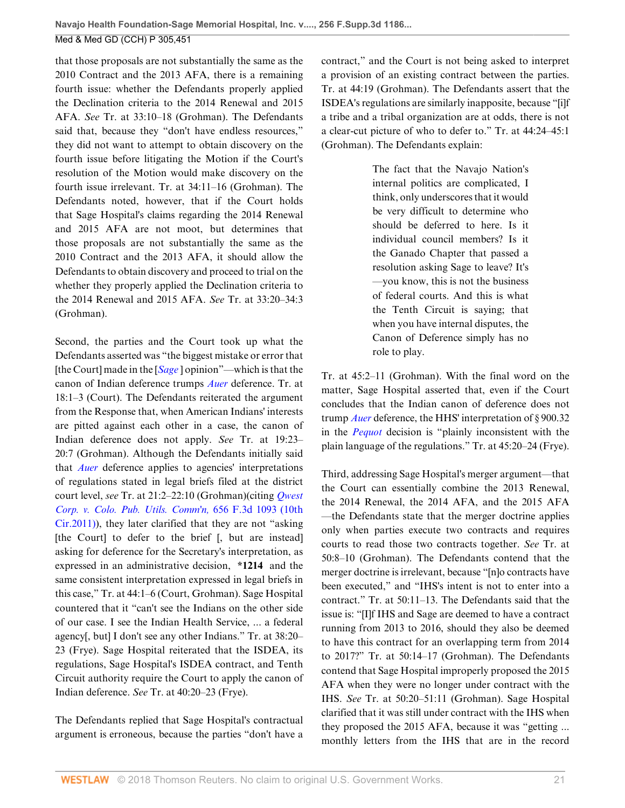that those proposals are not substantially the same as the 2010 Contract and the 2013 AFA, there is a remaining fourth issue: whether the Defendants properly applied the Declination criteria to the 2014 Renewal and 2015 AFA. *See* Tr. at 33:10–18 (Grohman). The Defendants said that, because they "don't have endless resources," they did not want to attempt to obtain discovery on the fourth issue before litigating the Motion if the Court's resolution of the Motion would make discovery on the fourth issue irrelevant. Tr. at 34:11–16 (Grohman). The Defendants noted, however, that if the Court holds that Sage Hospital's claims regarding the 2014 Renewal and 2015 AFA are not moot, but determines that those proposals are not substantially the same as the 2010 Contract and the 2013 AFA, it should allow the Defendants to obtain discovery and proceed to trial on the whether they properly applied the Declination criteria to the 2014 Renewal and 2015 AFA. *See* Tr. at 33:20–34:3 (Grohman).

Second, the parties and the Court took up what the Defendants asserted was "the biggest mistake or error that [the Court] made in the [*[Sage](http://www.westlaw.com/Link/Document/FullText?findType=Y&serNum=2036163936&pubNum=0000999&originatingDoc=I02a50c30bb1011e5be74e186f6bc2536&refType=RP&originationContext=document&vr=3.0&rs=cblt1.0&transitionType=DocumentItem&contextData=(sc.UserEnteredCitation))* ] opinion"—which is that the canon of Indian deference trumps *[Auer](http://www.westlaw.com/Link/Document/FullText?findType=Y&serNum=1997053629&pubNum=0000780&originatingDoc=I02a50c30bb1011e5be74e186f6bc2536&refType=RP&originationContext=document&vr=3.0&rs=cblt1.0&transitionType=DocumentItem&contextData=(sc.UserEnteredCitation))* deference. Tr. at 18:1–3 (Court). The Defendants reiterated the argument from the Response that, when American Indians' interests are pitted against each other in a case, the canon of Indian deference does not apply. *See* Tr. at 19:23– 20:7 (Grohman). Although the Defendants initially said that *[Auer](http://www.westlaw.com/Link/Document/FullText?findType=Y&serNum=1997053629&pubNum=0000780&originatingDoc=I02a50c30bb1011e5be74e186f6bc2536&refType=RP&originationContext=document&vr=3.0&rs=cblt1.0&transitionType=DocumentItem&contextData=(sc.UserEnteredCitation))* deference applies to agencies' interpretations of regulations stated in legal briefs filed at the district court level, *see* Tr. at 21:2–22:10 (Grohman)(citing *[Qwest](http://www.westlaw.com/Link/Document/FullText?findType=Y&serNum=2025951128&pubNum=0000506&originatingDoc=I02a50c30bb1011e5be74e186f6bc2536&refType=RP&originationContext=document&vr=3.0&rs=cblt1.0&transitionType=DocumentItem&contextData=(sc.UserEnteredCitation)) [Corp. v. Colo. Pub. Utils. Comm'n,](http://www.westlaw.com/Link/Document/FullText?findType=Y&serNum=2025951128&pubNum=0000506&originatingDoc=I02a50c30bb1011e5be74e186f6bc2536&refType=RP&originationContext=document&vr=3.0&rs=cblt1.0&transitionType=DocumentItem&contextData=(sc.UserEnteredCitation))* 656 F.3d 1093 (10th [Cir.2011\)\)](http://www.westlaw.com/Link/Document/FullText?findType=Y&serNum=2025951128&pubNum=0000506&originatingDoc=I02a50c30bb1011e5be74e186f6bc2536&refType=RP&originationContext=document&vr=3.0&rs=cblt1.0&transitionType=DocumentItem&contextData=(sc.UserEnteredCitation)), they later clarified that they are not "asking [the Court] to defer to the brief [, but are instead] asking for deference for the Secretary's interpretation, as expressed in an administrative decision, **\*1214** and the same consistent interpretation expressed in legal briefs in this case," Tr. at 44:1–6 (Court, Grohman). Sage Hospital countered that it "can't see the Indians on the other side of our case. I see the Indian Health Service, ... a federal agency[, but] I don't see any other Indians." Tr. at 38:20– 23 (Frye). Sage Hospital reiterated that the ISDEA, its regulations, Sage Hospital's ISDEA contract, and Tenth Circuit authority require the Court to apply the canon of Indian deference. *See* Tr. at 40:20–23 (Frye).

The Defendants replied that Sage Hospital's contractual argument is erroneous, because the parties "don't have a contract," and the Court is not being asked to interpret a provision of an existing contract between the parties. Tr. at 44:19 (Grohman). The Defendants assert that the ISDEA's regulations are similarly inapposite, because "[i]f a tribe and a tribal organization are at odds, there is not a clear-cut picture of who to defer to." Tr. at 44:24–45:1 (Grohman). The Defendants explain:

> The fact that the Navajo Nation's internal politics are complicated, I think, only underscores that it would be very difficult to determine who should be deferred to here. Is it individual council members? Is it the Ganado Chapter that passed a resolution asking Sage to leave? It's —you know, this is not the business of federal courts. And this is what the Tenth Circuit is saying; that when you have internal disputes, the Canon of Deference simply has no role to play.

Tr. at 45:2–11 (Grohman). With the final word on the matter, Sage Hospital asserted that, even if the Court concludes that the Indian canon of deference does not trump *[Auer](http://www.westlaw.com/Link/Document/FullText?findType=Y&serNum=1997053629&pubNum=0000780&originatingDoc=I02a50c30bb1011e5be74e186f6bc2536&refType=RP&originationContext=document&vr=3.0&rs=cblt1.0&transitionType=DocumentItem&contextData=(sc.UserEnteredCitation))* deference, the HHS' interpretation of § 900.32 in the *[Pequot](http://www.westlaw.com/Link/Document/FullText?findType=Y&serNum=0318655259&pubNum=0000999&originatingDoc=I02a50c30bb1011e5be74e186f6bc2536&refType=RP&originationContext=document&vr=3.0&rs=cblt1.0&transitionType=DocumentItem&contextData=(sc.UserEnteredCitation))* decision is "plainly inconsistent with the plain language of the regulations." Tr. at 45:20–24 (Frye).

Third, addressing Sage Hospital's merger argument—that the Court can essentially combine the 2013 Renewal, the 2014 Renewal, the 2014 AFA, and the 2015 AFA —the Defendants state that the merger doctrine applies only when parties execute two contracts and requires courts to read those two contracts together. *See* Tr. at 50:8–10 (Grohman). The Defendants contend that the merger doctrine is irrelevant, because "[n]o contracts have been executed," and "IHS's intent is not to enter into a contract." Tr. at 50:11–13. The Defendants said that the issue is: "[I]f IHS and Sage are deemed to have a contract running from 2013 to 2016, should they also be deemed to have this contract for an overlapping term from 2014 to 2017?" Tr. at 50:14–17 (Grohman). The Defendants contend that Sage Hospital improperly proposed the 2015 AFA when they were no longer under contract with the IHS. *See* Tr. at 50:20–51:11 (Grohman). Sage Hospital clarified that it was still under contract with the IHS when they proposed the 2015 AFA, because it was "getting ... monthly letters from the IHS that are in the record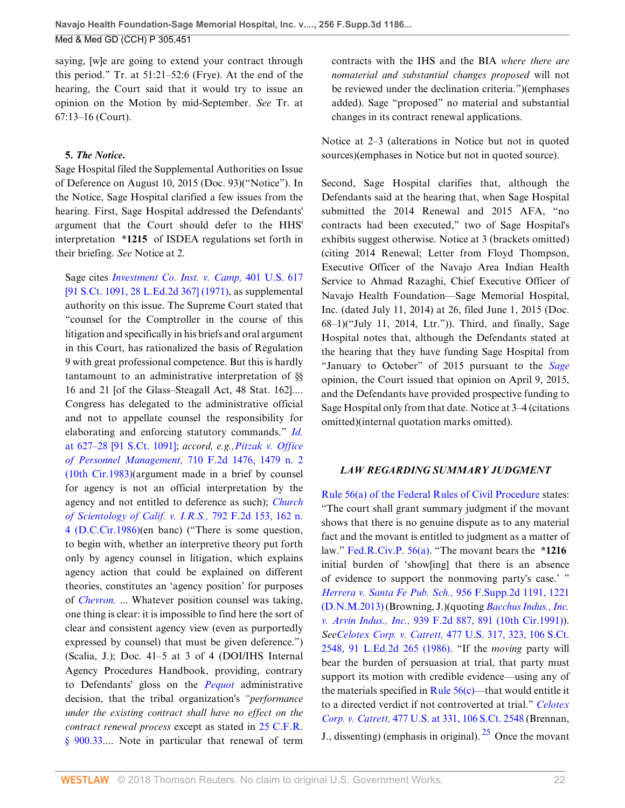saying, [w]e are going to extend your contract through this period." Tr. at 51:21–52:6 (Frye). At the end of the hearing, the Court said that it would try to issue an opinion on the Motion by mid-September. *See* Tr. at 67:13–16 (Court).

### **5.** *The Notice.*

Sage Hospital filed the Supplemental Authorities on Issue of Deference on August 10, 2015 (Doc. 93)("Notice"). In the Notice, Sage Hospital clarified a few issues from the hearing. First, Sage Hospital addressed the Defendants' argument that the Court should defer to the HHS' interpretation **\*1215** of ISDEA regulations set forth in their briefing. *See* Notice at 2.

Sage cites *[Investment Co. Inst. v. Camp,](http://www.westlaw.com/Link/Document/FullText?findType=Y&serNum=1971127042&pubNum=0000708&originatingDoc=I02a50c30bb1011e5be74e186f6bc2536&refType=RP&originationContext=document&vr=3.0&rs=cblt1.0&transitionType=DocumentItem&contextData=(sc.UserEnteredCitation))* 401 U.S. 617 [\[91 S.Ct. 1091, 28 L.Ed.2d 367\] \(1971\)](http://www.westlaw.com/Link/Document/FullText?findType=Y&serNum=1971127042&pubNum=0000708&originatingDoc=I02a50c30bb1011e5be74e186f6bc2536&refType=RP&originationContext=document&vr=3.0&rs=cblt1.0&transitionType=DocumentItem&contextData=(sc.UserEnteredCitation)), as supplemental authority on this issue. The Supreme Court stated that "counsel for the Comptroller in the course of this litigation and specifically in his briefs and oral argument in this Court, has rationalized the basis of Regulation 9 with great professional competence. But this is hardly tantamount to an administrative interpretation of §§ 16 and 21 [of the Glass–Steagall Act, 48 Stat. 162].... Congress has delegated to the administrative official and not to appellate counsel the responsibility for elaborating and enforcing statutory commands." *[Id.](http://www.westlaw.com/Link/Document/FullText?findType=Y&serNum=1971127042&pubNum=0000708&originatingDoc=I02a50c30bb1011e5be74e186f6bc2536&refType=RP&originationContext=document&vr=3.0&rs=cblt1.0&transitionType=DocumentItem&contextData=(sc.UserEnteredCitation))* [at 627–28 \[91 S.Ct. 1091\];](http://www.westlaw.com/Link/Document/FullText?findType=Y&serNum=1971127042&pubNum=0000708&originatingDoc=I02a50c30bb1011e5be74e186f6bc2536&refType=RP&originationContext=document&vr=3.0&rs=cblt1.0&transitionType=DocumentItem&contextData=(sc.UserEnteredCitation)) *accord, e.g.,[Pitzak v. Office](http://www.westlaw.com/Link/Document/FullText?findType=Y&serNum=1983133376&pubNum=0000350&originatingDoc=I02a50c30bb1011e5be74e186f6bc2536&refType=RP&fi=co_pp_sp_350_1479&originationContext=document&vr=3.0&rs=cblt1.0&transitionType=DocumentItem&contextData=(sc.UserEnteredCitation)#co_pp_sp_350_1479) of Personnel Management,* [710 F.2d 1476, 1479 n. 2](http://www.westlaw.com/Link/Document/FullText?findType=Y&serNum=1983133376&pubNum=0000350&originatingDoc=I02a50c30bb1011e5be74e186f6bc2536&refType=RP&fi=co_pp_sp_350_1479&originationContext=document&vr=3.0&rs=cblt1.0&transitionType=DocumentItem&contextData=(sc.UserEnteredCitation)#co_pp_sp_350_1479) [\(10th Cir.1983\)](http://www.westlaw.com/Link/Document/FullText?findType=Y&serNum=1983133376&pubNum=0000350&originatingDoc=I02a50c30bb1011e5be74e186f6bc2536&refType=RP&fi=co_pp_sp_350_1479&originationContext=document&vr=3.0&rs=cblt1.0&transitionType=DocumentItem&contextData=(sc.UserEnteredCitation)#co_pp_sp_350_1479)(argument made in a brief by counsel for agency is not an official interpretation by the agency and not entitled to deference as such); *[Church](http://www.westlaw.com/Link/Document/FullText?findType=Y&serNum=1986127441&pubNum=0000350&originatingDoc=I02a50c30bb1011e5be74e186f6bc2536&refType=RP&fi=co_pp_sp_350_162&originationContext=document&vr=3.0&rs=cblt1.0&transitionType=DocumentItem&contextData=(sc.UserEnteredCitation)#co_pp_sp_350_162) [of Scientology of Calif. v. I.R.S.,](http://www.westlaw.com/Link/Document/FullText?findType=Y&serNum=1986127441&pubNum=0000350&originatingDoc=I02a50c30bb1011e5be74e186f6bc2536&refType=RP&fi=co_pp_sp_350_162&originationContext=document&vr=3.0&rs=cblt1.0&transitionType=DocumentItem&contextData=(sc.UserEnteredCitation)#co_pp_sp_350_162)* 792 F.2d 153, 162 n. [4 \(D.C.Cir.1986\)](http://www.westlaw.com/Link/Document/FullText?findType=Y&serNum=1986127441&pubNum=0000350&originatingDoc=I02a50c30bb1011e5be74e186f6bc2536&refType=RP&fi=co_pp_sp_350_162&originationContext=document&vr=3.0&rs=cblt1.0&transitionType=DocumentItem&contextData=(sc.UserEnteredCitation)#co_pp_sp_350_162)(en banc) ("There is some question, to begin with, whether an interpretive theory put forth only by agency counsel in litigation, which explains agency action that could be explained on different theories, constitutes an 'agency position' for purposes of *[Chevron.](http://www.westlaw.com/Link/Document/FullText?findType=Y&serNum=1984130736&originatingDoc=I02a50c30bb1011e5be74e186f6bc2536&refType=RP&originationContext=document&vr=3.0&rs=cblt1.0&transitionType=DocumentItem&contextData=(sc.UserEnteredCitation))* ... Whatever position counsel was taking, one thing is clear: it is impossible to find here the sort of clear and consistent agency view (even as purportedly expressed by counsel) that must be given deference.") (Scalia, J.); Doc. 41–5 at 3 of 4 (DOI/IHS Internal Agency Procedures Handbook, providing, contrary to Defendants' gloss on the *[Pequot](http://www.westlaw.com/Link/Document/FullText?findType=Y&serNum=0318655259&pubNum=0000999&originatingDoc=I02a50c30bb1011e5be74e186f6bc2536&refType=RP&originationContext=document&vr=3.0&rs=cblt1.0&transitionType=DocumentItem&contextData=(sc.UserEnteredCitation))* administrative decision, that the tribal organization's *"performance under the existing contract shall have no effect on the contract renewal process* except as stated in [25 C.F.R.](http://www.westlaw.com/Link/Document/FullText?findType=L&pubNum=1000547&cite=25CFRS900.33&originatingDoc=I02a50c30bb1011e5be74e186f6bc2536&refType=LQ&originationContext=document&vr=3.0&rs=cblt1.0&transitionType=DocumentItem&contextData=(sc.UserEnteredCitation)) [§ 900.33.](http://www.westlaw.com/Link/Document/FullText?findType=L&pubNum=1000547&cite=25CFRS900.33&originatingDoc=I02a50c30bb1011e5be74e186f6bc2536&refType=LQ&originationContext=document&vr=3.0&rs=cblt1.0&transitionType=DocumentItem&contextData=(sc.UserEnteredCitation))... Note in particular that renewal of term

contracts with the IHS and the BIA *where there are nomaterial and substantial changes proposed* will not be reviewed under the declination criteria.")(emphases added). Sage "proposed" no material and substantial changes in its contract renewal applications.

Notice at 2–3 (alterations in Notice but not in quoted sources)(emphases in Notice but not in quoted source).

Second, Sage Hospital clarifies that, although the Defendants said at the hearing that, when Sage Hospital submitted the 2014 Renewal and 2015 AFA, "no contracts had been executed," two of Sage Hospital's exhibits suggest otherwise. Notice at 3 (brackets omitted) (citing 2014 Renewal; Letter from Floyd Thompson, Executive Officer of the Navajo Area Indian Health Service to Ahmad Razaghi, Chief Executive Officer of Navajo Health Foundation—Sage Memorial Hospital, Inc. (dated July 11, 2014) at 26, filed June 1, 2015 (Doc. 68–1)("July 11, 2014, Ltr.")). Third, and finally, Sage Hospital notes that, although the Defendants stated at the hearing that they have funding Sage Hospital from "January to October" of 2015 pursuant to the *[Sage](http://www.westlaw.com/Link/Document/FullText?findType=Y&serNum=2036163936&pubNum=0000999&originatingDoc=I02a50c30bb1011e5be74e186f6bc2536&refType=RP&originationContext=document&vr=3.0&rs=cblt1.0&transitionType=DocumentItem&contextData=(sc.UserEnteredCitation))* opinion, the Court issued that opinion on April 9, 2015, and the Defendants have provided prospective funding to Sage Hospital only from that date. Notice at 3–4 (citations omitted)(internal quotation marks omitted).

### *LAW REGARDING SUMMARY JUDGMENT*

<span id="page-21-0"></span>[Rule 56\(a\) of the Federal Rules of Civil Procedure](http://www.westlaw.com/Link/Document/FullText?findType=L&pubNum=1000600&cite=USFRCPR56&originatingDoc=I02a50c30bb1011e5be74e186f6bc2536&refType=LQ&originationContext=document&vr=3.0&rs=cblt1.0&transitionType=DocumentItem&contextData=(sc.UserEnteredCitation)) states: "The court shall grant summary judgment if the movant shows that there is no genuine dispute as to any material fact and the movant is entitled to judgment as a matter of law." [Fed.R.Civ.P. 56\(a\).](http://www.westlaw.com/Link/Document/FullText?findType=L&pubNum=1000600&cite=USFRCPR56&originatingDoc=I02a50c30bb1011e5be74e186f6bc2536&refType=LQ&originationContext=document&vr=3.0&rs=cblt1.0&transitionType=DocumentItem&contextData=(sc.UserEnteredCitation)) "The movant bears the **\*1216** initial burden of 'show[ing] that there is an absence of evidence to support the nonmoving party's case.' " *[Herrera v. Santa Fe Pub. Sch.,](http://www.westlaw.com/Link/Document/FullText?findType=Y&serNum=2030969128&pubNum=0004637&originatingDoc=I02a50c30bb1011e5be74e186f6bc2536&refType=RP&fi=co_pp_sp_4637_1221&originationContext=document&vr=3.0&rs=cblt1.0&transitionType=DocumentItem&contextData=(sc.UserEnteredCitation)#co_pp_sp_4637_1221)* 956 F.Supp.2d 1191, 1221 [\(D.N.M.2013\)](http://www.westlaw.com/Link/Document/FullText?findType=Y&serNum=2030969128&pubNum=0004637&originatingDoc=I02a50c30bb1011e5be74e186f6bc2536&refType=RP&fi=co_pp_sp_4637_1221&originationContext=document&vr=3.0&rs=cblt1.0&transitionType=DocumentItem&contextData=(sc.UserEnteredCitation)#co_pp_sp_4637_1221) (Browning, J.)(quoting *[Bacchus Indus., Inc.](http://www.westlaw.com/Link/Document/FullText?findType=Y&serNum=1991112409&pubNum=0000350&originatingDoc=I02a50c30bb1011e5be74e186f6bc2536&refType=RP&fi=co_pp_sp_350_891&originationContext=document&vr=3.0&rs=cblt1.0&transitionType=DocumentItem&contextData=(sc.UserEnteredCitation)#co_pp_sp_350_891) v. Arvin Indus., Inc.,* [939 F.2d 887, 891 \(10th Cir.1991\)\)](http://www.westlaw.com/Link/Document/FullText?findType=Y&serNum=1991112409&pubNum=0000350&originatingDoc=I02a50c30bb1011e5be74e186f6bc2536&refType=RP&fi=co_pp_sp_350_891&originationContext=document&vr=3.0&rs=cblt1.0&transitionType=DocumentItem&contextData=(sc.UserEnteredCitation)#co_pp_sp_350_891). *SeeCelotex Corp. v. Catrett,* [477 U.S. 317, 323, 106 S.Ct.](http://www.westlaw.com/Link/Document/FullText?findType=Y&serNum=1986132677&pubNum=0000708&originatingDoc=I02a50c30bb1011e5be74e186f6bc2536&refType=RP&originationContext=document&vr=3.0&rs=cblt1.0&transitionType=DocumentItem&contextData=(sc.UserEnteredCitation)) [2548, 91 L.Ed.2d 265 \(1986\)](http://www.westlaw.com/Link/Document/FullText?findType=Y&serNum=1986132677&pubNum=0000708&originatingDoc=I02a50c30bb1011e5be74e186f6bc2536&refType=RP&originationContext=document&vr=3.0&rs=cblt1.0&transitionType=DocumentItem&contextData=(sc.UserEnteredCitation)). "If the *moving* party will bear the burden of persuasion at trial, that party must support its motion with credible evidence—using any of the materials specified in Rule  $56(c)$ —that would entitle it to a directed verdict if not controverted at trial." *[Celotex](http://www.westlaw.com/Link/Document/FullText?findType=Y&serNum=1986132677&pubNum=0000708&originatingDoc=I02a50c30bb1011e5be74e186f6bc2536&refType=RP&originationContext=document&vr=3.0&rs=cblt1.0&transitionType=DocumentItem&contextData=(sc.UserEnteredCitation)) Corp. v. Catrett,* [477 U.S. at 331, 106 S.Ct. 2548](http://www.westlaw.com/Link/Document/FullText?findType=Y&serNum=1986132677&pubNum=0000708&originatingDoc=I02a50c30bb1011e5be74e186f6bc2536&refType=RP&originationContext=document&vr=3.0&rs=cblt1.0&transitionType=DocumentItem&contextData=(sc.UserEnteredCitation)) (Brennan, J., dissenting) (emphasis in original).  $25$  Once the movant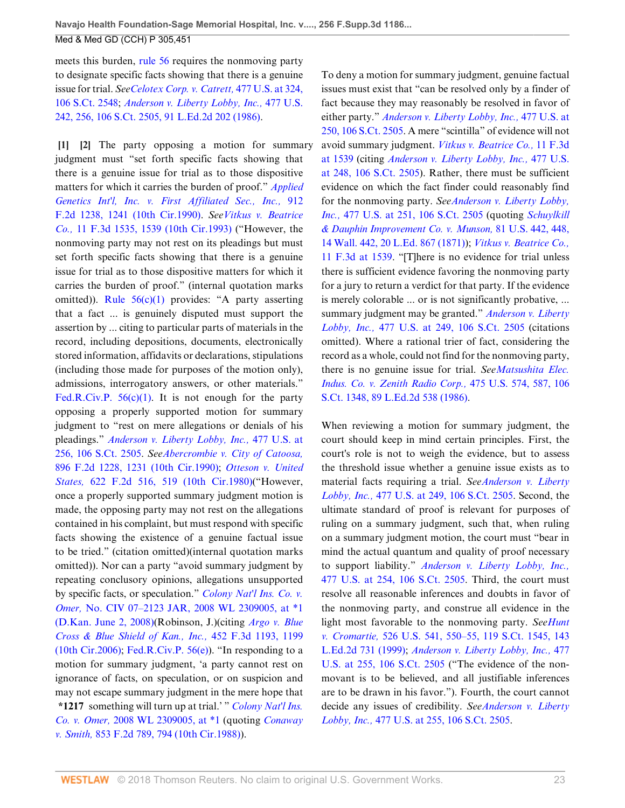meets this burden, [rule 56](http://www.westlaw.com/Link/Document/FullText?findType=L&pubNum=1000600&cite=USFRCPR56&originatingDoc=I02a50c30bb1011e5be74e186f6bc2536&refType=LQ&originationContext=document&vr=3.0&rs=cblt1.0&transitionType=DocumentItem&contextData=(sc.UserEnteredCitation)) requires the nonmoving party to designate specific facts showing that there is a genuine issue for trial. *See[Celotex Corp. v. Catrett,](http://www.westlaw.com/Link/Document/FullText?findType=Y&serNum=1986132677&pubNum=0000708&originatingDoc=I02a50c30bb1011e5be74e186f6bc2536&refType=RP&originationContext=document&vr=3.0&rs=cblt1.0&transitionType=DocumentItem&contextData=(sc.UserEnteredCitation))* 477 U.S. at 324, [106 S.Ct. 2548;](http://www.westlaw.com/Link/Document/FullText?findType=Y&serNum=1986132677&pubNum=0000708&originatingDoc=I02a50c30bb1011e5be74e186f6bc2536&refType=RP&originationContext=document&vr=3.0&rs=cblt1.0&transitionType=DocumentItem&contextData=(sc.UserEnteredCitation)) *[Anderson v. Liberty Lobby, Inc.,](http://www.westlaw.com/Link/Document/FullText?findType=Y&serNum=1986132674&pubNum=0000708&originatingDoc=I02a50c30bb1011e5be74e186f6bc2536&refType=RP&originationContext=document&vr=3.0&rs=cblt1.0&transitionType=DocumentItem&contextData=(sc.UserEnteredCitation))* 477 U.S. [242, 256, 106 S.Ct. 2505, 91 L.Ed.2d 202 \(1986\)](http://www.westlaw.com/Link/Document/FullText?findType=Y&serNum=1986132674&pubNum=0000708&originatingDoc=I02a50c30bb1011e5be74e186f6bc2536&refType=RP&originationContext=document&vr=3.0&rs=cblt1.0&transitionType=DocumentItem&contextData=(sc.UserEnteredCitation)).

<span id="page-22-1"></span><span id="page-22-0"></span>**[\[1](#page-0-0)] [\[2](#page-0-1)]** The party opposing a motion for summary judgment must "set forth specific facts showing that there is a genuine issue for trial as to those dispositive matters for which it carries the burden of proof." *[Applied](http://www.westlaw.com/Link/Document/FullText?findType=Y&serNum=1990126559&pubNum=0000350&originatingDoc=I02a50c30bb1011e5be74e186f6bc2536&refType=RP&fi=co_pp_sp_350_1241&originationContext=document&vr=3.0&rs=cblt1.0&transitionType=DocumentItem&contextData=(sc.UserEnteredCitation)#co_pp_sp_350_1241) [Genetics Int'l, Inc. v. First Affiliated Sec., Inc.,](http://www.westlaw.com/Link/Document/FullText?findType=Y&serNum=1990126559&pubNum=0000350&originatingDoc=I02a50c30bb1011e5be74e186f6bc2536&refType=RP&fi=co_pp_sp_350_1241&originationContext=document&vr=3.0&rs=cblt1.0&transitionType=DocumentItem&contextData=(sc.UserEnteredCitation)#co_pp_sp_350_1241)* 912 [F.2d 1238, 1241 \(10th Cir.1990\).](http://www.westlaw.com/Link/Document/FullText?findType=Y&serNum=1990126559&pubNum=0000350&originatingDoc=I02a50c30bb1011e5be74e186f6bc2536&refType=RP&fi=co_pp_sp_350_1241&originationContext=document&vr=3.0&rs=cblt1.0&transitionType=DocumentItem&contextData=(sc.UserEnteredCitation)#co_pp_sp_350_1241) *See[Vitkus v. Beatrice](http://www.westlaw.com/Link/Document/FullText?findType=Y&serNum=1993234609&pubNum=0000506&originatingDoc=I02a50c30bb1011e5be74e186f6bc2536&refType=RP&fi=co_pp_sp_506_1539&originationContext=document&vr=3.0&rs=cblt1.0&transitionType=DocumentItem&contextData=(sc.UserEnteredCitation)#co_pp_sp_506_1539) Co.,* [11 F.3d 1535, 1539 \(10th Cir.1993\)](http://www.westlaw.com/Link/Document/FullText?findType=Y&serNum=1993234609&pubNum=0000506&originatingDoc=I02a50c30bb1011e5be74e186f6bc2536&refType=RP&fi=co_pp_sp_506_1539&originationContext=document&vr=3.0&rs=cblt1.0&transitionType=DocumentItem&contextData=(sc.UserEnteredCitation)#co_pp_sp_506_1539) ("However, the nonmoving party may not rest on its pleadings but must set forth specific facts showing that there is a genuine issue for trial as to those dispositive matters for which it carries the burden of proof." (internal quotation marks omitted)). [Rule 56\(c\)\(1\)](http://www.westlaw.com/Link/Document/FullText?findType=L&pubNum=1000600&cite=USFRCPR56&originatingDoc=I02a50c30bb1011e5be74e186f6bc2536&refType=LQ&originationContext=document&vr=3.0&rs=cblt1.0&transitionType=DocumentItem&contextData=(sc.UserEnteredCitation)) provides: "A party asserting that a fact ... is genuinely disputed must support the assertion by ... citing to particular parts of materials in the record, including depositions, documents, electronically stored information, affidavits or declarations, stipulations (including those made for purposes of the motion only), admissions, interrogatory answers, or other materials." Fed.R.Civ.P.  $56(c)(1)$ . It is not enough for the party opposing a properly supported motion for summary judgment to "rest on mere allegations or denials of his pleadings." *[Anderson v. Liberty Lobby, Inc.,](http://www.westlaw.com/Link/Document/FullText?findType=Y&serNum=1986132674&pubNum=0000708&originatingDoc=I02a50c30bb1011e5be74e186f6bc2536&refType=RP&originationContext=document&vr=3.0&rs=cblt1.0&transitionType=DocumentItem&contextData=(sc.UserEnteredCitation))* 477 U.S. at [256, 106 S.Ct. 2505](http://www.westlaw.com/Link/Document/FullText?findType=Y&serNum=1986132674&pubNum=0000708&originatingDoc=I02a50c30bb1011e5be74e186f6bc2536&refType=RP&originationContext=document&vr=3.0&rs=cblt1.0&transitionType=DocumentItem&contextData=(sc.UserEnteredCitation)). *Se[eAbercrombie v. City of Catoosa,](http://www.westlaw.com/Link/Document/FullText?findType=Y&serNum=1990037146&pubNum=0000350&originatingDoc=I02a50c30bb1011e5be74e186f6bc2536&refType=RP&fi=co_pp_sp_350_1231&originationContext=document&vr=3.0&rs=cblt1.0&transitionType=DocumentItem&contextData=(sc.UserEnteredCitation)#co_pp_sp_350_1231)* [896 F.2d 1228, 1231 \(10th Cir.1990\)](http://www.westlaw.com/Link/Document/FullText?findType=Y&serNum=1990037146&pubNum=0000350&originatingDoc=I02a50c30bb1011e5be74e186f6bc2536&refType=RP&fi=co_pp_sp_350_1231&originationContext=document&vr=3.0&rs=cblt1.0&transitionType=DocumentItem&contextData=(sc.UserEnteredCitation)#co_pp_sp_350_1231); *[Otteson v. United](http://www.westlaw.com/Link/Document/FullText?findType=Y&serNum=1980118275&pubNum=0000350&originatingDoc=I02a50c30bb1011e5be74e186f6bc2536&refType=RP&fi=co_pp_sp_350_519&originationContext=document&vr=3.0&rs=cblt1.0&transitionType=DocumentItem&contextData=(sc.UserEnteredCitation)#co_pp_sp_350_519) States,* [622 F.2d 516, 519 \(10th Cir.1980\)](http://www.westlaw.com/Link/Document/FullText?findType=Y&serNum=1980118275&pubNum=0000350&originatingDoc=I02a50c30bb1011e5be74e186f6bc2536&refType=RP&fi=co_pp_sp_350_519&originationContext=document&vr=3.0&rs=cblt1.0&transitionType=DocumentItem&contextData=(sc.UserEnteredCitation)#co_pp_sp_350_519)("However, once a properly supported summary judgment motion is made, the opposing party may not rest on the allegations contained in his complaint, but must respond with specific facts showing the existence of a genuine factual issue to be tried." (citation omitted)(internal quotation marks omitted)). Nor can a party "avoid summary judgment by repeating conclusory opinions, allegations unsupported by specific facts, or speculation." *[Colony Nat'l Ins. Co. v.](http://www.westlaw.com/Link/Document/FullText?findType=Y&serNum=2016257455&pubNum=0000999&originatingDoc=I02a50c30bb1011e5be74e186f6bc2536&refType=RP&originationContext=document&vr=3.0&rs=cblt1.0&transitionType=DocumentItem&contextData=(sc.UserEnteredCitation)) Omer,* [No. CIV 07–2123 JAR, 2008 WL 2309005, at \\*1](http://www.westlaw.com/Link/Document/FullText?findType=Y&serNum=2016257455&pubNum=0000999&originatingDoc=I02a50c30bb1011e5be74e186f6bc2536&refType=RP&originationContext=document&vr=3.0&rs=cblt1.0&transitionType=DocumentItem&contextData=(sc.UserEnteredCitation)) [\(D.Kan. June 2, 2008\)\(](http://www.westlaw.com/Link/Document/FullText?findType=Y&serNum=2016257455&pubNum=0000999&originatingDoc=I02a50c30bb1011e5be74e186f6bc2536&refType=RP&originationContext=document&vr=3.0&rs=cblt1.0&transitionType=DocumentItem&contextData=(sc.UserEnteredCitation))Robinson, J.)(citing *[Argo v. Blue](http://www.westlaw.com/Link/Document/FullText?findType=Y&serNum=2009482001&pubNum=0000506&originatingDoc=I02a50c30bb1011e5be74e186f6bc2536&refType=RP&fi=co_pp_sp_506_1199&originationContext=document&vr=3.0&rs=cblt1.0&transitionType=DocumentItem&contextData=(sc.UserEnteredCitation)#co_pp_sp_506_1199) [Cross & Blue Shield of Kan., Inc.,](http://www.westlaw.com/Link/Document/FullText?findType=Y&serNum=2009482001&pubNum=0000506&originatingDoc=I02a50c30bb1011e5be74e186f6bc2536&refType=RP&fi=co_pp_sp_506_1199&originationContext=document&vr=3.0&rs=cblt1.0&transitionType=DocumentItem&contextData=(sc.UserEnteredCitation)#co_pp_sp_506_1199)* 452 F.3d 1193, 1199 [\(10th Cir.2006\);](http://www.westlaw.com/Link/Document/FullText?findType=Y&serNum=2009482001&pubNum=0000506&originatingDoc=I02a50c30bb1011e5be74e186f6bc2536&refType=RP&fi=co_pp_sp_506_1199&originationContext=document&vr=3.0&rs=cblt1.0&transitionType=DocumentItem&contextData=(sc.UserEnteredCitation)#co_pp_sp_506_1199) Fed.R.Civ.P.  $56(e)$ ). "In responding to a motion for summary judgment, 'a party cannot rest on ignorance of facts, on speculation, or on suspicion and may not escape summary judgment in the mere hope that **\*1217** something will turn up at trial.' " *[Colony Nat'l Ins.](http://www.westlaw.com/Link/Document/FullText?findType=Y&serNum=2016257455&pubNum=0000999&originatingDoc=I02a50c30bb1011e5be74e186f6bc2536&refType=RP&originationContext=document&vr=3.0&rs=cblt1.0&transitionType=DocumentItem&contextData=(sc.UserEnteredCitation)) Co. v. Omer,* [2008 WL 2309005, at \\*1](http://www.westlaw.com/Link/Document/FullText?findType=Y&serNum=2016257455&pubNum=0000999&originatingDoc=I02a50c30bb1011e5be74e186f6bc2536&refType=RP&originationContext=document&vr=3.0&rs=cblt1.0&transitionType=DocumentItem&contextData=(sc.UserEnteredCitation)) (quoting *[Conaway](http://www.westlaw.com/Link/Document/FullText?findType=Y&serNum=1988099739&pubNum=0000350&originatingDoc=I02a50c30bb1011e5be74e186f6bc2536&refType=RP&fi=co_pp_sp_350_794&originationContext=document&vr=3.0&rs=cblt1.0&transitionType=DocumentItem&contextData=(sc.UserEnteredCitation)#co_pp_sp_350_794) v. Smith,* [853 F.2d 789, 794 \(10th Cir.1988\)\)](http://www.westlaw.com/Link/Document/FullText?findType=Y&serNum=1988099739&pubNum=0000350&originatingDoc=I02a50c30bb1011e5be74e186f6bc2536&refType=RP&fi=co_pp_sp_350_794&originationContext=document&vr=3.0&rs=cblt1.0&transitionType=DocumentItem&contextData=(sc.UserEnteredCitation)#co_pp_sp_350_794).

To deny a motion for summary judgment, genuine factual issues must exist that "can be resolved only by a finder of fact because they may reasonably be resolved in favor of either party." *[Anderson v. Liberty Lobby, Inc.,](http://www.westlaw.com/Link/Document/FullText?findType=Y&serNum=1986132674&pubNum=0000708&originatingDoc=I02a50c30bb1011e5be74e186f6bc2536&refType=RP&originationContext=document&vr=3.0&rs=cblt1.0&transitionType=DocumentItem&contextData=(sc.UserEnteredCitation))* 477 U.S. at [250, 106 S.Ct. 2505](http://www.westlaw.com/Link/Document/FullText?findType=Y&serNum=1986132674&pubNum=0000708&originatingDoc=I02a50c30bb1011e5be74e186f6bc2536&refType=RP&originationContext=document&vr=3.0&rs=cblt1.0&transitionType=DocumentItem&contextData=(sc.UserEnteredCitation)). A mere "scintilla" of evidence will not avoid summary judgment. *[Vitkus v. Beatrice Co.,](http://www.westlaw.com/Link/Document/FullText?findType=Y&serNum=1993234609&pubNum=0000506&originatingDoc=I02a50c30bb1011e5be74e186f6bc2536&refType=RP&fi=co_pp_sp_506_1539&originationContext=document&vr=3.0&rs=cblt1.0&transitionType=DocumentItem&contextData=(sc.UserEnteredCitation)#co_pp_sp_506_1539)* 11 F.3d [at 1539](http://www.westlaw.com/Link/Document/FullText?findType=Y&serNum=1993234609&pubNum=0000506&originatingDoc=I02a50c30bb1011e5be74e186f6bc2536&refType=RP&fi=co_pp_sp_506_1539&originationContext=document&vr=3.0&rs=cblt1.0&transitionType=DocumentItem&contextData=(sc.UserEnteredCitation)#co_pp_sp_506_1539) (citing *[Anderson v. Liberty Lobby, Inc.,](http://www.westlaw.com/Link/Document/FullText?findType=Y&serNum=1986132674&pubNum=0000708&originatingDoc=I02a50c30bb1011e5be74e186f6bc2536&refType=RP&originationContext=document&vr=3.0&rs=cblt1.0&transitionType=DocumentItem&contextData=(sc.UserEnteredCitation))* 477 U.S. [at 248, 106 S.Ct. 2505](http://www.westlaw.com/Link/Document/FullText?findType=Y&serNum=1986132674&pubNum=0000708&originatingDoc=I02a50c30bb1011e5be74e186f6bc2536&refType=RP&originationContext=document&vr=3.0&rs=cblt1.0&transitionType=DocumentItem&contextData=(sc.UserEnteredCitation))). Rather, there must be sufficient evidence on which the fact finder could reasonably find for the nonmoving party. *Se[eAnderson v. Liberty Lobby,](http://www.westlaw.com/Link/Document/FullText?findType=Y&serNum=1986132674&pubNum=0000708&originatingDoc=I02a50c30bb1011e5be74e186f6bc2536&refType=RP&originationContext=document&vr=3.0&rs=cblt1.0&transitionType=DocumentItem&contextData=(sc.UserEnteredCitation)) Inc.,* [477 U.S. at 251, 106 S.Ct. 2505](http://www.westlaw.com/Link/Document/FullText?findType=Y&serNum=1986132674&pubNum=0000708&originatingDoc=I02a50c30bb1011e5be74e186f6bc2536&refType=RP&originationContext=document&vr=3.0&rs=cblt1.0&transitionType=DocumentItem&contextData=(sc.UserEnteredCitation)) (quoting *[Schuylkill](http://www.westlaw.com/Link/Document/FullText?findType=Y&serNum=1871190425&pubNum=0000780&originatingDoc=I02a50c30bb1011e5be74e186f6bc2536&refType=RP&fi=co_pp_sp_780_448&originationContext=document&vr=3.0&rs=cblt1.0&transitionType=DocumentItem&contextData=(sc.UserEnteredCitation)#co_pp_sp_780_448) [& Dauphin Improvement Co. v. Munson,](http://www.westlaw.com/Link/Document/FullText?findType=Y&serNum=1871190425&pubNum=0000780&originatingDoc=I02a50c30bb1011e5be74e186f6bc2536&refType=RP&fi=co_pp_sp_780_448&originationContext=document&vr=3.0&rs=cblt1.0&transitionType=DocumentItem&contextData=(sc.UserEnteredCitation)#co_pp_sp_780_448)* 81 U.S. 442, 448, [14 Wall. 442, 20 L.Ed. 867 \(1871\)\)](http://www.westlaw.com/Link/Document/FullText?findType=Y&serNum=1871190425&pubNum=0000780&originatingDoc=I02a50c30bb1011e5be74e186f6bc2536&refType=RP&fi=co_pp_sp_780_448&originationContext=document&vr=3.0&rs=cblt1.0&transitionType=DocumentItem&contextData=(sc.UserEnteredCitation)#co_pp_sp_780_448); *[Vitkus v. Beatrice Co.,](http://www.westlaw.com/Link/Document/FullText?findType=Y&serNum=1993234609&pubNum=0000506&originatingDoc=I02a50c30bb1011e5be74e186f6bc2536&refType=RP&fi=co_pp_sp_506_1539&originationContext=document&vr=3.0&rs=cblt1.0&transitionType=DocumentItem&contextData=(sc.UserEnteredCitation)#co_pp_sp_506_1539)* [11 F.3d at 1539](http://www.westlaw.com/Link/Document/FullText?findType=Y&serNum=1993234609&pubNum=0000506&originatingDoc=I02a50c30bb1011e5be74e186f6bc2536&refType=RP&fi=co_pp_sp_506_1539&originationContext=document&vr=3.0&rs=cblt1.0&transitionType=DocumentItem&contextData=(sc.UserEnteredCitation)#co_pp_sp_506_1539). "[T]here is no evidence for trial unless there is sufficient evidence favoring the nonmoving party for a jury to return a verdict for that party. If the evidence is merely colorable ... or is not significantly probative, ... summary judgment may be granted." *[Anderson v. Liberty](http://www.westlaw.com/Link/Document/FullText?findType=Y&serNum=1986132674&pubNum=0000708&originatingDoc=I02a50c30bb1011e5be74e186f6bc2536&refType=RP&originationContext=document&vr=3.0&rs=cblt1.0&transitionType=DocumentItem&contextData=(sc.UserEnteredCitation)) Lobby, Inc.,* [477 U.S. at 249, 106 S.Ct. 2505](http://www.westlaw.com/Link/Document/FullText?findType=Y&serNum=1986132674&pubNum=0000708&originatingDoc=I02a50c30bb1011e5be74e186f6bc2536&refType=RP&originationContext=document&vr=3.0&rs=cblt1.0&transitionType=DocumentItem&contextData=(sc.UserEnteredCitation)) (citations omitted). Where a rational trier of fact, considering the record as a whole, could not find for the nonmoving party, there is no genuine issue for trial. *See[Matsushita Elec.](http://www.westlaw.com/Link/Document/FullText?findType=Y&serNum=1986115992&pubNum=0000708&originatingDoc=I02a50c30bb1011e5be74e186f6bc2536&refType=RP&originationContext=document&vr=3.0&rs=cblt1.0&transitionType=DocumentItem&contextData=(sc.UserEnteredCitation)) [Indus. Co. v. Zenith Radio Corp.,](http://www.westlaw.com/Link/Document/FullText?findType=Y&serNum=1986115992&pubNum=0000708&originatingDoc=I02a50c30bb1011e5be74e186f6bc2536&refType=RP&originationContext=document&vr=3.0&rs=cblt1.0&transitionType=DocumentItem&contextData=(sc.UserEnteredCitation))* 475 U.S. 574, 587, 106 [S.Ct. 1348, 89 L.Ed.2d 538 \(1986\)](http://www.westlaw.com/Link/Document/FullText?findType=Y&serNum=1986115992&pubNum=0000708&originatingDoc=I02a50c30bb1011e5be74e186f6bc2536&refType=RP&originationContext=document&vr=3.0&rs=cblt1.0&transitionType=DocumentItem&contextData=(sc.UserEnteredCitation)).

When reviewing a motion for summary judgment, the court should keep in mind certain principles. First, the court's role is not to weigh the evidence, but to assess the threshold issue whether a genuine issue exists as to material facts requiring a trial. *See[Anderson v. Liberty](http://www.westlaw.com/Link/Document/FullText?findType=Y&serNum=1986132674&pubNum=0000708&originatingDoc=I02a50c30bb1011e5be74e186f6bc2536&refType=RP&originationContext=document&vr=3.0&rs=cblt1.0&transitionType=DocumentItem&contextData=(sc.UserEnteredCitation)) Lobby, Inc.,* [477 U.S. at 249, 106 S.Ct. 2505.](http://www.westlaw.com/Link/Document/FullText?findType=Y&serNum=1986132674&pubNum=0000708&originatingDoc=I02a50c30bb1011e5be74e186f6bc2536&refType=RP&originationContext=document&vr=3.0&rs=cblt1.0&transitionType=DocumentItem&contextData=(sc.UserEnteredCitation)) Second, the ultimate standard of proof is relevant for purposes of ruling on a summary judgment, such that, when ruling on a summary judgment motion, the court must "bear in mind the actual quantum and quality of proof necessary to support liability." *[Anderson v. Liberty Lobby, Inc.,](http://www.westlaw.com/Link/Document/FullText?findType=Y&serNum=1986132674&pubNum=0000708&originatingDoc=I02a50c30bb1011e5be74e186f6bc2536&refType=RP&originationContext=document&vr=3.0&rs=cblt1.0&transitionType=DocumentItem&contextData=(sc.UserEnteredCitation))* [477 U.S. at 254, 106 S.Ct. 2505.](http://www.westlaw.com/Link/Document/FullText?findType=Y&serNum=1986132674&pubNum=0000708&originatingDoc=I02a50c30bb1011e5be74e186f6bc2536&refType=RP&originationContext=document&vr=3.0&rs=cblt1.0&transitionType=DocumentItem&contextData=(sc.UserEnteredCitation)) Third, the court must resolve all reasonable inferences and doubts in favor of the nonmoving party, and construe all evidence in the light most favorable to the nonmoving party. *Se[eHunt](http://www.westlaw.com/Link/Document/FullText?findType=Y&serNum=1999122479&pubNum=0000708&originatingDoc=I02a50c30bb1011e5be74e186f6bc2536&refType=RP&originationContext=document&vr=3.0&rs=cblt1.0&transitionType=DocumentItem&contextData=(sc.UserEnteredCitation)) v. Cromartie,* [526 U.S. 541, 550–55, 119 S.Ct. 1545, 143](http://www.westlaw.com/Link/Document/FullText?findType=Y&serNum=1999122479&pubNum=0000708&originatingDoc=I02a50c30bb1011e5be74e186f6bc2536&refType=RP&originationContext=document&vr=3.0&rs=cblt1.0&transitionType=DocumentItem&contextData=(sc.UserEnteredCitation)) [L.Ed.2d 731 \(1999\)](http://www.westlaw.com/Link/Document/FullText?findType=Y&serNum=1999122479&pubNum=0000708&originatingDoc=I02a50c30bb1011e5be74e186f6bc2536&refType=RP&originationContext=document&vr=3.0&rs=cblt1.0&transitionType=DocumentItem&contextData=(sc.UserEnteredCitation)); *[Anderson v. Liberty Lobby, Inc.,](http://www.westlaw.com/Link/Document/FullText?findType=Y&serNum=1986132674&pubNum=0000708&originatingDoc=I02a50c30bb1011e5be74e186f6bc2536&refType=RP&originationContext=document&vr=3.0&rs=cblt1.0&transitionType=DocumentItem&contextData=(sc.UserEnteredCitation))* 477 [U.S. at 255, 106 S.Ct. 2505](http://www.westlaw.com/Link/Document/FullText?findType=Y&serNum=1986132674&pubNum=0000708&originatingDoc=I02a50c30bb1011e5be74e186f6bc2536&refType=RP&originationContext=document&vr=3.0&rs=cblt1.0&transitionType=DocumentItem&contextData=(sc.UserEnteredCitation)) ("The evidence of the nonmovant is to be believed, and all justifiable inferences are to be drawn in his favor."). Fourth, the court cannot decide any issues of credibility. *Se[eAnderson v. Liberty](http://www.westlaw.com/Link/Document/FullText?findType=Y&serNum=1986132674&pubNum=0000708&originatingDoc=I02a50c30bb1011e5be74e186f6bc2536&refType=RP&originationContext=document&vr=3.0&rs=cblt1.0&transitionType=DocumentItem&contextData=(sc.UserEnteredCitation)) Lobby, Inc.,* [477 U.S. at 255, 106 S.Ct. 2505.](http://www.westlaw.com/Link/Document/FullText?findType=Y&serNum=1986132674&pubNum=0000708&originatingDoc=I02a50c30bb1011e5be74e186f6bc2536&refType=RP&originationContext=document&vr=3.0&rs=cblt1.0&transitionType=DocumentItem&contextData=(sc.UserEnteredCitation))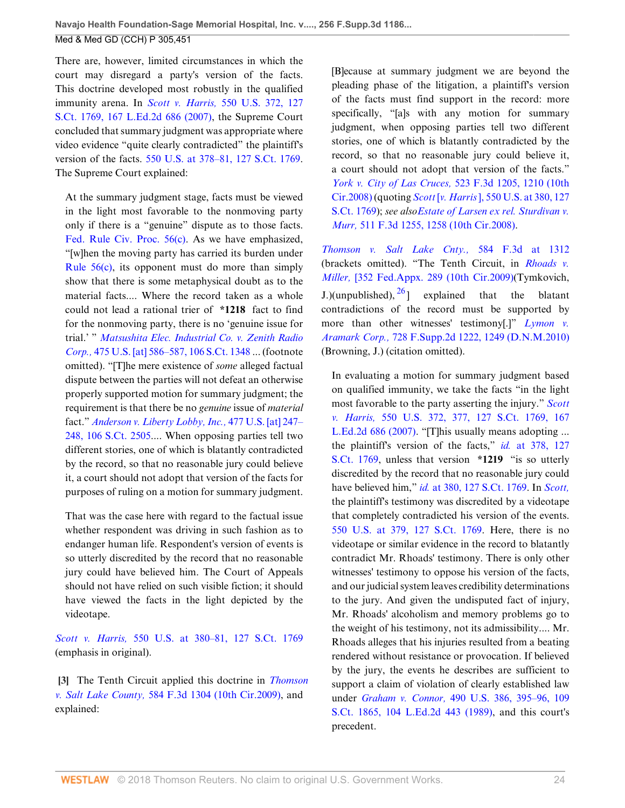There are, however, limited circumstances in which the court may disregard a party's version of the facts. This doctrine developed most robustly in the qualified immunity arena. In *Scott v. Harris,* [550 U.S. 372, 127](http://www.westlaw.com/Link/Document/FullText?findType=Y&serNum=2012126147&pubNum=0000708&originatingDoc=I02a50c30bb1011e5be74e186f6bc2536&refType=RP&originationContext=document&vr=3.0&rs=cblt1.0&transitionType=DocumentItem&contextData=(sc.UserEnteredCitation)) [S.Ct. 1769, 167 L.Ed.2d 686 \(2007\),](http://www.westlaw.com/Link/Document/FullText?findType=Y&serNum=2012126147&pubNum=0000708&originatingDoc=I02a50c30bb1011e5be74e186f6bc2536&refType=RP&originationContext=document&vr=3.0&rs=cblt1.0&transitionType=DocumentItem&contextData=(sc.UserEnteredCitation)) the Supreme Court concluded that summary judgment was appropriate where video evidence "quite clearly contradicted" the plaintiff's version of the facts. [550 U.S. at 378–81, 127 S.Ct. 1769](http://www.westlaw.com/Link/Document/FullText?findType=Y&serNum=2012126147&pubNum=0000708&originatingDoc=I02a50c30bb1011e5be74e186f6bc2536&refType=RP&originationContext=document&vr=3.0&rs=cblt1.0&transitionType=DocumentItem&contextData=(sc.UserEnteredCitation)). The Supreme Court explained:

At the summary judgment stage, facts must be viewed in the light most favorable to the nonmoving party only if there is a "genuine" dispute as to those facts. [Fed. Rule Civ. Proc. 56\(c\).](http://www.westlaw.com/Link/Document/FullText?findType=L&pubNum=1000600&cite=USFRCPR56&originatingDoc=I02a50c30bb1011e5be74e186f6bc2536&refType=LQ&originationContext=document&vr=3.0&rs=cblt1.0&transitionType=DocumentItem&contextData=(sc.UserEnteredCitation)) As we have emphasized, "[w]hen the moving party has carried its burden under Rule  $56(c)$ , its opponent must do more than simply show that there is some metaphysical doubt as to the material facts.... Where the record taken as a whole could not lead a rational trier of **\*1218** fact to find for the nonmoving party, there is no 'genuine issue for trial.' " *[Matsushita Elec. Industrial Co. v. Zenith Radio](http://www.westlaw.com/Link/Document/FullText?findType=Y&serNum=1986115992&pubNum=0000708&originatingDoc=I02a50c30bb1011e5be74e186f6bc2536&refType=RP&originationContext=document&vr=3.0&rs=cblt1.0&transitionType=DocumentItem&contextData=(sc.UserEnteredCitation)) Corp.,* [475 U.S. \[at\] 586–587, 106 S.Ct. 1348](http://www.westlaw.com/Link/Document/FullText?findType=Y&serNum=1986115992&pubNum=0000708&originatingDoc=I02a50c30bb1011e5be74e186f6bc2536&refType=RP&originationContext=document&vr=3.0&rs=cblt1.0&transitionType=DocumentItem&contextData=(sc.UserEnteredCitation)) ... (footnote omitted). "[T]he mere existence of *some* alleged factual dispute between the parties will not defeat an otherwise properly supported motion for summary judgment; the requirement is that there be no *genuine* issue of *material* fact." *[Anderson v. Liberty Lobby, Inc.,](http://www.westlaw.com/Link/Document/FullText?findType=Y&serNum=1986132674&pubNum=0000708&originatingDoc=I02a50c30bb1011e5be74e186f6bc2536&refType=RP&originationContext=document&vr=3.0&rs=cblt1.0&transitionType=DocumentItem&contextData=(sc.UserEnteredCitation))* 477 U.S. [at] 247– [248, 106 S.Ct. 2505.](http://www.westlaw.com/Link/Document/FullText?findType=Y&serNum=1986132674&pubNum=0000708&originatingDoc=I02a50c30bb1011e5be74e186f6bc2536&refType=RP&originationContext=document&vr=3.0&rs=cblt1.0&transitionType=DocumentItem&contextData=(sc.UserEnteredCitation))... When opposing parties tell two different stories, one of which is blatantly contradicted by the record, so that no reasonable jury could believe it, a court should not adopt that version of the facts for purposes of ruling on a motion for summary judgment.

That was the case here with regard to the factual issue whether respondent was driving in such fashion as to endanger human life. Respondent's version of events is so utterly discredited by the record that no reasonable jury could have believed him. The Court of Appeals should not have relied on such visible fiction; it should have viewed the facts in the light depicted by the videotape.

*Scott v. Harris,* [550 U.S. at 380–81, 127 S.Ct. 1769](http://www.westlaw.com/Link/Document/FullText?findType=Y&serNum=2012126147&pubNum=0000708&originatingDoc=I02a50c30bb1011e5be74e186f6bc2536&refType=RP&originationContext=document&vr=3.0&rs=cblt1.0&transitionType=DocumentItem&contextData=(sc.UserEnteredCitation)) (emphasis in original).

<span id="page-23-0"></span>**[\[3](#page-1-0)]** The Tenth Circuit applied this doctrine in *[Thomson](http://www.westlaw.com/Link/Document/FullText?findType=Y&serNum=2020211302&pubNum=0000506&originatingDoc=I02a50c30bb1011e5be74e186f6bc2536&refType=RP&originationContext=document&vr=3.0&rs=cblt1.0&transitionType=DocumentItem&contextData=(sc.UserEnteredCitation)) v. Salt Lake County,* [584 F.3d 1304 \(10th Cir.2009\)](http://www.westlaw.com/Link/Document/FullText?findType=Y&serNum=2020211302&pubNum=0000506&originatingDoc=I02a50c30bb1011e5be74e186f6bc2536&refType=RP&originationContext=document&vr=3.0&rs=cblt1.0&transitionType=DocumentItem&contextData=(sc.UserEnteredCitation)), and explained:

[B]ecause at summary judgment we are beyond the pleading phase of the litigation, a plaintiff's version of the facts must find support in the record: more specifically, "[a]s with any motion for summary judgment, when opposing parties tell two different stories, one of which is blatantly contradicted by the record, so that no reasonable jury could believe it, a court should not adopt that version of the facts." *[York v. City of Las Cruces,](http://www.westlaw.com/Link/Document/FullText?findType=Y&serNum=2015851956&pubNum=0000506&originatingDoc=I02a50c30bb1011e5be74e186f6bc2536&refType=RP&fi=co_pp_sp_506_1210&originationContext=document&vr=3.0&rs=cblt1.0&transitionType=DocumentItem&contextData=(sc.UserEnteredCitation)#co_pp_sp_506_1210)* 523 F.3d 1205, 1210 (10th [Cir.2008\)](http://www.westlaw.com/Link/Document/FullText?findType=Y&serNum=2015851956&pubNum=0000506&originatingDoc=I02a50c30bb1011e5be74e186f6bc2536&refType=RP&fi=co_pp_sp_506_1210&originationContext=document&vr=3.0&rs=cblt1.0&transitionType=DocumentItem&contextData=(sc.UserEnteredCitation)#co_pp_sp_506_1210) (quoting *Scott* [*v. Harris* [\], 550 U.S. at 380, 127](http://www.westlaw.com/Link/Document/FullText?findType=Y&serNum=2012126147&pubNum=0000708&originatingDoc=I02a50c30bb1011e5be74e186f6bc2536&refType=RP&originationContext=document&vr=3.0&rs=cblt1.0&transitionType=DocumentItem&contextData=(sc.UserEnteredCitation)) [S.Ct. 1769\)](http://www.westlaw.com/Link/Document/FullText?findType=Y&serNum=2012126147&pubNum=0000708&originatingDoc=I02a50c30bb1011e5be74e186f6bc2536&refType=RP&originationContext=document&vr=3.0&rs=cblt1.0&transitionType=DocumentItem&contextData=(sc.UserEnteredCitation)); *see also[Estate of Larsen ex rel. Sturdivan v.](http://www.westlaw.com/Link/Document/FullText?findType=Y&serNum=2014542289&pubNum=0000506&originatingDoc=I02a50c30bb1011e5be74e186f6bc2536&refType=RP&fi=co_pp_sp_506_1258&originationContext=document&vr=3.0&rs=cblt1.0&transitionType=DocumentItem&contextData=(sc.UserEnteredCitation)#co_pp_sp_506_1258) Murr,* [511 F.3d 1255, 1258 \(10th Cir.2008\).](http://www.westlaw.com/Link/Document/FullText?findType=Y&serNum=2014542289&pubNum=0000506&originatingDoc=I02a50c30bb1011e5be74e186f6bc2536&refType=RP&fi=co_pp_sp_506_1258&originationContext=document&vr=3.0&rs=cblt1.0&transitionType=DocumentItem&contextData=(sc.UserEnteredCitation)#co_pp_sp_506_1258)

<span id="page-23-1"></span>*[Thomson v. Salt Lake Cnty.,](http://www.westlaw.com/Link/Document/FullText?findType=Y&serNum=2020211302&pubNum=0000506&originatingDoc=I02a50c30bb1011e5be74e186f6bc2536&refType=RP&fi=co_pp_sp_506_1312&originationContext=document&vr=3.0&rs=cblt1.0&transitionType=DocumentItem&contextData=(sc.UserEnteredCitation)#co_pp_sp_506_1312)* 584 F.3d at 1312 (brackets omitted). "The Tenth Circuit, in *[Rhoads v.](http://www.westlaw.com/Link/Document/FullText?findType=Y&serNum=2020306542&pubNum=0006538&originatingDoc=I02a50c30bb1011e5be74e186f6bc2536&refType=RP&originationContext=document&vr=3.0&rs=cblt1.0&transitionType=DocumentItem&contextData=(sc.UserEnteredCitation)) Miller,* [\[352 Fed.Appx. 289 \(10th Cir.2009\)](http://www.westlaw.com/Link/Document/FullText?findType=Y&serNum=2020306542&pubNum=0006538&originatingDoc=I02a50c30bb1011e5be74e186f6bc2536&refType=RP&originationContext=document&vr=3.0&rs=cblt1.0&transitionType=DocumentItem&contextData=(sc.UserEnteredCitation))(Tymkovich, J.)(unpublished),  $\frac{26}{1}$  $\frac{26}{1}$  $\frac{26}{1}$  explained that the blatant contradictions of the record must be supported by more than other witnesses' testimony[.]" *[Lymon v.](http://www.westlaw.com/Link/Document/FullText?findType=Y&serNum=2022667178&pubNum=0004637&originatingDoc=I02a50c30bb1011e5be74e186f6bc2536&refType=RP&fi=co_pp_sp_4637_1249&originationContext=document&vr=3.0&rs=cblt1.0&transitionType=DocumentItem&contextData=(sc.UserEnteredCitation)#co_pp_sp_4637_1249) Aramark Corp.,* [728 F.Supp.2d 1222, 1249 \(D.N.M.2010\)](http://www.westlaw.com/Link/Document/FullText?findType=Y&serNum=2022667178&pubNum=0004637&originatingDoc=I02a50c30bb1011e5be74e186f6bc2536&refType=RP&fi=co_pp_sp_4637_1249&originationContext=document&vr=3.0&rs=cblt1.0&transitionType=DocumentItem&contextData=(sc.UserEnteredCitation)#co_pp_sp_4637_1249) (Browning, J.) (citation omitted).

In evaluating a motion for summary judgment based on qualified immunity, we take the facts "in the light most favorable to the party asserting the injury." *[Scott](http://www.westlaw.com/Link/Document/FullText?findType=Y&serNum=2012126147&pubNum=0000708&originatingDoc=I02a50c30bb1011e5be74e186f6bc2536&refType=RP&originationContext=document&vr=3.0&rs=cblt1.0&transitionType=DocumentItem&contextData=(sc.UserEnteredCitation)) v. Harris,* [550 U.S. 372, 377, 127 S.Ct. 1769, 167](http://www.westlaw.com/Link/Document/FullText?findType=Y&serNum=2012126147&pubNum=0000708&originatingDoc=I02a50c30bb1011e5be74e186f6bc2536&refType=RP&originationContext=document&vr=3.0&rs=cblt1.0&transitionType=DocumentItem&contextData=(sc.UserEnteredCitation)) [L.Ed.2d 686 \(2007\)](http://www.westlaw.com/Link/Document/FullText?findType=Y&serNum=2012126147&pubNum=0000708&originatingDoc=I02a50c30bb1011e5be74e186f6bc2536&refType=RP&originationContext=document&vr=3.0&rs=cblt1.0&transitionType=DocumentItem&contextData=(sc.UserEnteredCitation)). "[T]his usually means adopting ... the plaintiff's version of the facts," *id.* [at 378, 127](http://www.westlaw.com/Link/Document/FullText?findType=Y&serNum=2012126147&pubNum=0000708&originatingDoc=I02a50c30bb1011e5be74e186f6bc2536&refType=RP&originationContext=document&vr=3.0&rs=cblt1.0&transitionType=DocumentItem&contextData=(sc.UserEnteredCitation)) [S.Ct. 1769,](http://www.westlaw.com/Link/Document/FullText?findType=Y&serNum=2012126147&pubNum=0000708&originatingDoc=I02a50c30bb1011e5be74e186f6bc2536&refType=RP&originationContext=document&vr=3.0&rs=cblt1.0&transitionType=DocumentItem&contextData=(sc.UserEnteredCitation)) unless that version **\*1219** "is so utterly discredited by the record that no reasonable jury could have believed him," *id.* [at 380, 127 S.Ct. 1769](http://www.westlaw.com/Link/Document/FullText?findType=Y&serNum=2012126147&pubNum=0000708&originatingDoc=I02a50c30bb1011e5be74e186f6bc2536&refType=RP&originationContext=document&vr=3.0&rs=cblt1.0&transitionType=DocumentItem&contextData=(sc.UserEnteredCitation)). In *[Scott,](http://www.westlaw.com/Link/Document/FullText?findType=Y&serNum=2012126147&pubNum=0000780&originatingDoc=I02a50c30bb1011e5be74e186f6bc2536&refType=RP&originationContext=document&vr=3.0&rs=cblt1.0&transitionType=DocumentItem&contextData=(sc.UserEnteredCitation))* the plaintiff's testimony was discredited by a videotape that completely contradicted his version of the events. [550 U.S. at 379, 127 S.Ct. 1769](http://www.westlaw.com/Link/Document/FullText?findType=Y&serNum=2012126147&pubNum=0000708&originatingDoc=I02a50c30bb1011e5be74e186f6bc2536&refType=RP&originationContext=document&vr=3.0&rs=cblt1.0&transitionType=DocumentItem&contextData=(sc.UserEnteredCitation)). Here, there is no videotape or similar evidence in the record to blatantly contradict Mr. Rhoads' testimony. There is only other witnesses' testimony to oppose his version of the facts, and our judicial system leaves credibility determinations to the jury. And given the undisputed fact of injury, Mr. Rhoads' alcoholism and memory problems go to the weight of his testimony, not its admissibility.... Mr. Rhoads alleges that his injuries resulted from a beating rendered without resistance or provocation. If believed by the jury, the events he describes are sufficient to support a claim of violation of clearly established law under *Graham v. Connor,* [490 U.S. 386, 395–96, 109](http://www.westlaw.com/Link/Document/FullText?findType=Y&serNum=1989072182&pubNum=0000708&originatingDoc=I02a50c30bb1011e5be74e186f6bc2536&refType=RP&originationContext=document&vr=3.0&rs=cblt1.0&transitionType=DocumentItem&contextData=(sc.UserEnteredCitation)) [S.Ct. 1865, 104 L.Ed.2d 443 \(1989\)](http://www.westlaw.com/Link/Document/FullText?findType=Y&serNum=1989072182&pubNum=0000708&originatingDoc=I02a50c30bb1011e5be74e186f6bc2536&refType=RP&originationContext=document&vr=3.0&rs=cblt1.0&transitionType=DocumentItem&contextData=(sc.UserEnteredCitation)), and this court's precedent.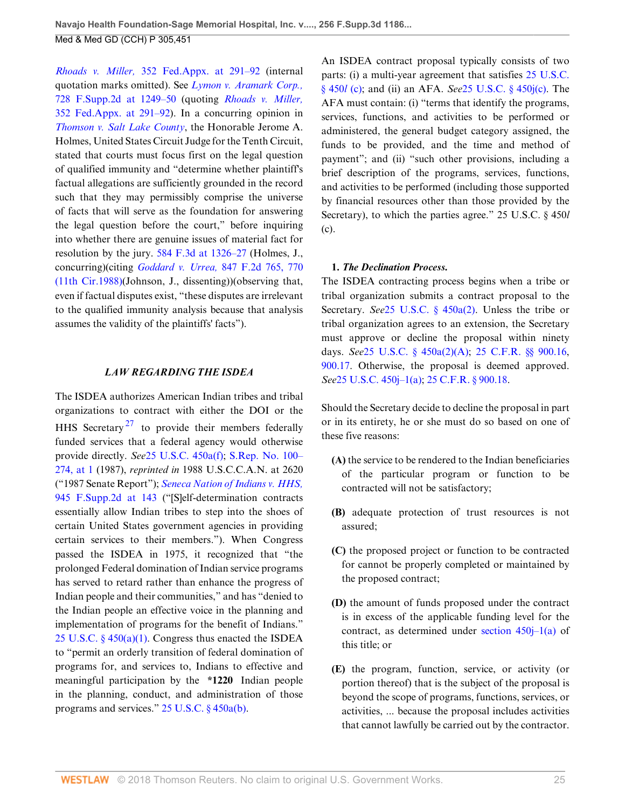*Rhoads v. Miller,* [352 Fed.Appx. at 291–92](http://www.westlaw.com/Link/Document/FullText?findType=Y&serNum=2020306542&pubNum=0006538&originatingDoc=I02a50c30bb1011e5be74e186f6bc2536&refType=RP&fi=co_pp_sp_6538_291&originationContext=document&vr=3.0&rs=cblt1.0&transitionType=DocumentItem&contextData=(sc.UserEnteredCitation)#co_pp_sp_6538_291) (internal quotation marks omitted). See *[Lymon v. Aramark Corp.,](http://www.westlaw.com/Link/Document/FullText?findType=Y&serNum=2022667178&pubNum=0004637&originatingDoc=I02a50c30bb1011e5be74e186f6bc2536&refType=RP&fi=co_pp_sp_4637_1249&originationContext=document&vr=3.0&rs=cblt1.0&transitionType=DocumentItem&contextData=(sc.UserEnteredCitation)#co_pp_sp_4637_1249)* [728 F.Supp.2d at 1249–50](http://www.westlaw.com/Link/Document/FullText?findType=Y&serNum=2022667178&pubNum=0004637&originatingDoc=I02a50c30bb1011e5be74e186f6bc2536&refType=RP&fi=co_pp_sp_4637_1249&originationContext=document&vr=3.0&rs=cblt1.0&transitionType=DocumentItem&contextData=(sc.UserEnteredCitation)#co_pp_sp_4637_1249) (quoting *[Rhoads v. Miller,](http://www.westlaw.com/Link/Document/FullText?findType=Y&serNum=2020306542&pubNum=0006538&originatingDoc=I02a50c30bb1011e5be74e186f6bc2536&refType=RP&fi=co_pp_sp_6538_291&originationContext=document&vr=3.0&rs=cblt1.0&transitionType=DocumentItem&contextData=(sc.UserEnteredCitation)#co_pp_sp_6538_291)* [352 Fed.Appx. at 291–92\)](http://www.westlaw.com/Link/Document/FullText?findType=Y&serNum=2020306542&pubNum=0006538&originatingDoc=I02a50c30bb1011e5be74e186f6bc2536&refType=RP&fi=co_pp_sp_6538_291&originationContext=document&vr=3.0&rs=cblt1.0&transitionType=DocumentItem&contextData=(sc.UserEnteredCitation)#co_pp_sp_6538_291). In a concurring opinion in *[Thomson v. Salt Lake County](http://www.westlaw.com/Link/Document/FullText?findType=Y&serNum=2020211302&pubNum=0000506&originatingDoc=I02a50c30bb1011e5be74e186f6bc2536&refType=RP&originationContext=document&vr=3.0&rs=cblt1.0&transitionType=DocumentItem&contextData=(sc.UserEnteredCitation))*, the Honorable Jerome A. Holmes, United States Circuit Judge for the Tenth Circuit, stated that courts must focus first on the legal question of qualified immunity and "determine whether plaintiff's factual allegations are sufficiently grounded in the record such that they may permissibly comprise the universe of facts that will serve as the foundation for answering the legal question before the court," before inquiring into whether there are genuine issues of material fact for resolution by the jury. [584 F.3d at 1326–27](http://www.westlaw.com/Link/Document/FullText?findType=Y&serNum=2020211302&pubNum=0000506&originatingDoc=I02a50c30bb1011e5be74e186f6bc2536&refType=RP&fi=co_pp_sp_506_1326&originationContext=document&vr=3.0&rs=cblt1.0&transitionType=DocumentItem&contextData=(sc.UserEnteredCitation)#co_pp_sp_506_1326) (Holmes, J., concurring)(citing *Goddard v. Urrea,* [847 F.2d 765, 770](http://www.westlaw.com/Link/Document/FullText?findType=Y&serNum=1988073161&pubNum=0000350&originatingDoc=I02a50c30bb1011e5be74e186f6bc2536&refType=RP&fi=co_pp_sp_350_770&originationContext=document&vr=3.0&rs=cblt1.0&transitionType=DocumentItem&contextData=(sc.UserEnteredCitation)#co_pp_sp_350_770) [\(11th Cir.1988\)\(](http://www.westlaw.com/Link/Document/FullText?findType=Y&serNum=1988073161&pubNum=0000350&originatingDoc=I02a50c30bb1011e5be74e186f6bc2536&refType=RP&fi=co_pp_sp_350_770&originationContext=document&vr=3.0&rs=cblt1.0&transitionType=DocumentItem&contextData=(sc.UserEnteredCitation)#co_pp_sp_350_770)Johnson, J., dissenting))(observing that, even if factual disputes exist, "these disputes are irrelevant to the qualified immunity analysis because that analysis assumes the validity of the plaintiffs' facts").

### <span id="page-24-0"></span>*LAW REGARDING THE ISDEA*

The ISDEA authorizes American Indian tribes and tribal organizations to contract with either the DOI or the HHS Secretary<sup>[27](#page-46-13)</sup> to provide their members federally funded services that a federal agency would otherwise provide directly. *See*[25 U.S.C. 450a\(f\);](http://www.westlaw.com/Link/Document/FullText?findType=L&pubNum=1000546&cite=25USCAS450A&originatingDoc=I02a50c30bb1011e5be74e186f6bc2536&refType=LQ&originationContext=document&vr=3.0&rs=cblt1.0&transitionType=DocumentItem&contextData=(sc.UserEnteredCitation)) [S.Rep. No. 100–](http://www.westlaw.com/Link/Document/FullText?findType=Y&serNum=0100092176&pubNum=0001503&originatingDoc=I02a50c30bb1011e5be74e186f6bc2536&refType=TV&originationContext=document&vr=3.0&rs=cblt1.0&transitionType=DocumentItem&contextData=(sc.UserEnteredCitation)) [274, at 1](http://www.westlaw.com/Link/Document/FullText?findType=Y&serNum=0100092176&pubNum=0001503&originatingDoc=I02a50c30bb1011e5be74e186f6bc2536&refType=TV&originationContext=document&vr=3.0&rs=cblt1.0&transitionType=DocumentItem&contextData=(sc.UserEnteredCitation)) (1987), *reprinted in* 1988 U.S.C.C.A.N. at 2620 ("1987 Senate Report"); *[Seneca Nation of Indians v. HHS,](http://www.westlaw.com/Link/Document/FullText?findType=Y&serNum=2030595298&pubNum=0004637&originatingDoc=I02a50c30bb1011e5be74e186f6bc2536&refType=RP&fi=co_pp_sp_4637_143&originationContext=document&vr=3.0&rs=cblt1.0&transitionType=DocumentItem&contextData=(sc.UserEnteredCitation)#co_pp_sp_4637_143)* [945 F.Supp.2d at 143](http://www.westlaw.com/Link/Document/FullText?findType=Y&serNum=2030595298&pubNum=0004637&originatingDoc=I02a50c30bb1011e5be74e186f6bc2536&refType=RP&fi=co_pp_sp_4637_143&originationContext=document&vr=3.0&rs=cblt1.0&transitionType=DocumentItem&contextData=(sc.UserEnteredCitation)#co_pp_sp_4637_143) ("[S]elf-determination contracts essentially allow Indian tribes to step into the shoes of certain United States government agencies in providing certain services to their members."). When Congress passed the ISDEA in 1975, it recognized that "the prolonged Federal domination of Indian service programs has served to retard rather than enhance the progress of Indian people and their communities," and has "denied to the Indian people an effective voice in the planning and implementation of programs for the benefit of Indians." [25 U.S.C. § 450\(a\)\(1\)](http://www.westlaw.com/Link/Document/FullText?findType=L&pubNum=1000546&cite=25USCAS450&originatingDoc=I02a50c30bb1011e5be74e186f6bc2536&refType=LQ&originationContext=document&vr=3.0&rs=cblt1.0&transitionType=DocumentItem&contextData=(sc.UserEnteredCitation)). Congress thus enacted the ISDEA to "permit an orderly transition of federal domination of programs for, and services to, Indians to effective and meaningful participation by the **\*1220** Indian people in the planning, conduct, and administration of those programs and services." [25 U.S.C. § 450a\(b\)](http://www.westlaw.com/Link/Document/FullText?findType=L&pubNum=1000546&cite=25USCAS450A&originatingDoc=I02a50c30bb1011e5be74e186f6bc2536&refType=LQ&originationContext=document&vr=3.0&rs=cblt1.0&transitionType=DocumentItem&contextData=(sc.UserEnteredCitation)).

An ISDEA contract proposal typically consists of two parts: (i) a multi-year agreement that satisfies [25 U.S.C.](http://www.westlaw.com/Link/Document/FullText?findType=L&pubNum=1000546&cite=25USCAS450L&originatingDoc=I02a50c30bb1011e5be74e186f6bc2536&refType=LQ&originationContext=document&vr=3.0&rs=cblt1.0&transitionType=DocumentItem&contextData=(sc.UserEnteredCitation)) [§ 450](http://www.westlaw.com/Link/Document/FullText?findType=L&pubNum=1000546&cite=25USCAS450L&originatingDoc=I02a50c30bb1011e5be74e186f6bc2536&refType=LQ&originationContext=document&vr=3.0&rs=cblt1.0&transitionType=DocumentItem&contextData=(sc.UserEnteredCitation))*l* (c); and (ii) an AFA. *See*[25 U.S.C. § 450j\(c\)](http://www.westlaw.com/Link/Document/FullText?findType=L&pubNum=1000546&cite=25USCAS450J&originatingDoc=I02a50c30bb1011e5be74e186f6bc2536&refType=LQ&originationContext=document&vr=3.0&rs=cblt1.0&transitionType=DocumentItem&contextData=(sc.UserEnteredCitation)). The AFA must contain: (i) "terms that identify the programs, services, functions, and activities to be performed or administered, the general budget category assigned, the funds to be provided, and the time and method of payment"; and (ii) "such other provisions, including a brief description of the programs, services, functions, and activities to be performed (including those supported by financial resources other than those provided by the Secretary), to which the parties agree." 25 U.S.C. § 450*l* (c).

### **1.** *The Declination Process.*

The ISDEA contracting process begins when a tribe or tribal organization submits a contract proposal to the Secretary. *See*[25 U.S.C. § 450a\(2\).](http://www.westlaw.com/Link/Document/FullText?findType=L&pubNum=1000546&cite=25USCAS450A&originatingDoc=I02a50c30bb1011e5be74e186f6bc2536&refType=LQ&originationContext=document&vr=3.0&rs=cblt1.0&transitionType=DocumentItem&contextData=(sc.UserEnteredCitation)) Unless the tribe or tribal organization agrees to an extension, the Secretary must approve or decline the proposal within ninety days. *See*[25 U.S.C. § 450a\(2\)\(A\)](http://www.westlaw.com/Link/Document/FullText?findType=L&pubNum=1000546&cite=25USCAS450A&originatingDoc=I02a50c30bb1011e5be74e186f6bc2536&refType=LQ&originationContext=document&vr=3.0&rs=cblt1.0&transitionType=DocumentItem&contextData=(sc.UserEnteredCitation)); [25 C.F.R. §§ 900.16](http://www.westlaw.com/Link/Document/FullText?findType=L&pubNum=1000547&cite=25CFRS900.16&originatingDoc=I02a50c30bb1011e5be74e186f6bc2536&refType=LQ&originationContext=document&vr=3.0&rs=cblt1.0&transitionType=DocumentItem&contextData=(sc.UserEnteredCitation)), [900.17.](http://www.westlaw.com/Link/Document/FullText?findType=L&pubNum=1000547&cite=25CFRS900.17&originatingDoc=I02a50c30bb1011e5be74e186f6bc2536&refType=LQ&originationContext=document&vr=3.0&rs=cblt1.0&transitionType=DocumentItem&contextData=(sc.UserEnteredCitation)) Otherwise, the proposal is deemed approved. *See*[25 U.S.C. 450j–1\(a\)](http://www.westlaw.com/Link/Document/FullText?findType=L&pubNum=1000546&cite=25USCAS450J-1&originatingDoc=I02a50c30bb1011e5be74e186f6bc2536&refType=LQ&originationContext=document&vr=3.0&rs=cblt1.0&transitionType=DocumentItem&contextData=(sc.UserEnteredCitation)); [25 C.F.R. § 900.18](http://www.westlaw.com/Link/Document/FullText?findType=L&pubNum=1000547&cite=25CFRS900.18&originatingDoc=I02a50c30bb1011e5be74e186f6bc2536&refType=LQ&originationContext=document&vr=3.0&rs=cblt1.0&transitionType=DocumentItem&contextData=(sc.UserEnteredCitation)).

Should the Secretary decide to decline the proposal in part or in its entirety, he or she must do so based on one of these five reasons:

- **(A)** the service to be rendered to the Indian beneficiaries of the particular program or function to be contracted will not be satisfactory;
- **(B)** adequate protection of trust resources is not assured;
- **(C)** the proposed project or function to be contracted for cannot be properly completed or maintained by the proposed contract;
- **(D)** the amount of funds proposed under the contract is in excess of the applicable funding level for the contract, as determined under section  $450j-1(a)$  of this title; or
- **(E)** the program, function, service, or activity (or portion thereof) that is the subject of the proposal is beyond the scope of programs, functions, services, or activities, ... because the proposal includes activities that cannot lawfully be carried out by the contractor.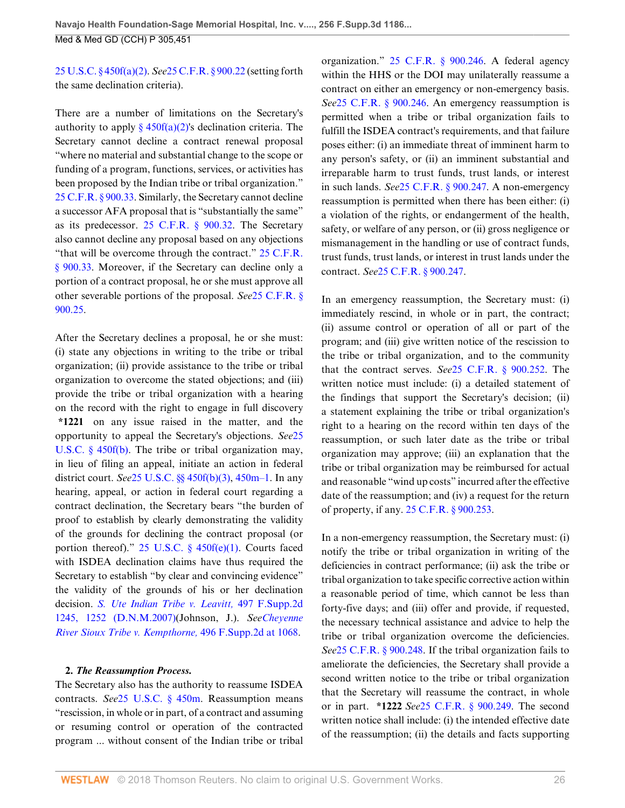[25 U.S.C. § 450f\(a\)\(2\)](http://www.westlaw.com/Link/Document/FullText?findType=L&pubNum=1000546&cite=25USCAS450F&originatingDoc=I02a50c30bb1011e5be74e186f6bc2536&refType=LQ&originationContext=document&vr=3.0&rs=cblt1.0&transitionType=DocumentItem&contextData=(sc.UserEnteredCitation)). *See*[25 C.F.R. § 900.22](http://www.westlaw.com/Link/Document/FullText?findType=L&pubNum=1000547&cite=25CFRS900.22&originatingDoc=I02a50c30bb1011e5be74e186f6bc2536&refType=LQ&originationContext=document&vr=3.0&rs=cblt1.0&transitionType=DocumentItem&contextData=(sc.UserEnteredCitation)) (setting forth the same declination criteria).

There are a number of limitations on the Secretary's authority to apply  $\S$  450f(a)(2)'s declination criteria. The Secretary cannot decline a contract renewal proposal "where no material and substantial change to the scope or funding of a program, functions, services, or activities has been proposed by the Indian tribe or tribal organization." [25 C.F.R. § 900.33](http://www.westlaw.com/Link/Document/FullText?findType=L&pubNum=1000547&cite=25CFRS900.33&originatingDoc=I02a50c30bb1011e5be74e186f6bc2536&refType=LQ&originationContext=document&vr=3.0&rs=cblt1.0&transitionType=DocumentItem&contextData=(sc.UserEnteredCitation)). Similarly, the Secretary cannot decline a successor AFA proposal that is "substantially the same" as its predecessor. [25 C.F.R. § 900.32.](http://www.westlaw.com/Link/Document/FullText?findType=L&pubNum=1000547&cite=25CFRS900.32&originatingDoc=I02a50c30bb1011e5be74e186f6bc2536&refType=LQ&originationContext=document&vr=3.0&rs=cblt1.0&transitionType=DocumentItem&contextData=(sc.UserEnteredCitation)) The Secretary also cannot decline any proposal based on any objections "that will be overcome through the contract." [25 C.F.R.](http://www.westlaw.com/Link/Document/FullText?findType=L&pubNum=1000547&cite=25CFRS900.33&originatingDoc=I02a50c30bb1011e5be74e186f6bc2536&refType=LQ&originationContext=document&vr=3.0&rs=cblt1.0&transitionType=DocumentItem&contextData=(sc.UserEnteredCitation)) [§ 900.33.](http://www.westlaw.com/Link/Document/FullText?findType=L&pubNum=1000547&cite=25CFRS900.33&originatingDoc=I02a50c30bb1011e5be74e186f6bc2536&refType=LQ&originationContext=document&vr=3.0&rs=cblt1.0&transitionType=DocumentItem&contextData=(sc.UserEnteredCitation)) Moreover, if the Secretary can decline only a portion of a contract proposal, he or she must approve all other severable portions of the proposal. *See*[25 C.F.R. §](http://www.westlaw.com/Link/Document/FullText?findType=L&pubNum=1000547&cite=25CFRS900.25&originatingDoc=I02a50c30bb1011e5be74e186f6bc2536&refType=LQ&originationContext=document&vr=3.0&rs=cblt1.0&transitionType=DocumentItem&contextData=(sc.UserEnteredCitation)) [900.25.](http://www.westlaw.com/Link/Document/FullText?findType=L&pubNum=1000547&cite=25CFRS900.25&originatingDoc=I02a50c30bb1011e5be74e186f6bc2536&refType=LQ&originationContext=document&vr=3.0&rs=cblt1.0&transitionType=DocumentItem&contextData=(sc.UserEnteredCitation))

After the Secretary declines a proposal, he or she must: (i) state any objections in writing to the tribe or tribal organization; (ii) provide assistance to the tribe or tribal organization to overcome the stated objections; and (iii) provide the tribe or tribal organization with a hearing on the record with the right to engage in full discovery **\*1221** on any issue raised in the matter, and the opportunity to appeal the Secretary's objections. *See*[25](http://www.westlaw.com/Link/Document/FullText?findType=L&pubNum=1000546&cite=25USCAS450F&originatingDoc=I02a50c30bb1011e5be74e186f6bc2536&refType=LQ&originationContext=document&vr=3.0&rs=cblt1.0&transitionType=DocumentItem&contextData=(sc.UserEnteredCitation)) [U.S.C. § 450f\(b\).](http://www.westlaw.com/Link/Document/FullText?findType=L&pubNum=1000546&cite=25USCAS450F&originatingDoc=I02a50c30bb1011e5be74e186f6bc2536&refType=LQ&originationContext=document&vr=3.0&rs=cblt1.0&transitionType=DocumentItem&contextData=(sc.UserEnteredCitation)) The tribe or tribal organization may, in lieu of filing an appeal, initiate an action in federal district court. *See*[25 U.S.C. §§ 450f\(b\)\(3\),](http://www.westlaw.com/Link/Document/FullText?findType=L&pubNum=1000546&cite=25USCAS450F&originatingDoc=I02a50c30bb1011e5be74e186f6bc2536&refType=LQ&originationContext=document&vr=3.0&rs=cblt1.0&transitionType=DocumentItem&contextData=(sc.UserEnteredCitation)) [450m–1](http://www.westlaw.com/Link/Document/FullText?findType=L&pubNum=1000546&cite=25USCAS450M-1&originatingDoc=I02a50c30bb1011e5be74e186f6bc2536&refType=LQ&originationContext=document&vr=3.0&rs=cblt1.0&transitionType=DocumentItem&contextData=(sc.UserEnteredCitation)). In any hearing, appeal, or action in federal court regarding a contract declination, the Secretary bears "the burden of proof to establish by clearly demonstrating the validity of the grounds for declining the contract proposal (or portion thereof)." 25 U.S.C.  $\S$  450f(e)(1). Courts faced with ISDEA declination claims have thus required the Secretary to establish "by clear and convincing evidence" the validity of the grounds of his or her declination decision. *[S. Ute Indian Tribe v. Leavitt,](http://www.westlaw.com/Link/Document/FullText?findType=Y&serNum=2012773742&pubNum=0004637&originatingDoc=I02a50c30bb1011e5be74e186f6bc2536&refType=RP&fi=co_pp_sp_4637_1252&originationContext=document&vr=3.0&rs=cblt1.0&transitionType=DocumentItem&contextData=(sc.UserEnteredCitation)#co_pp_sp_4637_1252)* 497 F.Supp.2d [1245, 1252 \(D.N.M.2007\)](http://www.westlaw.com/Link/Document/FullText?findType=Y&serNum=2012773742&pubNum=0004637&originatingDoc=I02a50c30bb1011e5be74e186f6bc2536&refType=RP&fi=co_pp_sp_4637_1252&originationContext=document&vr=3.0&rs=cblt1.0&transitionType=DocumentItem&contextData=(sc.UserEnteredCitation)#co_pp_sp_4637_1252)(Johnson, J.). *See[Cheyenne](http://www.westlaw.com/Link/Document/FullText?findType=Y&serNum=2012707091&pubNum=0004637&originatingDoc=I02a50c30bb1011e5be74e186f6bc2536&refType=RP&fi=co_pp_sp_4637_1068&originationContext=document&vr=3.0&rs=cblt1.0&transitionType=DocumentItem&contextData=(sc.UserEnteredCitation)#co_pp_sp_4637_1068) [River Sioux Tribe v. Kempthorne,](http://www.westlaw.com/Link/Document/FullText?findType=Y&serNum=2012707091&pubNum=0004637&originatingDoc=I02a50c30bb1011e5be74e186f6bc2536&refType=RP&fi=co_pp_sp_4637_1068&originationContext=document&vr=3.0&rs=cblt1.0&transitionType=DocumentItem&contextData=(sc.UserEnteredCitation)#co_pp_sp_4637_1068)* 496 F.Supp.2d at 1068.

### **2.** *The Reassumption Process.*

The Secretary also has the authority to reassume ISDEA contracts. *See*[25 U.S.C. § 450m](http://www.westlaw.com/Link/Document/FullText?findType=L&pubNum=1000546&cite=25USCAS450M&originatingDoc=I02a50c30bb1011e5be74e186f6bc2536&refType=LQ&originationContext=document&vr=3.0&rs=cblt1.0&transitionType=DocumentItem&contextData=(sc.UserEnteredCitation)). Reassumption means "rescission, in whole or in part, of a contract and assuming or resuming control or operation of the contracted program ... without consent of the Indian tribe or tribal organization." [25 C.F.R. § 900.246.](http://www.westlaw.com/Link/Document/FullText?findType=L&pubNum=1000547&cite=25CFRS900.246&originatingDoc=I02a50c30bb1011e5be74e186f6bc2536&refType=LQ&originationContext=document&vr=3.0&rs=cblt1.0&transitionType=DocumentItem&contextData=(sc.UserEnteredCitation)) A federal agency within the HHS or the DOI may unilaterally reassume a contract on either an emergency or non-emergency basis. *See*[25 C.F.R. § 900.246.](http://www.westlaw.com/Link/Document/FullText?findType=L&pubNum=1000547&cite=25CFRS900.246&originatingDoc=I02a50c30bb1011e5be74e186f6bc2536&refType=LQ&originationContext=document&vr=3.0&rs=cblt1.0&transitionType=DocumentItem&contextData=(sc.UserEnteredCitation)) An emergency reassumption is permitted when a tribe or tribal organization fails to fulfill the ISDEA contract's requirements, and that failure poses either: (i) an immediate threat of imminent harm to any person's safety, or (ii) an imminent substantial and irreparable harm to trust funds, trust lands, or interest in such lands. *See*[25 C.F.R. § 900.247.](http://www.westlaw.com/Link/Document/FullText?findType=L&pubNum=1000547&cite=25CFRS900.247&originatingDoc=I02a50c30bb1011e5be74e186f6bc2536&refType=LQ&originationContext=document&vr=3.0&rs=cblt1.0&transitionType=DocumentItem&contextData=(sc.UserEnteredCitation)) A non-emergency reassumption is permitted when there has been either: (i) a violation of the rights, or endangerment of the health, safety, or welfare of any person, or (ii) gross negligence or mismanagement in the handling or use of contract funds, trust funds, trust lands, or interest in trust lands under the contract. *See*[25 C.F.R. § 900.247](http://www.westlaw.com/Link/Document/FullText?findType=L&pubNum=1000547&cite=25CFRS900.247&originatingDoc=I02a50c30bb1011e5be74e186f6bc2536&refType=LQ&originationContext=document&vr=3.0&rs=cblt1.0&transitionType=DocumentItem&contextData=(sc.UserEnteredCitation)).

In an emergency reassumption, the Secretary must: (i) immediately rescind, in whole or in part, the contract; (ii) assume control or operation of all or part of the program; and (iii) give written notice of the rescission to the tribe or tribal organization, and to the community that the contract serves. *See*[25 C.F.R. § 900.252.](http://www.westlaw.com/Link/Document/FullText?findType=L&pubNum=1000547&cite=25CFRS900.252&originatingDoc=I02a50c30bb1011e5be74e186f6bc2536&refType=LQ&originationContext=document&vr=3.0&rs=cblt1.0&transitionType=DocumentItem&contextData=(sc.UserEnteredCitation)) The written notice must include: (i) a detailed statement of the findings that support the Secretary's decision; (ii) a statement explaining the tribe or tribal organization's right to a hearing on the record within ten days of the reassumption, or such later date as the tribe or tribal organization may approve; (iii) an explanation that the tribe or tribal organization may be reimbursed for actual and reasonable "wind up costs" incurred after the effective date of the reassumption; and (iv) a request for the return of property, if any. [25 C.F.R. § 900.253.](http://www.westlaw.com/Link/Document/FullText?findType=L&pubNum=1000547&cite=25CFRS900.253&originatingDoc=I02a50c30bb1011e5be74e186f6bc2536&refType=LQ&originationContext=document&vr=3.0&rs=cblt1.0&transitionType=DocumentItem&contextData=(sc.UserEnteredCitation))

In a non-emergency reassumption, the Secretary must: (i) notify the tribe or tribal organization in writing of the deficiencies in contract performance; (ii) ask the tribe or tribal organization to take specific corrective action within a reasonable period of time, which cannot be less than forty-five days; and (iii) offer and provide, if requested, the necessary technical assistance and advice to help the tribe or tribal organization overcome the deficiencies. *See*[25 C.F.R. § 900.248](http://www.westlaw.com/Link/Document/FullText?findType=L&pubNum=1000547&cite=25CFRS900.248&originatingDoc=I02a50c30bb1011e5be74e186f6bc2536&refType=LQ&originationContext=document&vr=3.0&rs=cblt1.0&transitionType=DocumentItem&contextData=(sc.UserEnteredCitation)). If the tribal organization fails to ameliorate the deficiencies, the Secretary shall provide a second written notice to the tribe or tribal organization that the Secretary will reassume the contract, in whole or in part. **\*1222** *See*[25 C.F.R. § 900.249.](http://www.westlaw.com/Link/Document/FullText?findType=L&pubNum=1000547&cite=25CFRS900.249&originatingDoc=I02a50c30bb1011e5be74e186f6bc2536&refType=LQ&originationContext=document&vr=3.0&rs=cblt1.0&transitionType=DocumentItem&contextData=(sc.UserEnteredCitation)) The second written notice shall include: (i) the intended effective date of the reassumption; (ii) the details and facts supporting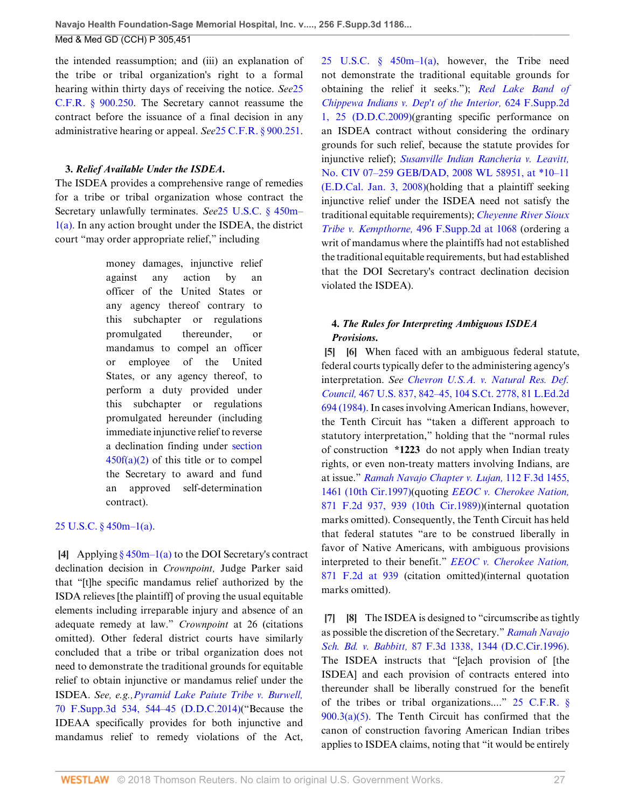the intended reassumption; and (iii) an explanation of the tribe or tribal organization's right to a formal hearing within thirty days of receiving the notice. *See*[25](http://www.westlaw.com/Link/Document/FullText?findType=L&pubNum=1000547&cite=25CFRS900.250&originatingDoc=I02a50c30bb1011e5be74e186f6bc2536&refType=LQ&originationContext=document&vr=3.0&rs=cblt1.0&transitionType=DocumentItem&contextData=(sc.UserEnteredCitation)) [C.F.R. § 900.250.](http://www.westlaw.com/Link/Document/FullText?findType=L&pubNum=1000547&cite=25CFRS900.250&originatingDoc=I02a50c30bb1011e5be74e186f6bc2536&refType=LQ&originationContext=document&vr=3.0&rs=cblt1.0&transitionType=DocumentItem&contextData=(sc.UserEnteredCitation)) The Secretary cannot reassume the contract before the issuance of a final decision in any administrative hearing or appeal. *See*[25 C.F.R. § 900.251](http://www.westlaw.com/Link/Document/FullText?findType=L&pubNum=1000547&cite=25CFRS900.251&originatingDoc=I02a50c30bb1011e5be74e186f6bc2536&refType=LQ&originationContext=document&vr=3.0&rs=cblt1.0&transitionType=DocumentItem&contextData=(sc.UserEnteredCitation)).

### **3.** *Relief Available Under the ISDEA.*

The ISDEA provides a comprehensive range of remedies for a tribe or tribal organization whose contract the Secretary unlawfully terminates. *See*[25 U.S.C. § 450m–](http://www.westlaw.com/Link/Document/FullText?findType=L&pubNum=1000546&cite=25USCAS450M-1&originatingDoc=I02a50c30bb1011e5be74e186f6bc2536&refType=LQ&originationContext=document&vr=3.0&rs=cblt1.0&transitionType=DocumentItem&contextData=(sc.UserEnteredCitation)) [1\(a\).](http://www.westlaw.com/Link/Document/FullText?findType=L&pubNum=1000546&cite=25USCAS450M-1&originatingDoc=I02a50c30bb1011e5be74e186f6bc2536&refType=LQ&originationContext=document&vr=3.0&rs=cblt1.0&transitionType=DocumentItem&contextData=(sc.UserEnteredCitation)) In any action brought under the ISDEA, the district court "may order appropriate relief," including

> money damages, injunctive relief against any action by an officer of the United States or any agency thereof contrary to this subchapter or regulations promulgated thereunder, or mandamus to compel an officer or employee of the United States, or any agency thereof, to perform a duty provided under this subchapter or regulations promulgated hereunder (including immediate injunctive relief to reverse a declination finding under [section](http://www.westlaw.com/Link/Document/FullText?findType=L&pubNum=1000546&cite=25USCAS450F&originatingDoc=I02a50c30bb1011e5be74e186f6bc2536&refType=LQ&originationContext=document&vr=3.0&rs=cblt1.0&transitionType=DocumentItem&contextData=(sc.UserEnteredCitation))  $450f(a)(2)$  of this title or to compel the Secretary to award and fund an approved self-determination contract).

### [25 U.S.C. § 450m–1\(a\)](http://www.westlaw.com/Link/Document/FullText?findType=L&pubNum=1000546&cite=25USCAS450M-1&originatingDoc=I02a50c30bb1011e5be74e186f6bc2536&refType=LQ&originationContext=document&vr=3.0&rs=cblt1.0&transitionType=DocumentItem&contextData=(sc.UserEnteredCitation)).

<span id="page-26-0"></span>**[\[4](#page-1-1)]** Applying [§ 450m–1\(a\)](http://www.westlaw.com/Link/Document/FullText?findType=L&pubNum=1000546&cite=25USCAS450M-1&originatingDoc=I02a50c30bb1011e5be74e186f6bc2536&refType=LQ&originationContext=document&vr=3.0&rs=cblt1.0&transitionType=DocumentItem&contextData=(sc.UserEnteredCitation)) to the DOI Secretary's contract declination decision in *Crownpoint,* Judge Parker said that "[t]he specific mandamus relief authorized by the ISDA relieves [the plaintiff] of proving the usual equitable elements including irreparable injury and absence of an adequate remedy at law." *Crownpoint* at 26 (citations omitted). Other federal district courts have similarly concluded that a tribe or tribal organization does not need to demonstrate the traditional grounds for equitable relief to obtain injunctive or mandamus relief under the ISDEA. *See, e.g.,[Pyramid Lake Paiute Tribe v. Burwell,](http://www.westlaw.com/Link/Document/FullText?findType=Y&serNum=2034540326&pubNum=0007903&originatingDoc=I02a50c30bb1011e5be74e186f6bc2536&refType=RP&fi=co_pp_sp_7903_544&originationContext=document&vr=3.0&rs=cblt1.0&transitionType=DocumentItem&contextData=(sc.UserEnteredCitation)#co_pp_sp_7903_544)* [70 F.Supp.3d 534, 544–45 \(D.D.C.2014\)\(](http://www.westlaw.com/Link/Document/FullText?findType=Y&serNum=2034540326&pubNum=0007903&originatingDoc=I02a50c30bb1011e5be74e186f6bc2536&refType=RP&fi=co_pp_sp_7903_544&originationContext=document&vr=3.0&rs=cblt1.0&transitionType=DocumentItem&contextData=(sc.UserEnteredCitation)#co_pp_sp_7903_544)"Because the IDEAA specifically provides for both injunctive and mandamus relief to remedy violations of the Act,

25 U.S.C.  $\frac{1}{2}$  450m-1(a), however, the Tribe need not demonstrate the traditional equitable grounds for obtaining the relief it seeks."); *[Red Lake Band of](http://www.westlaw.com/Link/Document/FullText?findType=Y&serNum=2018428299&pubNum=0004637&originatingDoc=I02a50c30bb1011e5be74e186f6bc2536&refType=RP&fi=co_pp_sp_4637_25&originationContext=document&vr=3.0&rs=cblt1.0&transitionType=DocumentItem&contextData=(sc.UserEnteredCitation)#co_pp_sp_4637_25) [Chippewa Indians v. Dep't of the Interior,](http://www.westlaw.com/Link/Document/FullText?findType=Y&serNum=2018428299&pubNum=0004637&originatingDoc=I02a50c30bb1011e5be74e186f6bc2536&refType=RP&fi=co_pp_sp_4637_25&originationContext=document&vr=3.0&rs=cblt1.0&transitionType=DocumentItem&contextData=(sc.UserEnteredCitation)#co_pp_sp_4637_25)* 624 F.Supp.2d [1, 25 \(D.D.C.2009\)\(](http://www.westlaw.com/Link/Document/FullText?findType=Y&serNum=2018428299&pubNum=0004637&originatingDoc=I02a50c30bb1011e5be74e186f6bc2536&refType=RP&fi=co_pp_sp_4637_25&originationContext=document&vr=3.0&rs=cblt1.0&transitionType=DocumentItem&contextData=(sc.UserEnteredCitation)#co_pp_sp_4637_25)granting specific performance on an ISDEA contract without considering the ordinary grounds for such relief, because the statute provides for injunctive relief); *[Susanville Indian Rancheria v. Leavitt,](http://www.westlaw.com/Link/Document/FullText?findType=Y&serNum=2014614769&pubNum=0000999&originatingDoc=I02a50c30bb1011e5be74e186f6bc2536&refType=RP&originationContext=document&vr=3.0&rs=cblt1.0&transitionType=DocumentItem&contextData=(sc.UserEnteredCitation))* [No. CIV 07–259 GEB/DAD, 2008 WL 58951, at \\*10–11](http://www.westlaw.com/Link/Document/FullText?findType=Y&serNum=2014614769&pubNum=0000999&originatingDoc=I02a50c30bb1011e5be74e186f6bc2536&refType=RP&originationContext=document&vr=3.0&rs=cblt1.0&transitionType=DocumentItem&contextData=(sc.UserEnteredCitation)) [\(E.D.Cal. Jan. 3, 2008\)\(](http://www.westlaw.com/Link/Document/FullText?findType=Y&serNum=2014614769&pubNum=0000999&originatingDoc=I02a50c30bb1011e5be74e186f6bc2536&refType=RP&originationContext=document&vr=3.0&rs=cblt1.0&transitionType=DocumentItem&contextData=(sc.UserEnteredCitation))holding that a plaintiff seeking injunctive relief under the ISDEA need not satisfy the traditional equitable requirements); *[Cheyenne River Sioux](http://www.westlaw.com/Link/Document/FullText?findType=Y&serNum=2012707091&pubNum=0004637&originatingDoc=I02a50c30bb1011e5be74e186f6bc2536&refType=RP&fi=co_pp_sp_4637_1068&originationContext=document&vr=3.0&rs=cblt1.0&transitionType=DocumentItem&contextData=(sc.UserEnteredCitation)#co_pp_sp_4637_1068) Tribe v. Kempthorne,* [496 F.Supp.2d at 1068](http://www.westlaw.com/Link/Document/FullText?findType=Y&serNum=2012707091&pubNum=0004637&originatingDoc=I02a50c30bb1011e5be74e186f6bc2536&refType=RP&fi=co_pp_sp_4637_1068&originationContext=document&vr=3.0&rs=cblt1.0&transitionType=DocumentItem&contextData=(sc.UserEnteredCitation)#co_pp_sp_4637_1068) (ordering a writ of mandamus where the plaintiffs had not established the traditional equitable requirements, but had established that the DOI Secretary's contract declination decision violated the ISDEA).

# <span id="page-26-2"></span>**4.** *The Rules for Interpreting Ambiguous ISDEA Provisions.*

<span id="page-26-1"></span>**[\[5](#page-1-2)] [\[6](#page-1-3)]** When faced with an ambiguous federal statute, federal courts typically defer to the administering agency's interpretation. *See [Chevron U.S.A. v. Natural Res. Def.](http://www.westlaw.com/Link/Document/FullText?findType=Y&serNum=1984130736&pubNum=0000708&originatingDoc=I02a50c30bb1011e5be74e186f6bc2536&refType=RP&originationContext=document&vr=3.0&rs=cblt1.0&transitionType=DocumentItem&contextData=(sc.UserEnteredCitation)) Council,* [467 U.S. 837, 842–45, 104 S.Ct. 2778, 81 L.Ed.2d](http://www.westlaw.com/Link/Document/FullText?findType=Y&serNum=1984130736&pubNum=0000708&originatingDoc=I02a50c30bb1011e5be74e186f6bc2536&refType=RP&originationContext=document&vr=3.0&rs=cblt1.0&transitionType=DocumentItem&contextData=(sc.UserEnteredCitation)) [694 \(1984\).](http://www.westlaw.com/Link/Document/FullText?findType=Y&serNum=1984130736&pubNum=0000708&originatingDoc=I02a50c30bb1011e5be74e186f6bc2536&refType=RP&originationContext=document&vr=3.0&rs=cblt1.0&transitionType=DocumentItem&contextData=(sc.UserEnteredCitation)) In cases involving American Indians, however, the Tenth Circuit has "taken a different approach to statutory interpretation," holding that the "normal rules of construction **\*1223** do not apply when Indian treaty rights, or even non-treaty matters involving Indians, are at issue." *[Ramah Navajo Chapter v. Lujan,](http://www.westlaw.com/Link/Document/FullText?findType=Y&serNum=1997106222&pubNum=0000506&originatingDoc=I02a50c30bb1011e5be74e186f6bc2536&refType=RP&fi=co_pp_sp_506_1461&originationContext=document&vr=3.0&rs=cblt1.0&transitionType=DocumentItem&contextData=(sc.UserEnteredCitation)#co_pp_sp_506_1461)* 112 F.3d 1455, [1461 \(10th Cir.1997\)](http://www.westlaw.com/Link/Document/FullText?findType=Y&serNum=1997106222&pubNum=0000506&originatingDoc=I02a50c30bb1011e5be74e186f6bc2536&refType=RP&fi=co_pp_sp_506_1461&originationContext=document&vr=3.0&rs=cblt1.0&transitionType=DocumentItem&contextData=(sc.UserEnteredCitation)#co_pp_sp_506_1461)(quoting *[EEOC v. Cherokee Nation,](http://www.westlaw.com/Link/Document/FullText?findType=Y&serNum=1989046847&pubNum=0000350&originatingDoc=I02a50c30bb1011e5be74e186f6bc2536&refType=RP&fi=co_pp_sp_350_939&originationContext=document&vr=3.0&rs=cblt1.0&transitionType=DocumentItem&contextData=(sc.UserEnteredCitation)#co_pp_sp_350_939)* [871 F.2d 937, 939 \(10th Cir.1989\)](http://www.westlaw.com/Link/Document/FullText?findType=Y&serNum=1989046847&pubNum=0000350&originatingDoc=I02a50c30bb1011e5be74e186f6bc2536&refType=RP&fi=co_pp_sp_350_939&originationContext=document&vr=3.0&rs=cblt1.0&transitionType=DocumentItem&contextData=(sc.UserEnteredCitation)#co_pp_sp_350_939))(internal quotation marks omitted). Consequently, the Tenth Circuit has held that federal statutes "are to be construed liberally in favor of Native Americans, with ambiguous provisions interpreted to their benefit." *[EEOC v. Cherokee Nation,](http://www.westlaw.com/Link/Document/FullText?findType=Y&serNum=1989046847&pubNum=0000350&originatingDoc=I02a50c30bb1011e5be74e186f6bc2536&refType=RP&fi=co_pp_sp_350_939&originationContext=document&vr=3.0&rs=cblt1.0&transitionType=DocumentItem&contextData=(sc.UserEnteredCitation)#co_pp_sp_350_939)* [871 F.2d at 939](http://www.westlaw.com/Link/Document/FullText?findType=Y&serNum=1989046847&pubNum=0000350&originatingDoc=I02a50c30bb1011e5be74e186f6bc2536&refType=RP&fi=co_pp_sp_350_939&originationContext=document&vr=3.0&rs=cblt1.0&transitionType=DocumentItem&contextData=(sc.UserEnteredCitation)#co_pp_sp_350_939) (citation omitted)(internal quotation marks omitted).

<span id="page-26-4"></span><span id="page-26-3"></span>**[\[7](#page-1-4)] [\[8](#page-2-2)]** The ISDEA is designed to "circumscribe as tightly as possible the discretion of the Secretary." *[Ramah Navajo](http://www.westlaw.com/Link/Document/FullText?findType=Y&serNum=1996140380&pubNum=0000506&originatingDoc=I02a50c30bb1011e5be74e186f6bc2536&refType=RP&fi=co_pp_sp_506_1344&originationContext=document&vr=3.0&rs=cblt1.0&transitionType=DocumentItem&contextData=(sc.UserEnteredCitation)#co_pp_sp_506_1344) Sch. Bd. v. Babbitt,* [87 F.3d 1338, 1344 \(D.C.Cir.1996\)](http://www.westlaw.com/Link/Document/FullText?findType=Y&serNum=1996140380&pubNum=0000506&originatingDoc=I02a50c30bb1011e5be74e186f6bc2536&refType=RP&fi=co_pp_sp_506_1344&originationContext=document&vr=3.0&rs=cblt1.0&transitionType=DocumentItem&contextData=(sc.UserEnteredCitation)#co_pp_sp_506_1344). The ISDEA instructs that "[e]ach provision of [the ISDEA] and each provision of contracts entered into thereunder shall be liberally construed for the benefit of the tribes or tribal organizations...." [25 C.F.R. §](http://www.westlaw.com/Link/Document/FullText?findType=L&pubNum=1000547&cite=25CFRS900.3&originatingDoc=I02a50c30bb1011e5be74e186f6bc2536&refType=LQ&originationContext=document&vr=3.0&rs=cblt1.0&transitionType=DocumentItem&contextData=(sc.UserEnteredCitation))  $900.3(a)(5)$ . The Tenth Circuit has confirmed that the canon of construction favoring American Indian tribes applies to ISDEA claims, noting that "it would be entirely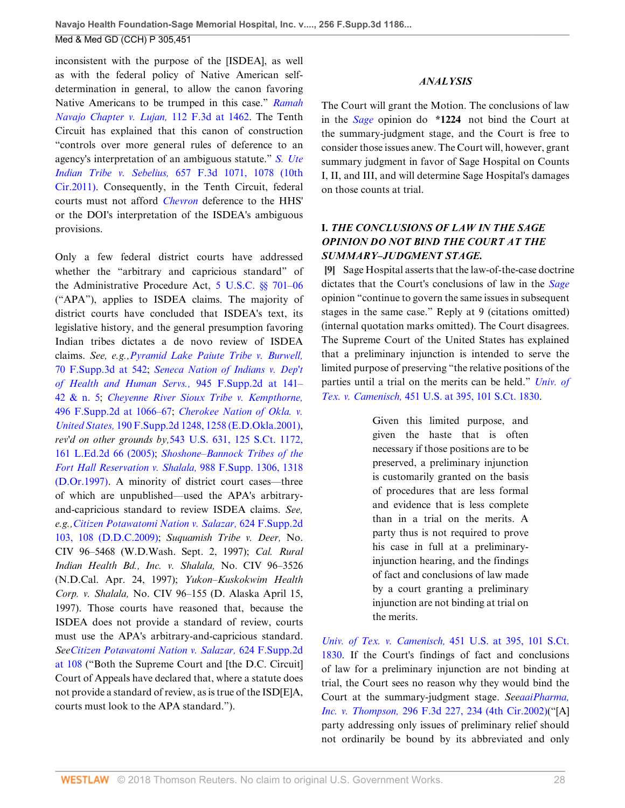inconsistent with the purpose of the [ISDEA], as well as with the federal policy of Native American selfdetermination in general, to allow the canon favoring Native Americans to be trumped in this case." *[Ramah](http://www.westlaw.com/Link/Document/FullText?findType=Y&serNum=1997106222&pubNum=0000506&originatingDoc=I02a50c30bb1011e5be74e186f6bc2536&refType=RP&fi=co_pp_sp_506_1462&originationContext=document&vr=3.0&rs=cblt1.0&transitionType=DocumentItem&contextData=(sc.UserEnteredCitation)#co_pp_sp_506_1462) [Navajo Chapter v. Lujan,](http://www.westlaw.com/Link/Document/FullText?findType=Y&serNum=1997106222&pubNum=0000506&originatingDoc=I02a50c30bb1011e5be74e186f6bc2536&refType=RP&fi=co_pp_sp_506_1462&originationContext=document&vr=3.0&rs=cblt1.0&transitionType=DocumentItem&contextData=(sc.UserEnteredCitation)#co_pp_sp_506_1462)* 112 F.3d at 1462. The Tenth Circuit has explained that this canon of construction "controls over more general rules of deference to an agency's interpretation of an ambiguous statute." *[S. Ute](http://www.westlaw.com/Link/Document/FullText?findType=Y&serNum=2026169803&pubNum=0000506&originatingDoc=I02a50c30bb1011e5be74e186f6bc2536&refType=RP&fi=co_pp_sp_506_1078&originationContext=document&vr=3.0&rs=cblt1.0&transitionType=DocumentItem&contextData=(sc.UserEnteredCitation)#co_pp_sp_506_1078) Indian Tribe v. Sebelius,* [657 F.3d 1071, 1078 \(10th](http://www.westlaw.com/Link/Document/FullText?findType=Y&serNum=2026169803&pubNum=0000506&originatingDoc=I02a50c30bb1011e5be74e186f6bc2536&refType=RP&fi=co_pp_sp_506_1078&originationContext=document&vr=3.0&rs=cblt1.0&transitionType=DocumentItem&contextData=(sc.UserEnteredCitation)#co_pp_sp_506_1078) [Cir.2011\).](http://www.westlaw.com/Link/Document/FullText?findType=Y&serNum=2026169803&pubNum=0000506&originatingDoc=I02a50c30bb1011e5be74e186f6bc2536&refType=RP&fi=co_pp_sp_506_1078&originationContext=document&vr=3.0&rs=cblt1.0&transitionType=DocumentItem&contextData=(sc.UserEnteredCitation)#co_pp_sp_506_1078) Consequently, in the Tenth Circuit, federal courts must not afford *[Chevron](http://www.westlaw.com/Link/Document/FullText?findType=Y&serNum=1984130736&originatingDoc=I02a50c30bb1011e5be74e186f6bc2536&refType=RP&originationContext=document&vr=3.0&rs=cblt1.0&transitionType=DocumentItem&contextData=(sc.UserEnteredCitation))* deference to the HHS' or the DOI's interpretation of the ISDEA's ambiguous provisions.

Only a few federal district courts have addressed whether the "arbitrary and capricious standard" of the Administrative Procedure Act, [5 U.S.C. §§ 701–](http://www.westlaw.com/Link/Document/FullText?findType=L&pubNum=1000546&cite=5USCAS701&originatingDoc=I02a50c30bb1011e5be74e186f6bc2536&refType=LQ&originationContext=document&vr=3.0&rs=cblt1.0&transitionType=DocumentItem&contextData=(sc.UserEnteredCitation))[06](http://www.westlaw.com/Link/Document/FullText?findType=L&pubNum=1000546&cite=5USCAS706&originatingDoc=I02a50c30bb1011e5be74e186f6bc2536&refType=LQ&originationContext=document&vr=3.0&rs=cblt1.0&transitionType=DocumentItem&contextData=(sc.UserEnteredCitation)) ("APA"), applies to ISDEA claims. The majority of district courts have concluded that ISDEA's text, its legislative history, and the general presumption favoring Indian tribes dictates a de novo review of ISDEA claims. *See, e.g.[,Pyramid Lake Paiute Tribe v. Burwell,](http://www.westlaw.com/Link/Document/FullText?findType=Y&serNum=2034540326&pubNum=0007903&originatingDoc=I02a50c30bb1011e5be74e186f6bc2536&refType=RP&fi=co_pp_sp_7903_542&originationContext=document&vr=3.0&rs=cblt1.0&transitionType=DocumentItem&contextData=(sc.UserEnteredCitation)#co_pp_sp_7903_542)* [70 F.Supp.3d at 542](http://www.westlaw.com/Link/Document/FullText?findType=Y&serNum=2034540326&pubNum=0007903&originatingDoc=I02a50c30bb1011e5be74e186f6bc2536&refType=RP&fi=co_pp_sp_7903_542&originationContext=document&vr=3.0&rs=cblt1.0&transitionType=DocumentItem&contextData=(sc.UserEnteredCitation)#co_pp_sp_7903_542); *[Seneca Nation of Indians v. Dep't](http://www.westlaw.com/Link/Document/FullText?findType=Y&serNum=2030595298&pubNum=0004637&originatingDoc=I02a50c30bb1011e5be74e186f6bc2536&refType=RP&fi=co_pp_sp_4637_141&originationContext=document&vr=3.0&rs=cblt1.0&transitionType=DocumentItem&contextData=(sc.UserEnteredCitation)#co_pp_sp_4637_141) [of Health and Human Servs.,](http://www.westlaw.com/Link/Document/FullText?findType=Y&serNum=2030595298&pubNum=0004637&originatingDoc=I02a50c30bb1011e5be74e186f6bc2536&refType=RP&fi=co_pp_sp_4637_141&originationContext=document&vr=3.0&rs=cblt1.0&transitionType=DocumentItem&contextData=(sc.UserEnteredCitation)#co_pp_sp_4637_141)* 945 F.Supp.2d at 141– [42 & n. 5;](http://www.westlaw.com/Link/Document/FullText?findType=Y&serNum=2030595298&pubNum=0004637&originatingDoc=I02a50c30bb1011e5be74e186f6bc2536&refType=RP&fi=co_pp_sp_4637_141&originationContext=document&vr=3.0&rs=cblt1.0&transitionType=DocumentItem&contextData=(sc.UserEnteredCitation)#co_pp_sp_4637_141) *[Cheyenne River Sioux Tribe v. Kempthorne,](http://www.westlaw.com/Link/Document/FullText?findType=Y&serNum=2012707091&pubNum=0004637&originatingDoc=I02a50c30bb1011e5be74e186f6bc2536&refType=RP&fi=co_pp_sp_4637_1066&originationContext=document&vr=3.0&rs=cblt1.0&transitionType=DocumentItem&contextData=(sc.UserEnteredCitation)#co_pp_sp_4637_1066)* [496 F.Supp.2d at 1066–67](http://www.westlaw.com/Link/Document/FullText?findType=Y&serNum=2012707091&pubNum=0004637&originatingDoc=I02a50c30bb1011e5be74e186f6bc2536&refType=RP&fi=co_pp_sp_4637_1066&originationContext=document&vr=3.0&rs=cblt1.0&transitionType=DocumentItem&contextData=(sc.UserEnteredCitation)#co_pp_sp_4637_1066); *[Cherokee Nation of Okla. v.](http://www.westlaw.com/Link/Document/FullText?findType=Y&serNum=2001492313&pubNum=0004637&originatingDoc=I02a50c30bb1011e5be74e186f6bc2536&refType=RP&fi=co_pp_sp_4637_1258&originationContext=document&vr=3.0&rs=cblt1.0&transitionType=DocumentItem&contextData=(sc.UserEnteredCitation)#co_pp_sp_4637_1258) United States,* [190 F.Supp.2d 1248, 1258 \(E.D.Okla.2001\)](http://www.westlaw.com/Link/Document/FullText?findType=Y&serNum=2001492313&pubNum=0004637&originatingDoc=I02a50c30bb1011e5be74e186f6bc2536&refType=RP&fi=co_pp_sp_4637_1258&originationContext=document&vr=3.0&rs=cblt1.0&transitionType=DocumentItem&contextData=(sc.UserEnteredCitation)#co_pp_sp_4637_1258), *rev'd on other grounds by,*[543 U.S. 631, 125 S.Ct. 1172,](http://www.westlaw.com/Link/Document/FullText?findType=Y&serNum=2006291904&pubNum=0000708&originatingDoc=I02a50c30bb1011e5be74e186f6bc2536&refType=RP&originationContext=document&vr=3.0&rs=cblt1.0&transitionType=DocumentItem&contextData=(sc.UserEnteredCitation)) [161 L.Ed.2d 66 \(2005\)](http://www.westlaw.com/Link/Document/FullText?findType=Y&serNum=2006291904&pubNum=0000708&originatingDoc=I02a50c30bb1011e5be74e186f6bc2536&refType=RP&originationContext=document&vr=3.0&rs=cblt1.0&transitionType=DocumentItem&contextData=(sc.UserEnteredCitation)); *[Shoshone–Bannock Tribes of the](http://www.westlaw.com/Link/Document/FullText?findType=Y&serNum=1998024780&pubNum=0000345&originatingDoc=I02a50c30bb1011e5be74e186f6bc2536&refType=RP&fi=co_pp_sp_345_1318&originationContext=document&vr=3.0&rs=cblt1.0&transitionType=DocumentItem&contextData=(sc.UserEnteredCitation)#co_pp_sp_345_1318) [Fort Hall Reservation v. Shalala,](http://www.westlaw.com/Link/Document/FullText?findType=Y&serNum=1998024780&pubNum=0000345&originatingDoc=I02a50c30bb1011e5be74e186f6bc2536&refType=RP&fi=co_pp_sp_345_1318&originationContext=document&vr=3.0&rs=cblt1.0&transitionType=DocumentItem&contextData=(sc.UserEnteredCitation)#co_pp_sp_345_1318)* 988 F.Supp. 1306, 1318 [\(D.Or.1997\).](http://www.westlaw.com/Link/Document/FullText?findType=Y&serNum=1998024780&pubNum=0000345&originatingDoc=I02a50c30bb1011e5be74e186f6bc2536&refType=RP&fi=co_pp_sp_345_1318&originationContext=document&vr=3.0&rs=cblt1.0&transitionType=DocumentItem&contextData=(sc.UserEnteredCitation)#co_pp_sp_345_1318) A minority of district court cases—three of which are unpublished—used the APA's arbitraryand-capricious standard to review ISDEA claims. *See, e.g.,[Citizen Potawatomi Nation v. Salazar,](http://www.westlaw.com/Link/Document/FullText?findType=Y&serNum=2019111262&pubNum=0004637&originatingDoc=I02a50c30bb1011e5be74e186f6bc2536&refType=RP&fi=co_pp_sp_4637_108&originationContext=document&vr=3.0&rs=cblt1.0&transitionType=DocumentItem&contextData=(sc.UserEnteredCitation)#co_pp_sp_4637_108)* 624 F.Supp.2d [103, 108 \(D.D.C.2009\)](http://www.westlaw.com/Link/Document/FullText?findType=Y&serNum=2019111262&pubNum=0004637&originatingDoc=I02a50c30bb1011e5be74e186f6bc2536&refType=RP&fi=co_pp_sp_4637_108&originationContext=document&vr=3.0&rs=cblt1.0&transitionType=DocumentItem&contextData=(sc.UserEnteredCitation)#co_pp_sp_4637_108); *Suquamish Tribe v. Deer,* No. CIV 96–5468 (W.D.Wash. Sept. 2, 1997); *Cal. Rural Indian Health Bd., Inc. v. Shalala,* No. CIV 96–3526 (N.D.Cal. Apr. 24, 1997); *Yukon–Kuskokwim Health Corp. v. Shalala,* No. CIV 96–155 (D. Alaska April 15, 1997). Those courts have reasoned that, because the ISDEA does not provide a standard of review, courts must use the APA's arbitrary-and-capricious standard. *See[Citizen Potawatomi Nation v. Salazar,](http://www.westlaw.com/Link/Document/FullText?findType=Y&serNum=2019111262&pubNum=0004637&originatingDoc=I02a50c30bb1011e5be74e186f6bc2536&refType=RP&fi=co_pp_sp_4637_108&originationContext=document&vr=3.0&rs=cblt1.0&transitionType=DocumentItem&contextData=(sc.UserEnteredCitation)#co_pp_sp_4637_108)* 624 F.Supp.2d [at 108](http://www.westlaw.com/Link/Document/FullText?findType=Y&serNum=2019111262&pubNum=0004637&originatingDoc=I02a50c30bb1011e5be74e186f6bc2536&refType=RP&fi=co_pp_sp_4637_108&originationContext=document&vr=3.0&rs=cblt1.0&transitionType=DocumentItem&contextData=(sc.UserEnteredCitation)#co_pp_sp_4637_108) ("Both the Supreme Court and [the D.C. Circuit] Court of Appeals have declared that, where a statute does not provide a standard of review, as is true of the ISD[E]A, courts must look to the APA standard.").

### *ANALYSIS*

The Court will grant the Motion. The conclusions of law in the *[Sage](http://www.westlaw.com/Link/Document/FullText?findType=Y&serNum=2036163936&pubNum=0000999&originatingDoc=I02a50c30bb1011e5be74e186f6bc2536&refType=RP&originationContext=document&vr=3.0&rs=cblt1.0&transitionType=DocumentItem&contextData=(sc.UserEnteredCitation))* opinion do **\*1224** not bind the Court at the summary-judgment stage, and the Court is free to consider those issues anew. The Court will, however, grant summary judgment in favor of Sage Hospital on Counts I, II, and III, and will determine Sage Hospital's damages on those counts at trial.

# **I.** *THE CONCLUSIONS OF LAW IN THE SAGE OPINION DO NOT BIND THE COURT AT THE SUMMARY–JUDGMENT STAGE.*

<span id="page-27-0"></span>**[\[9](#page-2-0)]** Sage Hospital asserts that the law-of-the-case doctrine dictates that the Court's conclusions of law in the *[Sage](http://www.westlaw.com/Link/Document/FullText?findType=Y&serNum=2036163936&pubNum=0000999&originatingDoc=I02a50c30bb1011e5be74e186f6bc2536&refType=RP&originationContext=document&vr=3.0&rs=cblt1.0&transitionType=DocumentItem&contextData=(sc.UserEnteredCitation))* opinion "continue to govern the same issues in subsequent stages in the same case." Reply at 9 (citations omitted) (internal quotation marks omitted). The Court disagrees. The Supreme Court of the United States has explained that a preliminary injunction is intended to serve the limited purpose of preserving "the relative positions of the parties until a trial on the merits can be held." *[Univ. of](http://www.westlaw.com/Link/Document/FullText?findType=Y&serNum=1981118825&pubNum=0000708&originatingDoc=I02a50c30bb1011e5be74e186f6bc2536&refType=RP&originationContext=document&vr=3.0&rs=cblt1.0&transitionType=DocumentItem&contextData=(sc.UserEnteredCitation)) Tex. v. Camenisch,* [451 U.S. at 395, 101 S.Ct. 1830](http://www.westlaw.com/Link/Document/FullText?findType=Y&serNum=1981118825&pubNum=0000708&originatingDoc=I02a50c30bb1011e5be74e186f6bc2536&refType=RP&originationContext=document&vr=3.0&rs=cblt1.0&transitionType=DocumentItem&contextData=(sc.UserEnteredCitation)).

> Given this limited purpose, and given the haste that is often necessary if those positions are to be preserved, a preliminary injunction is customarily granted on the basis of procedures that are less formal and evidence that is less complete than in a trial on the merits. A party thus is not required to prove his case in full at a preliminaryinjunction hearing, and the findings of fact and conclusions of law made by a court granting a preliminary injunction are not binding at trial on the merits.

*[Univ. of Tex. v. Camenisch,](http://www.westlaw.com/Link/Document/FullText?findType=Y&serNum=1981118825&pubNum=0000708&originatingDoc=I02a50c30bb1011e5be74e186f6bc2536&refType=RP&originationContext=document&vr=3.0&rs=cblt1.0&transitionType=DocumentItem&contextData=(sc.UserEnteredCitation))* 451 U.S. at 395, 101 S.Ct. [1830](http://www.westlaw.com/Link/Document/FullText?findType=Y&serNum=1981118825&pubNum=0000708&originatingDoc=I02a50c30bb1011e5be74e186f6bc2536&refType=RP&originationContext=document&vr=3.0&rs=cblt1.0&transitionType=DocumentItem&contextData=(sc.UserEnteredCitation)). If the Court's findings of fact and conclusions of law for a preliminary injunction are not binding at trial, the Court sees no reason why they would bind the Court at the summary-judgment stage. *Se[eaaiPharma,](http://www.westlaw.com/Link/Document/FullText?findType=Y&serNum=2002429089&pubNum=0000506&originatingDoc=I02a50c30bb1011e5be74e186f6bc2536&refType=RP&fi=co_pp_sp_506_234&originationContext=document&vr=3.0&rs=cblt1.0&transitionType=DocumentItem&contextData=(sc.UserEnteredCitation)#co_pp_sp_506_234) Inc. v. Thompson,* [296 F.3d 227, 234 \(4th Cir.2002\)\(](http://www.westlaw.com/Link/Document/FullText?findType=Y&serNum=2002429089&pubNum=0000506&originatingDoc=I02a50c30bb1011e5be74e186f6bc2536&refType=RP&fi=co_pp_sp_506_234&originationContext=document&vr=3.0&rs=cblt1.0&transitionType=DocumentItem&contextData=(sc.UserEnteredCitation)#co_pp_sp_506_234)"[A] party addressing only issues of preliminary relief should not ordinarily be bound by its abbreviated and only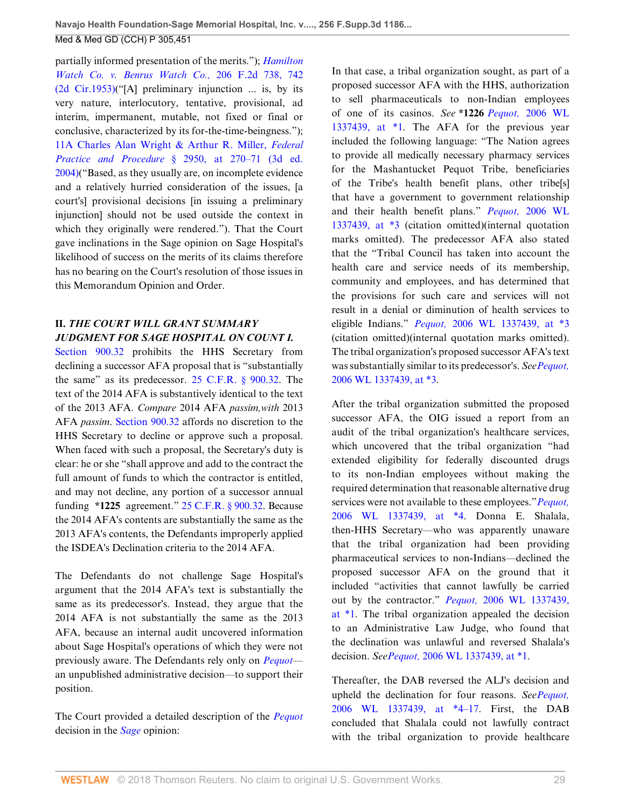partially informed presentation of the merits."); *[Hamilton](http://www.westlaw.com/Link/Document/FullText?findType=Y&serNum=1953117837&pubNum=0000350&originatingDoc=I02a50c30bb1011e5be74e186f6bc2536&refType=RP&fi=co_pp_sp_350_742&originationContext=document&vr=3.0&rs=cblt1.0&transitionType=DocumentItem&contextData=(sc.UserEnteredCitation)#co_pp_sp_350_742) [Watch Co. v. Benrus Watch Co.,](http://www.westlaw.com/Link/Document/FullText?findType=Y&serNum=1953117837&pubNum=0000350&originatingDoc=I02a50c30bb1011e5be74e186f6bc2536&refType=RP&fi=co_pp_sp_350_742&originationContext=document&vr=3.0&rs=cblt1.0&transitionType=DocumentItem&contextData=(sc.UserEnteredCitation)#co_pp_sp_350_742)* 206 F.2d 738, 742 [\(2d Cir.1953\)\(](http://www.westlaw.com/Link/Document/FullText?findType=Y&serNum=1953117837&pubNum=0000350&originatingDoc=I02a50c30bb1011e5be74e186f6bc2536&refType=RP&fi=co_pp_sp_350_742&originationContext=document&vr=3.0&rs=cblt1.0&transitionType=DocumentItem&contextData=(sc.UserEnteredCitation)#co_pp_sp_350_742)"[A] preliminary injunction ... is, by its very nature, interlocutory, tentative, provisional, ad interim, impermanent, mutable, not fixed or final or conclusive, characterized by its for-the-time-beingness."); [11A Charles Alan Wright & Arthur R. Miller,](http://www.westlaw.com/Link/Document/FullText?findType=Y&serNum=0105638988&pubNum=0102228&originatingDoc=I02a50c30bb1011e5be74e186f6bc2536&refType=TS&originationContext=document&vr=3.0&rs=cblt1.0&transitionType=DocumentItem&contextData=(sc.UserEnteredCitation)) *Federal Practice and Procedure* [§ 2950, at 270–71 \(3d ed.](http://www.westlaw.com/Link/Document/FullText?findType=Y&serNum=0105638988&pubNum=0102228&originatingDoc=I02a50c30bb1011e5be74e186f6bc2536&refType=TS&originationContext=document&vr=3.0&rs=cblt1.0&transitionType=DocumentItem&contextData=(sc.UserEnteredCitation)) [2004\)](http://www.westlaw.com/Link/Document/FullText?findType=Y&serNum=0105638988&pubNum=0102228&originatingDoc=I02a50c30bb1011e5be74e186f6bc2536&refType=TS&originationContext=document&vr=3.0&rs=cblt1.0&transitionType=DocumentItem&contextData=(sc.UserEnteredCitation))("Based, as they usually are, on incomplete evidence and a relatively hurried consideration of the issues, [a court's] provisional decisions [in issuing a preliminary injunction] should not be used outside the context in which they originally were rendered."). That the Court gave inclinations in the Sage opinion on Sage Hospital's likelihood of success on the merits of its claims therefore has no bearing on the Court's resolution of those issues in this Memorandum Opinion and Order.

# **II.** *THE COURT WILL GRANT SUMMARY JUDGMENT FOR SAGE HOSPITAL ON COUNT I.*

[Section 900.32](http://www.westlaw.com/Link/Document/FullText?findType=L&pubNum=1000547&cite=25CFRS900.32&originatingDoc=I02a50c30bb1011e5be74e186f6bc2536&refType=LQ&originationContext=document&vr=3.0&rs=cblt1.0&transitionType=DocumentItem&contextData=(sc.UserEnteredCitation)) prohibits the HHS Secretary from declining a successor AFA proposal that is "substantially the same" as its predecessor. [25 C.F.R. § 900.32](http://www.westlaw.com/Link/Document/FullText?findType=L&pubNum=1000547&cite=25CFRS900.32&originatingDoc=I02a50c30bb1011e5be74e186f6bc2536&refType=LQ&originationContext=document&vr=3.0&rs=cblt1.0&transitionType=DocumentItem&contextData=(sc.UserEnteredCitation)). The text of the 2014 AFA is substantively identical to the text of the 2013 AFA. *Compare* 2014 AFA *passim,with* 2013 AFA *passim*. [Section 900.32](http://www.westlaw.com/Link/Document/FullText?findType=L&pubNum=1000547&cite=25CFRS900.32&originatingDoc=I02a50c30bb1011e5be74e186f6bc2536&refType=LQ&originationContext=document&vr=3.0&rs=cblt1.0&transitionType=DocumentItem&contextData=(sc.UserEnteredCitation)) affords no discretion to the HHS Secretary to decline or approve such a proposal. When faced with such a proposal, the Secretary's duty is clear: he or she "shall approve and add to the contract the full amount of funds to which the contractor is entitled, and may not decline, any portion of a successor annual funding **\*1225** agreement." [25 C.F.R. § 900.32](http://www.westlaw.com/Link/Document/FullText?findType=L&pubNum=1000547&cite=25CFRS900.32&originatingDoc=I02a50c30bb1011e5be74e186f6bc2536&refType=LQ&originationContext=document&vr=3.0&rs=cblt1.0&transitionType=DocumentItem&contextData=(sc.UserEnteredCitation)). Because the 2014 AFA's contents are substantially the same as the 2013 AFA's contents, the Defendants improperly applied the ISDEA's Declination criteria to the 2014 AFA.

The Defendants do not challenge Sage Hospital's argument that the 2014 AFA's text is substantially the same as its predecessor's. Instead, they argue that the 2014 AFA is not substantially the same as the 2013 AFA, because an internal audit uncovered information about Sage Hospital's operations of which they were not previously aware. The Defendants rely only on *[Pequot](http://www.westlaw.com/Link/Document/FullText?findType=Y&serNum=0318655259&originatingDoc=I02a50c30bb1011e5be74e186f6bc2536&refType=RP&originationContext=document&vr=3.0&rs=cblt1.0&transitionType=DocumentItem&contextData=(sc.UserEnteredCitation))* an unpublished administrative decision—to support their position.

The Court provided a detailed description of the *[Pequot](http://www.westlaw.com/Link/Document/FullText?findType=Y&serNum=0318655259&pubNum=0000999&originatingDoc=I02a50c30bb1011e5be74e186f6bc2536&refType=RP&originationContext=document&vr=3.0&rs=cblt1.0&transitionType=DocumentItem&contextData=(sc.UserEnteredCitation))* decision in the *[Sage](http://www.westlaw.com/Link/Document/FullText?findType=Y&serNum=2036163936&pubNum=0000999&originatingDoc=I02a50c30bb1011e5be74e186f6bc2536&refType=RP&originationContext=document&vr=3.0&rs=cblt1.0&transitionType=DocumentItem&contextData=(sc.UserEnteredCitation))* opinion:

In that case, a tribal organization sought, as part of a proposed successor AFA with the HHS, authorization to sell pharmaceuticals to non-Indian employees of one of its casinos. *See* **\*1226** *Pequot,* [2006 WL](http://www.westlaw.com/Link/Document/FullText?findType=Y&serNum=0318655259&pubNum=0000999&originatingDoc=I02a50c30bb1011e5be74e186f6bc2536&refType=DE&originationContext=document&vr=3.0&rs=cblt1.0&transitionType=DocumentItem&contextData=(sc.UserEnteredCitation)) [1337439, at \\*1.](http://www.westlaw.com/Link/Document/FullText?findType=Y&serNum=0318655259&pubNum=0000999&originatingDoc=I02a50c30bb1011e5be74e186f6bc2536&refType=DE&originationContext=document&vr=3.0&rs=cblt1.0&transitionType=DocumentItem&contextData=(sc.UserEnteredCitation)) The AFA for the previous year included the following language: "The Nation agrees to provide all medically necessary pharmacy services for the Mashantucket Pequot Tribe, beneficiaries of the Tribe's health benefit plans, other tribe[s] that have a government to government relationship and their health benefit plans." *Pequot,* [2006 WL](http://www.westlaw.com/Link/Document/FullText?findType=Y&serNum=0318655259&pubNum=0000999&originatingDoc=I02a50c30bb1011e5be74e186f6bc2536&refType=DE&originationContext=document&vr=3.0&rs=cblt1.0&transitionType=DocumentItem&contextData=(sc.UserEnteredCitation)) [1337439, at \\*3](http://www.westlaw.com/Link/Document/FullText?findType=Y&serNum=0318655259&pubNum=0000999&originatingDoc=I02a50c30bb1011e5be74e186f6bc2536&refType=DE&originationContext=document&vr=3.0&rs=cblt1.0&transitionType=DocumentItem&contextData=(sc.UserEnteredCitation)) (citation omitted)(internal quotation marks omitted). The predecessor AFA also stated that the "Tribal Council has taken into account the health care and service needs of its membership, community and employees, and has determined that the provisions for such care and services will not result in a denial or diminution of health services to eligible Indians." *Pequot,* [2006 WL 1337439, at \\*3](http://www.westlaw.com/Link/Document/FullText?findType=Y&serNum=0318655259&pubNum=0000999&originatingDoc=I02a50c30bb1011e5be74e186f6bc2536&refType=DE&originationContext=document&vr=3.0&rs=cblt1.0&transitionType=DocumentItem&contextData=(sc.UserEnteredCitation)) (citation omitted)(internal quotation marks omitted). The tribal organization's proposed successor AFA's text was substantially similar to its predecessor's. *See[Pequot,](http://www.westlaw.com/Link/Document/FullText?findType=Y&serNum=0318655259&pubNum=0000999&originatingDoc=I02a50c30bb1011e5be74e186f6bc2536&refType=DE&originationContext=document&vr=3.0&rs=cblt1.0&transitionType=DocumentItem&contextData=(sc.UserEnteredCitation))* [2006 WL 1337439, at \\*3.](http://www.westlaw.com/Link/Document/FullText?findType=Y&serNum=0318655259&pubNum=0000999&originatingDoc=I02a50c30bb1011e5be74e186f6bc2536&refType=DE&originationContext=document&vr=3.0&rs=cblt1.0&transitionType=DocumentItem&contextData=(sc.UserEnteredCitation))

After the tribal organization submitted the proposed successor AFA, the OIG issued a report from an audit of the tribal organization's healthcare services, which uncovered that the tribal organization "had extended eligibility for federally discounted drugs to its non-Indian employees without making the required determination that reasonable alternative drug services were not available to these employees."*[Pequot,](http://www.westlaw.com/Link/Document/FullText?findType=Y&serNum=0318655259&pubNum=0000999&originatingDoc=I02a50c30bb1011e5be74e186f6bc2536&refType=DE&originationContext=document&vr=3.0&rs=cblt1.0&transitionType=DocumentItem&contextData=(sc.UserEnteredCitation))* [2006 WL 1337439, at \\*4](http://www.westlaw.com/Link/Document/FullText?findType=Y&serNum=0318655259&pubNum=0000999&originatingDoc=I02a50c30bb1011e5be74e186f6bc2536&refType=DE&originationContext=document&vr=3.0&rs=cblt1.0&transitionType=DocumentItem&contextData=(sc.UserEnteredCitation)). Donna E. Shalala, then-HHS Secretary—who was apparently unaware that the tribal organization had been providing pharmaceutical services to non-Indians—declined the proposed successor AFA on the ground that it included "activities that cannot lawfully be carried out by the contractor." *Pequot,* [2006 WL 1337439,](http://www.westlaw.com/Link/Document/FullText?findType=Y&serNum=0318655259&pubNum=0000999&originatingDoc=I02a50c30bb1011e5be74e186f6bc2536&refType=DE&originationContext=document&vr=3.0&rs=cblt1.0&transitionType=DocumentItem&contextData=(sc.UserEnteredCitation)) [at \\*1.](http://www.westlaw.com/Link/Document/FullText?findType=Y&serNum=0318655259&pubNum=0000999&originatingDoc=I02a50c30bb1011e5be74e186f6bc2536&refType=DE&originationContext=document&vr=3.0&rs=cblt1.0&transitionType=DocumentItem&contextData=(sc.UserEnteredCitation)) The tribal organization appealed the decision to an Administrative Law Judge, who found that the declination was unlawful and reversed Shalala's decision. *SeePequot,* [2006 WL 1337439, at \\*1.](http://www.westlaw.com/Link/Document/FullText?findType=Y&serNum=0318655259&pubNum=0000999&originatingDoc=I02a50c30bb1011e5be74e186f6bc2536&refType=DE&originationContext=document&vr=3.0&rs=cblt1.0&transitionType=DocumentItem&contextData=(sc.UserEnteredCitation))

Thereafter, the DAB reversed the ALJ's decision and upheld the declination for four reasons. *See[Pequot,](http://www.westlaw.com/Link/Document/FullText?findType=Y&serNum=0318655259&pubNum=0000999&originatingDoc=I02a50c30bb1011e5be74e186f6bc2536&refType=DE&originationContext=document&vr=3.0&rs=cblt1.0&transitionType=DocumentItem&contextData=(sc.UserEnteredCitation))* [2006 WL 1337439, at \\*4–17](http://www.westlaw.com/Link/Document/FullText?findType=Y&serNum=0318655259&pubNum=0000999&originatingDoc=I02a50c30bb1011e5be74e186f6bc2536&refType=DE&originationContext=document&vr=3.0&rs=cblt1.0&transitionType=DocumentItem&contextData=(sc.UserEnteredCitation)). First, the DAB concluded that Shalala could not lawfully contract with the tribal organization to provide healthcare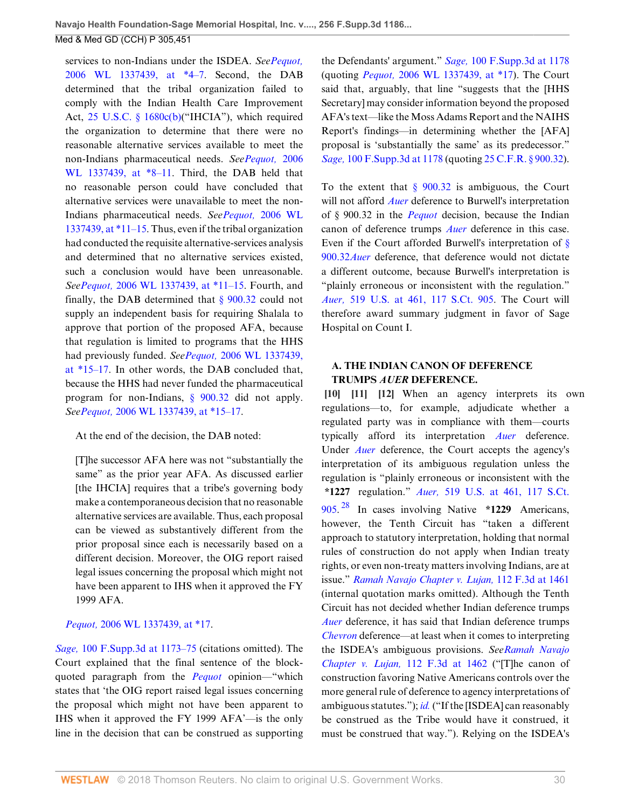services to non-Indians under the ISDEA. *See[Pequot,](http://www.westlaw.com/Link/Document/FullText?findType=Y&serNum=0318655259&pubNum=0000999&originatingDoc=I02a50c30bb1011e5be74e186f6bc2536&refType=DE&originationContext=document&vr=3.0&rs=cblt1.0&transitionType=DocumentItem&contextData=(sc.UserEnteredCitation))* [2006 WL 1337439, at \\*4–7.](http://www.westlaw.com/Link/Document/FullText?findType=Y&serNum=0318655259&pubNum=0000999&originatingDoc=I02a50c30bb1011e5be74e186f6bc2536&refType=DE&originationContext=document&vr=3.0&rs=cblt1.0&transitionType=DocumentItem&contextData=(sc.UserEnteredCitation)) Second, the DAB determined that the tribal organization failed to comply with the Indian Health Care Improvement Act, [25 U.S.C. § 1680c\(b\)\(](http://www.westlaw.com/Link/Document/FullText?findType=L&pubNum=1000546&cite=25USCAS1680C&originatingDoc=I02a50c30bb1011e5be74e186f6bc2536&refType=SP&originationContext=document&vr=3.0&rs=cblt1.0&transitionType=DocumentItem&contextData=(sc.UserEnteredCitation)#co_pp_a83b000018c76)"IHCIA"), which required the organization to determine that there were no reasonable alternative services available to meet the non-Indians pharmaceutical needs. *Se[ePequot,](http://www.westlaw.com/Link/Document/FullText?findType=Y&serNum=0318655259&pubNum=0000999&originatingDoc=I02a50c30bb1011e5be74e186f6bc2536&refType=DE&originationContext=document&vr=3.0&rs=cblt1.0&transitionType=DocumentItem&contextData=(sc.UserEnteredCitation))* 2006 [WL 1337439, at \\*8–11](http://www.westlaw.com/Link/Document/FullText?findType=Y&serNum=0318655259&pubNum=0000999&originatingDoc=I02a50c30bb1011e5be74e186f6bc2536&refType=DE&originationContext=document&vr=3.0&rs=cblt1.0&transitionType=DocumentItem&contextData=(sc.UserEnteredCitation)). Third, the DAB held that no reasonable person could have concluded that alternative services were unavailable to meet the non-Indians pharmaceutical needs. *SeePequot,* [2006 WL](http://www.westlaw.com/Link/Document/FullText?findType=Y&serNum=0318655259&pubNum=0000999&originatingDoc=I02a50c30bb1011e5be74e186f6bc2536&refType=DE&originationContext=document&vr=3.0&rs=cblt1.0&transitionType=DocumentItem&contextData=(sc.UserEnteredCitation)) [1337439, at \\*11–15.](http://www.westlaw.com/Link/Document/FullText?findType=Y&serNum=0318655259&pubNum=0000999&originatingDoc=I02a50c30bb1011e5be74e186f6bc2536&refType=DE&originationContext=document&vr=3.0&rs=cblt1.0&transitionType=DocumentItem&contextData=(sc.UserEnteredCitation)) Thus, even if the tribal organization had conducted the requisite alternative-services analysis and determined that no alternative services existed, such a conclusion would have been unreasonable. *SeePequot,* [2006 WL 1337439, at \\*11–15.](http://www.westlaw.com/Link/Document/FullText?findType=Y&serNum=0318655259&pubNum=0000999&originatingDoc=I02a50c30bb1011e5be74e186f6bc2536&refType=DE&originationContext=document&vr=3.0&rs=cblt1.0&transitionType=DocumentItem&contextData=(sc.UserEnteredCitation)) Fourth, and finally, the DAB determined that  $\S$  900.32 could not supply an independent basis for requiring Shalala to approve that portion of the proposed AFA, because that regulation is limited to programs that the HHS had previously funded. *SeePequot,* [2006 WL 1337439,](http://www.westlaw.com/Link/Document/FullText?findType=Y&serNum=0318655259&pubNum=0000999&originatingDoc=I02a50c30bb1011e5be74e186f6bc2536&refType=DE&originationContext=document&vr=3.0&rs=cblt1.0&transitionType=DocumentItem&contextData=(sc.UserEnteredCitation)) [at \\*15–17](http://www.westlaw.com/Link/Document/FullText?findType=Y&serNum=0318655259&pubNum=0000999&originatingDoc=I02a50c30bb1011e5be74e186f6bc2536&refType=DE&originationContext=document&vr=3.0&rs=cblt1.0&transitionType=DocumentItem&contextData=(sc.UserEnteredCitation)). In other words, the DAB concluded that, because the HHS had never funded the pharmaceutical program for non-Indians, [§ 900.32](http://www.westlaw.com/Link/Document/FullText?findType=L&pubNum=1000547&cite=25CFRS900.32&originatingDoc=I02a50c30bb1011e5be74e186f6bc2536&refType=LQ&originationContext=document&vr=3.0&rs=cblt1.0&transitionType=DocumentItem&contextData=(sc.UserEnteredCitation)) did not apply. *SeePequot,* [2006 WL 1337439, at \\*15–17](http://www.westlaw.com/Link/Document/FullText?findType=Y&serNum=0318655259&pubNum=0000999&originatingDoc=I02a50c30bb1011e5be74e186f6bc2536&refType=DE&originationContext=document&vr=3.0&rs=cblt1.0&transitionType=DocumentItem&contextData=(sc.UserEnteredCitation)).

At the end of the decision, the DAB noted:

[T]he successor AFA here was not "substantially the same" as the prior year AFA. As discussed earlier [the IHCIA] requires that a tribe's governing body make a contemporaneous decision that no reasonable alternative services are available. Thus, each proposal can be viewed as substantively different from the prior proposal since each is necessarily based on a different decision. Moreover, the OIG report raised legal issues concerning the proposal which might not have been apparent to IHS when it approved the FY 1999 AFA.

### *Pequot,* [2006 WL 1337439, at \\*17](http://www.westlaw.com/Link/Document/FullText?findType=Y&serNum=0318655259&pubNum=0000999&originatingDoc=I02a50c30bb1011e5be74e186f6bc2536&refType=DE&originationContext=document&vr=3.0&rs=cblt1.0&transitionType=DocumentItem&contextData=(sc.UserEnteredCitation)).

*Sage,* [100 F.Supp.3d at 1173–75](http://www.westlaw.com/Link/Document/FullText?findType=Y&serNum=2036163936&pubNum=0007903&originatingDoc=I02a50c30bb1011e5be74e186f6bc2536&refType=RP&fi=co_pp_sp_7903_1173&originationContext=document&vr=3.0&rs=cblt1.0&transitionType=DocumentItem&contextData=(sc.UserEnteredCitation)#co_pp_sp_7903_1173) (citations omitted). The Court explained that the final sentence of the blockquoted paragraph from the *[Pequot](http://www.westlaw.com/Link/Document/FullText?findType=Y&serNum=0318655259&pubNum=0000999&originatingDoc=I02a50c30bb1011e5be74e186f6bc2536&refType=RP&originationContext=document&vr=3.0&rs=cblt1.0&transitionType=DocumentItem&contextData=(sc.UserEnteredCitation))* opinion—"which states that 'the OIG report raised legal issues concerning the proposal which might not have been apparent to IHS when it approved the FY 1999 AFA'—is the only line in the decision that can be construed as supporting

the Defendants' argument." *Sage,* [100 F.Supp.3d at 1178](http://www.westlaw.com/Link/Document/FullText?findType=Y&serNum=2036163936&pubNum=0007903&originatingDoc=I02a50c30bb1011e5be74e186f6bc2536&refType=RP&fi=co_pp_sp_7903_1178&originationContext=document&vr=3.0&rs=cblt1.0&transitionType=DocumentItem&contextData=(sc.UserEnteredCitation)#co_pp_sp_7903_1178) (quoting *Pequot,* [2006 WL 1337439, at \\*17\)](http://www.westlaw.com/Link/Document/FullText?findType=Y&serNum=0318655259&pubNum=0000999&originatingDoc=I02a50c30bb1011e5be74e186f6bc2536&refType=DE&originationContext=document&vr=3.0&rs=cblt1.0&transitionType=DocumentItem&contextData=(sc.UserEnteredCitation)). The Court said that, arguably, that line "suggests that the [HHS Secretary] may consider information beyond the proposed AFA's text—like the Moss Adams Report and the NAIHS Report's findings—in determining whether the [AFA] proposal is 'substantially the same' as its predecessor." *Sage,* [100 F.Supp.3d at 1178](http://www.westlaw.com/Link/Document/FullText?findType=Y&serNum=2036163936&pubNum=0007903&originatingDoc=I02a50c30bb1011e5be74e186f6bc2536&refType=RP&fi=co_pp_sp_7903_1178&originationContext=document&vr=3.0&rs=cblt1.0&transitionType=DocumentItem&contextData=(sc.UserEnteredCitation)#co_pp_sp_7903_1178) (quoting [25 C.F.R. § 900.32\)](http://www.westlaw.com/Link/Document/FullText?findType=L&pubNum=1000547&cite=25CFRS900.32&originatingDoc=I02a50c30bb1011e5be74e186f6bc2536&refType=LQ&originationContext=document&vr=3.0&rs=cblt1.0&transitionType=DocumentItem&contextData=(sc.UserEnteredCitation)).

To the extent that  $\frac{6}{900.32}$  is ambiguous, the Court will not afford *[Auer](http://www.westlaw.com/Link/Document/FullText?findType=Y&serNum=1997053629&pubNum=0000780&originatingDoc=I02a50c30bb1011e5be74e186f6bc2536&refType=RP&originationContext=document&vr=3.0&rs=cblt1.0&transitionType=DocumentItem&contextData=(sc.UserEnteredCitation))* deference to Burwell's interpretation of § 900.32 in the *[Pequot](http://www.westlaw.com/Link/Document/FullText?findType=Y&serNum=0318655259&pubNum=0000999&originatingDoc=I02a50c30bb1011e5be74e186f6bc2536&refType=RP&originationContext=document&vr=3.0&rs=cblt1.0&transitionType=DocumentItem&contextData=(sc.UserEnteredCitation))* decision, because the Indian canon of deference trumps *[Auer](http://www.westlaw.com/Link/Document/FullText?findType=Y&serNum=1997053629&pubNum=0000780&originatingDoc=I02a50c30bb1011e5be74e186f6bc2536&refType=RP&originationContext=document&vr=3.0&rs=cblt1.0&transitionType=DocumentItem&contextData=(sc.UserEnteredCitation))* deference in this case. Even if the Court afforded Burwell's interpretation of [§](http://www.westlaw.com/Link/Document/FullText?findType=L&pubNum=1000547&cite=25CFRS900.32&originatingDoc=I02a50c30bb1011e5be74e186f6bc2536&refType=LQ&originationContext=document&vr=3.0&rs=cblt1.0&transitionType=DocumentItem&contextData=(sc.UserEnteredCitation)) [900.32](http://www.westlaw.com/Link/Document/FullText?findType=L&pubNum=1000547&cite=25CFRS900.32&originatingDoc=I02a50c30bb1011e5be74e186f6bc2536&refType=LQ&originationContext=document&vr=3.0&rs=cblt1.0&transitionType=DocumentItem&contextData=(sc.UserEnteredCitation))*[Auer](http://www.westlaw.com/Link/Document/FullText?findType=Y&serNum=1997053629&pubNum=0000780&originatingDoc=I02a50c30bb1011e5be74e186f6bc2536&refType=RP&originationContext=document&vr=3.0&rs=cblt1.0&transitionType=DocumentItem&contextData=(sc.UserEnteredCitation))* deference, that deference would not dictate a different outcome, because Burwell's interpretation is "plainly erroneous or inconsistent with the regulation." *Auer,* [519 U.S. at 461, 117 S.Ct. 905.](http://www.westlaw.com/Link/Document/FullText?findType=Y&serNum=1997053629&pubNum=0000708&originatingDoc=I02a50c30bb1011e5be74e186f6bc2536&refType=RP&originationContext=document&vr=3.0&rs=cblt1.0&transitionType=DocumentItem&contextData=(sc.UserEnteredCitation)) The Court will therefore award summary judgment in favor of Sage Hospital on Count I.

### <span id="page-29-2"></span><span id="page-29-1"></span>**A. THE INDIAN CANON OF DEFERENCE TRUMPS** *AUER* **DEFERENCE.**

<span id="page-29-3"></span><span id="page-29-0"></span>**[\[10](#page-2-3)] [\[11](#page-2-4)] [\[12](#page-2-1)]** When an agency interprets its own regulations—to, for example, adjudicate whether a regulated party was in compliance with them—courts typically afford its interpretation *[Auer](http://www.westlaw.com/Link/Document/FullText?findType=Y&serNum=1997053629&pubNum=0000780&originatingDoc=I02a50c30bb1011e5be74e186f6bc2536&refType=RP&originationContext=document&vr=3.0&rs=cblt1.0&transitionType=DocumentItem&contextData=(sc.UserEnteredCitation))* deference. Under *[Auer](http://www.westlaw.com/Link/Document/FullText?findType=Y&serNum=1997053629&pubNum=0000780&originatingDoc=I02a50c30bb1011e5be74e186f6bc2536&refType=RP&originationContext=document&vr=3.0&rs=cblt1.0&transitionType=DocumentItem&contextData=(sc.UserEnteredCitation))* deference, the Court accepts the agency's interpretation of its ambiguous regulation unless the regulation is "plainly erroneous or inconsistent with the **\*1227** regulation." *Auer,* [519 U.S. at 461, 117 S.Ct.](http://www.westlaw.com/Link/Document/FullText?findType=Y&serNum=1997053629&pubNum=0000708&originatingDoc=I02a50c30bb1011e5be74e186f6bc2536&refType=RP&originationContext=document&vr=3.0&rs=cblt1.0&transitionType=DocumentItem&contextData=(sc.UserEnteredCitation)) [905](http://www.westlaw.com/Link/Document/FullText?findType=Y&serNum=1997053629&pubNum=0000708&originatingDoc=I02a50c30bb1011e5be74e186f6bc2536&refType=RP&originationContext=document&vr=3.0&rs=cblt1.0&transitionType=DocumentItem&contextData=(sc.UserEnteredCitation)). [28](#page-47-0) In cases involving Native **\*1229** Americans, however, the Tenth Circuit has "taken a different approach to statutory interpretation, holding that normal rules of construction do not apply when Indian treaty rights, or even non-treaty matters involving Indians, are at issue." *[Ramah Navajo Chapter v. Lujan,](http://www.westlaw.com/Link/Document/FullText?findType=Y&serNum=1997106222&pubNum=0000506&originatingDoc=I02a50c30bb1011e5be74e186f6bc2536&refType=RP&fi=co_pp_sp_506_1461&originationContext=document&vr=3.0&rs=cblt1.0&transitionType=DocumentItem&contextData=(sc.UserEnteredCitation)#co_pp_sp_506_1461)* 112 F.3d at 1461 (internal quotation marks omitted). Although the Tenth Circuit has not decided whether Indian deference trumps *[Auer](http://www.westlaw.com/Link/Document/FullText?findType=Y&serNum=1997053629&pubNum=0000780&originatingDoc=I02a50c30bb1011e5be74e186f6bc2536&refType=RP&originationContext=document&vr=3.0&rs=cblt1.0&transitionType=DocumentItem&contextData=(sc.UserEnteredCitation))* deference, it has said that Indian deference trumps *[Chevron](http://www.westlaw.com/Link/Document/FullText?findType=Y&serNum=1984130736&originatingDoc=I02a50c30bb1011e5be74e186f6bc2536&refType=RP&originationContext=document&vr=3.0&rs=cblt1.0&transitionType=DocumentItem&contextData=(sc.UserEnteredCitation))* deference—at least when it comes to interpreting the ISDEA's ambiguous provisions. *Se[eRamah Navajo](http://www.westlaw.com/Link/Document/FullText?findType=Y&serNum=1997106222&pubNum=0000506&originatingDoc=I02a50c30bb1011e5be74e186f6bc2536&refType=RP&fi=co_pp_sp_506_1462&originationContext=document&vr=3.0&rs=cblt1.0&transitionType=DocumentItem&contextData=(sc.UserEnteredCitation)#co_pp_sp_506_1462) Chapter v. Lujan,* [112 F.3d at 1462](http://www.westlaw.com/Link/Document/FullText?findType=Y&serNum=1997106222&pubNum=0000506&originatingDoc=I02a50c30bb1011e5be74e186f6bc2536&refType=RP&fi=co_pp_sp_506_1462&originationContext=document&vr=3.0&rs=cblt1.0&transitionType=DocumentItem&contextData=(sc.UserEnteredCitation)#co_pp_sp_506_1462) ("[T]he canon of construction favoring Native Americans controls over the more general rule of deference to agency interpretations of ambiguous statutes."); *[id.](http://www.westlaw.com/Link/Document/FullText?findType=Y&serNum=1997106222&pubNum=0000506&originatingDoc=I02a50c30bb1011e5be74e186f6bc2536&refType=RP&originationContext=document&vr=3.0&rs=cblt1.0&transitionType=DocumentItem&contextData=(sc.UserEnteredCitation))* ("If the [ISDEA] can reasonably be construed as the Tribe would have it construed, it must be construed that way."). Relying on the ISDEA's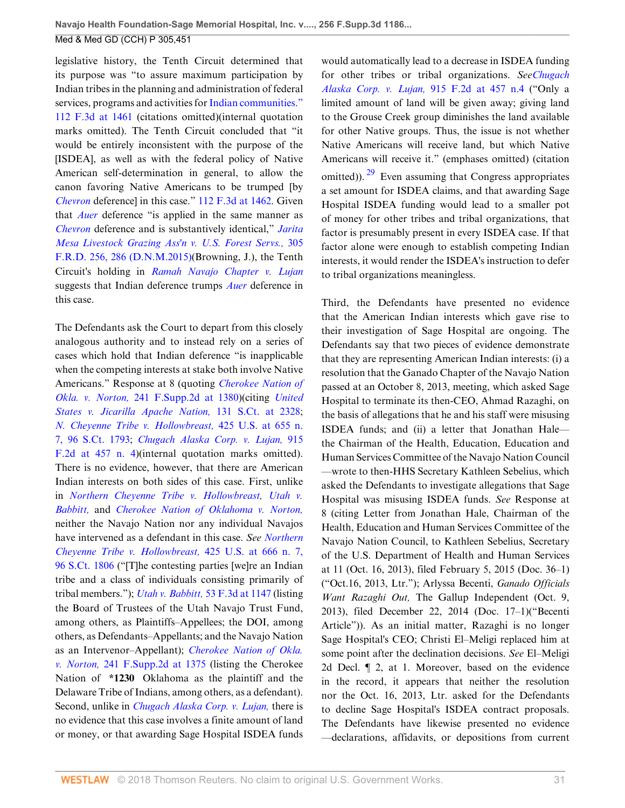legislative history, the Tenth Circuit determined that its purpose was "to assure maximum participation by Indian tribes in the planning and administration of federal services, programs and activities for [Indian communities."](http://www.westlaw.com/Link/Document/FullText?findType=Y&serNum=1997106222&pubNum=0000506&originatingDoc=I02a50c30bb1011e5be74e186f6bc2536&refType=RP&fi=co_pp_sp_506_1461&originationContext=document&vr=3.0&rs=cblt1.0&transitionType=DocumentItem&contextData=(sc.UserEnteredCitation)#co_pp_sp_506_1461) [112 F.3d at 1461](http://www.westlaw.com/Link/Document/FullText?findType=Y&serNum=1997106222&pubNum=0000506&originatingDoc=I02a50c30bb1011e5be74e186f6bc2536&refType=RP&fi=co_pp_sp_506_1461&originationContext=document&vr=3.0&rs=cblt1.0&transitionType=DocumentItem&contextData=(sc.UserEnteredCitation)#co_pp_sp_506_1461) (citations omitted)(internal quotation marks omitted). The Tenth Circuit concluded that "it would be entirely inconsistent with the purpose of the [ISDEA], as well as with the federal policy of Native American self-determination in general, to allow the canon favoring Native Americans to be trumped [by *[Chevron](http://www.westlaw.com/Link/Document/FullText?findType=Y&serNum=1984130736&originatingDoc=I02a50c30bb1011e5be74e186f6bc2536&refType=RP&originationContext=document&vr=3.0&rs=cblt1.0&transitionType=DocumentItem&contextData=(sc.UserEnteredCitation))* deference] in this case." [112 F.3d at 1462.](http://www.westlaw.com/Link/Document/FullText?findType=Y&serNum=1997106222&pubNum=0000506&originatingDoc=I02a50c30bb1011e5be74e186f6bc2536&refType=RP&fi=co_pp_sp_506_1462&originationContext=document&vr=3.0&rs=cblt1.0&transitionType=DocumentItem&contextData=(sc.UserEnteredCitation)#co_pp_sp_506_1462) Given that *[Auer](http://www.westlaw.com/Link/Document/FullText?findType=Y&serNum=1997053629&pubNum=0000780&originatingDoc=I02a50c30bb1011e5be74e186f6bc2536&refType=RP&originationContext=document&vr=3.0&rs=cblt1.0&transitionType=DocumentItem&contextData=(sc.UserEnteredCitation))* deference "is applied in the same manner as *[Chevron](http://www.westlaw.com/Link/Document/FullText?findType=Y&serNum=1984130736&originatingDoc=I02a50c30bb1011e5be74e186f6bc2536&refType=RP&originationContext=document&vr=3.0&rs=cblt1.0&transitionType=DocumentItem&contextData=(sc.UserEnteredCitation))* deference and is substantively identical," *[Jarita](http://www.westlaw.com/Link/Document/FullText?findType=Y&serNum=2036065029&pubNum=0000344&originatingDoc=I02a50c30bb1011e5be74e186f6bc2536&refType=RP&fi=co_pp_sp_344_286&originationContext=document&vr=3.0&rs=cblt1.0&transitionType=DocumentItem&contextData=(sc.UserEnteredCitation)#co_pp_sp_344_286) [Mesa Livestock Grazing Ass'n v. U.S. Forest Servs.,](http://www.westlaw.com/Link/Document/FullText?findType=Y&serNum=2036065029&pubNum=0000344&originatingDoc=I02a50c30bb1011e5be74e186f6bc2536&refType=RP&fi=co_pp_sp_344_286&originationContext=document&vr=3.0&rs=cblt1.0&transitionType=DocumentItem&contextData=(sc.UserEnteredCitation)#co_pp_sp_344_286)* 305 [F.R.D. 256, 286 \(D.N.M.2015\)\(](http://www.westlaw.com/Link/Document/FullText?findType=Y&serNum=2036065029&pubNum=0000344&originatingDoc=I02a50c30bb1011e5be74e186f6bc2536&refType=RP&fi=co_pp_sp_344_286&originationContext=document&vr=3.0&rs=cblt1.0&transitionType=DocumentItem&contextData=(sc.UserEnteredCitation)#co_pp_sp_344_286)Browning, J.), the Tenth Circuit's holding in *[Ramah Navajo Chapter v. Lujan](http://www.westlaw.com/Link/Document/FullText?findType=Y&serNum=1997106222&pubNum=0000506&originatingDoc=I02a50c30bb1011e5be74e186f6bc2536&refType=RP&originationContext=document&vr=3.0&rs=cblt1.0&transitionType=DocumentItem&contextData=(sc.UserEnteredCitation))* suggests that Indian deference trumps *[Auer](http://www.westlaw.com/Link/Document/FullText?findType=Y&serNum=1997053629&pubNum=0000780&originatingDoc=I02a50c30bb1011e5be74e186f6bc2536&refType=RP&originationContext=document&vr=3.0&rs=cblt1.0&transitionType=DocumentItem&contextData=(sc.UserEnteredCitation))* deference in this case.

The Defendants ask the Court to depart from this closely analogous authority and to instead rely on a series of cases which hold that Indian deference "is inapplicable when the competing interests at stake both involve Native Americans." Response at 8 (quoting *[Cherokee Nation of](http://www.westlaw.com/Link/Document/FullText?findType=Y&serNum=2003125140&pubNum=0004637&originatingDoc=I02a50c30bb1011e5be74e186f6bc2536&refType=RP&fi=co_pp_sp_4637_1380&originationContext=document&vr=3.0&rs=cblt1.0&transitionType=DocumentItem&contextData=(sc.UserEnteredCitation)#co_pp_sp_4637_1380) Okla. v. Norton,* [241 F.Supp.2d at 1380\)](http://www.westlaw.com/Link/Document/FullText?findType=Y&serNum=2003125140&pubNum=0004637&originatingDoc=I02a50c30bb1011e5be74e186f6bc2536&refType=RP&fi=co_pp_sp_4637_1380&originationContext=document&vr=3.0&rs=cblt1.0&transitionType=DocumentItem&contextData=(sc.UserEnteredCitation)#co_pp_sp_4637_1380)(citing *[United](http://www.westlaw.com/Link/Document/FullText?findType=Y&serNum=2025477231&pubNum=0000708&originatingDoc=I02a50c30bb1011e5be74e186f6bc2536&refType=RP&fi=co_pp_sp_708_2328&originationContext=document&vr=3.0&rs=cblt1.0&transitionType=DocumentItem&contextData=(sc.UserEnteredCitation)#co_pp_sp_708_2328) [States v. Jicarilla Apache Nation,](http://www.westlaw.com/Link/Document/FullText?findType=Y&serNum=2025477231&pubNum=0000708&originatingDoc=I02a50c30bb1011e5be74e186f6bc2536&refType=RP&fi=co_pp_sp_708_2328&originationContext=document&vr=3.0&rs=cblt1.0&transitionType=DocumentItem&contextData=(sc.UserEnteredCitation)#co_pp_sp_708_2328)* 131 S.Ct. at 2328; *[N. Cheyenne Tribe v. Hollowbreast,](http://www.westlaw.com/Link/Document/FullText?findType=Y&serNum=1976142379&pubNum=0000708&originatingDoc=I02a50c30bb1011e5be74e186f6bc2536&refType=RP&originationContext=document&vr=3.0&rs=cblt1.0&transitionType=DocumentItem&contextData=(sc.UserEnteredCitation))* 425 U.S. at 655 n. [7, 96 S.Ct. 1793](http://www.westlaw.com/Link/Document/FullText?findType=Y&serNum=1976142379&pubNum=0000708&originatingDoc=I02a50c30bb1011e5be74e186f6bc2536&refType=RP&originationContext=document&vr=3.0&rs=cblt1.0&transitionType=DocumentItem&contextData=(sc.UserEnteredCitation)); *[Chugach Alaska Corp. v. Lujan,](http://www.westlaw.com/Link/Document/FullText?findType=Y&serNum=1990136042&pubNum=0000350&originatingDoc=I02a50c30bb1011e5be74e186f6bc2536&refType=RP&fi=co_pp_sp_350_457&originationContext=document&vr=3.0&rs=cblt1.0&transitionType=DocumentItem&contextData=(sc.UserEnteredCitation)#co_pp_sp_350_457)* 915 [F.2d at 457 n. 4\)](http://www.westlaw.com/Link/Document/FullText?findType=Y&serNum=1990136042&pubNum=0000350&originatingDoc=I02a50c30bb1011e5be74e186f6bc2536&refType=RP&fi=co_pp_sp_350_457&originationContext=document&vr=3.0&rs=cblt1.0&transitionType=DocumentItem&contextData=(sc.UserEnteredCitation)#co_pp_sp_350_457)(internal quotation marks omitted). There is no evidence, however, that there are American Indian interests on both sides of this case. First, unlike in *[Northern Cheyenne Tribe v. Hollowbreast,](http://www.westlaw.com/Link/Document/FullText?findType=Y&serNum=1976142379&pubNum=0000780&originatingDoc=I02a50c30bb1011e5be74e186f6bc2536&refType=RP&originationContext=document&vr=3.0&rs=cblt1.0&transitionType=DocumentItem&contextData=(sc.UserEnteredCitation)) [Utah v.](http://www.westlaw.com/Link/Document/FullText?findType=Y&serNum=1995097478&pubNum=0000506&originatingDoc=I02a50c30bb1011e5be74e186f6bc2536&refType=RP&originationContext=document&vr=3.0&rs=cblt1.0&transitionType=DocumentItem&contextData=(sc.UserEnteredCitation)) [Babbitt,](http://www.westlaw.com/Link/Document/FullText?findType=Y&serNum=1995097478&pubNum=0000506&originatingDoc=I02a50c30bb1011e5be74e186f6bc2536&refType=RP&originationContext=document&vr=3.0&rs=cblt1.0&transitionType=DocumentItem&contextData=(sc.UserEnteredCitation))* and *[Cherokee Nation of Oklahoma v. Norton,](http://www.westlaw.com/Link/Document/FullText?findType=Y&serNum=2003125140&pubNum=0004637&originatingDoc=I02a50c30bb1011e5be74e186f6bc2536&refType=RP&originationContext=document&vr=3.0&rs=cblt1.0&transitionType=DocumentItem&contextData=(sc.UserEnteredCitation))* neither the Navajo Nation nor any individual Navajos have intervened as a defendant in this case. *See [Northern](http://www.westlaw.com/Link/Document/FullText?findType=Y&serNum=1976142370&pubNum=0000708&originatingDoc=I02a50c30bb1011e5be74e186f6bc2536&refType=RP&originationContext=document&vr=3.0&rs=cblt1.0&transitionType=DocumentItem&contextData=(sc.UserEnteredCitation)) [Cheyenne Tribe v. Hollowbreast,](http://www.westlaw.com/Link/Document/FullText?findType=Y&serNum=1976142370&pubNum=0000708&originatingDoc=I02a50c30bb1011e5be74e186f6bc2536&refType=RP&originationContext=document&vr=3.0&rs=cblt1.0&transitionType=DocumentItem&contextData=(sc.UserEnteredCitation))* 425 U.S. at 666 n. 7, [96 S.Ct. 1806](http://www.westlaw.com/Link/Document/FullText?findType=Y&serNum=1976142370&pubNum=0000708&originatingDoc=I02a50c30bb1011e5be74e186f6bc2536&refType=RP&originationContext=document&vr=3.0&rs=cblt1.0&transitionType=DocumentItem&contextData=(sc.UserEnteredCitation)) ("[T]he contesting parties [we]re an Indian tribe and a class of individuals consisting primarily of tribal members."); *Utah v. Babbitt,* [53 F.3d at 1147](http://www.westlaw.com/Link/Document/FullText?findType=Y&serNum=1995097478&pubNum=0000506&originatingDoc=I02a50c30bb1011e5be74e186f6bc2536&refType=RP&fi=co_pp_sp_506_1147&originationContext=document&vr=3.0&rs=cblt1.0&transitionType=DocumentItem&contextData=(sc.UserEnteredCitation)#co_pp_sp_506_1147) (listing the Board of Trustees of the Utah Navajo Trust Fund, among others, as Plaintiffs–Appellees; the DOI, among others, as Defendants–Appellants; and the Navajo Nation as an Intervenor–Appellant); *[Cherokee Nation of Okla.](http://www.westlaw.com/Link/Document/FullText?findType=Y&serNum=2003125140&pubNum=0004637&originatingDoc=I02a50c30bb1011e5be74e186f6bc2536&refType=RP&fi=co_pp_sp_4637_1375&originationContext=document&vr=3.0&rs=cblt1.0&transitionType=DocumentItem&contextData=(sc.UserEnteredCitation)#co_pp_sp_4637_1375) v. Norton,* [241 F.Supp.2d at 1375](http://www.westlaw.com/Link/Document/FullText?findType=Y&serNum=2003125140&pubNum=0004637&originatingDoc=I02a50c30bb1011e5be74e186f6bc2536&refType=RP&fi=co_pp_sp_4637_1375&originationContext=document&vr=3.0&rs=cblt1.0&transitionType=DocumentItem&contextData=(sc.UserEnteredCitation)#co_pp_sp_4637_1375) (listing the Cherokee Nation of **\*1230** Oklahoma as the plaintiff and the Delaware Tribe of Indians, among others, as a defendant). Second, unlike in *[Chugach Alaska Corp. v. Lujan,](http://www.westlaw.com/Link/Document/FullText?findType=Y&serNum=1990136042&pubNum=0000350&originatingDoc=I02a50c30bb1011e5be74e186f6bc2536&refType=RP&originationContext=document&vr=3.0&rs=cblt1.0&transitionType=DocumentItem&contextData=(sc.UserEnteredCitation))* there is no evidence that this case involves a finite amount of land or money, or that awarding Sage Hospital ISDEA funds

<span id="page-30-0"></span>would automatically lead to a decrease in ISDEA funding for other tribes or tribal organizations. *Se[eChugach](http://www.westlaw.com/Link/Document/FullText?findType=Y&serNum=1990136042&pubNum=0000350&originatingDoc=I02a50c30bb1011e5be74e186f6bc2536&refType=RP&fi=co_pp_sp_350_457&originationContext=document&vr=3.0&rs=cblt1.0&transitionType=DocumentItem&contextData=(sc.UserEnteredCitation)#co_pp_sp_350_457) [Alaska Corp. v. Lujan,](http://www.westlaw.com/Link/Document/FullText?findType=Y&serNum=1990136042&pubNum=0000350&originatingDoc=I02a50c30bb1011e5be74e186f6bc2536&refType=RP&fi=co_pp_sp_350_457&originationContext=document&vr=3.0&rs=cblt1.0&transitionType=DocumentItem&contextData=(sc.UserEnteredCitation)#co_pp_sp_350_457)* 915 F.2d at 457 n.4 ("Only a limited amount of land will be given away; giving land to the Grouse Creek group diminishes the land available for other Native groups. Thus, the issue is not whether Native Americans will receive land, but which Native Americans will receive it." (emphases omitted) (citation omitted)).  $29$  Even assuming that Congress appropriates a set amount for ISDEA claims, and that awarding Sage Hospital ISDEA funding would lead to a smaller pot of money for other tribes and tribal organizations, that factor is presumably present in every ISDEA case. If that factor alone were enough to establish competing Indian interests, it would render the ISDEA's instruction to defer to tribal organizations meaningless.

Third, the Defendants have presented no evidence that the American Indian interests which gave rise to their investigation of Sage Hospital are ongoing. The Defendants say that two pieces of evidence demonstrate that they are representing American Indian interests: (i) a resolution that the Ganado Chapter of the Navajo Nation passed at an October 8, 2013, meeting, which asked Sage Hospital to terminate its then-CEO, Ahmad Razaghi, on the basis of allegations that he and his staff were misusing ISDEA funds; and (ii) a letter that Jonathan Hale the Chairman of the Health, Education, Education and Human Services Committee of the Navajo Nation Council —wrote to then-HHS Secretary Kathleen Sebelius, which asked the Defendants to investigate allegations that Sage Hospital was misusing ISDEA funds. *See* Response at 8 (citing Letter from Jonathan Hale, Chairman of the Health, Education and Human Services Committee of the Navajo Nation Council, to Kathleen Sebelius, Secretary of the U.S. Department of Health and Human Services at 11 (Oct. 16, 2013), filed February 5, 2015 (Doc. 36–1) ("Oct.16, 2013, Ltr."); Arlyssa Becenti, *Ganado Officials Want Razaghi Out,* The Gallup Independent (Oct. 9, 2013), filed December 22, 2014 (Doc. 17–1)("Becenti Article")). As an initial matter, Razaghi is no longer Sage Hospital's CEO; Christi El–Meligi replaced him at some point after the declination decisions. *See* El–Meligi 2d Decl. ¶ 2, at 1. Moreover, based on the evidence in the record, it appears that neither the resolution nor the Oct. 16, 2013, Ltr. asked for the Defendants to decline Sage Hospital's ISDEA contract proposals. The Defendants have likewise presented no evidence —declarations, affidavits, or depositions from current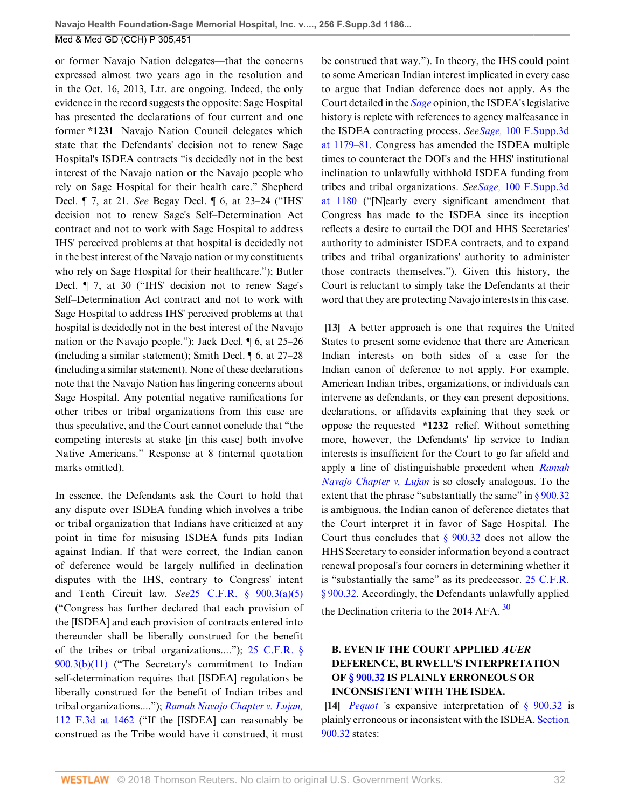or former Navajo Nation delegates—that the concerns expressed almost two years ago in the resolution and in the Oct. 16, 2013, Ltr. are ongoing. Indeed, the only evidence in the record suggests the opposite: Sage Hospital has presented the declarations of four current and one former **\*1231** Navajo Nation Council delegates which state that the Defendants' decision not to renew Sage Hospital's ISDEA contracts "is decidedly not in the best interest of the Navajo nation or the Navajo people who rely on Sage Hospital for their health care." Shepherd Decl. ¶ 7, at 21. *See* Begay Decl. ¶ 6, at 23–24 ("IHS' decision not to renew Sage's Self–Determination Act contract and not to work with Sage Hospital to address IHS' perceived problems at that hospital is decidedly not in the best interest of the Navajo nation or my constituents who rely on Sage Hospital for their healthcare."); Butler Decl. ¶ 7, at 30 ("IHS' decision not to renew Sage's Self–Determination Act contract and not to work with Sage Hospital to address IHS' perceived problems at that hospital is decidedly not in the best interest of the Navajo nation or the Navajo people."); Jack Decl. ¶ 6, at 25–26 (including a similar statement); Smith Decl. ¶ 6, at 27–28 (including a similar statement). None of these declarations note that the Navajo Nation has lingering concerns about Sage Hospital. Any potential negative ramifications for other tribes or tribal organizations from this case are thus speculative, and the Court cannot conclude that "the competing interests at stake [in this case] both involve Native Americans." Response at 8 (internal quotation marks omitted).

In essence, the Defendants ask the Court to hold that any dispute over ISDEA funding which involves a tribe or tribal organization that Indians have criticized at any point in time for misusing ISDEA funds pits Indian against Indian. If that were correct, the Indian canon of deference would be largely nullified in declination disputes with the IHS, contrary to Congress' intent and Tenth Circuit law. *See*[25 C.F.R. § 900.3\(a\)\(5\)](http://www.westlaw.com/Link/Document/FullText?findType=L&pubNum=1000547&cite=25CFRS900.3&originatingDoc=I02a50c30bb1011e5be74e186f6bc2536&refType=LQ&originationContext=document&vr=3.0&rs=cblt1.0&transitionType=DocumentItem&contextData=(sc.UserEnteredCitation)) ("Congress has further declared that each provision of the [ISDEA] and each provision of contracts entered into thereunder shall be liberally construed for the benefit of the tribes or tribal organizations...."); [25 C.F.R. §](http://www.westlaw.com/Link/Document/FullText?findType=L&pubNum=1000547&cite=25CFRS900.3&originatingDoc=I02a50c30bb1011e5be74e186f6bc2536&refType=LQ&originationContext=document&vr=3.0&rs=cblt1.0&transitionType=DocumentItem&contextData=(sc.UserEnteredCitation)) [900.3\(b\)\(11\)](http://www.westlaw.com/Link/Document/FullText?findType=L&pubNum=1000547&cite=25CFRS900.3&originatingDoc=I02a50c30bb1011e5be74e186f6bc2536&refType=LQ&originationContext=document&vr=3.0&rs=cblt1.0&transitionType=DocumentItem&contextData=(sc.UserEnteredCitation)) ("The Secretary's commitment to Indian self-determination requires that [ISDEA] regulations be liberally construed for the benefit of Indian tribes and tribal organizations...."); *[Ramah Navajo Chapter v. Lujan,](http://www.westlaw.com/Link/Document/FullText?findType=Y&serNum=1997106222&pubNum=0000506&originatingDoc=I02a50c30bb1011e5be74e186f6bc2536&refType=RP&fi=co_pp_sp_506_1462&originationContext=document&vr=3.0&rs=cblt1.0&transitionType=DocumentItem&contextData=(sc.UserEnteredCitation)#co_pp_sp_506_1462)* [112 F.3d at 1462](http://www.westlaw.com/Link/Document/FullText?findType=Y&serNum=1997106222&pubNum=0000506&originatingDoc=I02a50c30bb1011e5be74e186f6bc2536&refType=RP&fi=co_pp_sp_506_1462&originationContext=document&vr=3.0&rs=cblt1.0&transitionType=DocumentItem&contextData=(sc.UserEnteredCitation)#co_pp_sp_506_1462) ("If the [ISDEA] can reasonably be construed as the Tribe would have it construed, it must

be construed that way."). In theory, the IHS could point to some American Indian interest implicated in every case to argue that Indian deference does not apply. As the Court detailed in the *[Sage](http://www.westlaw.com/Link/Document/FullText?findType=Y&serNum=2036163936&pubNum=0000999&originatingDoc=I02a50c30bb1011e5be74e186f6bc2536&refType=RP&originationContext=document&vr=3.0&rs=cblt1.0&transitionType=DocumentItem&contextData=(sc.UserEnteredCitation))* opinion, the ISDEA's legislative history is replete with references to agency malfeasance in the ISDEA contracting process. *SeeSage,* [100 F.Supp.3d](http://www.westlaw.com/Link/Document/FullText?findType=Y&serNum=2036163936&pubNum=0007903&originatingDoc=I02a50c30bb1011e5be74e186f6bc2536&refType=RP&fi=co_pp_sp_7903_1179&originationContext=document&vr=3.0&rs=cblt1.0&transitionType=DocumentItem&contextData=(sc.UserEnteredCitation)#co_pp_sp_7903_1179) [at 1179–81.](http://www.westlaw.com/Link/Document/FullText?findType=Y&serNum=2036163936&pubNum=0007903&originatingDoc=I02a50c30bb1011e5be74e186f6bc2536&refType=RP&fi=co_pp_sp_7903_1179&originationContext=document&vr=3.0&rs=cblt1.0&transitionType=DocumentItem&contextData=(sc.UserEnteredCitation)#co_pp_sp_7903_1179) Congress has amended the ISDEA multiple times to counteract the DOI's and the HHS' institutional inclination to unlawfully withhold ISDEA funding from tribes and tribal organizations. *SeeSage,* [100 F.Supp.3d](http://www.westlaw.com/Link/Document/FullText?findType=Y&serNum=2036163936&pubNum=0007903&originatingDoc=I02a50c30bb1011e5be74e186f6bc2536&refType=RP&fi=co_pp_sp_7903_1180&originationContext=document&vr=3.0&rs=cblt1.0&transitionType=DocumentItem&contextData=(sc.UserEnteredCitation)#co_pp_sp_7903_1180) [at 1180](http://www.westlaw.com/Link/Document/FullText?findType=Y&serNum=2036163936&pubNum=0007903&originatingDoc=I02a50c30bb1011e5be74e186f6bc2536&refType=RP&fi=co_pp_sp_7903_1180&originationContext=document&vr=3.0&rs=cblt1.0&transitionType=DocumentItem&contextData=(sc.UserEnteredCitation)#co_pp_sp_7903_1180) ("[N]early every significant amendment that Congress has made to the ISDEA since its inception reflects a desire to curtail the DOI and HHS Secretaries' authority to administer ISDEA contracts, and to expand tribes and tribal organizations' authority to administer those contracts themselves."). Given this history, the Court is reluctant to simply take the Defendants at their word that they are protecting Navajo interests in this case.

<span id="page-31-0"></span>**[\[13](#page-3-0)]** A better approach is one that requires the United States to present some evidence that there are American Indian interests on both sides of a case for the Indian canon of deference to not apply. For example, American Indian tribes, organizations, or individuals can intervene as defendants, or they can present depositions, declarations, or affidavits explaining that they seek or oppose the requested **\*1232** relief. Without something more, however, the Defendants' lip service to Indian interests is insufficient for the Court to go far afield and apply a line of distinguishable precedent when *[Ramah](http://www.westlaw.com/Link/Document/FullText?findType=Y&serNum=1997106222&pubNum=0000506&originatingDoc=I02a50c30bb1011e5be74e186f6bc2536&refType=RP&originationContext=document&vr=3.0&rs=cblt1.0&transitionType=DocumentItem&contextData=(sc.UserEnteredCitation)) [Navajo Chapter v. Lujan](http://www.westlaw.com/Link/Document/FullText?findType=Y&serNum=1997106222&pubNum=0000506&originatingDoc=I02a50c30bb1011e5be74e186f6bc2536&refType=RP&originationContext=document&vr=3.0&rs=cblt1.0&transitionType=DocumentItem&contextData=(sc.UserEnteredCitation))* is so closely analogous. To the extent that the phrase "substantially the same" in  $\S 900.32$ is ambiguous, the Indian canon of deference dictates that the Court interpret it in favor of Sage Hospital. The Court thus concludes that  $\frac{6}{900.32}$  does not allow the HHS Secretary to consider information beyond a contract renewal proposal's four corners in determining whether it is "substantially the same" as its predecessor. [25 C.F.R.](http://www.westlaw.com/Link/Document/FullText?findType=L&pubNum=1000547&cite=25CFRS900.32&originatingDoc=I02a50c30bb1011e5be74e186f6bc2536&refType=LQ&originationContext=document&vr=3.0&rs=cblt1.0&transitionType=DocumentItem&contextData=(sc.UserEnteredCitation)) [§ 900.32](http://www.westlaw.com/Link/Document/FullText?findType=L&pubNum=1000547&cite=25CFRS900.32&originatingDoc=I02a50c30bb1011e5be74e186f6bc2536&refType=LQ&originationContext=document&vr=3.0&rs=cblt1.0&transitionType=DocumentItem&contextData=(sc.UserEnteredCitation)). Accordingly, the Defendants unlawfully applied the Declination criteria to the 2014 AFA.  $30$ 

### <span id="page-31-2"></span>**B. EVEN IF THE COURT APPLIED** *AUER* **DEFERENCE, BURWELL'S INTERPRETATION OF [§ 900.32](http://www.westlaw.com/Link/Document/FullText?findType=L&pubNum=1000547&cite=25CFRS900.32&originatingDoc=I02a50c30bb1011e5be74e186f6bc2536&refType=LQ&originationContext=document&vr=3.0&rs=cblt1.0&transitionType=DocumentItem&contextData=(sc.UserEnteredCitation)) IS PLAINLY ERRONEOUS OR INCONSISTENT WITH THE ISDEA.**

<span id="page-31-1"></span>**[\[14](#page-3-1)]** *[Pequot](http://www.westlaw.com/Link/Document/FullText?findType=Y&serNum=0318655259&originatingDoc=I02a50c30bb1011e5be74e186f6bc2536&refType=RP&originationContext=document&vr=3.0&rs=cblt1.0&transitionType=DocumentItem&contextData=(sc.UserEnteredCitation))* 's expansive interpretation of [§ 900.32](http://www.westlaw.com/Link/Document/FullText?findType=L&pubNum=1000547&cite=25CFRS900.32&originatingDoc=I02a50c30bb1011e5be74e186f6bc2536&refType=LQ&originationContext=document&vr=3.0&rs=cblt1.0&transitionType=DocumentItem&contextData=(sc.UserEnteredCitation)) is plainly erroneous or inconsistent with the ISDEA. [Section](http://www.westlaw.com/Link/Document/FullText?findType=L&pubNum=1000547&cite=25CFRS900.32&originatingDoc=I02a50c30bb1011e5be74e186f6bc2536&refType=LQ&originationContext=document&vr=3.0&rs=cblt1.0&transitionType=DocumentItem&contextData=(sc.UserEnteredCitation)) [900.32](http://www.westlaw.com/Link/Document/FullText?findType=L&pubNum=1000547&cite=25CFRS900.32&originatingDoc=I02a50c30bb1011e5be74e186f6bc2536&refType=LQ&originationContext=document&vr=3.0&rs=cblt1.0&transitionType=DocumentItem&contextData=(sc.UserEnteredCitation)) states: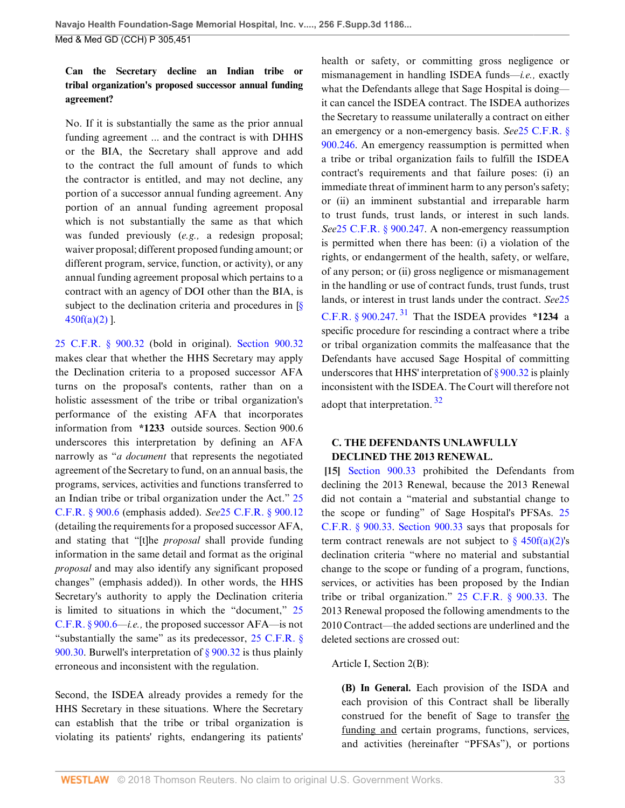# **Can the Secretary decline an Indian tribe or tribal organization's proposed successor annual funding agreement?**

No. If it is substantially the same as the prior annual funding agreement ... and the contract is with DHHS or the BIA, the Secretary shall approve and add to the contract the full amount of funds to which the contractor is entitled, and may not decline, any portion of a successor annual funding agreement. Any portion of an annual funding agreement proposal which is not substantially the same as that which was funded previously (*e.g.,* a redesign proposal; waiver proposal; different proposed funding amount; or different program, service, function, or activity), or any annual funding agreement proposal which pertains to a contract with an agency of DOI other than the BIA, is subject to the declination criteria and procedures in  $\sqrt{8}$ [450f\(a\)\(2\)](http://www.westlaw.com/Link/Document/FullText?findType=L&pubNum=1000546&cite=25USCAS450F&originatingDoc=I02a50c30bb1011e5be74e186f6bc2536&refType=LQ&originationContext=document&vr=3.0&rs=cblt1.0&transitionType=DocumentItem&contextData=(sc.UserEnteredCitation)) ].

[25 C.F.R. § 900.32](http://www.westlaw.com/Link/Document/FullText?findType=L&pubNum=1000547&cite=25CFRS900.32&originatingDoc=I02a50c30bb1011e5be74e186f6bc2536&refType=LQ&originationContext=document&vr=3.0&rs=cblt1.0&transitionType=DocumentItem&contextData=(sc.UserEnteredCitation)) (bold in original). [Section 900.32](http://www.westlaw.com/Link/Document/FullText?findType=L&pubNum=1000547&cite=25CFRS900.32&originatingDoc=I02a50c30bb1011e5be74e186f6bc2536&refType=LQ&originationContext=document&vr=3.0&rs=cblt1.0&transitionType=DocumentItem&contextData=(sc.UserEnteredCitation)) makes clear that whether the HHS Secretary may apply the Declination criteria to a proposed successor AFA turns on the proposal's contents, rather than on a holistic assessment of the tribe or tribal organization's performance of the existing AFA that incorporates information from **\*1233** outside sources. Section 900.6 underscores this interpretation by defining an AFA narrowly as "*a document* that represents the negotiated agreement of the Secretary to fund, on an annual basis, the programs, services, activities and functions transferred to an Indian tribe or tribal organization under the Act." [25](http://www.westlaw.com/Link/Document/FullText?findType=L&pubNum=1000547&cite=25CFRS900.6&originatingDoc=I02a50c30bb1011e5be74e186f6bc2536&refType=LQ&originationContext=document&vr=3.0&rs=cblt1.0&transitionType=DocumentItem&contextData=(sc.UserEnteredCitation)) [C.F.R. § 900.6](http://www.westlaw.com/Link/Document/FullText?findType=L&pubNum=1000547&cite=25CFRS900.6&originatingDoc=I02a50c30bb1011e5be74e186f6bc2536&refType=LQ&originationContext=document&vr=3.0&rs=cblt1.0&transitionType=DocumentItem&contextData=(sc.UserEnteredCitation)) (emphasis added). *See*[25 C.F.R. § 900.12](http://www.westlaw.com/Link/Document/FullText?findType=L&pubNum=1000547&cite=25CFRS900.12&originatingDoc=I02a50c30bb1011e5be74e186f6bc2536&refType=LQ&originationContext=document&vr=3.0&rs=cblt1.0&transitionType=DocumentItem&contextData=(sc.UserEnteredCitation)) (detailing the requirements for a proposed successor AFA, and stating that "[t]he *proposal* shall provide funding information in the same detail and format as the original *proposal* and may also identify any significant proposed changes" (emphasis added)). In other words, the HHS Secretary's authority to apply the Declination criteria is limited to situations in which the "document," [25](http://www.westlaw.com/Link/Document/FullText?findType=L&pubNum=1000547&cite=25CFRS900.6&originatingDoc=I02a50c30bb1011e5be74e186f6bc2536&refType=LQ&originationContext=document&vr=3.0&rs=cblt1.0&transitionType=DocumentItem&contextData=(sc.UserEnteredCitation)) [C.F.R. § 900.6—](http://www.westlaw.com/Link/Document/FullText?findType=L&pubNum=1000547&cite=25CFRS900.6&originatingDoc=I02a50c30bb1011e5be74e186f6bc2536&refType=LQ&originationContext=document&vr=3.0&rs=cblt1.0&transitionType=DocumentItem&contextData=(sc.UserEnteredCitation))*i.e.,* the proposed successor AFA—is not "substantially the same" as its predecessor,  $25$  C.F.R. § [900.30.](http://www.westlaw.com/Link/Document/FullText?findType=L&pubNum=1000547&cite=25CFRS900.30&originatingDoc=I02a50c30bb1011e5be74e186f6bc2536&refType=LQ&originationContext=document&vr=3.0&rs=cblt1.0&transitionType=DocumentItem&contextData=(sc.UserEnteredCitation)) Burwell's interpretation of  $\S 900.32$  is thus plainly erroneous and inconsistent with the regulation.

Second, the ISDEA already provides a remedy for the HHS Secretary in these situations. Where the Secretary can establish that the tribe or tribal organization is violating its patients' rights, endangering its patients' health or safety, or committing gross negligence or mismanagement in handling ISDEA funds—*i.e.,* exactly what the Defendants allege that Sage Hospital is doing it can cancel the ISDEA contract. The ISDEA authorizes the Secretary to reassume unilaterally a contract on either an emergency or a non-emergency basis. *See*[25 C.F.R. §](http://www.westlaw.com/Link/Document/FullText?findType=L&pubNum=1000547&cite=25CFRS900.246&originatingDoc=I02a50c30bb1011e5be74e186f6bc2536&refType=LQ&originationContext=document&vr=3.0&rs=cblt1.0&transitionType=DocumentItem&contextData=(sc.UserEnteredCitation)) [900.246.](http://www.westlaw.com/Link/Document/FullText?findType=L&pubNum=1000547&cite=25CFRS900.246&originatingDoc=I02a50c30bb1011e5be74e186f6bc2536&refType=LQ&originationContext=document&vr=3.0&rs=cblt1.0&transitionType=DocumentItem&contextData=(sc.UserEnteredCitation)) An emergency reassumption is permitted when a tribe or tribal organization fails to fulfill the ISDEA contract's requirements and that failure poses: (i) an immediate threat of imminent harm to any person's safety; or (ii) an imminent substantial and irreparable harm to trust funds, trust lands, or interest in such lands. *See*[25 C.F.R. § 900.247.](http://www.westlaw.com/Link/Document/FullText?findType=L&pubNum=1000547&cite=25CFRS900.247&originatingDoc=I02a50c30bb1011e5be74e186f6bc2536&refType=LQ&originationContext=document&vr=3.0&rs=cblt1.0&transitionType=DocumentItem&contextData=(sc.UserEnteredCitation)) A non-emergency reassumption is permitted when there has been: (i) a violation of the rights, or endangerment of the health, safety, or welfare, of any person; or (ii) gross negligence or mismanagement in the handling or use of contract funds, trust funds, trust lands, or interest in trust lands under the contract. *See*[25](http://www.westlaw.com/Link/Document/FullText?findType=L&pubNum=1000547&cite=25CFRS900.247&originatingDoc=I02a50c30bb1011e5be74e186f6bc2536&refType=LQ&originationContext=document&vr=3.0&rs=cblt1.0&transitionType=DocumentItem&contextData=(sc.UserEnteredCitation)) C.F.R.  $\S 900.247$ .<sup>[31](#page-49-0)</sup> That the ISDEA provides \*1234 a specific procedure for rescinding a contract where a tribe or tribal organization commits the malfeasance that the Defendants have accused Sage Hospital of committing underscores that HHS' interpretation of  $\S 900.32$  is plainly inconsistent with the ISDEA. The Court will therefore not adopt that interpretation. [32](#page-49-1)

### <span id="page-32-2"></span><span id="page-32-1"></span>**C. THE DEFENDANTS UNLAWFULLY DECLINED THE 2013 RENEWAL.**

<span id="page-32-0"></span>**[\[15](#page-3-2)]** [Section 900.33](http://www.westlaw.com/Link/Document/FullText?findType=L&pubNum=1000547&cite=25CFRS900.33&originatingDoc=I02a50c30bb1011e5be74e186f6bc2536&refType=LQ&originationContext=document&vr=3.0&rs=cblt1.0&transitionType=DocumentItem&contextData=(sc.UserEnteredCitation)) prohibited the Defendants from declining the 2013 Renewal, because the 2013 Renewal did not contain a "material and substantial change to the scope or funding" of Sage Hospital's PFSAs. [25](http://www.westlaw.com/Link/Document/FullText?findType=L&pubNum=1000547&cite=25CFRS900.33&originatingDoc=I02a50c30bb1011e5be74e186f6bc2536&refType=LQ&originationContext=document&vr=3.0&rs=cblt1.0&transitionType=DocumentItem&contextData=(sc.UserEnteredCitation)) [C.F.R. § 900.33](http://www.westlaw.com/Link/Document/FullText?findType=L&pubNum=1000547&cite=25CFRS900.33&originatingDoc=I02a50c30bb1011e5be74e186f6bc2536&refType=LQ&originationContext=document&vr=3.0&rs=cblt1.0&transitionType=DocumentItem&contextData=(sc.UserEnteredCitation)). [Section 900.33](http://www.westlaw.com/Link/Document/FullText?findType=L&pubNum=1000547&cite=25CFRS900.33&originatingDoc=I02a50c30bb1011e5be74e186f6bc2536&refType=LQ&originationContext=document&vr=3.0&rs=cblt1.0&transitionType=DocumentItem&contextData=(sc.UserEnteredCitation)) says that proposals for term contract renewals are not subject to  $\S$  450f(a)(2)'s declination criteria "where no material and substantial change to the scope or funding of a program, functions, services, or activities has been proposed by the Indian tribe or tribal organization." [25 C.F.R. § 900.33.](http://www.westlaw.com/Link/Document/FullText?findType=L&pubNum=1000547&cite=25CFRS900.33&originatingDoc=I02a50c30bb1011e5be74e186f6bc2536&refType=LQ&originationContext=document&vr=3.0&rs=cblt1.0&transitionType=DocumentItem&contextData=(sc.UserEnteredCitation)) The 2013 Renewal proposed the following amendments to the 2010 Contract—the added sections are underlined and the deleted sections are crossed out:

Article I, Section 2(B):

**(B) In General.** Each provision of the ISDA and each provision of this Contract shall be liberally construed for the benefit of Sage to transfer the funding and certain programs, functions, services, and activities (hereinafter "PFSAs"), or portions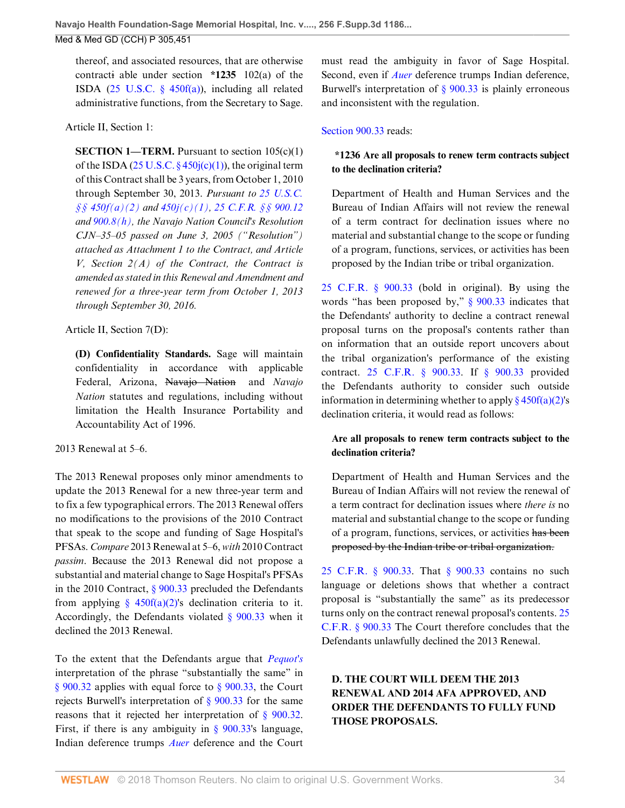thereof, and associated resources, that are otherwise contracti able under section **\*1235** 102(a) of the ISDA ([25 U.S.C. § 450f\(a\)](http://www.westlaw.com/Link/Document/FullText?findType=L&pubNum=1000546&cite=25USCAS450F&originatingDoc=I02a50c30bb1011e5be74e186f6bc2536&refType=LQ&originationContext=document&vr=3.0&rs=cblt1.0&transitionType=DocumentItem&contextData=(sc.UserEnteredCitation))), including all related administrative functions, from the Secretary to Sage.

### Article II, Section 1:

**SECTION 1—TERM.** Pursuant to section  $105(c)(1)$ of the ISDA  $(25 \text{ U.S.C.} \S 450 \text{j(c)}(1))$ , the original term of this Contract shall be 3 years, from October 1, 2010 through September 30, 2013. *Pursuant to [25 U.S.C.](http://www.westlaw.com/Link/Document/FullText?findType=L&pubNum=1000546&cite=25USCAS450F&originatingDoc=I02a50c30bb1011e5be74e186f6bc2536&refType=LQ&originationContext=document&vr=3.0&rs=cblt1.0&transitionType=DocumentItem&contextData=(sc.UserEnteredCitation)) [§§ 450f\(a\)\(2\)](http://www.westlaw.com/Link/Document/FullText?findType=L&pubNum=1000546&cite=25USCAS450F&originatingDoc=I02a50c30bb1011e5be74e186f6bc2536&refType=LQ&originationContext=document&vr=3.0&rs=cblt1.0&transitionType=DocumentItem&contextData=(sc.UserEnteredCitation)) and [450j\(c\)\(1\),](http://www.westlaw.com/Link/Document/FullText?findType=L&pubNum=1000546&cite=25USCAS450J&originatingDoc=I02a50c30bb1011e5be74e186f6bc2536&refType=LQ&originationContext=document&vr=3.0&rs=cblt1.0&transitionType=DocumentItem&contextData=(sc.UserEnteredCitation)) [25 C.F.R. §§ 900.12](http://www.westlaw.com/Link/Document/FullText?findType=L&pubNum=1000547&cite=25CFRS900.12&originatingDoc=I02a50c30bb1011e5be74e186f6bc2536&refType=LQ&originationContext=document&vr=3.0&rs=cblt1.0&transitionType=DocumentItem&contextData=(sc.UserEnteredCitation)) and [900.8\(h\)](http://www.westlaw.com/Link/Document/FullText?findType=L&pubNum=1000547&cite=25CFRS900.8&originatingDoc=I02a50c30bb1011e5be74e186f6bc2536&refType=LQ&originationContext=document&vr=3.0&rs=cblt1.0&transitionType=DocumentItem&contextData=(sc.UserEnteredCitation)), the Navajo Nation Council's Resolution CJN–35–05 passed on June 3, 2005 ("Resolution") attached as Attachment 1 to the Contract, and Article V, Section 2(A) of the Contract, the Contract is amended as stated in this Renewal and Amendment and renewed for a three-year term from October 1, 2013 through September 30, 2016.*

### Article II, Section 7(D):

**(D) Confidentiality Standards.** Sage will maintain confidentiality in accordance with applicable Federal, Arizona, Navajo Nation and *Navajo Nation* statutes and regulations, including without limitation the Health Insurance Portability and Accountability Act of 1996.

### 2013 Renewal at 5–6.

The 2013 Renewal proposes only minor amendments to update the 2013 Renewal for a new three-year term and to fix a few typographical errors. The 2013 Renewal offers no modifications to the provisions of the 2010 Contract that speak to the scope and funding of Sage Hospital's PFSAs. *Compare* 2013 Renewal at 5–6, *with* 2010 Contract *passim*. Because the 2013 Renewal did not propose a substantial and material change to Sage Hospital's PFSAs in the 2010 Contract,  $\S$  900.33 precluded the Defendants from applying §  $450f(a)(2)$ 's declination criteria to it. Accordingly, the Defendants violated [§ 900.33](http://www.westlaw.com/Link/Document/FullText?findType=L&pubNum=1000547&cite=25CFRS900.33&originatingDoc=I02a50c30bb1011e5be74e186f6bc2536&refType=LQ&originationContext=document&vr=3.0&rs=cblt1.0&transitionType=DocumentItem&contextData=(sc.UserEnteredCitation)) when it declined the 2013 Renewal.

To the extent that the Defendants argue that *[Pequot's](http://www.westlaw.com/Link/Document/FullText?findType=Y&serNum=0318655259&pubNum=0000999&originatingDoc=I02a50c30bb1011e5be74e186f6bc2536&refType=RP&originationContext=document&vr=3.0&rs=cblt1.0&transitionType=DocumentItem&contextData=(sc.UserEnteredCitation))* interpretation of the phrase "substantially the same" in [§ 900.32](http://www.westlaw.com/Link/Document/FullText?findType=L&pubNum=1000547&cite=25CFRS900.32&originatingDoc=I02a50c30bb1011e5be74e186f6bc2536&refType=LQ&originationContext=document&vr=3.0&rs=cblt1.0&transitionType=DocumentItem&contextData=(sc.UserEnteredCitation)) applies with equal force to [§ 900.33](http://www.westlaw.com/Link/Document/FullText?findType=L&pubNum=1000547&cite=25CFRS900.33&originatingDoc=I02a50c30bb1011e5be74e186f6bc2536&refType=LQ&originationContext=document&vr=3.0&rs=cblt1.0&transitionType=DocumentItem&contextData=(sc.UserEnteredCitation)), the Court rejects Burwell's interpretation of  $\S$  900.33 for the same reasons that it rejected her interpretation of [§ 900.32](http://www.westlaw.com/Link/Document/FullText?findType=L&pubNum=1000547&cite=25CFRS900.32&originatingDoc=I02a50c30bb1011e5be74e186f6bc2536&refType=LQ&originationContext=document&vr=3.0&rs=cblt1.0&transitionType=DocumentItem&contextData=(sc.UserEnteredCitation)). First, if there is any ambiguity in  $\S$  900.33's language, Indian deference trumps *[Auer](http://www.westlaw.com/Link/Document/FullText?findType=Y&serNum=1997053629&pubNum=0000780&originatingDoc=I02a50c30bb1011e5be74e186f6bc2536&refType=RP&originationContext=document&vr=3.0&rs=cblt1.0&transitionType=DocumentItem&contextData=(sc.UserEnteredCitation))* deference and the Court

must read the ambiguity in favor of Sage Hospital. Second, even if *[Auer](http://www.westlaw.com/Link/Document/FullText?findType=Y&serNum=1997053629&pubNum=0000780&originatingDoc=I02a50c30bb1011e5be74e186f6bc2536&refType=RP&originationContext=document&vr=3.0&rs=cblt1.0&transitionType=DocumentItem&contextData=(sc.UserEnteredCitation))* deference trumps Indian deference, Burwell's interpretation of  $\S$  900.33 is plainly erroneous and inconsistent with the regulation.

### [Section 900.33](http://www.westlaw.com/Link/Document/FullText?findType=L&pubNum=1000547&cite=25CFRS900.33&originatingDoc=I02a50c30bb1011e5be74e186f6bc2536&refType=LQ&originationContext=document&vr=3.0&rs=cblt1.0&transitionType=DocumentItem&contextData=(sc.UserEnteredCitation)) reads:

# **\*1236 Are all proposals to renew term contracts subject to the declination criteria?**

Department of Health and Human Services and the Bureau of Indian Affairs will not review the renewal of a term contract for declination issues where no material and substantial change to the scope or funding of a program, functions, services, or activities has been proposed by the Indian tribe or tribal organization.

[25 C.F.R. § 900.33](http://www.westlaw.com/Link/Document/FullText?findType=L&pubNum=1000547&cite=25CFRS900.33&originatingDoc=I02a50c30bb1011e5be74e186f6bc2536&refType=LQ&originationContext=document&vr=3.0&rs=cblt1.0&transitionType=DocumentItem&contextData=(sc.UserEnteredCitation)) (bold in original). By using the words "has been proposed by," [§ 900.33](http://www.westlaw.com/Link/Document/FullText?findType=L&pubNum=1000547&cite=25CFRS900.33&originatingDoc=I02a50c30bb1011e5be74e186f6bc2536&refType=LQ&originationContext=document&vr=3.0&rs=cblt1.0&transitionType=DocumentItem&contextData=(sc.UserEnteredCitation)) indicates that the Defendants' authority to decline a contract renewal proposal turns on the proposal's contents rather than on information that an outside report uncovers about the tribal organization's performance of the existing contract. [25 C.F.R. § 900.33](http://www.westlaw.com/Link/Document/FullText?findType=L&pubNum=1000547&cite=25CFRS900.33&originatingDoc=I02a50c30bb1011e5be74e186f6bc2536&refType=LQ&originationContext=document&vr=3.0&rs=cblt1.0&transitionType=DocumentItem&contextData=(sc.UserEnteredCitation)). If [§ 900.33](http://www.westlaw.com/Link/Document/FullText?findType=L&pubNum=1000547&cite=25CFRS900.33&originatingDoc=I02a50c30bb1011e5be74e186f6bc2536&refType=LQ&originationContext=document&vr=3.0&rs=cblt1.0&transitionType=DocumentItem&contextData=(sc.UserEnteredCitation)) provided the Defendants authority to consider such outside information in determining whether to apply  $\frac{8450f(a)(2)}{s}$ declination criteria, it would read as follows:

# **Are all proposals to renew term contracts subject to the declination criteria?**

Department of Health and Human Services and the Bureau of Indian Affairs will not review the renewal of a term contract for declination issues where *there is* no material and substantial change to the scope or funding of a program, functions, services, or activities has been proposed by the Indian tribe or tribal organization.

[25 C.F.R. § 900.33](http://www.westlaw.com/Link/Document/FullText?findType=L&pubNum=1000547&cite=25CFRS900.33&originatingDoc=I02a50c30bb1011e5be74e186f6bc2536&refType=LQ&originationContext=document&vr=3.0&rs=cblt1.0&transitionType=DocumentItem&contextData=(sc.UserEnteredCitation)). That [§ 900.33](http://www.westlaw.com/Link/Document/FullText?findType=L&pubNum=1000547&cite=25CFRS900.33&originatingDoc=I02a50c30bb1011e5be74e186f6bc2536&refType=LQ&originationContext=document&vr=3.0&rs=cblt1.0&transitionType=DocumentItem&contextData=(sc.UserEnteredCitation)) contains no such language or deletions shows that whether a contract proposal is "substantially the same" as its predecessor turns only on the contract renewal proposal's contents. [25](http://www.westlaw.com/Link/Document/FullText?findType=L&pubNum=1000547&cite=25CFRS900.33&originatingDoc=I02a50c30bb1011e5be74e186f6bc2536&refType=LQ&originationContext=document&vr=3.0&rs=cblt1.0&transitionType=DocumentItem&contextData=(sc.UserEnteredCitation)) [C.F.R. § 900.33](http://www.westlaw.com/Link/Document/FullText?findType=L&pubNum=1000547&cite=25CFRS900.33&originatingDoc=I02a50c30bb1011e5be74e186f6bc2536&refType=LQ&originationContext=document&vr=3.0&rs=cblt1.0&transitionType=DocumentItem&contextData=(sc.UserEnteredCitation)) The Court therefore concludes that the Defendants unlawfully declined the 2013 Renewal.

# **D. THE COURT WILL DEEM THE 2013 RENEWAL AND 2014 AFA APPROVED, AND ORDER THE DEFENDANTS TO FULLY FUND THOSE PROPOSALS.**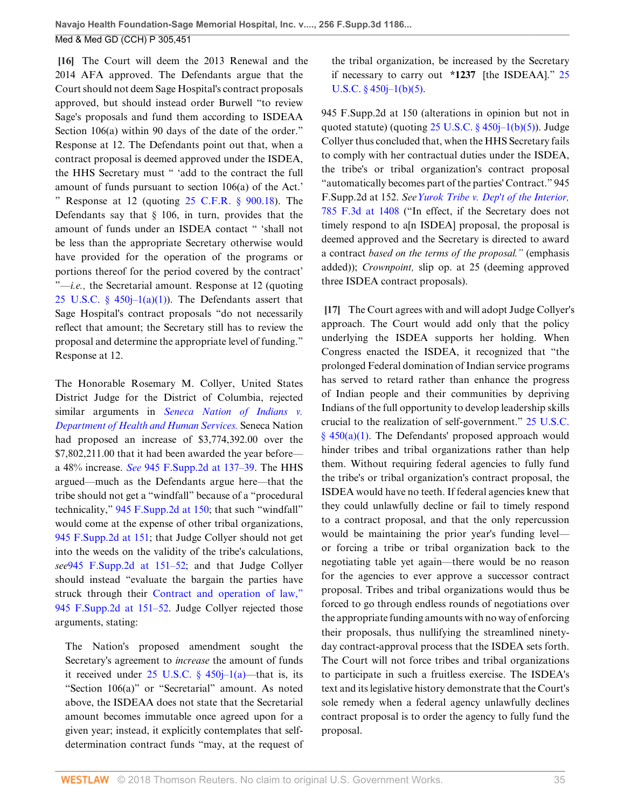<span id="page-34-0"></span>**[\[16](#page-4-0)]** The Court will deem the 2013 Renewal and the 2014 AFA approved. The Defendants argue that the Court should not deem Sage Hospital's contract proposals approved, but should instead order Burwell "to review Sage's proposals and fund them according to ISDEAA Section 106(a) within 90 days of the date of the order." Response at 12. The Defendants point out that, when a contract proposal is deemed approved under the ISDEA, the HHS Secretary must " 'add to the contract the full amount of funds pursuant to section 106(a) of the Act.' " Response at 12 (quoting  $25$  C.F.R.  $\S$  900.18). The Defendants say that § 106, in turn, provides that the amount of funds under an ISDEA contact " 'shall not be less than the appropriate Secretary otherwise would have provided for the operation of the programs or portions thereof for the period covered by the contract' "—*i.e.,* the Secretarial amount. Response at 12 (quoting 25 U.S.C. §  $450j-1(a)(1)$ . The Defendants assert that Sage Hospital's contract proposals "do not necessarily reflect that amount; the Secretary still has to review the proposal and determine the appropriate level of funding." Response at 12.

The Honorable Rosemary M. Collyer, United States District Judge for the District of Columbia, rejected similar arguments in *[Seneca Nation of Indians v.](http://www.westlaw.com/Link/Document/FullText?findType=Y&serNum=2030595298&pubNum=0004637&originatingDoc=I02a50c30bb1011e5be74e186f6bc2536&refType=RP&originationContext=document&vr=3.0&rs=cblt1.0&transitionType=DocumentItem&contextData=(sc.UserEnteredCitation)) [Department of Health and Human Services.](http://www.westlaw.com/Link/Document/FullText?findType=Y&serNum=2030595298&pubNum=0004637&originatingDoc=I02a50c30bb1011e5be74e186f6bc2536&refType=RP&originationContext=document&vr=3.0&rs=cblt1.0&transitionType=DocumentItem&contextData=(sc.UserEnteredCitation))* Seneca Nation had proposed an increase of \$3,774,392.00 over the \$7,802,211.00 that it had been awarded the year before a 48% increase. *See* [945 F.Supp.2d at 137–39](http://www.westlaw.com/Link/Document/FullText?findType=Y&serNum=2030595298&pubNum=0004637&originatingDoc=I02a50c30bb1011e5be74e186f6bc2536&refType=RP&fi=co_pp_sp_4637_137&originationContext=document&vr=3.0&rs=cblt1.0&transitionType=DocumentItem&contextData=(sc.UserEnteredCitation)#co_pp_sp_4637_137). The HHS argued—much as the Defendants argue here—that the tribe should not get a "windfall" because of a "procedural technicality," [945 F.Supp.2d at 150;](http://www.westlaw.com/Link/Document/FullText?findType=Y&serNum=2030595298&pubNum=0004637&originatingDoc=I02a50c30bb1011e5be74e186f6bc2536&refType=RP&fi=co_pp_sp_4637_150&originationContext=document&vr=3.0&rs=cblt1.0&transitionType=DocumentItem&contextData=(sc.UserEnteredCitation)#co_pp_sp_4637_150) that such "windfall" would come at the expense of other tribal organizations, [945 F.Supp.2d at 151](http://www.westlaw.com/Link/Document/FullText?findType=Y&serNum=2030595298&pubNum=0004637&originatingDoc=I02a50c30bb1011e5be74e186f6bc2536&refType=RP&fi=co_pp_sp_4637_151&originationContext=document&vr=3.0&rs=cblt1.0&transitionType=DocumentItem&contextData=(sc.UserEnteredCitation)#co_pp_sp_4637_151); that Judge Collyer should not get into the weeds on the validity of the tribe's calculations, *see*[945 F.Supp.2d at 151–52;](http://www.westlaw.com/Link/Document/FullText?findType=Y&serNum=2030595298&pubNum=0004637&originatingDoc=I02a50c30bb1011e5be74e186f6bc2536&refType=RP&fi=co_pp_sp_4637_151&originationContext=document&vr=3.0&rs=cblt1.0&transitionType=DocumentItem&contextData=(sc.UserEnteredCitation)#co_pp_sp_4637_151) and that Judge Collyer should instead "evaluate the bargain the parties have struck through their [Contract and operation of law,"](http://www.westlaw.com/Link/Document/FullText?findType=Y&serNum=2030595298&pubNum=0004637&originatingDoc=I02a50c30bb1011e5be74e186f6bc2536&refType=RP&fi=co_pp_sp_4637_151&originationContext=document&vr=3.0&rs=cblt1.0&transitionType=DocumentItem&contextData=(sc.UserEnteredCitation)#co_pp_sp_4637_151) [945 F.Supp.2d at 151–52](http://www.westlaw.com/Link/Document/FullText?findType=Y&serNum=2030595298&pubNum=0004637&originatingDoc=I02a50c30bb1011e5be74e186f6bc2536&refType=RP&fi=co_pp_sp_4637_151&originationContext=document&vr=3.0&rs=cblt1.0&transitionType=DocumentItem&contextData=(sc.UserEnteredCitation)#co_pp_sp_4637_151). Judge Collyer rejected those arguments, stating:

The Nation's proposed amendment sought the Secretary's agreement to *increase* the amount of funds it received under  $25$  U.S.C. §  $450j-1$ (a)—that is, its "Section 106(a)" or "Secretarial" amount. As noted above, the ISDEAA does not state that the Secretarial amount becomes immutable once agreed upon for a given year; instead, it explicitly contemplates that selfdetermination contract funds "may, at the request of the tribal organization, be increased by the Secretary if necessary to carry out **\*1237** [the ISDEAA]." [25](http://www.westlaw.com/Link/Document/FullText?findType=L&pubNum=1000546&cite=25USCAS450J-1&originatingDoc=I02a50c30bb1011e5be74e186f6bc2536&refType=LQ&originationContext=document&vr=3.0&rs=cblt1.0&transitionType=DocumentItem&contextData=(sc.UserEnteredCitation)) U.S.C.  $§$  450j-1(b)(5).

945 F.Supp.2d at 150 (alterations in opinion but not in quoted statute) (quoting [25 U.S.C. § 450j–1\(b\)\(5\)](http://www.westlaw.com/Link/Document/FullText?findType=L&pubNum=1000546&cite=25USCAS450J-1&originatingDoc=I02a50c30bb1011e5be74e186f6bc2536&refType=LQ&originationContext=document&vr=3.0&rs=cblt1.0&transitionType=DocumentItem&contextData=(sc.UserEnteredCitation))). Judge Collyer thus concluded that, when the HHS Secretary fails to comply with her contractual duties under the ISDEA, the tribe's or tribal organization's contract proposal "automatically becomes part of the parties' Contract." 945 F.Supp.2d at 152. *Se[eYurok Tribe v. Dep't of the Interior,](http://www.westlaw.com/Link/Document/FullText?findType=Y&serNum=2036243282&pubNum=0000506&originatingDoc=I02a50c30bb1011e5be74e186f6bc2536&refType=RP&fi=co_pp_sp_506_1408&originationContext=document&vr=3.0&rs=cblt1.0&transitionType=DocumentItem&contextData=(sc.UserEnteredCitation)#co_pp_sp_506_1408)* [785 F.3d at 1408](http://www.westlaw.com/Link/Document/FullText?findType=Y&serNum=2036243282&pubNum=0000506&originatingDoc=I02a50c30bb1011e5be74e186f6bc2536&refType=RP&fi=co_pp_sp_506_1408&originationContext=document&vr=3.0&rs=cblt1.0&transitionType=DocumentItem&contextData=(sc.UserEnteredCitation)#co_pp_sp_506_1408) ("In effect, if the Secretary does not timely respond to a[n ISDEA] proposal, the proposal is deemed approved and the Secretary is directed to award a contract *based on the terms of the proposal."* (emphasis added)); *Crownpoint,* slip op. at 25 (deeming approved three ISDEA contract proposals).

<span id="page-34-1"></span>**[\[17](#page-4-1)]** The Court agrees with and will adopt Judge Collyer's approach. The Court would add only that the policy underlying the ISDEA supports her holding. When Congress enacted the ISDEA, it recognized that "the prolonged Federal domination of Indian service programs has served to retard rather than enhance the progress of Indian people and their communities by depriving Indians of the full opportunity to develop leadership skills crucial to the realization of self-government." [25 U.S.C.](http://www.westlaw.com/Link/Document/FullText?findType=L&pubNum=1000546&cite=25USCAS450&originatingDoc=I02a50c30bb1011e5be74e186f6bc2536&refType=LQ&originationContext=document&vr=3.0&rs=cblt1.0&transitionType=DocumentItem&contextData=(sc.UserEnteredCitation))  $§$  450(a)(1). The Defendants' proposed approach would hinder tribes and tribal organizations rather than help them. Without requiring federal agencies to fully fund the tribe's or tribal organization's contract proposal, the ISDEA would have no teeth. If federal agencies knew that they could unlawfully decline or fail to timely respond to a contract proposal, and that the only repercussion would be maintaining the prior year's funding level or forcing a tribe or tribal organization back to the negotiating table yet again—there would be no reason for the agencies to ever approve a successor contract proposal. Tribes and tribal organizations would thus be forced to go through endless rounds of negotiations over the appropriate funding amounts with no way of enforcing their proposals, thus nullifying the streamlined ninetyday contract-approval process that the ISDEA sets forth. The Court will not force tribes and tribal organizations to participate in such a fruitless exercise. The ISDEA's text and its legislative history demonstrate that the Court's sole remedy when a federal agency unlawfully declines contract proposal is to order the agency to fully fund the proposal.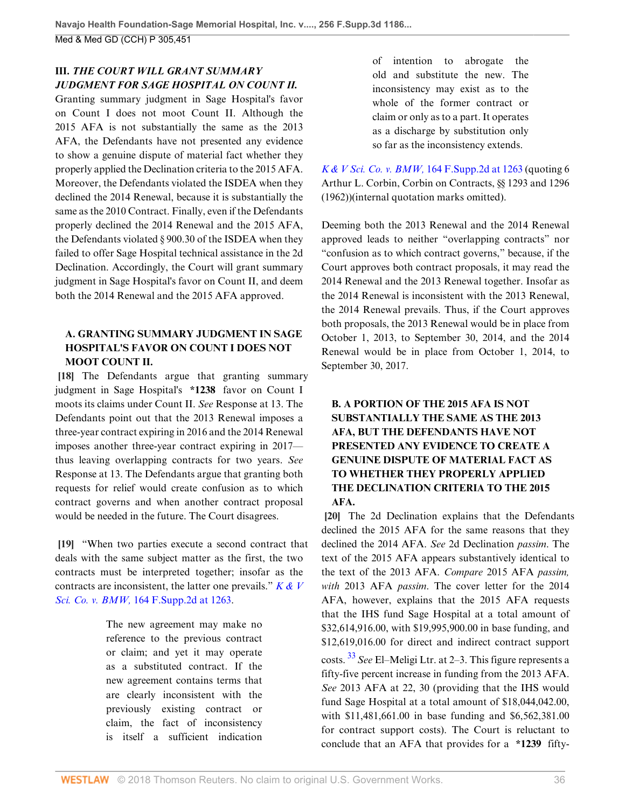# **III.** *THE COURT WILL GRANT SUMMARY JUDGMENT FOR SAGE HOSPITAL ON COUNT II.*

Granting summary judgment in Sage Hospital's favor on Count I does not moot Count II. Although the 2015 AFA is not substantially the same as the 2013 AFA, the Defendants have not presented any evidence to show a genuine dispute of material fact whether they properly applied the Declination criteria to the 2015 AFA. Moreover, the Defendants violated the ISDEA when they declined the 2014 Renewal, because it is substantially the same as the 2010 Contract. Finally, even if the Defendants properly declined the 2014 Renewal and the 2015 AFA, the Defendants violated § 900.30 of the ISDEA when they failed to offer Sage Hospital technical assistance in the 2d Declination. Accordingly, the Court will grant summary judgment in Sage Hospital's favor on Count II, and deem both the 2014 Renewal and the 2015 AFA approved.

# **A. GRANTING SUMMARY JUDGMENT IN SAGE HOSPITAL'S FAVOR ON COUNT I DOES NOT MOOT COUNT II.**

<span id="page-35-0"></span>**[\[18](#page-4-2)]** The Defendants argue that granting summary judgment in Sage Hospital's **\*1238** favor on Count I moots its claims under Count II. *See* Response at 13. The Defendants point out that the 2013 Renewal imposes a three-year contract expiring in 2016 and the 2014 Renewal imposes another three-year contract expiring in 2017 thus leaving overlapping contracts for two years. *See* Response at 13. The Defendants argue that granting both requests for relief would create confusion as to which contract governs and when another contract proposal would be needed in the future. The Court disagrees.

<span id="page-35-1"></span>**[\[19](#page-4-3)]** "When two parties execute a second contract that deals with the same subject matter as the first, the two contracts must be interpreted together; insofar as the contracts are inconsistent, the latter one prevails." *[K & V](http://www.westlaw.com/Link/Document/FullText?findType=Y&serNum=2001830037&pubNum=0004637&originatingDoc=I02a50c30bb1011e5be74e186f6bc2536&refType=RP&fi=co_pp_sp_4637_1263&originationContext=document&vr=3.0&rs=cblt1.0&transitionType=DocumentItem&contextData=(sc.UserEnteredCitation)#co_pp_sp_4637_1263) Sci. Co. v. BMW,* [164 F.Supp.2d at 1263.](http://www.westlaw.com/Link/Document/FullText?findType=Y&serNum=2001830037&pubNum=0004637&originatingDoc=I02a50c30bb1011e5be74e186f6bc2536&refType=RP&fi=co_pp_sp_4637_1263&originationContext=document&vr=3.0&rs=cblt1.0&transitionType=DocumentItem&contextData=(sc.UserEnteredCitation)#co_pp_sp_4637_1263)

> The new agreement may make no reference to the previous contract or claim; and yet it may operate as a substituted contract. If the new agreement contains terms that are clearly inconsistent with the previously existing contract or claim, the fact of inconsistency is itself a sufficient indication

of intention to abrogate the old and substitute the new. The inconsistency may exist as to the whole of the former contract or claim or only as to a part. It operates as a discharge by substitution only so far as the inconsistency extends.

*[K & V Sci. Co. v. BMW,](http://www.westlaw.com/Link/Document/FullText?findType=Y&serNum=2001830037&pubNum=0004637&originatingDoc=I02a50c30bb1011e5be74e186f6bc2536&refType=RP&fi=co_pp_sp_4637_1263&originationContext=document&vr=3.0&rs=cblt1.0&transitionType=DocumentItem&contextData=(sc.UserEnteredCitation)#co_pp_sp_4637_1263)* 164 F.Supp.2d at 1263 (quoting 6 Arthur L. Corbin, Corbin on Contracts, §§ 1293 and 1296 (1962))(internal quotation marks omitted).

Deeming both the 2013 Renewal and the 2014 Renewal approved leads to neither "overlapping contracts" nor "confusion as to which contract governs," because, if the Court approves both contract proposals, it may read the 2014 Renewal and the 2013 Renewal together. Insofar as the 2014 Renewal is inconsistent with the 2013 Renewal, the 2014 Renewal prevails. Thus, if the Court approves both proposals, the 2013 Renewal would be in place from October 1, 2013, to September 30, 2014, and the 2014 Renewal would be in place from October 1, 2014, to September 30, 2017.

# **B. A PORTION OF THE 2015 AFA IS NOT SUBSTANTIALLY THE SAME AS THE 2013 AFA, BUT THE DEFENDANTS HAVE NOT PRESENTED ANY EVIDENCE TO CREATE A GENUINE DISPUTE OF MATERIAL FACT AS TO WHETHER THEY PROPERLY APPLIED THE DECLINATION CRITERIA TO THE 2015 AFA.**

<span id="page-35-3"></span><span id="page-35-2"></span>**[\[20](#page-4-4)]** The 2d Declination explains that the Defendants declined the 2015 AFA for the same reasons that they declined the 2014 AFA. *See* 2d Declination *passim*. The text of the 2015 AFA appears substantively identical to the text of the 2013 AFA. *Compare* 2015 AFA *passim, with* 2013 AFA *passim*. The cover letter for the 2014 AFA, however, explains that the 2015 AFA requests that the IHS fund Sage Hospital at a total amount of \$32,614,916.00, with \$19,995,900.00 in base funding, and \$12,619,016.00 for direct and indirect contract support costs. [33](#page-49-2) *See* El–Meligi Ltr. at 2–3. This figure represents a fifty-five percent increase in funding from the 2013 AFA. *See* 2013 AFA at 22, 30 (providing that the IHS would fund Sage Hospital at a total amount of \$18,044,042.00, with \$11,481,661.00 in base funding and \$6,562,381.00 for contract support costs). The Court is reluctant to conclude that an AFA that provides for a **\*1239** fifty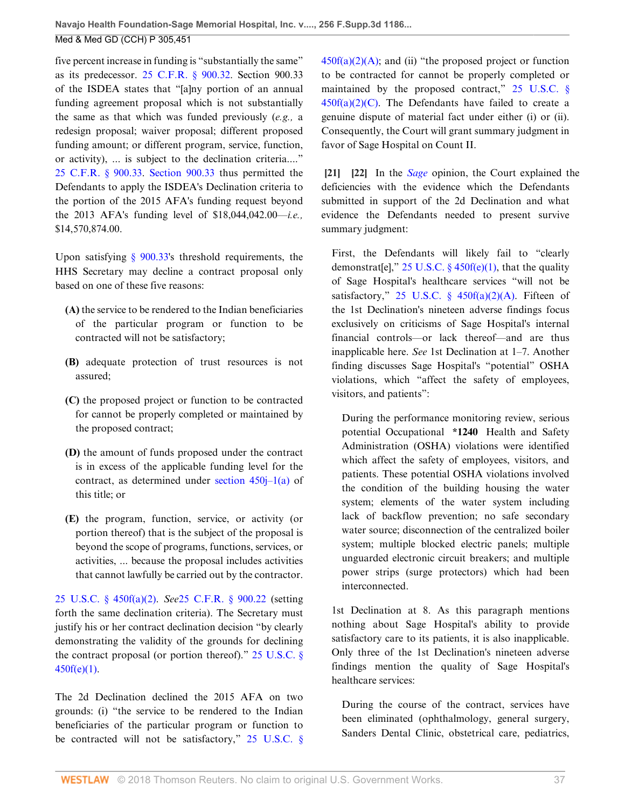five percent increase in funding is "substantially the same" as its predecessor. [25 C.F.R. § 900.32](http://www.westlaw.com/Link/Document/FullText?findType=L&pubNum=1000547&cite=25CFRS900.32&originatingDoc=I02a50c30bb1011e5be74e186f6bc2536&refType=LQ&originationContext=document&vr=3.0&rs=cblt1.0&transitionType=DocumentItem&contextData=(sc.UserEnteredCitation)). Section 900.33 of the ISDEA states that "[a]ny portion of an annual funding agreement proposal which is not substantially the same as that which was funded previously (*e.g.,* a redesign proposal; waiver proposal; different proposed funding amount; or different program, service, function, or activity), ... is subject to the declination criteria...." [25 C.F.R. § 900.33](http://www.westlaw.com/Link/Document/FullText?findType=L&pubNum=1000547&cite=25CFRS900.33&originatingDoc=I02a50c30bb1011e5be74e186f6bc2536&refType=LQ&originationContext=document&vr=3.0&rs=cblt1.0&transitionType=DocumentItem&contextData=(sc.UserEnteredCitation)). [Section 900.33](http://www.westlaw.com/Link/Document/FullText?findType=L&pubNum=1000547&cite=25CFRS900.33&originatingDoc=I02a50c30bb1011e5be74e186f6bc2536&refType=LQ&originationContext=document&vr=3.0&rs=cblt1.0&transitionType=DocumentItem&contextData=(sc.UserEnteredCitation)) thus permitted the Defendants to apply the ISDEA's Declination criteria to the portion of the 2015 AFA's funding request beyond the 2013 AFA's funding level of \$18,044,042.00—*i.e.,* \$14,570,874.00.

Upon satisfying [§ 900.33](http://www.westlaw.com/Link/Document/FullText?findType=L&pubNum=1000547&cite=25CFRS900.33&originatingDoc=I02a50c30bb1011e5be74e186f6bc2536&refType=LQ&originationContext=document&vr=3.0&rs=cblt1.0&transitionType=DocumentItem&contextData=(sc.UserEnteredCitation))'s threshold requirements, the HHS Secretary may decline a contract proposal only based on one of these five reasons:

- **(A)** the service to be rendered to the Indian beneficiaries of the particular program or function to be contracted will not be satisfactory;
- **(B)** adequate protection of trust resources is not assured;
- **(C)** the proposed project or function to be contracted for cannot be properly completed or maintained by the proposed contract;
- **(D)** the amount of funds proposed under the contract is in excess of the applicable funding level for the contract, as determined under section  $450j-1(a)$  of this title; or
- **(E)** the program, function, service, or activity (or portion thereof) that is the subject of the proposal is beyond the scope of programs, functions, services, or activities, ... because the proposal includes activities that cannot lawfully be carried out by the contractor.

[25 U.S.C. § 450f\(a\)\(2\).](http://www.westlaw.com/Link/Document/FullText?findType=L&pubNum=1000546&cite=25USCAS450F&originatingDoc=I02a50c30bb1011e5be74e186f6bc2536&refType=LQ&originationContext=document&vr=3.0&rs=cblt1.0&transitionType=DocumentItem&contextData=(sc.UserEnteredCitation)) *See*[25 C.F.R. § 900.22](http://www.westlaw.com/Link/Document/FullText?findType=L&pubNum=1000547&cite=25CFRS900.22&originatingDoc=I02a50c30bb1011e5be74e186f6bc2536&refType=LQ&originationContext=document&vr=3.0&rs=cblt1.0&transitionType=DocumentItem&contextData=(sc.UserEnteredCitation)) (setting forth the same declination criteria). The Secretary must justify his or her contract declination decision "by clearly demonstrating the validity of the grounds for declining the contract proposal (or portion thereof)."  $25$  U.S.C. § [450f\(e\)\(1\)](http://www.westlaw.com/Link/Document/FullText?findType=L&pubNum=1000546&cite=25USCAS450F&originatingDoc=I02a50c30bb1011e5be74e186f6bc2536&refType=LQ&originationContext=document&vr=3.0&rs=cblt1.0&transitionType=DocumentItem&contextData=(sc.UserEnteredCitation)).

The 2d Declination declined the 2015 AFA on two grounds: (i) "the service to be rendered to the Indian beneficiaries of the particular program or function to be contracted will not be satisfactory," [25 U.S.C. §](http://www.westlaw.com/Link/Document/FullText?findType=L&pubNum=1000546&cite=25USCAS450F&originatingDoc=I02a50c30bb1011e5be74e186f6bc2536&refType=LQ&originationContext=document&vr=3.0&rs=cblt1.0&transitionType=DocumentItem&contextData=(sc.UserEnteredCitation))  $450f(a)(2)(A)$ ; and (ii) "the proposed project or function to be contracted for cannot be properly completed or maintained by the proposed contract," [25 U.S.C. §](http://www.westlaw.com/Link/Document/FullText?findType=L&pubNum=1000546&cite=25USCAS450F&originatingDoc=I02a50c30bb1011e5be74e186f6bc2536&refType=LQ&originationContext=document&vr=3.0&rs=cblt1.0&transitionType=DocumentItem&contextData=(sc.UserEnteredCitation))  $450f(a)(2)(C)$ . The Defendants have failed to create a genuine dispute of material fact under either (i) or (ii). Consequently, the Court will grant summary judgment in favor of Sage Hospital on Count II.

<span id="page-36-1"></span><span id="page-36-0"></span>**[\[21](#page-5-0)] [\[22](#page-5-1)]** In the *[Sage](http://www.westlaw.com/Link/Document/FullText?findType=Y&serNum=2036163936&pubNum=0000999&originatingDoc=I02a50c30bb1011e5be74e186f6bc2536&refType=RP&originationContext=document&vr=3.0&rs=cblt1.0&transitionType=DocumentItem&contextData=(sc.UserEnteredCitation))* opinion, the Court explained the deficiencies with the evidence which the Defendants submitted in support of the 2d Declination and what evidence the Defendants needed to present survive summary judgment:

First, the Defendants will likely fail to "clearly demonstrat[e],"  $25$  U.S.C. § 450f(e)(1), that the quality of Sage Hospital's healthcare services "will not be satisfactory," 25 U.S.C. §  $450f(a)(2)(A)$ . Fifteen of the 1st Declination's nineteen adverse findings focus exclusively on criticisms of Sage Hospital's internal financial controls—or lack thereof—and are thus inapplicable here. *See* 1st Declination at 1–7. Another finding discusses Sage Hospital's "potential" OSHA violations, which "affect the safety of employees, visitors, and patients":

During the performance monitoring review, serious potential Occupational **\*1240** Health and Safety Administration (OSHA) violations were identified which affect the safety of employees, visitors, and patients. These potential OSHA violations involved the condition of the building housing the water system; elements of the water system including lack of backflow prevention; no safe secondary water source; disconnection of the centralized boiler system; multiple blocked electric panels; multiple unguarded electronic circuit breakers; and multiple power strips (surge protectors) which had been interconnected.

1st Declination at 8. As this paragraph mentions nothing about Sage Hospital's ability to provide satisfactory care to its patients, it is also inapplicable. Only three of the 1st Declination's nineteen adverse findings mention the quality of Sage Hospital's healthcare services:

During the course of the contract, services have been eliminated (ophthalmology, general surgery, Sanders Dental Clinic, obstetrical care, pediatrics,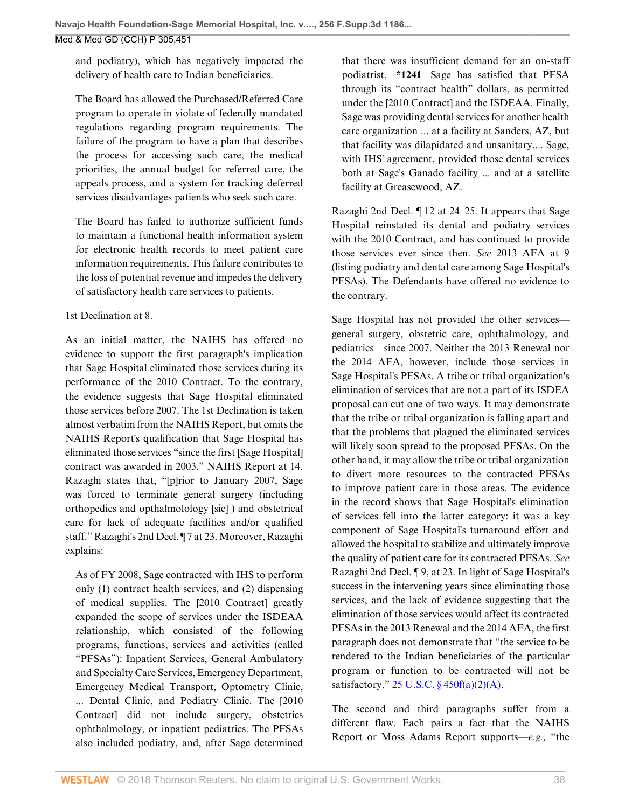and podiatry), which has negatively impacted the delivery of health care to Indian beneficiaries.

The Board has allowed the Purchased/Referred Care program to operate in violate of federally mandated regulations regarding program requirements. The failure of the program to have a plan that describes the process for accessing such care, the medical priorities, the annual budget for referred care, the appeals process, and a system for tracking deferred services disadvantages patients who seek such care.

The Board has failed to authorize sufficient funds to maintain a functional health information system for electronic health records to meet patient care information requirements. This failure contributes to the loss of potential revenue and impedes the delivery of satisfactory health care services to patients.

### 1st Declination at 8.

As an initial matter, the NAIHS has offered no evidence to support the first paragraph's implication that Sage Hospital eliminated those services during its performance of the 2010 Contract. To the contrary, the evidence suggests that Sage Hospital eliminated those services before 2007. The 1st Declination is taken almost verbatim from the NAIHS Report, but omits the NAIHS Report's qualification that Sage Hospital has eliminated those services "since the first [Sage Hospital] contract was awarded in 2003." NAIHS Report at 14. Razaghi states that, "[p]rior to January 2007, Sage was forced to terminate general surgery (including orthopedics and opthalmolology [sic] ) and obstetrical care for lack of adequate facilities and/or qualified staff." Razaghi's 2nd Decl. ¶ 7 at 23. Moreover, Razaghi explains:

As of FY 2008, Sage contracted with IHS to perform only (1) contract health services, and (2) dispensing of medical supplies. The [2010 Contract] greatly expanded the scope of services under the ISDEAA relationship, which consisted of the following programs, functions, services and activities (called "PFSAs"): Inpatient Services, General Ambulatory and Specialty Care Services, Emergency Department, Emergency Medical Transport, Optometry Clinic, ... Dental Clinic, and Podiatry Clinic. The [2010 Contract] did not include surgery, obstetrics ophthalmology, or inpatient pediatrics. The PFSAs also included podiatry, and, after Sage determined that there was insufficient demand for an on-staff podiatrist, **\*1241** Sage has satisfied that PFSA through its "contract health" dollars, as permitted under the [2010 Contract] and the ISDEAA. Finally, Sage was providing dental services for another health care organization ... at a facility at Sanders, AZ, but that facility was dilapidated and unsanitary.... Sage, with IHS' agreement, provided those dental services both at Sage's Ganado facility ... and at a satellite facility at Greasewood, AZ.

Razaghi 2nd Decl. ¶ 12 at 24–25. It appears that Sage Hospital reinstated its dental and podiatry services with the 2010 Contract, and has continued to provide those services ever since then. *See* 2013 AFA at 9 (listing podiatry and dental care among Sage Hospital's PFSAs). The Defendants have offered no evidence to the contrary.

Sage Hospital has not provided the other services general surgery, obstetric care, ophthalmology, and pediatrics—since 2007. Neither the 2013 Renewal nor the 2014 AFA, however, include those services in Sage Hospital's PFSAs. A tribe or tribal organization's elimination of services that are not a part of its ISDEA proposal can cut one of two ways. It may demonstrate that the tribe or tribal organization is falling apart and that the problems that plagued the eliminated services will likely soon spread to the proposed PFSAs. On the other hand, it may allow the tribe or tribal organization to divert more resources to the contracted PFSAs to improve patient care in those areas. The evidence in the record shows that Sage Hospital's elimination of services fell into the latter category: it was a key component of Sage Hospital's turnaround effort and allowed the hospital to stabilize and ultimately improve the quality of patient care for its contracted PFSAs. *See* Razaghi 2nd Decl. ¶ 9, at 23. In light of Sage Hospital's success in the intervening years since eliminating those services, and the lack of evidence suggesting that the elimination of those services would affect its contracted PFSAs in the 2013 Renewal and the 2014 AFA, the first paragraph does not demonstrate that "the service to be rendered to the Indian beneficiaries of the particular program or function to be contracted will not be satisfactory." [25 U.S.C. § 450f\(a\)\(2\)\(A\).](http://www.westlaw.com/Link/Document/FullText?findType=L&pubNum=1000546&cite=25USCAS450F&originatingDoc=I02a50c30bb1011e5be74e186f6bc2536&refType=LQ&originationContext=document&vr=3.0&rs=cblt1.0&transitionType=DocumentItem&contextData=(sc.UserEnteredCitation))

The second and third paragraphs suffer from a different flaw. Each pairs a fact that the NAIHS Report or Moss Adams Report supports—*e.g.,* "the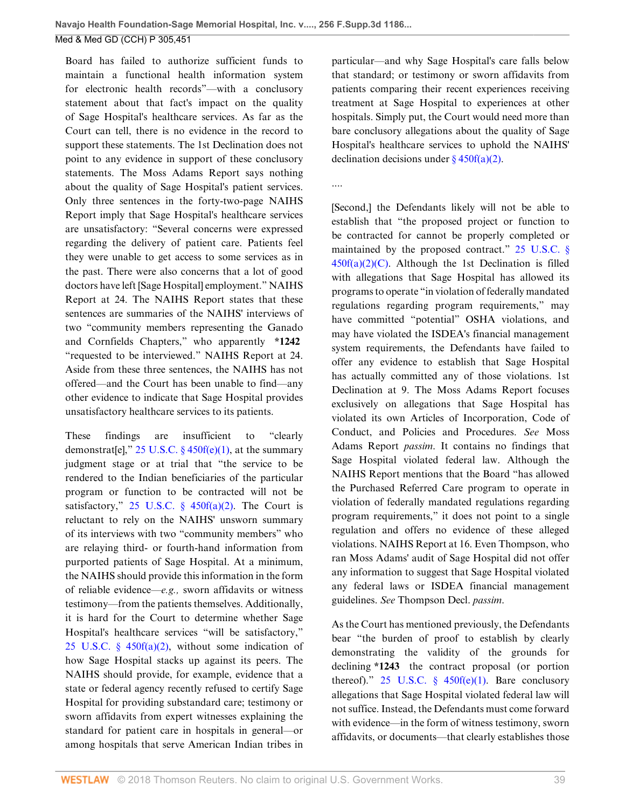Board has failed to authorize sufficient funds to maintain a functional health information system for electronic health records"—with a conclusory statement about that fact's impact on the quality of Sage Hospital's healthcare services. As far as the Court can tell, there is no evidence in the record to support these statements. The 1st Declination does not point to any evidence in support of these conclusory statements. The Moss Adams Report says nothing about the quality of Sage Hospital's patient services. Only three sentences in the forty-two-page NAIHS Report imply that Sage Hospital's healthcare services are unsatisfactory: "Several concerns were expressed regarding the delivery of patient care. Patients feel they were unable to get access to some services as in the past. There were also concerns that a lot of good doctors have left [Sage Hospital] employment." NAIHS Report at 24. The NAIHS Report states that these sentences are summaries of the NAIHS' interviews of two "community members representing the Ganado and Cornfields Chapters," who apparently **\*1242** "requested to be interviewed." NAIHS Report at 24. Aside from these three sentences, the NAIHS has not offered—and the Court has been unable to find—any other evidence to indicate that Sage Hospital provides unsatisfactory healthcare services to its patients.

These findings are insufficient to "clearly demonstrat[e],"  $25$  U.S.C. §  $450f(e)(1)$ , at the summary judgment stage or at trial that "the service to be rendered to the Indian beneficiaries of the particular program or function to be contracted will not be satisfactory," 25 U.S.C.  $\frac{6}{9}$  450f(a)(2). The Court is reluctant to rely on the NAIHS' unsworn summary of its interviews with two "community members" who are relaying third- or fourth-hand information from purported patients of Sage Hospital. At a minimum, the NAIHS should provide this information in the form of reliable evidence—*e.g.,* sworn affidavits or witness testimony—from the patients themselves. Additionally, it is hard for the Court to determine whether Sage Hospital's healthcare services "will be satisfactory," 25 U.S.C.  $\S$  450f(a)(2), without some indication of how Sage Hospital stacks up against its peers. The NAIHS should provide, for example, evidence that a state or federal agency recently refused to certify Sage Hospital for providing substandard care; testimony or sworn affidavits from expert witnesses explaining the standard for patient care in hospitals in general—or among hospitals that serve American Indian tribes in

particular—and why Sage Hospital's care falls below that standard; or testimony or sworn affidavits from patients comparing their recent experiences receiving treatment at Sage Hospital to experiences at other hospitals. Simply put, the Court would need more than bare conclusory allegations about the quality of Sage Hospital's healthcare services to uphold the NAIHS' declination decisions under  $\frac{8450f(a)(2)}{2}$ .

....

[Second,] the Defendants likely will not be able to establish that "the proposed project or function to be contracted for cannot be properly completed or maintained by the proposed contract." [25 U.S.C. §](http://www.westlaw.com/Link/Document/FullText?findType=L&pubNum=1000546&cite=25USCAS450F&originatingDoc=I02a50c30bb1011e5be74e186f6bc2536&refType=LQ&originationContext=document&vr=3.0&rs=cblt1.0&transitionType=DocumentItem&contextData=(sc.UserEnteredCitation))  $450f(a)(2)(C)$ . Although the 1st Declination is filled with allegations that Sage Hospital has allowed its programs to operate "in violation of federally mandated regulations regarding program requirements," may have committed "potential" OSHA violations, and may have violated the ISDEA's financial management system requirements, the Defendants have failed to offer any evidence to establish that Sage Hospital has actually committed any of those violations. 1st Declination at 9. The Moss Adams Report focuses exclusively on allegations that Sage Hospital has violated its own Articles of Incorporation, Code of Conduct, and Policies and Procedures. *See* Moss Adams Report *passim*. It contains no findings that Sage Hospital violated federal law. Although the NAIHS Report mentions that the Board "has allowed the Purchased Referred Care program to operate in violation of federally mandated regulations regarding program requirements," it does not point to a single regulation and offers no evidence of these alleged violations. NAIHS Report at 16. Even Thompson, who ran Moss Adams' audit of Sage Hospital did not offer any information to suggest that Sage Hospital violated any federal laws or ISDEA financial management guidelines. *See* Thompson Decl. *passim*.

As the Court has mentioned previously, the Defendants bear "the burden of proof to establish by clearly demonstrating the validity of the grounds for declining **\*1243** the contract proposal (or portion thereof)." 25 U.S.C.  $\S$  450f(e)(1). Bare conclusory allegations that Sage Hospital violated federal law will not suffice. Instead, the Defendants must come forward with evidence—in the form of witness testimony, sworn affidavits, or documents—that clearly establishes those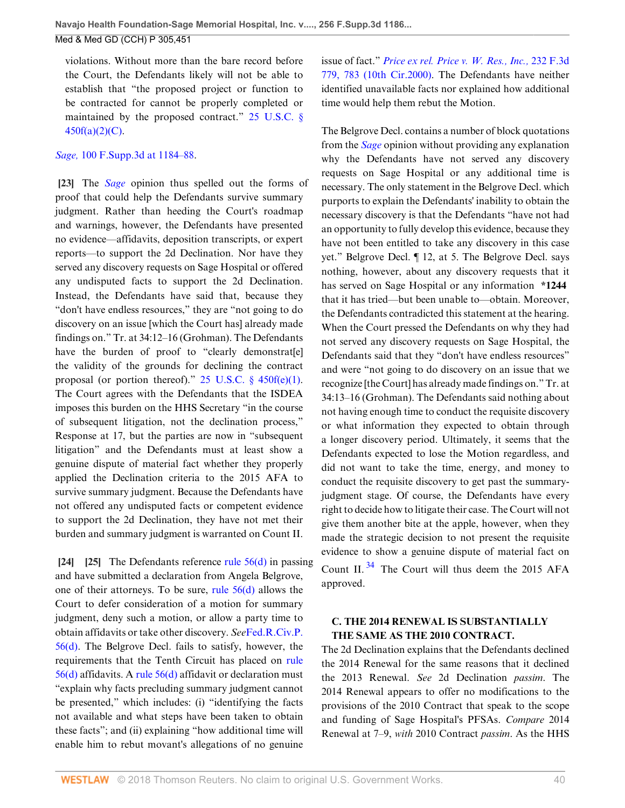violations. Without more than the bare record before the Court, the Defendants likely will not be able to establish that "the proposed project or function to be contracted for cannot be properly completed or maintained by the proposed contract." [25 U.S.C. §](http://www.westlaw.com/Link/Document/FullText?findType=L&pubNum=1000546&cite=25USCAS450F&originatingDoc=I02a50c30bb1011e5be74e186f6bc2536&refType=LQ&originationContext=document&vr=3.0&rs=cblt1.0&transitionType=DocumentItem&contextData=(sc.UserEnteredCitation)) [450f\(a\)\(2\)\(C\).](http://www.westlaw.com/Link/Document/FullText?findType=L&pubNum=1000546&cite=25USCAS450F&originatingDoc=I02a50c30bb1011e5be74e186f6bc2536&refType=LQ&originationContext=document&vr=3.0&rs=cblt1.0&transitionType=DocumentItem&contextData=(sc.UserEnteredCitation))

### *Sage,* [100 F.Supp.3d at 1184–88](http://www.westlaw.com/Link/Document/FullText?findType=Y&serNum=2036163936&pubNum=0007903&originatingDoc=I02a50c30bb1011e5be74e186f6bc2536&refType=RP&fi=co_pp_sp_7903_1184&originationContext=document&vr=3.0&rs=cblt1.0&transitionType=DocumentItem&contextData=(sc.UserEnteredCitation)#co_pp_sp_7903_1184).

<span id="page-39-0"></span>**[\[23](#page-5-2)]** The *[Sage](http://www.westlaw.com/Link/Document/FullText?findType=Y&serNum=2036163936&pubNum=0000999&originatingDoc=I02a50c30bb1011e5be74e186f6bc2536&refType=RP&originationContext=document&vr=3.0&rs=cblt1.0&transitionType=DocumentItem&contextData=(sc.UserEnteredCitation))* opinion thus spelled out the forms of proof that could help the Defendants survive summary judgment. Rather than heeding the Court's roadmap and warnings, however, the Defendants have presented no evidence—affidavits, deposition transcripts, or expert reports—to support the 2d Declination. Nor have they served any discovery requests on Sage Hospital or offered any undisputed facts to support the 2d Declination. Instead, the Defendants have said that, because they "don't have endless resources," they are "not going to do discovery on an issue [which the Court has] already made findings on." Tr. at 34:12–16 (Grohman). The Defendants have the burden of proof to "clearly demonstrat[e] the validity of the grounds for declining the contract proposal (or portion thereof)." 25 U.S.C.  $\S$  450f(e)(1). The Court agrees with the Defendants that the ISDEA imposes this burden on the HHS Secretary "in the course of subsequent litigation, not the declination process," Response at 17, but the parties are now in "subsequent litigation" and the Defendants must at least show a genuine dispute of material fact whether they properly applied the Declination criteria to the 2015 AFA to survive summary judgment. Because the Defendants have not offered any undisputed facts or competent evidence to support the 2d Declination, they have not met their burden and summary judgment is warranted on Count II.

<span id="page-39-2"></span><span id="page-39-1"></span>**[\[24](#page-6-1)] [\[25](#page-6-2)]** The Defendants reference [rule 56\(d\)](http://www.westlaw.com/Link/Document/FullText?findType=L&pubNum=1000600&cite=USFRCPR56&originatingDoc=I02a50c30bb1011e5be74e186f6bc2536&refType=LQ&originationContext=document&vr=3.0&rs=cblt1.0&transitionType=DocumentItem&contextData=(sc.UserEnteredCitation)) in passing and have submitted a declaration from Angela Belgrove, one of their attorneys. To be sure, [rule 56\(d\)](http://www.westlaw.com/Link/Document/FullText?findType=L&pubNum=1000600&cite=USFRCPR56&originatingDoc=I02a50c30bb1011e5be74e186f6bc2536&refType=LQ&originationContext=document&vr=3.0&rs=cblt1.0&transitionType=DocumentItem&contextData=(sc.UserEnteredCitation)) allows the Court to defer consideration of a motion for summary judgment, deny such a motion, or allow a party time to obtain affidavits or take other discovery. *See*[Fed.R.Civ.P.](http://www.westlaw.com/Link/Document/FullText?findType=L&pubNum=1000600&cite=USFRCPR56&originatingDoc=I02a50c30bb1011e5be74e186f6bc2536&refType=LQ&originationContext=document&vr=3.0&rs=cblt1.0&transitionType=DocumentItem&contextData=(sc.UserEnteredCitation)) [56\(d\)](http://www.westlaw.com/Link/Document/FullText?findType=L&pubNum=1000600&cite=USFRCPR56&originatingDoc=I02a50c30bb1011e5be74e186f6bc2536&refType=LQ&originationContext=document&vr=3.0&rs=cblt1.0&transitionType=DocumentItem&contextData=(sc.UserEnteredCitation)). The Belgrove Decl. fails to satisfy, however, the requirements that the Tenth Circuit has placed on [rule](http://www.westlaw.com/Link/Document/FullText?findType=L&pubNum=1000600&cite=USFRCPR56&originatingDoc=I02a50c30bb1011e5be74e186f6bc2536&refType=LQ&originationContext=document&vr=3.0&rs=cblt1.0&transitionType=DocumentItem&contextData=(sc.UserEnteredCitation)) [56\(d\)](http://www.westlaw.com/Link/Document/FullText?findType=L&pubNum=1000600&cite=USFRCPR56&originatingDoc=I02a50c30bb1011e5be74e186f6bc2536&refType=LQ&originationContext=document&vr=3.0&rs=cblt1.0&transitionType=DocumentItem&contextData=(sc.UserEnteredCitation)) affidavits. A [rule 56\(d\)](http://www.westlaw.com/Link/Document/FullText?findType=L&pubNum=1000600&cite=USFRCPR56&originatingDoc=I02a50c30bb1011e5be74e186f6bc2536&refType=LQ&originationContext=document&vr=3.0&rs=cblt1.0&transitionType=DocumentItem&contextData=(sc.UserEnteredCitation)) affidavit or declaration must "explain why facts precluding summary judgment cannot be presented," which includes: (i) "identifying the facts not available and what steps have been taken to obtain these facts"; and (ii) explaining "how additional time will enable him to rebut movant's allegations of no genuine

issue of fact." *[Price ex rel. Price v. W. Res., Inc.,](http://www.westlaw.com/Link/Document/FullText?findType=Y&serNum=2000610833&pubNum=0000506&originatingDoc=I02a50c30bb1011e5be74e186f6bc2536&refType=RP&fi=co_pp_sp_506_783&originationContext=document&vr=3.0&rs=cblt1.0&transitionType=DocumentItem&contextData=(sc.UserEnteredCitation)#co_pp_sp_506_783)* 232 F.3d [779, 783 \(10th Cir.2000\).](http://www.westlaw.com/Link/Document/FullText?findType=Y&serNum=2000610833&pubNum=0000506&originatingDoc=I02a50c30bb1011e5be74e186f6bc2536&refType=RP&fi=co_pp_sp_506_783&originationContext=document&vr=3.0&rs=cblt1.0&transitionType=DocumentItem&contextData=(sc.UserEnteredCitation)#co_pp_sp_506_783) The Defendants have neither identified unavailable facts nor explained how additional time would help them rebut the Motion.

The Belgrove Decl. contains a number of block quotations from the *[Sage](http://www.westlaw.com/Link/Document/FullText?findType=Y&serNum=2036163936&pubNum=0000999&originatingDoc=I02a50c30bb1011e5be74e186f6bc2536&refType=RP&originationContext=document&vr=3.0&rs=cblt1.0&transitionType=DocumentItem&contextData=(sc.UserEnteredCitation))* opinion without providing any explanation why the Defendants have not served any discovery requests on Sage Hospital or any additional time is necessary. The only statement in the Belgrove Decl. which purports to explain the Defendants' inability to obtain the necessary discovery is that the Defendants "have not had an opportunity to fully develop this evidence, because they have not been entitled to take any discovery in this case yet." Belgrove Decl. ¶ 12, at 5. The Belgrove Decl. says nothing, however, about any discovery requests that it has served on Sage Hospital or any information **\*1244** that it has tried—but been unable to—obtain. Moreover, the Defendants contradicted this statement at the hearing. When the Court pressed the Defendants on why they had not served any discovery requests on Sage Hospital, the Defendants said that they "don't have endless resources" and were "not going to do discovery on an issue that we recognize [the Court] has already made findings on." Tr. at 34:13–16 (Grohman). The Defendants said nothing about not having enough time to conduct the requisite discovery or what information they expected to obtain through a longer discovery period. Ultimately, it seems that the Defendants expected to lose the Motion regardless, and did not want to take the time, energy, and money to conduct the requisite discovery to get past the summaryjudgment stage. Of course, the Defendants have every right to decide how to litigate their case. The Court will not give them another bite at the apple, however, when they made the strategic decision to not present the requisite evidence to show a genuine dispute of material fact on Count II.<sup>[34](#page-49-3)</sup> The Court will thus deem the 2015 AFA approved.

### <span id="page-39-3"></span>**C. THE 2014 RENEWAL IS SUBSTANTIALLY THE SAME AS THE 2010 CONTRACT.**

The 2d Declination explains that the Defendants declined the 2014 Renewal for the same reasons that it declined the 2013 Renewal. *See* 2d Declination *passim*. The 2014 Renewal appears to offer no modifications to the provisions of the 2010 Contract that speak to the scope and funding of Sage Hospital's PFSAs. *Compare* 2014 Renewal at 7–9, *with* 2010 Contract *passim*. As the HHS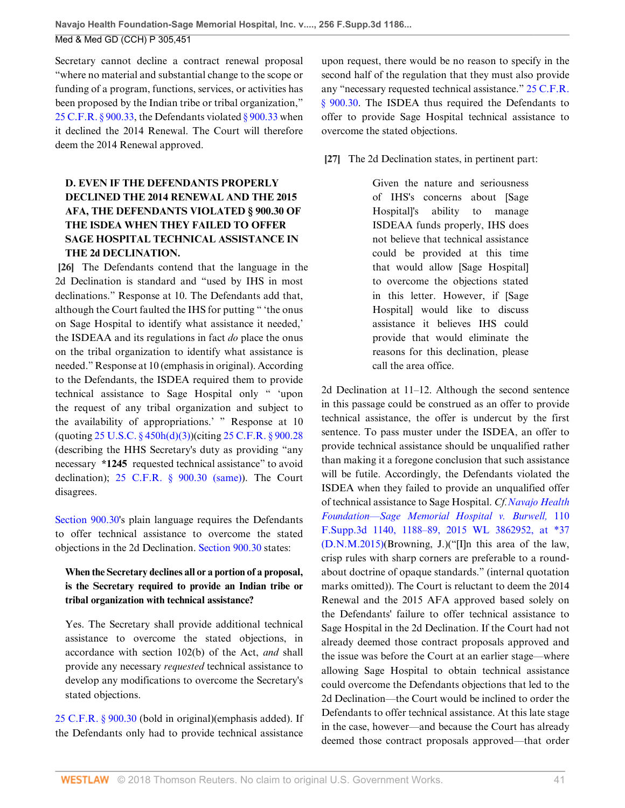Secretary cannot decline a contract renewal proposal "where no material and substantial change to the scope or funding of a program, functions, services, or activities has been proposed by the Indian tribe or tribal organization," 25 C.F.R.  $\S 900.33$ , the Defendants violated  $\S 900.33$  when it declined the 2014 Renewal. The Court will therefore deem the 2014 Renewal approved.

# **D. EVEN IF THE DEFENDANTS PROPERLY DECLINED THE 2014 RENEWAL AND THE 2015 AFA, THE DEFENDANTS VIOLATED § 900.30 OF THE ISDEA WHEN THEY FAILED TO OFFER SAGE HOSPITAL TECHNICAL ASSISTANCE IN THE 2d DECLINATION.**

<span id="page-40-0"></span>**[\[26](#page-6-0)]** The Defendants contend that the language in the 2d Declination is standard and "used by IHS in most declinations." Response at 10. The Defendants add that, although the Court faulted the IHS for putting " 'the onus on Sage Hospital to identify what assistance it needed,' the ISDEAA and its regulations in fact *do* place the onus on the tribal organization to identify what assistance is needed." Response at 10 (emphasis in original). According to the Defendants, the ISDEA required them to provide technical assistance to Sage Hospital only " 'upon the request of any tribal organization and subject to the availability of appropriations.' " Response at 10 (quoting [25 U.S.C. § 450h\(d\)\(3\)\)](http://www.westlaw.com/Link/Document/FullText?findType=L&pubNum=1000546&cite=25USCAS450H&originatingDoc=I02a50c30bb1011e5be74e186f6bc2536&refType=LQ&originationContext=document&vr=3.0&rs=cblt1.0&transitionType=DocumentItem&contextData=(sc.UserEnteredCitation))(citing [25 C.F.R. § 900.28](http://www.westlaw.com/Link/Document/FullText?findType=L&pubNum=1000547&cite=25CFRS900.28&originatingDoc=I02a50c30bb1011e5be74e186f6bc2536&refType=LQ&originationContext=document&vr=3.0&rs=cblt1.0&transitionType=DocumentItem&contextData=(sc.UserEnteredCitation)) (describing the HHS Secretary's duty as providing "any necessary **\*1245** requested technical assistance" to avoid declination);  $25$  C.F.R.  $\S$  900.30 (same)). The Court disagrees.

[Section 900.30](http://www.westlaw.com/Link/Document/FullText?findType=L&pubNum=1000547&cite=25CFRS900.30&originatingDoc=I02a50c30bb1011e5be74e186f6bc2536&refType=LQ&originationContext=document&vr=3.0&rs=cblt1.0&transitionType=DocumentItem&contextData=(sc.UserEnteredCitation))'s plain language requires the Defendants to offer technical assistance to overcome the stated objections in the 2d Declination. [Section 900.30](http://www.westlaw.com/Link/Document/FullText?findType=L&pubNum=1000547&cite=25CFRS900.30&originatingDoc=I02a50c30bb1011e5be74e186f6bc2536&refType=LQ&originationContext=document&vr=3.0&rs=cblt1.0&transitionType=DocumentItem&contextData=(sc.UserEnteredCitation)) states:

# **When the Secretary declines all or a portion of a proposal, is the Secretary required to provide an Indian tribe or tribal organization with technical assistance?**

Yes. The Secretary shall provide additional technical assistance to overcome the stated objections, in accordance with section 102(b) of the Act, *and* shall provide any necessary *requested* technical assistance to develop any modifications to overcome the Secretary's stated objections.

[25 C.F.R. § 900.30](http://www.westlaw.com/Link/Document/FullText?findType=L&pubNum=1000547&cite=25CFRS900.30&originatingDoc=I02a50c30bb1011e5be74e186f6bc2536&refType=LQ&originationContext=document&vr=3.0&rs=cblt1.0&transitionType=DocumentItem&contextData=(sc.UserEnteredCitation)) (bold in original)(emphasis added). If the Defendants only had to provide technical assistance

upon request, there would be no reason to specify in the second half of the regulation that they must also provide any "necessary requested technical assistance." [25 C.F.R.](http://www.westlaw.com/Link/Document/FullText?findType=L&pubNum=1000547&cite=25CFRS900.30&originatingDoc=I02a50c30bb1011e5be74e186f6bc2536&refType=LQ&originationContext=document&vr=3.0&rs=cblt1.0&transitionType=DocumentItem&contextData=(sc.UserEnteredCitation)) [§ 900.30.](http://www.westlaw.com/Link/Document/FullText?findType=L&pubNum=1000547&cite=25CFRS900.30&originatingDoc=I02a50c30bb1011e5be74e186f6bc2536&refType=LQ&originationContext=document&vr=3.0&rs=cblt1.0&transitionType=DocumentItem&contextData=(sc.UserEnteredCitation)) The ISDEA thus required the Defendants to offer to provide Sage Hospital technical assistance to overcome the stated objections.

<span id="page-40-1"></span>**[\[27](#page-6-3)]** The 2d Declination states, in pertinent part:

Given the nature and seriousness of IHS's concerns about [Sage Hospital]'s ability to manage ISDEAA funds properly, IHS does not believe that technical assistance could be provided at this time that would allow [Sage Hospital] to overcome the objections stated in this letter. However, if [Sage Hospital] would like to discuss assistance it believes IHS could provide that would eliminate the reasons for this declination, please call the area office.

2d Declination at 11–12. Although the second sentence in this passage could be construed as an offer to provide technical assistance, the offer is undercut by the first sentence. To pass muster under the ISDEA, an offer to provide technical assistance should be unqualified rather than making it a foregone conclusion that such assistance will be futile. Accordingly, the Defendants violated the ISDEA when they failed to provide an unqualified offer of technical assistance to Sage Hospital. *Cf.[Navajo Health](http://www.westlaw.com/Link/Document/FullText?findType=Y&serNum=2036526902&pubNum=0007903&originatingDoc=I02a50c30bb1011e5be74e186f6bc2536&refType=RP&fi=co_pp_sp_7903_1188&originationContext=document&vr=3.0&rs=cblt1.0&transitionType=DocumentItem&contextData=(sc.UserEnteredCitation)#co_pp_sp_7903_1188) [Foundation—Sage Memorial Hospital v. Burwell,](http://www.westlaw.com/Link/Document/FullText?findType=Y&serNum=2036526902&pubNum=0007903&originatingDoc=I02a50c30bb1011e5be74e186f6bc2536&refType=RP&fi=co_pp_sp_7903_1188&originationContext=document&vr=3.0&rs=cblt1.0&transitionType=DocumentItem&contextData=(sc.UserEnteredCitation)#co_pp_sp_7903_1188)* 110 [F.Supp.3d 1140, 1188–89, 2015 WL 3862952, at \\*37](http://www.westlaw.com/Link/Document/FullText?findType=Y&serNum=2036526902&pubNum=0007903&originatingDoc=I02a50c30bb1011e5be74e186f6bc2536&refType=RP&fi=co_pp_sp_7903_1188&originationContext=document&vr=3.0&rs=cblt1.0&transitionType=DocumentItem&contextData=(sc.UserEnteredCitation)#co_pp_sp_7903_1188) [\(D.N.M.2015\)](http://www.westlaw.com/Link/Document/FullText?findType=Y&serNum=2036526902&pubNum=0007903&originatingDoc=I02a50c30bb1011e5be74e186f6bc2536&refType=RP&fi=co_pp_sp_7903_1188&originationContext=document&vr=3.0&rs=cblt1.0&transitionType=DocumentItem&contextData=(sc.UserEnteredCitation)#co_pp_sp_7903_1188)(Browning, J.)("[I]n this area of the law, crisp rules with sharp corners are preferable to a roundabout doctrine of opaque standards." (internal quotation marks omitted)). The Court is reluctant to deem the 2014 Renewal and the 2015 AFA approved based solely on the Defendants' failure to offer technical assistance to Sage Hospital in the 2d Declination. If the Court had not already deemed those contract proposals approved and the issue was before the Court at an earlier stage—where allowing Sage Hospital to obtain technical assistance could overcome the Defendants objections that led to the 2d Declination—the Court would be inclined to order the Defendants to offer technical assistance. At this late stage in the case, however—and because the Court has already deemed those contract proposals approved—that order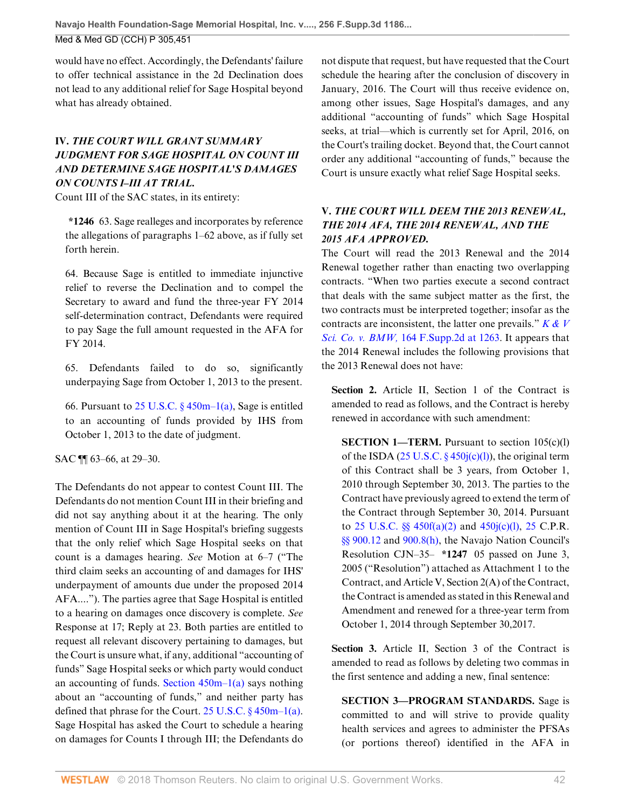**Navajo Health Foundation-Sage Memorial Hospital, Inc. v...., 256 F.Supp.3d 1186...** Med & Med GD (CCH) P 305,451

would have no effect. Accordingly, the Defendants' failure to offer technical assistance in the 2d Declination does not lead to any additional relief for Sage Hospital beyond what has already obtained.

# **IV.** *THE COURT WILL GRANT SUMMARY JUDGMENT FOR SAGE HOSPITAL ON COUNT III AND DETERMINE SAGE HOSPITAL'S DAMAGES ON COUNTS I–III AT TRIAL.*

Count III of the SAC states, in its entirety:

**\*1246** 63. Sage realleges and incorporates by reference the allegations of paragraphs 1–62 above, as if fully set forth herein.

64. Because Sage is entitled to immediate injunctive relief to reverse the Declination and to compel the Secretary to award and fund the three-year FY 2014 self-determination contract, Defendants were required to pay Sage the full amount requested in the AFA for FY 2014.

65. Defendants failed to do so, significantly underpaying Sage from October 1, 2013 to the present.

66. Pursuant to 25 U.S.C.  $\S$  450m–1(a), Sage is entitled to an accounting of funds provided by IHS from October 1, 2013 to the date of judgment.

SAC ¶¶ 63–66, at 29–30.

The Defendants do not appear to contest Count III. The Defendants do not mention Count III in their briefing and did not say anything about it at the hearing. The only mention of Count III in Sage Hospital's briefing suggests that the only relief which Sage Hospital seeks on that count is a damages hearing. *See* Motion at 6–7 ("The third claim seeks an accounting of and damages for IHS' underpayment of amounts due under the proposed 2014 AFA...."). The parties agree that Sage Hospital is entitled to a hearing on damages once discovery is complete. *See* Response at 17; Reply at 23. Both parties are entitled to request all relevant discovery pertaining to damages, but the Court is unsure what, if any, additional "accounting of funds" Sage Hospital seeks or which party would conduct an accounting of funds. Section  $450m-1(a)$  says nothing about an "accounting of funds," and neither party has defined that phrase for the Court. [25 U.S.C. § 450m–1\(a\)](http://www.westlaw.com/Link/Document/FullText?findType=L&pubNum=1000546&cite=25USCAS450M-1&originatingDoc=I02a50c30bb1011e5be74e186f6bc2536&refType=LQ&originationContext=document&vr=3.0&rs=cblt1.0&transitionType=DocumentItem&contextData=(sc.UserEnteredCitation)). Sage Hospital has asked the Court to schedule a hearing on damages for Counts I through III; the Defendants do

not dispute that request, but have requested that the Court schedule the hearing after the conclusion of discovery in January, 2016. The Court will thus receive evidence on, among other issues, Sage Hospital's damages, and any additional "accounting of funds" which Sage Hospital seeks, at trial—which is currently set for April, 2016, on the Court's trailing docket. Beyond that, the Court cannot order any additional "accounting of funds," because the Court is unsure exactly what relief Sage Hospital seeks.

### **V.** *THE COURT WILL DEEM THE 2013 RENEWAL, THE 2014 AFA, THE 2014 RENEWAL, AND THE 2015 AFA APPROVED.*

The Court will read the 2013 Renewal and the 2014 Renewal together rather than enacting two overlapping contracts. "When two parties execute a second contract that deals with the same subject matter as the first, the two contracts must be interpreted together; insofar as the contracts are inconsistent, the latter one prevails." *[K & V](http://www.westlaw.com/Link/Document/FullText?findType=Y&serNum=2001830037&pubNum=0004637&originatingDoc=I02a50c30bb1011e5be74e186f6bc2536&refType=RP&fi=co_pp_sp_4637_1263&originationContext=document&vr=3.0&rs=cblt1.0&transitionType=DocumentItem&contextData=(sc.UserEnteredCitation)#co_pp_sp_4637_1263) Sci. Co. v. BMW,* [164 F.Supp.2d at 1263](http://www.westlaw.com/Link/Document/FullText?findType=Y&serNum=2001830037&pubNum=0004637&originatingDoc=I02a50c30bb1011e5be74e186f6bc2536&refType=RP&fi=co_pp_sp_4637_1263&originationContext=document&vr=3.0&rs=cblt1.0&transitionType=DocumentItem&contextData=(sc.UserEnteredCitation)#co_pp_sp_4637_1263). It appears that the 2014 Renewal includes the following provisions that the 2013 Renewal does not have:

**Section 2.** Article II, Section 1 of the Contract is amended to read as follows, and the Contract is hereby renewed in accordance with such amendment:

**SECTION 1—TERM.** Pursuant to section 105(c)(l) of the ISDA  $(25 \text{ U.S.C.} \S 450 \text{j(c)(l)})$ , the original term of this Contract shall be 3 years, from October 1, 2010 through September 30, 2013. The parties to the Contract have previously agreed to extend the term of the Contract through September 30, 2014. Pursuant to [25](http://www.westlaw.com/Link/Document/FullText?findType=L&pubNum=1000546&cite=25USCAS25&originatingDoc=I02a50c30bb1011e5be74e186f6bc2536&refType=LQ&originationContext=document&vr=3.0&rs=cblt1.0&transitionType=DocumentItem&contextData=(sc.UserEnteredCitation)) U.S.C.  $\S$  450f(a)(2) and [450j\(c\)\(l\),](http://www.westlaw.com/Link/Document/FullText?findType=L&pubNum=1000546&cite=25USCAS450J&originatingDoc=I02a50c30bb1011e5be74e186f6bc2536&refType=LQ&originationContext=document&vr=3.0&rs=cblt1.0&transitionType=DocumentItem&contextData=(sc.UserEnteredCitation)) 25 C.P.R. [§§ 900.12](http://www.westlaw.com/Link/Document/FullText?findType=L&pubNum=1000547&cite=25CFRS900.12&originatingDoc=I02a50c30bb1011e5be74e186f6bc2536&refType=LQ&originationContext=document&vr=3.0&rs=cblt1.0&transitionType=DocumentItem&contextData=(sc.UserEnteredCitation)) and [900.8\(h\),](http://www.westlaw.com/Link/Document/FullText?findType=L&pubNum=1000547&cite=25CFRS900.8&originatingDoc=I02a50c30bb1011e5be74e186f6bc2536&refType=SP&originationContext=document&vr=3.0&rs=cblt1.0&transitionType=DocumentItem&contextData=(sc.UserEnteredCitation)#co_pp_f383000077b35) the Navajo Nation Council's Resolution CJN–35– **\*1247** 05 passed on June 3, 2005 ("Resolution") attached as Attachment 1 to the Contract, and Article V, Section 2(A) of the Contract, the Contract is amended as stated in this Renewal and Amendment and renewed for a three-year term from October 1, 2014 through September 30,2017.

**Section 3.** Article II, Section 3 of the Contract is amended to read as follows by deleting two commas in the first sentence and adding a new, final sentence:

**SECTION 3—PROGRAM STANDARDS.** Sage is committed to and will strive to provide quality health services and agrees to administer the PFSAs (or portions thereof) identified in the AFA in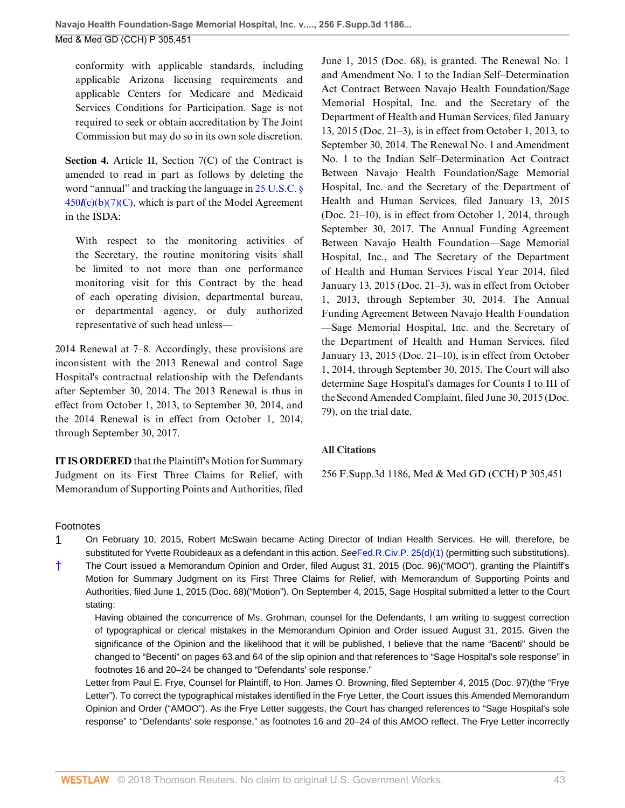conformity with applicable standards, including applicable Arizona licensing requirements and applicable Centers for Medicare and Medicaid Services Conditions for Participation. Sage is not required to seek or obtain accreditation by The Joint Commission but may do so in its own sole discretion.

**Section 4.** Article II, Section 7(C) of the Contract is amended to read in part as follows by deleting the word "annual" and tracking the language in [25 U.S.C. §](http://www.westlaw.com/Link/Document/FullText?findType=L&pubNum=1000546&cite=25USCAS450L&originatingDoc=I02a50c30bb1011e5be74e186f6bc2536&refType=LQ&originationContext=document&vr=3.0&rs=cblt1.0&transitionType=DocumentItem&contextData=(sc.UserEnteredCitation)) 450*l*[\(c\)\(b\)\(7\)\(C\)](http://www.westlaw.com/Link/Document/FullText?findType=L&pubNum=1000546&cite=25USCAS450L&originatingDoc=I02a50c30bb1011e5be74e186f6bc2536&refType=LQ&originationContext=document&vr=3.0&rs=cblt1.0&transitionType=DocumentItem&contextData=(sc.UserEnteredCitation)), which is part of the Model Agreement in the ISDA:

With respect to the monitoring activities of the Secretary, the routine monitoring visits shall be limited to not more than one performance monitoring visit for this Contract by the head of each operating division, departmental bureau, or departmental agency, or duly authorized representative of such head unless—

2014 Renewal at 7–8. Accordingly, these provisions are inconsistent with the 2013 Renewal and control Sage Hospital's contractual relationship with the Defendants after September 30, 2014. The 2013 Renewal is thus in effect from October 1, 2013, to September 30, 2014, and the 2014 Renewal is in effect from October 1, 2014, through September 30, 2017.

**IT IS ORDERED** that the Plaintiff's Motion for Summary Judgment on its First Three Claims for Relief, with Memorandum of Supporting Points and Authorities, filed

June 1, 2015 (Doc. 68), is granted. The Renewal No. 1 and Amendment No. 1 to the Indian Self–Determination Act Contract Between Navajo Health Foundation/Sage Memorial Hospital, Inc. and the Secretary of the Department of Health and Human Services, filed January 13, 2015 (Doc. 21–3), is in effect from October 1, 2013, to September 30, 2014. The Renewal No. 1 and Amendment No. 1 to the Indian Self–Determination Act Contract Between Navajo Health Foundation/Sage Memorial Hospital, Inc. and the Secretary of the Department of Health and Human Services, filed January 13, 2015 (Doc. 21–10), is in effect from October 1, 2014, through September 30, 2017. The Annual Funding Agreement Between Navajo Health Foundation—Sage Memorial Hospital, Inc., and The Secretary of the Department of Health and Human Services Fiscal Year 2014, filed January 13, 2015 (Doc. 21–3), was in effect from October 1, 2013, through September 30, 2014. The Annual Funding Agreement Between Navajo Health Foundation —Sage Memorial Hospital, Inc. and the Secretary of the Department of Health and Human Services, filed January 13, 2015 (Doc. 21–10), is in effect from October 1, 2014, through September 30, 2015. The Court will also determine Sage Hospital's damages for Counts I to III of the Second Amended Complaint, filed June 30, 2015 (Doc. 79), on the trial date.

### **All Citations**

256 F.Supp.3d 1186, Med & Med GD (CCH) P 305,451

### Footnotes

- 1 On February 10, 2015, Robert McSwain became Acting Director of Indian Health Services. He will, therefore, be substituted for Yvette Roubideaux as a defendant in this action. SeeFed.R.Civ.P.  $25(d)(1)$  (permitting such substitutions).
- <span id="page-42-0"></span>[†](#page-7-0) The Court issued a Memorandum Opinion and Order, filed August 31, 2015 (Doc. 96)("MOO"), granting the Plaintiff's Motion for Summary Judgment on its First Three Claims for Relief, with Memorandum of Supporting Points and Authorities, filed June 1, 2015 (Doc. 68)("Motion"). On September 4, 2015, Sage Hospital submitted a letter to the Court stating:

Having obtained the concurrence of Ms. Grohman, counsel for the Defendants, I am writing to suggest correction of typographical or clerical mistakes in the Memorandum Opinion and Order issued August 31, 2015. Given the significance of the Opinion and the likelihood that it will be published, I believe that the name "Bacenti" should be changed to "Becenti" on pages 63 and 64 of the slip opinion and that references to "Sage Hospital's sole response" in footnotes 16 and 20–24 be changed to "Defendants' sole response."

Letter from Paul E. Frye, Counsel for Plaintiff, to Hon. James O. Browning, filed September 4, 2015 (Doc. 97)(the "Frye Letter"). To correct the typographical mistakes identified in the Frye Letter, the Court issues this Amended Memorandum Opinion and Order ("AMOO"). As the Frye Letter suggests, the Court has changed references to "Sage Hospital's sole response" to "Defendants' sole response," as footnotes 16 and 20–24 of this AMOO reflect. The Frye Letter incorrectly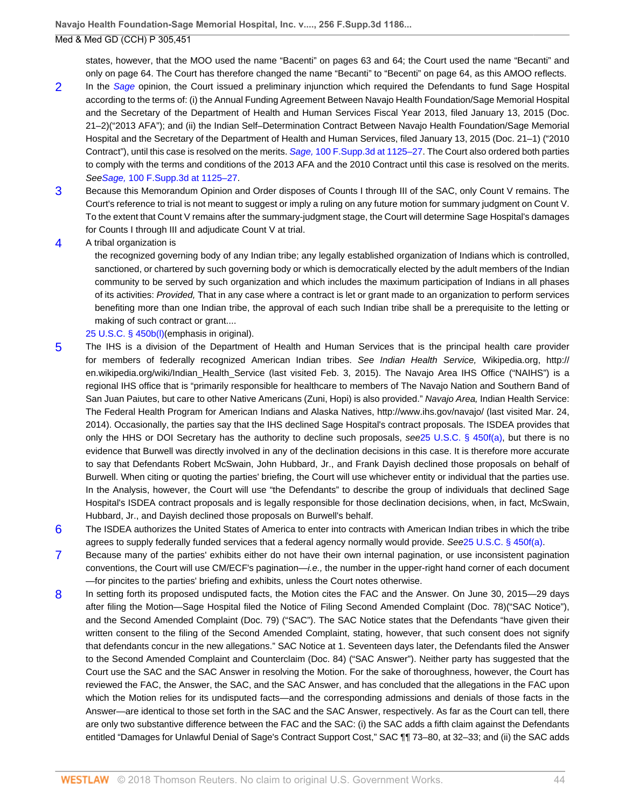states, however, that the MOO used the name "Bacenti" on pages 63 and 64; the Court used the name "Becanti" and only on page 64. The Court has therefore changed the name "Becanti" to "Becenti" on page 64, as this AMOO reflects.

- <span id="page-43-0"></span>[2](#page-7-1) In the [Sage](http://www.westlaw.com/Link/Document/FullText?findType=Y&serNum=2036163936&pubNum=0000999&originatingDoc=I02a50c30bb1011e5be74e186f6bc2536&refType=RP&originationContext=document&vr=3.0&rs=cblt1.0&transitionType=DocumentItem&contextData=(sc.UserEnteredCitation)) opinion, the Court issued a preliminary injunction which required the Defendants to fund Sage Hospital according to the terms of: (i) the Annual Funding Agreement Between Navajo Health Foundation/Sage Memorial Hospital and the Secretary of the Department of Health and Human Services Fiscal Year 2013, filed January 13, 2015 (Doc. 21–2)("2013 AFA"); and (ii) the Indian Self–Determination Contract Between Navajo Health Foundation/Sage Memorial Hospital and the Secretary of the Department of Health and Human Services, filed January 13, 2015 (Doc. 21–1) ("2010 Contract"), until this case is resolved on the merits. Sage, [100 F.Supp.3d at 1125–27](http://www.westlaw.com/Link/Document/FullText?findType=Y&serNum=2036163936&pubNum=0007903&originatingDoc=I02a50c30bb1011e5be74e186f6bc2536&refType=RP&fi=co_pp_sp_7903_1125&originationContext=document&vr=3.0&rs=cblt1.0&transitionType=DocumentItem&contextData=(sc.UserEnteredCitation)#co_pp_sp_7903_1125). The Court also ordered both parties to comply with the terms and conditions of the 2013 AFA and the 2010 Contract until this case is resolved on the merits. SeeSage, [100 F.Supp.3d at 1125–27.](http://www.westlaw.com/Link/Document/FullText?findType=Y&serNum=2036163936&pubNum=0007903&originatingDoc=I02a50c30bb1011e5be74e186f6bc2536&refType=RP&fi=co_pp_sp_7903_1125&originationContext=document&vr=3.0&rs=cblt1.0&transitionType=DocumentItem&contextData=(sc.UserEnteredCitation)#co_pp_sp_7903_1125)
- <span id="page-43-1"></span>[3](#page-7-2) Because this Memorandum Opinion and Order disposes of Counts I through III of the SAC, only Count V remains. The Court's reference to trial is not meant to suggest or imply a ruling on any future motion for summary judgment on Count V. To the extent that Count V remains after the summary-judgment stage, the Court will determine Sage Hospital's damages for Counts I through III and adjudicate Count V at trial.
- <span id="page-43-2"></span>[4](#page-7-3) A tribal organization is

the recognized governing body of any Indian tribe; any legally established organization of Indians which is controlled, sanctioned, or chartered by such governing body or which is democratically elected by the adult members of the Indian community to be served by such organization and which includes the maximum participation of Indians in all phases of its activities: Provided, That in any case where a contract is let or grant made to an organization to perform services benefiting more than one Indian tribe, the approval of each such Indian tribe shall be a prerequisite to the letting or making of such contract or grant....

[25 U.S.C. § 450b\(l\)](http://www.westlaw.com/Link/Document/FullText?findType=L&pubNum=1000546&cite=25USCAS450B&originatingDoc=I02a50c30bb1011e5be74e186f6bc2536&refType=LQ&originationContext=document&vr=3.0&rs=cblt1.0&transitionType=DocumentItem&contextData=(sc.UserEnteredCitation))(emphasis in original).

- <span id="page-43-3"></span>[5](#page-7-4) The IHS is a division of the Department of Health and Human Services that is the principal health care provider for members of federally recognized American Indian tribes. See Indian Health Service, Wikipedia.org, http:// en.wikipedia.org/wiki/Indian\_Health\_Service (last visited Feb. 3, 2015). The Navajo Area IHS Office ("NAIHS") is a regional IHS office that is "primarily responsible for healthcare to members of The Navajo Nation and Southern Band of San Juan Paiutes, but care to other Native Americans (Zuni, Hopi) is also provided." Navajo Area, Indian Health Service: The Federal Health Program for American Indians and Alaska Natives, http://www.ihs.gov/navajo/ (last visited Mar. 24, 2014). Occasionally, the parties say that the IHS declined Sage Hospital's contract proposals. The ISDEA provides that only the HHS or DOI Secretary has the authority to decline such proposals, see[25 U.S.C. § 450f\(a\)](http://www.westlaw.com/Link/Document/FullText?findType=L&pubNum=1000546&cite=25USCAS450F&originatingDoc=I02a50c30bb1011e5be74e186f6bc2536&refType=LQ&originationContext=document&vr=3.0&rs=cblt1.0&transitionType=DocumentItem&contextData=(sc.UserEnteredCitation)), but there is no evidence that Burwell was directly involved in any of the declination decisions in this case. It is therefore more accurate to say that Defendants Robert McSwain, John Hubbard, Jr., and Frank Dayish declined those proposals on behalf of Burwell. When citing or quoting the parties' briefing, the Court will use whichever entity or individual that the parties use. In the Analysis, however, the Court will use "the Defendants" to describe the group of individuals that declined Sage Hospital's ISDEA contract proposals and is legally responsible for those declination decisions, when, in fact, McSwain, Hubbard, Jr., and Dayish declined those proposals on Burwell's behalf.
- <span id="page-43-4"></span>[6](#page-7-5) The ISDEA authorizes the United States of America to enter into contracts with American Indian tribes in which the tribe agrees to supply federally funded services that a federal agency normally would provide. See[25 U.S.C. § 450f\(a\).](http://www.westlaw.com/Link/Document/FullText?findType=L&pubNum=1000546&cite=25USCAS450F&originatingDoc=I02a50c30bb1011e5be74e186f6bc2536&refType=LQ&originationContext=document&vr=3.0&rs=cblt1.0&transitionType=DocumentItem&contextData=(sc.UserEnteredCitation))
- <span id="page-43-5"></span>[7](#page-7-6) Because many of the parties' exhibits either do not have their own internal pagination, or use inconsistent pagination conventions, the Court will use CM/ECF's pagination—*i.e.*, the number in the upper-right hand corner of each document —for pincites to the parties' briefing and exhibits, unless the Court notes otherwise.
- <span id="page-43-6"></span>[8](#page-7-7) In setting forth its proposed undisputed facts, the Motion cites the FAC and the Answer. On June 30, 2015—29 days after filing the Motion—Sage Hospital filed the Notice of Filing Second Amended Complaint (Doc. 78)("SAC Notice"), and the Second Amended Complaint (Doc. 79) ("SAC"). The SAC Notice states that the Defendants "have given their written consent to the filing of the Second Amended Complaint, stating, however, that such consent does not signify that defendants concur in the new allegations." SAC Notice at 1. Seventeen days later, the Defendants filed the Answer to the Second Amended Complaint and Counterclaim (Doc. 84) ("SAC Answer"). Neither party has suggested that the Court use the SAC and the SAC Answer in resolving the Motion. For the sake of thoroughness, however, the Court has reviewed the FAC, the Answer, the SAC, and the SAC Answer, and has concluded that the allegations in the FAC upon which the Motion relies for its undisputed facts—and the corresponding admissions and denials of those facts in the Answer—are identical to those set forth in the SAC and the SAC Answer, respectively. As far as the Court can tell, there are only two substantive difference between the FAC and the SAC: (i) the SAC adds a fifth claim against the Defendants entitled "Damages for Unlawful Denial of Sage's Contract Support Cost," SAC ¶¶ 73–80, at 32–33; and (ii) the SAC adds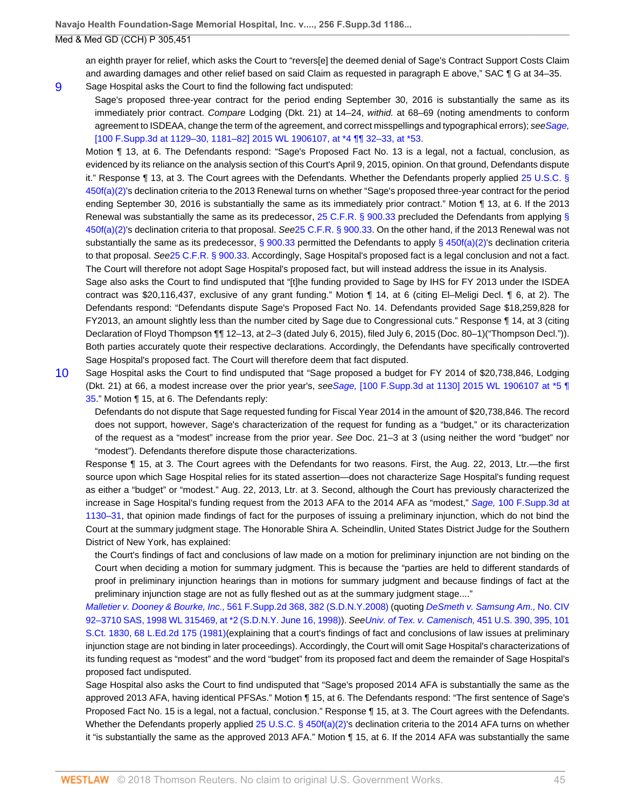an eighth prayer for relief, which asks the Court to "revers[e] the deemed denial of Sage's Contract Support Costs Claim and awarding damages and other relief based on said Claim as requested in paragraph E above," SAC ¶ G at 34–35.

<span id="page-44-0"></span>[9](#page-9-0) Sage Hospital asks the Court to find the following fact undisputed:

Sage's proposed three-year contract for the period ending September 30, 2016 is substantially the same as its immediately prior contract. Compare Lodging (Dkt. 21) at 14–24, withid. at 68–69 (noting amendments to conform agreement to ISDEAA, change the term of the agreement, and correct misspellings and typographical errors); se[eSage,](http://www.westlaw.com/Link/Document/FullText?findType=Y&serNum=2036163936&pubNum=0007903&originatingDoc=I02a50c30bb1011e5be74e186f6bc2536&refType=RP&fi=co_pp_sp_7903_1129&originationContext=document&vr=3.0&rs=cblt1.0&transitionType=DocumentItem&contextData=(sc.UserEnteredCitation)#co_pp_sp_7903_1129) [\[100 F.Supp.3d at 1129–30, 1181–82\] 2015 WL 1906107, at \\*4 ¶¶ 32–33, at \\*53](http://www.westlaw.com/Link/Document/FullText?findType=Y&serNum=2036163936&pubNum=0007903&originatingDoc=I02a50c30bb1011e5be74e186f6bc2536&refType=RP&fi=co_pp_sp_7903_1129&originationContext=document&vr=3.0&rs=cblt1.0&transitionType=DocumentItem&contextData=(sc.UserEnteredCitation)#co_pp_sp_7903_1129).

Motion ¶ 13, at 6. The Defendants respond: "Sage's Proposed Fact No. 13 is a legal, not a factual, conclusion, as evidenced by its reliance on the analysis section of this Court's April 9, 2015, opinion. On that ground, Defendants dispute it." Response ¶ 13, at 3. The Court agrees with the Defendants. Whether the Defendants properly applied [25 U.S.C. §](http://www.westlaw.com/Link/Document/FullText?findType=L&pubNum=1000546&cite=25USCAS450F&originatingDoc=I02a50c30bb1011e5be74e186f6bc2536&refType=LQ&originationContext=document&vr=3.0&rs=cblt1.0&transitionType=DocumentItem&contextData=(sc.UserEnteredCitation)) [450f\(a\)\(2\)](http://www.westlaw.com/Link/Document/FullText?findType=L&pubNum=1000546&cite=25USCAS450F&originatingDoc=I02a50c30bb1011e5be74e186f6bc2536&refType=LQ&originationContext=document&vr=3.0&rs=cblt1.0&transitionType=DocumentItem&contextData=(sc.UserEnteredCitation))'s declination criteria to the 2013 Renewal turns on whether "Sage's proposed three-year contract for the period ending September 30, 2016 is substantially the same as its immediately prior contract." Motion ¶ 13, at 6. If the 2013 Renewal was substantially the same as its predecessor, [25 C.F.R. § 900.33](http://www.westlaw.com/Link/Document/FullText?findType=L&pubNum=1000547&cite=25CFRS900.33&originatingDoc=I02a50c30bb1011e5be74e186f6bc2536&refType=LQ&originationContext=document&vr=3.0&rs=cblt1.0&transitionType=DocumentItem&contextData=(sc.UserEnteredCitation)) precluded the Defendants from applying [§](http://www.westlaw.com/Link/Document/FullText?findType=L&pubNum=1000546&cite=25USCAS450F&originatingDoc=I02a50c30bb1011e5be74e186f6bc2536&refType=LQ&originationContext=document&vr=3.0&rs=cblt1.0&transitionType=DocumentItem&contextData=(sc.UserEnteredCitation)) [450f\(a\)\(2\)](http://www.westlaw.com/Link/Document/FullText?findType=L&pubNum=1000546&cite=25USCAS450F&originatingDoc=I02a50c30bb1011e5be74e186f6bc2536&refType=LQ&originationContext=document&vr=3.0&rs=cblt1.0&transitionType=DocumentItem&contextData=(sc.UserEnteredCitation))'s declination criteria to that proposal. See[25 C.F.R. § 900.33](http://www.westlaw.com/Link/Document/FullText?findType=L&pubNum=1000547&cite=25CFRS900.33&originatingDoc=I02a50c30bb1011e5be74e186f6bc2536&refType=LQ&originationContext=document&vr=3.0&rs=cblt1.0&transitionType=DocumentItem&contextData=(sc.UserEnteredCitation)). On the other hand, if the 2013 Renewal was not substantially the same as its predecessor, [§ 900.33](http://www.westlaw.com/Link/Document/FullText?findType=L&pubNum=1000547&cite=25CFRS900.33&originatingDoc=I02a50c30bb1011e5be74e186f6bc2536&refType=LQ&originationContext=document&vr=3.0&rs=cblt1.0&transitionType=DocumentItem&contextData=(sc.UserEnteredCitation)) permitted the Defendants to apply [§ 450f\(a\)\(2\)](http://www.westlaw.com/Link/Document/FullText?findType=L&pubNum=1000546&cite=25USCAS450F&originatingDoc=I02a50c30bb1011e5be74e186f6bc2536&refType=LQ&originationContext=document&vr=3.0&rs=cblt1.0&transitionType=DocumentItem&contextData=(sc.UserEnteredCitation))'s declination criteria to that proposal. See[25 C.F.R. § 900.33.](http://www.westlaw.com/Link/Document/FullText?findType=L&pubNum=1000547&cite=25CFRS900.33&originatingDoc=I02a50c30bb1011e5be74e186f6bc2536&refType=LQ&originationContext=document&vr=3.0&rs=cblt1.0&transitionType=DocumentItem&contextData=(sc.UserEnteredCitation)) Accordingly, Sage Hospital's proposed fact is a legal conclusion and not a fact. The Court will therefore not adopt Sage Hospital's proposed fact, but will instead address the issue in its Analysis.

Sage also asks the Court to find undisputed that "[t]he funding provided to Sage by IHS for FY 2013 under the ISDEA contract was \$20,116,437, exclusive of any grant funding." Motion ¶ 14, at 6 (citing El–Meligi Decl. ¶ 6, at 2). The Defendants respond: "Defendants dispute Sage's Proposed Fact No. 14. Defendants provided Sage \$18,259,828 for FY2013, an amount slightly less than the number cited by Sage due to Congressional cuts." Response ¶ 14, at 3 (citing Declaration of Floyd Thompson ¶¶ 12–13, at 2–3 (dated July 6, 2015), filed July 6, 2015 (Doc. 80–1)("Thompson Decl.")). Both parties accurately quote their respective declarations. Accordingly, the Defendants have specifically controverted Sage Hospital's proposed fact. The Court will therefore deem that fact disputed.

<span id="page-44-1"></span>[10](#page-9-1) Sage Hospital asks the Court to find undisputed that "Sage proposed a budget for FY 2014 of \$20,738,846, Lodging (Dkt. 21) at 66, a modest increase over the prior year's, seeSage, [\[100 F.Supp.3d at 1130\] 2015 WL 1906107 at \\*5 ¶](http://www.westlaw.com/Link/Document/FullText?findType=Y&serNum=2036163936&pubNum=0007903&originatingDoc=I02a50c30bb1011e5be74e186f6bc2536&refType=RP&fi=co_pp_sp_7903_1130&originationContext=document&vr=3.0&rs=cblt1.0&transitionType=DocumentItem&contextData=(sc.UserEnteredCitation)#co_pp_sp_7903_1130) [35](http://www.westlaw.com/Link/Document/FullText?findType=Y&serNum=2036163936&pubNum=0007903&originatingDoc=I02a50c30bb1011e5be74e186f6bc2536&refType=RP&fi=co_pp_sp_7903_1130&originationContext=document&vr=3.0&rs=cblt1.0&transitionType=DocumentItem&contextData=(sc.UserEnteredCitation)#co_pp_sp_7903_1130)." Motion ¶ 15, at 6. The Defendants reply:

Defendants do not dispute that Sage requested funding for Fiscal Year 2014 in the amount of \$20,738,846. The record does not support, however, Sage's characterization of the request for funding as a "budget," or its characterization of the request as a "modest" increase from the prior year. See Doc. 21–3 at 3 (using neither the word "budget" nor "modest"). Defendants therefore dispute those characterizations.

Response ¶ 15, at 3. The Court agrees with the Defendants for two reasons. First, the Aug. 22, 2013, Ltr.—the first source upon which Sage Hospital relies for its stated assertion—does not characterize Sage Hospital's funding request as either a "budget" or "modest." Aug. 22, 2013, Ltr. at 3. Second, although the Court has previously characterized the increase in Sage Hospital's funding request from the 2013 AFA to the 2014 AFA as "modest," Sage, [100 F.Supp.3d at](http://www.westlaw.com/Link/Document/FullText?findType=Y&serNum=2036163936&pubNum=0007903&originatingDoc=I02a50c30bb1011e5be74e186f6bc2536&refType=RP&fi=co_pp_sp_7903_1130&originationContext=document&vr=3.0&rs=cblt1.0&transitionType=DocumentItem&contextData=(sc.UserEnteredCitation)#co_pp_sp_7903_1130) [1130–31](http://www.westlaw.com/Link/Document/FullText?findType=Y&serNum=2036163936&pubNum=0007903&originatingDoc=I02a50c30bb1011e5be74e186f6bc2536&refType=RP&fi=co_pp_sp_7903_1130&originationContext=document&vr=3.0&rs=cblt1.0&transitionType=DocumentItem&contextData=(sc.UserEnteredCitation)#co_pp_sp_7903_1130), that opinion made findings of fact for the purposes of issuing a preliminary injunction, which do not bind the Court at the summary judgment stage. The Honorable Shira A. Scheindlin, United States District Judge for the Southern District of New York, has explained:

the Court's findings of fact and conclusions of law made on a motion for preliminary injunction are not binding on the Court when deciding a motion for summary judgment. This is because the "parties are held to different standards of proof in preliminary injunction hearings than in motions for summary judgment and because findings of fact at the preliminary injunction stage are not as fully fleshed out as at the summary judgment stage...."

Malletier v. Dooney & Bourke, Inc., [561 F.Supp.2d 368, 382 \(S.D.N.Y.2008\)](http://www.westlaw.com/Link/Document/FullText?findType=Y&serNum=2016224570&pubNum=0004637&originatingDoc=I02a50c30bb1011e5be74e186f6bc2536&refType=RP&fi=co_pp_sp_4637_382&originationContext=document&vr=3.0&rs=cblt1.0&transitionType=DocumentItem&contextData=(sc.UserEnteredCitation)#co_pp_sp_4637_382) (quoting [DeSmeth v. Samsung Am.,](http://www.westlaw.com/Link/Document/FullText?findType=Y&serNum=1998127460&pubNum=0000999&originatingDoc=I02a50c30bb1011e5be74e186f6bc2536&refType=RP&originationContext=document&vr=3.0&rs=cblt1.0&transitionType=DocumentItem&contextData=(sc.UserEnteredCitation)) No. CIV [92–3710 SAS, 1998 WL 315469, at \\*2 \(S.D.N.Y. June 16, 1998\)](http://www.westlaw.com/Link/Document/FullText?findType=Y&serNum=1998127460&pubNum=0000999&originatingDoc=I02a50c30bb1011e5be74e186f6bc2536&refType=RP&originationContext=document&vr=3.0&rs=cblt1.0&transitionType=DocumentItem&contextData=(sc.UserEnteredCitation))). See[Univ. of Tex. v. Camenisch,](http://www.westlaw.com/Link/Document/FullText?findType=Y&serNum=1981118825&pubNum=0000708&originatingDoc=I02a50c30bb1011e5be74e186f6bc2536&refType=RP&originationContext=document&vr=3.0&rs=cblt1.0&transitionType=DocumentItem&contextData=(sc.UserEnteredCitation)) 451 U.S. 390, 395, 101 [S.Ct. 1830, 68 L.Ed.2d 175 \(1981\)\(](http://www.westlaw.com/Link/Document/FullText?findType=Y&serNum=1981118825&pubNum=0000708&originatingDoc=I02a50c30bb1011e5be74e186f6bc2536&refType=RP&originationContext=document&vr=3.0&rs=cblt1.0&transitionType=DocumentItem&contextData=(sc.UserEnteredCitation))explaining that a court's findings of fact and conclusions of law issues at preliminary injunction stage are not binding in later proceedings). Accordingly, the Court will omit Sage Hospital's characterizations of its funding request as "modest" and the word "budget" from its proposed fact and deem the remainder of Sage Hospital's proposed fact undisputed.

Sage Hospital also asks the Court to find undisputed that "Sage's proposed 2014 AFA is substantially the same as the approved 2013 AFA, having identical PFSAs." Motion ¶ 15, at 6. The Defendants respond: "The first sentence of Sage's Proposed Fact No. 15 is a legal, not a factual, conclusion." Response ¶ 15, at 3. The Court agrees with the Defendants. Whether the Defendants properly applied 25 U.S.C. §  $450f(a)(2)$ 's declination criteria to the 2014 AFA turns on whether it "is substantially the same as the approved 2013 AFA." Motion ¶ 15, at 6. If the 2014 AFA was substantially the same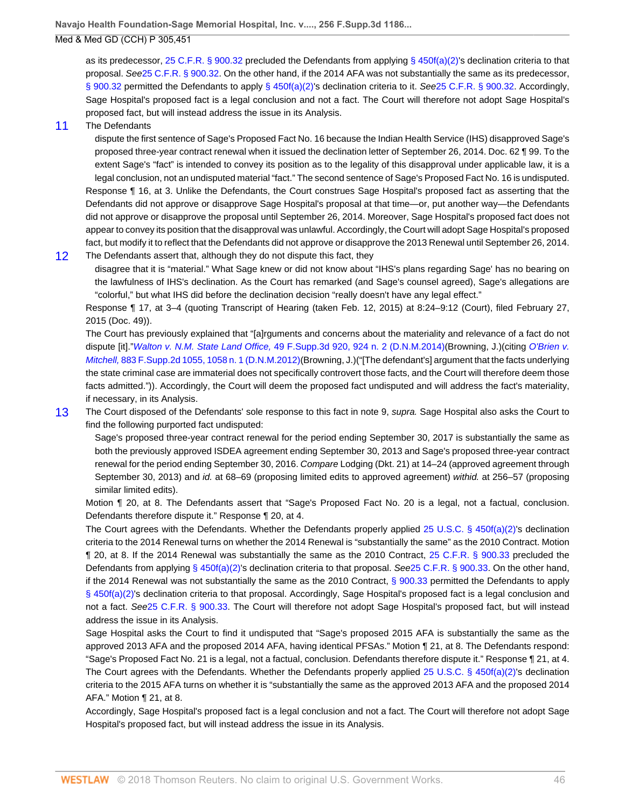as its predecessor, [25 C.F.R. § 900.32](http://www.westlaw.com/Link/Document/FullText?findType=L&pubNum=1000547&cite=25CFRS900.32&originatingDoc=I02a50c30bb1011e5be74e186f6bc2536&refType=LQ&originationContext=document&vr=3.0&rs=cblt1.0&transitionType=DocumentItem&contextData=(sc.UserEnteredCitation)) precluded the Defendants from applying [§ 450f\(a\)\(2\)](http://www.westlaw.com/Link/Document/FullText?findType=L&pubNum=1000546&cite=25USCAS450F&originatingDoc=I02a50c30bb1011e5be74e186f6bc2536&refType=LQ&originationContext=document&vr=3.0&rs=cblt1.0&transitionType=DocumentItem&contextData=(sc.UserEnteredCitation))'s declination criteria to that proposal. See[25 C.F.R. § 900.32.](http://www.westlaw.com/Link/Document/FullText?findType=L&pubNum=1000547&cite=25CFRS900.32&originatingDoc=I02a50c30bb1011e5be74e186f6bc2536&refType=LQ&originationContext=document&vr=3.0&rs=cblt1.0&transitionType=DocumentItem&contextData=(sc.UserEnteredCitation)) On the other hand, if the 2014 AFA was not substantially the same as its predecessor, [§ 900.32](http://www.westlaw.com/Link/Document/FullText?findType=L&pubNum=1000547&cite=25CFRS900.32&originatingDoc=I02a50c30bb1011e5be74e186f6bc2536&refType=LQ&originationContext=document&vr=3.0&rs=cblt1.0&transitionType=DocumentItem&contextData=(sc.UserEnteredCitation)) permitted the Defendants to apply [§ 450f\(a\)\(2\)](http://www.westlaw.com/Link/Document/FullText?findType=L&pubNum=1000546&cite=25USCAS450F&originatingDoc=I02a50c30bb1011e5be74e186f6bc2536&refType=LQ&originationContext=document&vr=3.0&rs=cblt1.0&transitionType=DocumentItem&contextData=(sc.UserEnteredCitation))'s declination criteria to it. See[25 C.F.R. § 900.32.](http://www.westlaw.com/Link/Document/FullText?findType=L&pubNum=1000547&cite=25CFRS900.32&originatingDoc=I02a50c30bb1011e5be74e186f6bc2536&refType=LQ&originationContext=document&vr=3.0&rs=cblt1.0&transitionType=DocumentItem&contextData=(sc.UserEnteredCitation)) Accordingly, Sage Hospital's proposed fact is a legal conclusion and not a fact. The Court will therefore not adopt Sage Hospital's proposed fact, but will instead address the issue in its Analysis.

#### <span id="page-45-0"></span>[11](#page-9-2) The Defendants

dispute the first sentence of Sage's Proposed Fact No. 16 because the Indian Health Service (IHS) disapproved Sage's proposed three-year contract renewal when it issued the declination letter of September 26, 2014. Doc. 62 ¶ 99. To the extent Sage's "fact" is intended to convey its position as to the legality of this disapproval under applicable law, it is a legal conclusion, not an undisputed material "fact." The second sentence of Sage's Proposed Fact No. 16 is undisputed. Response ¶ 16, at 3. Unlike the Defendants, the Court construes Sage Hospital's proposed fact as asserting that the Defendants did not approve or disapprove Sage Hospital's proposal at that time—or, put another way—the Defendants did not approve or disapprove the proposal until September 26, 2014. Moreover, Sage Hospital's proposed fact does not appear to convey its position that the disapproval was unlawful. Accordingly, the Court will adopt Sage Hospital's proposed fact, but modify it to reflect that the Defendants did not approve or disapprove the 2013 Renewal until September 26, 2014.

<span id="page-45-1"></span>[12](#page-9-3) The Defendants assert that, although they do not dispute this fact, they

disagree that it is "material." What Sage knew or did not know about "IHS's plans regarding Sage' has no bearing on the lawfulness of IHS's declination. As the Court has remarked (and Sage's counsel agreed), Sage's allegations are "colorful," but what IHS did before the declination decision "really doesn't have any legal effect."

Response ¶ 17, at 3–4 (quoting Transcript of Hearing (taken Feb. 12, 2015) at 8:24–9:12 (Court), filed February 27, 2015 (Doc. 49)).

The Court has previously explained that "[a]rguments and concerns about the materiality and relevance of a fact do not dispute [it]."Walton v. N.M. State Land Office, [49 F.Supp.3d 920, 924 n. 2 \(D.N.M.2014\)\(](http://www.westlaw.com/Link/Document/FullText?findType=Y&serNum=2034410348&pubNum=0007903&originatingDoc=I02a50c30bb1011e5be74e186f6bc2536&refType=RP&fi=co_pp_sp_7903_924&originationContext=document&vr=3.0&rs=cblt1.0&transitionType=DocumentItem&contextData=(sc.UserEnteredCitation)#co_pp_sp_7903_924)Browning, J.)(citing [O'Brien v.](http://www.westlaw.com/Link/Document/FullText?findType=Y&serNum=2028343492&pubNum=0004637&originatingDoc=I02a50c30bb1011e5be74e186f6bc2536&refType=RP&fi=co_pp_sp_4637_1058&originationContext=document&vr=3.0&rs=cblt1.0&transitionType=DocumentItem&contextData=(sc.UserEnteredCitation)#co_pp_sp_4637_1058) Mitchell, [883 F.Supp.2d 1055, 1058 n. 1 \(D.N.M.2012\)](http://www.westlaw.com/Link/Document/FullText?findType=Y&serNum=2028343492&pubNum=0004637&originatingDoc=I02a50c30bb1011e5be74e186f6bc2536&refType=RP&fi=co_pp_sp_4637_1058&originationContext=document&vr=3.0&rs=cblt1.0&transitionType=DocumentItem&contextData=(sc.UserEnteredCitation)#co_pp_sp_4637_1058)(Browning, J.)("[The defendant's] argument that the facts underlying the state criminal case are immaterial does not specifically controvert those facts, and the Court will therefore deem those facts admitted.")). Accordingly, the Court will deem the proposed fact undisputed and will address the fact's materiality, if necessary, in its Analysis.

<span id="page-45-2"></span>[13](#page-9-4) The Court disposed of the Defendants' sole response to this fact in note 9, supra. Sage Hospital also asks the Court to find the following purported fact undisputed:

Sage's proposed three-year contract renewal for the period ending September 30, 2017 is substantially the same as both the previously approved ISDEA agreement ending September 30, 2013 and Sage's proposed three-year contract renewal for the period ending September 30, 2016. Compare Lodging (Dkt. 21) at 14–24 (approved agreement through September 30, 2013) and id. at 68–69 (proposing limited edits to approved agreement) withid. at 256–57 (proposing similar limited edits).

Motion ¶ 20, at 8. The Defendants assert that "Sage's Proposed Fact No. 20 is a legal, not a factual, conclusion. Defendants therefore dispute it." Response ¶ 20, at 4.

The Court agrees with the Defendants. Whether the Defendants properly applied [25 U.S.C. § 450f\(a\)\(2\)](http://www.westlaw.com/Link/Document/FullText?findType=L&pubNum=1000546&cite=25USCAS450F&originatingDoc=I02a50c30bb1011e5be74e186f6bc2536&refType=LQ&originationContext=document&vr=3.0&rs=cblt1.0&transitionType=DocumentItem&contextData=(sc.UserEnteredCitation))'s declination criteria to the 2014 Renewal turns on whether the 2014 Renewal is "substantially the same" as the 2010 Contract. Motion ¶ 20, at 8. If the 2014 Renewal was substantially the same as the 2010 Contract, [25 C.F.R. § 900.33](http://www.westlaw.com/Link/Document/FullText?findType=L&pubNum=1000547&cite=25CFRS900.33&originatingDoc=I02a50c30bb1011e5be74e186f6bc2536&refType=LQ&originationContext=document&vr=3.0&rs=cblt1.0&transitionType=DocumentItem&contextData=(sc.UserEnteredCitation)) precluded the Defendants from applying §  $450f(a)(2)$ 's declination criteria to that proposal. See[25 C.F.R. § 900.33](http://www.westlaw.com/Link/Document/FullText?findType=L&pubNum=1000547&cite=25CFRS900.33&originatingDoc=I02a50c30bb1011e5be74e186f6bc2536&refType=LQ&originationContext=document&vr=3.0&rs=cblt1.0&transitionType=DocumentItem&contextData=(sc.UserEnteredCitation)). On the other hand, if the 2014 Renewal was not substantially the same as the 2010 Contract,  $\S$  900.33 permitted the Defendants to apply [§ 450f\(a\)\(2\)](http://www.westlaw.com/Link/Document/FullText?findType=L&pubNum=1000546&cite=25USCAS450F&originatingDoc=I02a50c30bb1011e5be74e186f6bc2536&refType=LQ&originationContext=document&vr=3.0&rs=cblt1.0&transitionType=DocumentItem&contextData=(sc.UserEnteredCitation))'s declination criteria to that proposal. Accordingly, Sage Hospital's proposed fact is a legal conclusion and not a fact. See[25 C.F.R. § 900.33.](http://www.westlaw.com/Link/Document/FullText?findType=L&pubNum=1000547&cite=25CFRS900.33&originatingDoc=I02a50c30bb1011e5be74e186f6bc2536&refType=LQ&originationContext=document&vr=3.0&rs=cblt1.0&transitionType=DocumentItem&contextData=(sc.UserEnteredCitation)) The Court will therefore not adopt Sage Hospital's proposed fact, but will instead address the issue in its Analysis.

Sage Hospital asks the Court to find it undisputed that "Sage's proposed 2015 AFA is substantially the same as the approved 2013 AFA and the proposed 2014 AFA, having identical PFSAs." Motion ¶ 21, at 8. The Defendants respond: "Sage's Proposed Fact No. 21 is a legal, not a factual, conclusion. Defendants therefore dispute it." Response ¶ 21, at 4. The Court agrees with the Defendants. Whether the Defendants properly applied [25 U.S.C. § 450f\(a\)\(2\)](http://www.westlaw.com/Link/Document/FullText?findType=L&pubNum=1000546&cite=25USCAS450F&originatingDoc=I02a50c30bb1011e5be74e186f6bc2536&refType=LQ&originationContext=document&vr=3.0&rs=cblt1.0&transitionType=DocumentItem&contextData=(sc.UserEnteredCitation))'s declination criteria to the 2015 AFA turns on whether it is "substantially the same as the approved 2013 AFA and the proposed 2014 AFA." Motion ¶ 21, at 8.

Accordingly, Sage Hospital's proposed fact is a legal conclusion and not a fact. The Court will therefore not adopt Sage Hospital's proposed fact, but will instead address the issue in its Analysis.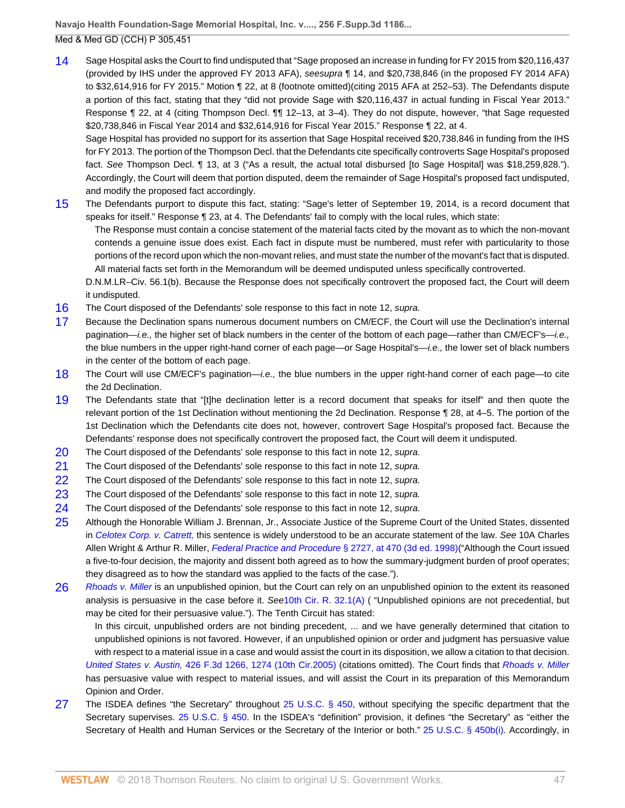<span id="page-46-0"></span>[14](#page-9-5) Sage Hospital asks the Court to find undisputed that "Sage proposed an increase in funding for FY 2015 from \$20,116,437 (provided by IHS under the approved FY 2013 AFA), seesupra ¶ 14, and \$20,738,846 (in the proposed FY 2014 AFA) to \$32,614,916 for FY 2015." Motion ¶ 22, at 8 (footnote omitted)(citing 2015 AFA at 252–53). The Defendants dispute a portion of this fact, stating that they "did not provide Sage with \$20,116,437 in actual funding in Fiscal Year 2013." Response ¶ 22, at 4 (citing Thompson Decl. ¶¶ 12–13, at 3–4). They do not dispute, however, "that Sage requested \$20,738,846 in Fiscal Year 2014 and \$32,614,916 for Fiscal Year 2015." Response ¶ 22, at 4. Sage Hospital has provided no support for its assertion that Sage Hospital received \$20,738,846 in funding from the IHS for FY 2013. The portion of the Thompson Decl. that the Defendants cite specifically controverts Sage Hospital's proposed

fact. See Thompson Decl. ¶ 13, at 3 ("As a result, the actual total disbursed [to Sage Hospital] was \$18,259,828."). Accordingly, the Court will deem that portion disputed, deem the remainder of Sage Hospital's proposed fact undisputed, and modify the proposed fact accordingly.

<span id="page-46-1"></span>[15](#page-9-6) The Defendants purport to dispute this fact, stating: "Sage's letter of September 19, 2014, is a record document that speaks for itself." Response ¶ 23, at 4. The Defendants' fail to comply with the local rules, which state:

The Response must contain a concise statement of the material facts cited by the movant as to which the non-movant contends a genuine issue does exist. Each fact in dispute must be numbered, must refer with particularity to those portions of the record upon which the non-movant relies, and must state the number of the movant's fact that is disputed. All material facts set forth in the Memorandum will be deemed undisputed unless specifically controverted.

D.N.M.LR–Civ. 56.1(b). Because the Response does not specifically controvert the proposed fact, the Court will deem it undisputed.

- <span id="page-46-2"></span>[16](#page-9-7) The Court disposed of the Defendants' sole response to this fact in note 12, supra.
- <span id="page-46-3"></span>[17](#page-9-8) Because the Declination spans numerous document numbers on CM/ECF, the Court will use the Declination's internal pagination—i.e., the higher set of black numbers in the center of the bottom of each page—rather than CM/ECF's—i.e., the blue numbers in the upper right-hand corner of each page—or Sage Hospital's—i.e., the lower set of black numbers in the center of the bottom of each page.
- <span id="page-46-4"></span>[18](#page-10-0) The Court will use CM/ECF's pagination—i.e., the blue numbers in the upper right-hand corner of each page—to cite the 2d Declination.
- <span id="page-46-5"></span>[19](#page-10-1) The Defendants state that "[t]he declination letter is a record document that speaks for itself" and then quote the relevant portion of the 1st Declination without mentioning the 2d Declination. Response ¶ 28, at 4–5. The portion of the 1st Declination which the Defendants cite does not, however, controvert Sage Hospital's proposed fact. Because the Defendants' response does not specifically controvert the proposed fact, the Court will deem it undisputed.
- <span id="page-46-6"></span>[20](#page-10-2) The Court disposed of the Defendants' sole response to this fact in note 12, supra.
- <span id="page-46-7"></span>[21](#page-10-3) The Court disposed of the Defendants' sole response to this fact in note 12, supra.
- <span id="page-46-8"></span>[22](#page-10-4) The Court disposed of the Defendants' sole response to this fact in note 12, supra.
- <span id="page-46-9"></span>[23](#page-10-5) The Court disposed of the Defendants' sole response to this fact in note 12, supra.
- <span id="page-46-10"></span>[24](#page-10-6) The Court disposed of the Defendants' sole response to this fact in note 12, supra.
- <span id="page-46-11"></span>[25](#page-21-0) Although the Honorable William J. Brennan, Jr., Associate Justice of the Supreme Court of the United States, dissented in [Celotex Corp. v. Catrett,](http://www.westlaw.com/Link/Document/FullText?findType=Y&serNum=1986132677&pubNum=0000780&originatingDoc=I02a50c30bb1011e5be74e186f6bc2536&refType=RP&originationContext=document&vr=3.0&rs=cblt1.0&transitionType=DocumentItem&contextData=(sc.UserEnteredCitation)) this sentence is widely understood to be an accurate statement of the law. See 10A Charles Allen Wright & Arthur R. Miller, [Federal Practice and Procedure](http://www.westlaw.com/Link/Document/FullText?findType=Y&serNum=0108902524&pubNum=0102228&originatingDoc=I02a50c30bb1011e5be74e186f6bc2536&refType=TS&originationContext=document&vr=3.0&rs=cblt1.0&transitionType=DocumentItem&contextData=(sc.UserEnteredCitation)) § 2727, at 470 (3d ed. 1998)("Although the Court issued a five-to-four decision, the majority and dissent both agreed as to how the summary-judgment burden of proof operates; they disagreed as to how the standard was applied to the facts of the case.").
- <span id="page-46-12"></span>[26](#page-23-1) [Rhoads v. Miller](http://www.westlaw.com/Link/Document/FullText?findType=Y&serNum=2020306542&pubNum=0006538&originatingDoc=I02a50c30bb1011e5be74e186f6bc2536&refType=RP&originationContext=document&vr=3.0&rs=cblt1.0&transitionType=DocumentItem&contextData=(sc.UserEnteredCitation)) is an unpublished opinion, but the Court can rely on an unpublished opinion to the extent its reasoned analysis is persuasive in the case before it. See10th Cir. R.  $32.1(A)$  ("Unpublished opinions are not precedential, but may be cited for their persuasive value."). The Tenth Circuit has stated:

In this circuit, unpublished orders are not binding precedent, ... and we have generally determined that citation to unpublished opinions is not favored. However, if an unpublished opinion or order and judgment has persuasive value with respect to a material issue in a case and would assist the court in its disposition, we allow a citation to that decision. United States v. Austin, [426 F.3d 1266, 1274 \(10th Cir.2005\)](http://www.westlaw.com/Link/Document/FullText?findType=Y&serNum=2007510134&pubNum=0000506&originatingDoc=I02a50c30bb1011e5be74e186f6bc2536&refType=RP&fi=co_pp_sp_506_1274&originationContext=document&vr=3.0&rs=cblt1.0&transitionType=DocumentItem&contextData=(sc.UserEnteredCitation)#co_pp_sp_506_1274) (citations omitted). The Court finds that [Rhoads v. Miller](http://www.westlaw.com/Link/Document/FullText?findType=Y&serNum=2020306542&pubNum=0006538&originatingDoc=I02a50c30bb1011e5be74e186f6bc2536&refType=RP&originationContext=document&vr=3.0&rs=cblt1.0&transitionType=DocumentItem&contextData=(sc.UserEnteredCitation)) has persuasive value with respect to material issues, and will assist the Court in its preparation of this Memorandum Opinion and Order.

<span id="page-46-13"></span>[27](#page-24-0) The ISDEA defines "the Secretary" throughout [25 U.S.C. § 450](http://www.westlaw.com/Link/Document/FullText?findType=L&pubNum=1000546&cite=25USCAS450&originatingDoc=I02a50c30bb1011e5be74e186f6bc2536&refType=LQ&originationContext=document&vr=3.0&rs=cblt1.0&transitionType=DocumentItem&contextData=(sc.UserEnteredCitation)), without specifying the specific department that the Secretary supervises. [25 U.S.C. § 450.](http://www.westlaw.com/Link/Document/FullText?findType=L&pubNum=1000546&cite=25USCAS450&originatingDoc=I02a50c30bb1011e5be74e186f6bc2536&refType=LQ&originationContext=document&vr=3.0&rs=cblt1.0&transitionType=DocumentItem&contextData=(sc.UserEnteredCitation)) In the ISDEA's "definition" provision, it defines "the Secretary" as "either the Secretary of Health and Human Services or the Secretary of the Interior or both." [25 U.S.C. § 450b\(i\)](http://www.westlaw.com/Link/Document/FullText?findType=L&pubNum=1000546&cite=25USCAS450B&originatingDoc=I02a50c30bb1011e5be74e186f6bc2536&refType=LQ&originationContext=document&vr=3.0&rs=cblt1.0&transitionType=DocumentItem&contextData=(sc.UserEnteredCitation)). Accordingly, in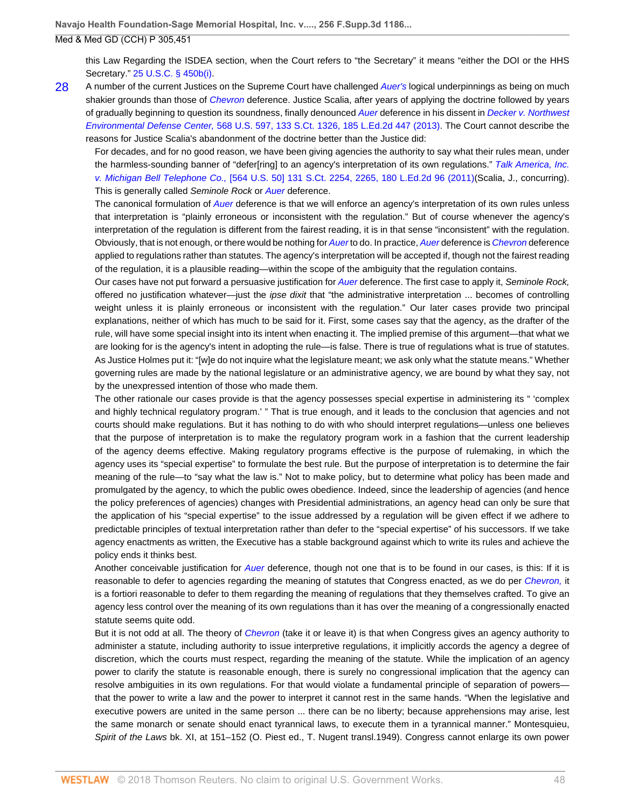this Law Regarding the ISDEA section, when the Court refers to "the Secretary" it means "either the DOI or the HHS Secretary." [25 U.S.C. § 450b\(i\).](http://www.westlaw.com/Link/Document/FullText?findType=L&pubNum=1000546&cite=25USCAS450B&originatingDoc=I02a50c30bb1011e5be74e186f6bc2536&refType=LQ&originationContext=document&vr=3.0&rs=cblt1.0&transitionType=DocumentItem&contextData=(sc.UserEnteredCitation))

<span id="page-47-0"></span>[28](#page-29-3) A number of the current Justices on the Supreme Court have challenged [Auer's](http://www.westlaw.com/Link/Document/FullText?findType=Y&serNum=1997053629&pubNum=0000780&originatingDoc=I02a50c30bb1011e5be74e186f6bc2536&refType=RP&originationContext=document&vr=3.0&rs=cblt1.0&transitionType=DocumentItem&contextData=(sc.UserEnteredCitation)) logical underpinnings as being on much shakier grounds than those of [Chevron](http://www.westlaw.com/Link/Document/FullText?findType=Y&serNum=1984130736&originatingDoc=I02a50c30bb1011e5be74e186f6bc2536&refType=RP&originationContext=document&vr=3.0&rs=cblt1.0&transitionType=DocumentItem&contextData=(sc.UserEnteredCitation)) deference. Justice Scalia, after years of applying the doctrine followed by years of gradually beginning to question its soundness, finally denounced [Auer](http://www.westlaw.com/Link/Document/FullText?findType=Y&serNum=1997053629&pubNum=0000780&originatingDoc=I02a50c30bb1011e5be74e186f6bc2536&refType=RP&originationContext=document&vr=3.0&rs=cblt1.0&transitionType=DocumentItem&contextData=(sc.UserEnteredCitation)) deference in his dissent in [Decker v. Northwest](http://www.westlaw.com/Link/Document/FullText?findType=Y&serNum=2030174670&pubNum=0000708&originatingDoc=I02a50c30bb1011e5be74e186f6bc2536&refType=RP&originationContext=document&vr=3.0&rs=cblt1.0&transitionType=DocumentItem&contextData=(sc.UserEnteredCitation)) Environmental Defense Center, [568 U.S. 597, 133 S.Ct. 1326, 185 L.Ed.2d 447 \(2013\)](http://www.westlaw.com/Link/Document/FullText?findType=Y&serNum=2030174670&pubNum=0000708&originatingDoc=I02a50c30bb1011e5be74e186f6bc2536&refType=RP&originationContext=document&vr=3.0&rs=cblt1.0&transitionType=DocumentItem&contextData=(sc.UserEnteredCitation)). The Court cannot describe the reasons for Justice Scalia's abandonment of the doctrine better than the Justice did:

For decades, and for no good reason, we have been giving agencies the authority to say what their rules mean, under the harmless-sounding banner of "defer[ring] to an agency's interpretation of its own regulations." [Talk America, Inc.](http://www.westlaw.com/Link/Document/FullText?findType=Y&serNum=2025432403&pubNum=0000708&originatingDoc=I02a50c30bb1011e5be74e186f6bc2536&refType=RP&fi=co_pp_sp_708_2265&originationContext=document&vr=3.0&rs=cblt1.0&transitionType=DocumentItem&contextData=(sc.UserEnteredCitation)#co_pp_sp_708_2265) v. Michigan Bell Telephone Co., [\[564 U.S. 50\] 131 S.Ct. 2254, 2265, 180 L.Ed.2d 96 \(2011\)\(](http://www.westlaw.com/Link/Document/FullText?findType=Y&serNum=2025432403&pubNum=0000708&originatingDoc=I02a50c30bb1011e5be74e186f6bc2536&refType=RP&fi=co_pp_sp_708_2265&originationContext=document&vr=3.0&rs=cblt1.0&transitionType=DocumentItem&contextData=(sc.UserEnteredCitation)#co_pp_sp_708_2265)Scalia, J., concurring). This is generally called Seminole Rock or [Auer](http://www.westlaw.com/Link/Document/FullText?findType=Y&serNum=1997053629&pubNum=0000780&originatingDoc=I02a50c30bb1011e5be74e186f6bc2536&refType=RP&originationContext=document&vr=3.0&rs=cblt1.0&transitionType=DocumentItem&contextData=(sc.UserEnteredCitation)) deference.

The canonical formulation of [Auer](http://www.westlaw.com/Link/Document/FullText?findType=Y&serNum=1997053629&pubNum=0000780&originatingDoc=I02a50c30bb1011e5be74e186f6bc2536&refType=RP&originationContext=document&vr=3.0&rs=cblt1.0&transitionType=DocumentItem&contextData=(sc.UserEnteredCitation)) deference is that we will enforce an agency's interpretation of its own rules unless that interpretation is "plainly erroneous or inconsistent with the regulation." But of course whenever the agency's interpretation of the regulation is different from the fairest reading, it is in that sense "inconsistent" with the regulation. Obviously, that is not enough, or there would be nothing for [Auer](http://www.westlaw.com/Link/Document/FullText?findType=Y&serNum=1997053629&pubNum=0000780&originatingDoc=I02a50c30bb1011e5be74e186f6bc2536&refType=RP&originationContext=document&vr=3.0&rs=cblt1.0&transitionType=DocumentItem&contextData=(sc.UserEnteredCitation)) to do. In practice, Auer deference is [Chevron](http://www.westlaw.com/Link/Document/FullText?findType=Y&serNum=1984130736&originatingDoc=I02a50c30bb1011e5be74e186f6bc2536&refType=RP&originationContext=document&vr=3.0&rs=cblt1.0&transitionType=DocumentItem&contextData=(sc.UserEnteredCitation)) deference applied to regulations rather than statutes. The agency's interpretation will be accepted if, though not the fairest reading of the regulation, it is a plausible reading—within the scope of the ambiguity that the regulation contains.

Our cases have not put forward a persuasive justification for [Auer](http://www.westlaw.com/Link/Document/FullText?findType=Y&serNum=1997053629&pubNum=0000780&originatingDoc=I02a50c30bb1011e5be74e186f6bc2536&refType=RP&originationContext=document&vr=3.0&rs=cblt1.0&transitionType=DocumentItem&contextData=(sc.UserEnteredCitation)) deference. The first case to apply it, Seminole Rock, offered no justification whatever—just the *ipse dixit* that "the administrative interpretation ... becomes of controlling weight unless it is plainly erroneous or inconsistent with the regulation." Our later cases provide two principal explanations, neither of which has much to be said for it. First, some cases say that the agency, as the drafter of the rule, will have some special insight into its intent when enacting it. The implied premise of this argument—that what we are looking for is the agency's intent in adopting the rule—is false. There is true of regulations what is true of statutes. As Justice Holmes put it: "[w]e do not inquire what the legislature meant; we ask only what the statute means." Whether governing rules are made by the national legislature or an administrative agency, we are bound by what they say, not by the unexpressed intention of those who made them.

The other rationale our cases provide is that the agency possesses special expertise in administering its " 'complex and highly technical regulatory program.' " That is true enough, and it leads to the conclusion that agencies and not courts should make regulations. But it has nothing to do with who should interpret regulations—unless one believes that the purpose of interpretation is to make the regulatory program work in a fashion that the current leadership of the agency deems effective. Making regulatory programs effective is the purpose of rulemaking, in which the agency uses its "special expertise" to formulate the best rule. But the purpose of interpretation is to determine the fair meaning of the rule—to "say what the law is." Not to make policy, but to determine what policy has been made and promulgated by the agency, to which the public owes obedience. Indeed, since the leadership of agencies (and hence the policy preferences of agencies) changes with Presidential administrations, an agency head can only be sure that the application of his "special expertise" to the issue addressed by a regulation will be given effect if we adhere to predictable principles of textual interpretation rather than defer to the "special expertise" of his successors. If we take agency enactments as written, the Executive has a stable background against which to write its rules and achieve the policy ends it thinks best.

Another conceivable justification for [Auer](http://www.westlaw.com/Link/Document/FullText?findType=Y&serNum=1997053629&pubNum=0000780&originatingDoc=I02a50c30bb1011e5be74e186f6bc2536&refType=RP&originationContext=document&vr=3.0&rs=cblt1.0&transitionType=DocumentItem&contextData=(sc.UserEnteredCitation)) deference, though not one that is to be found in our cases, is this: If it is reasonable to defer to agencies regarding the meaning of statutes that Congress enacted, as we do per *Chevron*, it is a fortiori reasonable to defer to them regarding the meaning of regulations that they themselves crafted. To give an agency less control over the meaning of its own regulations than it has over the meaning of a congressionally enacted statute seems quite odd.

But it is not odd at all. The theory of *[Chevron](http://www.westlaw.com/Link/Document/FullText?findType=Y&serNum=1984130736&originatingDoc=I02a50c30bb1011e5be74e186f6bc2536&refType=RP&originationContext=document&vr=3.0&rs=cblt1.0&transitionType=DocumentItem&contextData=(sc.UserEnteredCitation))* (take it or leave it) is that when Congress gives an agency authority to administer a statute, including authority to issue interpretive regulations, it implicitly accords the agency a degree of discretion, which the courts must respect, regarding the meaning of the statute. While the implication of an agency power to clarify the statute is reasonable enough, there is surely no congressional implication that the agency can resolve ambiguities in its own regulations. For that would violate a fundamental principle of separation of powers that the power to write a law and the power to interpret it cannot rest in the same hands. "When the legislative and executive powers are united in the same person ... there can be no liberty; because apprehensions may arise, lest the same monarch or senate should enact tyrannical laws, to execute them in a tyrannical manner." Montesquieu, Spirit of the Laws bk. XI, at 151–152 (O. Piest ed., T. Nugent transl.1949). Congress cannot enlarge its own power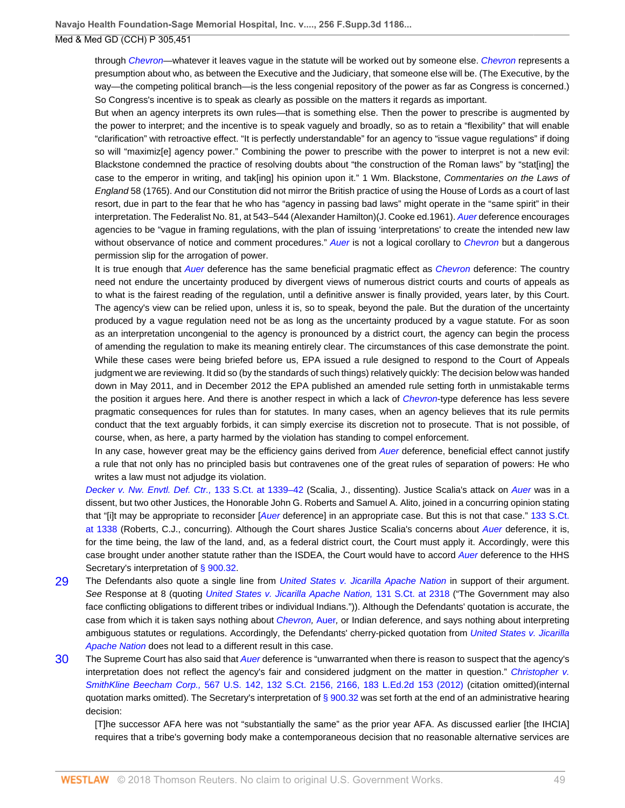through [Chevron](http://www.westlaw.com/Link/Document/FullText?findType=Y&serNum=1984130736&originatingDoc=I02a50c30bb1011e5be74e186f6bc2536&refType=RP&originationContext=document&vr=3.0&rs=cblt1.0&transitionType=DocumentItem&contextData=(sc.UserEnteredCitation))—whatever it leaves vague in the statute will be worked out by someone else. Chevron represents a presumption about who, as between the Executive and the Judiciary, that someone else will be. (The Executive, by the way—the competing political branch—is the less congenial repository of the power as far as Congress is concerned.) So Congress's incentive is to speak as clearly as possible on the matters it regards as important.

But when an agency interprets its own rules—that is something else. Then the power to prescribe is augmented by the power to interpret; and the incentive is to speak vaguely and broadly, so as to retain a "flexibility" that will enable "clarification" with retroactive effect. "It is perfectly understandable" for an agency to "issue vague regulations" if doing so will "maximiz[e] agency power." Combining the power to prescribe with the power to interpret is not a new evil: Blackstone condemned the practice of resolving doubts about "the construction of the Roman laws" by "stat[ing] the case to the emperor in writing, and tak[ing] his opinion upon it." 1 Wm. Blackstone, Commentaries on the Laws of England 58 (1765). And our Constitution did not mirror the British practice of using the House of Lords as a court of last resort, due in part to the fear that he who has "agency in passing bad laws" might operate in the "same spirit" in their interpretation. The Federalist No. 81, at 543–544 (Alexander Hamilton)(J. Cooke ed.1961). [Auer](http://www.westlaw.com/Link/Document/FullText?findType=Y&serNum=1997053629&pubNum=0000780&originatingDoc=I02a50c30bb1011e5be74e186f6bc2536&refType=RP&originationContext=document&vr=3.0&rs=cblt1.0&transitionType=DocumentItem&contextData=(sc.UserEnteredCitation)) deference encourages agencies to be "vague in framing regulations, with the plan of issuing 'interpretations' to create the intended new law without observance of notice and comment procedures." [Auer](http://www.westlaw.com/Link/Document/FullText?findType=Y&serNum=1997053629&pubNum=0000780&originatingDoc=I02a50c30bb1011e5be74e186f6bc2536&refType=RP&originationContext=document&vr=3.0&rs=cblt1.0&transitionType=DocumentItem&contextData=(sc.UserEnteredCitation)) is not a logical corollary to [Chevron](http://www.westlaw.com/Link/Document/FullText?findType=Y&serNum=1984130736&originatingDoc=I02a50c30bb1011e5be74e186f6bc2536&refType=RP&originationContext=document&vr=3.0&rs=cblt1.0&transitionType=DocumentItem&contextData=(sc.UserEnteredCitation)) but a dangerous permission slip for the arrogation of power.

It is true enough that [Auer](http://www.westlaw.com/Link/Document/FullText?findType=Y&serNum=1997053629&pubNum=0000780&originatingDoc=I02a50c30bb1011e5be74e186f6bc2536&refType=RP&originationContext=document&vr=3.0&rs=cblt1.0&transitionType=DocumentItem&contextData=(sc.UserEnteredCitation)) deference has the same beneficial pragmatic effect as [Chevron](http://www.westlaw.com/Link/Document/FullText?findType=Y&serNum=1984130736&originatingDoc=I02a50c30bb1011e5be74e186f6bc2536&refType=RP&originationContext=document&vr=3.0&rs=cblt1.0&transitionType=DocumentItem&contextData=(sc.UserEnteredCitation)) deference: The country need not endure the uncertainty produced by divergent views of numerous district courts and courts of appeals as to what is the fairest reading of the regulation, until a definitive answer is finally provided, years later, by this Court. The agency's view can be relied upon, unless it is, so to speak, beyond the pale. But the duration of the uncertainty produced by a vague regulation need not be as long as the uncertainty produced by a vague statute. For as soon as an interpretation uncongenial to the agency is pronounced by a district court, the agency can begin the process of amending the regulation to make its meaning entirely clear. The circumstances of this case demonstrate the point. While these cases were being briefed before us, EPA issued a rule designed to respond to the Court of Appeals judgment we are reviewing. It did so (by the standards of such things) relatively quickly: The decision below was handed down in May 2011, and in December 2012 the EPA published an amended rule setting forth in unmistakable terms the position it argues here. And there is another respect in which a lack of [Chevron](http://www.westlaw.com/Link/Document/FullText?findType=Y&serNum=1984130736&originatingDoc=I02a50c30bb1011e5be74e186f6bc2536&refType=RP&originationContext=document&vr=3.0&rs=cblt1.0&transitionType=DocumentItem&contextData=(sc.UserEnteredCitation))-type deference has less severe pragmatic consequences for rules than for statutes. In many cases, when an agency believes that its rule permits conduct that the text arguably forbids, it can simply exercise its discretion not to prosecute. That is not possible, of course, when, as here, a party harmed by the violation has standing to compel enforcement.

In any case, however great may be the efficiency gains derived from [Auer](http://www.westlaw.com/Link/Document/FullText?findType=Y&serNum=1997053629&pubNum=0000780&originatingDoc=I02a50c30bb1011e5be74e186f6bc2536&refType=RP&originationContext=document&vr=3.0&rs=cblt1.0&transitionType=DocumentItem&contextData=(sc.UserEnteredCitation)) deference, beneficial effect cannot justify a rule that not only has no principled basis but contravenes one of the great rules of separation of powers: He who writes a law must not adjudge its violation.

[Decker v. Nw. Envtl. Def. Ctr.,](http://www.westlaw.com/Link/Document/FullText?findType=Y&serNum=2030174670&pubNum=0000708&originatingDoc=I02a50c30bb1011e5be74e186f6bc2536&refType=RP&fi=co_pp_sp_708_1339&originationContext=document&vr=3.0&rs=cblt1.0&transitionType=DocumentItem&contextData=(sc.UserEnteredCitation)#co_pp_sp_708_1339) 133 S.Ct. at 1339–42 (Scalia, J., dissenting). Justice Scalia's attack on [Auer](http://www.westlaw.com/Link/Document/FullText?findType=Y&serNum=1997053629&pubNum=0000780&originatingDoc=I02a50c30bb1011e5be74e186f6bc2536&refType=RP&originationContext=document&vr=3.0&rs=cblt1.0&transitionType=DocumentItem&contextData=(sc.UserEnteredCitation)) was in a dissent, but two other Justices, the Honorable John G. Roberts and Samuel A. Alito, joined in a concurring opinion stating that "[i]t may be appropriate to reconsider [[Auer](http://www.westlaw.com/Link/Document/FullText?findType=Y&serNum=1997053629&pubNum=0000708&originatingDoc=I02a50c30bb1011e5be74e186f6bc2536&refType=RP&originationContext=document&vr=3.0&rs=cblt1.0&transitionType=DocumentItem&contextData=(sc.UserEnteredCitation)) deference] in an appropriate case. But this is not that case." [133 S.Ct.](http://www.westlaw.com/Link/Document/FullText?findType=Y&serNum=2030174670&pubNum=0000708&originatingDoc=I02a50c30bb1011e5be74e186f6bc2536&refType=RP&fi=co_pp_sp_708_1338&originationContext=document&vr=3.0&rs=cblt1.0&transitionType=DocumentItem&contextData=(sc.UserEnteredCitation)#co_pp_sp_708_1338) [at 1338](http://www.westlaw.com/Link/Document/FullText?findType=Y&serNum=2030174670&pubNum=0000708&originatingDoc=I02a50c30bb1011e5be74e186f6bc2536&refType=RP&fi=co_pp_sp_708_1338&originationContext=document&vr=3.0&rs=cblt1.0&transitionType=DocumentItem&contextData=(sc.UserEnteredCitation)#co_pp_sp_708_1338) (Roberts, C.J., concurring). Although the Court shares Justice Scalia's concerns about [Auer](http://www.westlaw.com/Link/Document/FullText?findType=Y&serNum=1997053629&pubNum=0000780&originatingDoc=I02a50c30bb1011e5be74e186f6bc2536&refType=RP&originationContext=document&vr=3.0&rs=cblt1.0&transitionType=DocumentItem&contextData=(sc.UserEnteredCitation)) deference, it is, for the time being, the law of the land, and, as a federal district court, the Court must apply it. Accordingly, were this case brought under another statute rather than the ISDEA, the Court would have to accord [Auer](http://www.westlaw.com/Link/Document/FullText?findType=Y&serNum=1997053629&pubNum=0000780&originatingDoc=I02a50c30bb1011e5be74e186f6bc2536&refType=RP&originationContext=document&vr=3.0&rs=cblt1.0&transitionType=DocumentItem&contextData=(sc.UserEnteredCitation)) deference to the HHS Secretary's interpretation of [§ 900.32](http://www.westlaw.com/Link/Document/FullText?findType=L&pubNum=1000547&cite=25CFRS900.32&originatingDoc=I02a50c30bb1011e5be74e186f6bc2536&refType=LQ&originationContext=document&vr=3.0&rs=cblt1.0&transitionType=DocumentItem&contextData=(sc.UserEnteredCitation)).

- <span id="page-48-0"></span>[29](#page-30-0) The Defendants also quote a single line from [United States v. Jicarilla Apache Nation](http://www.westlaw.com/Link/Document/FullText?findType=Y&serNum=2025477231&pubNum=0000708&originatingDoc=I02a50c30bb1011e5be74e186f6bc2536&refType=RP&originationContext=document&vr=3.0&rs=cblt1.0&transitionType=DocumentItem&contextData=(sc.UserEnteredCitation)) in support of their argument. See Response at 8 (quoting [United States v. Jicarilla Apache Nation,](http://www.westlaw.com/Link/Document/FullText?findType=Y&serNum=2025477231&pubNum=0000708&originatingDoc=I02a50c30bb1011e5be74e186f6bc2536&refType=RP&fi=co_pp_sp_708_2318&originationContext=document&vr=3.0&rs=cblt1.0&transitionType=DocumentItem&contextData=(sc.UserEnteredCitation)#co_pp_sp_708_2318) 131 S.Ct. at 2318 ("The Government may also face conflicting obligations to different tribes or individual Indians.")). Although the Defendants' quotation is accurate, the case from which it is taken says nothing about [Chevron,](http://www.westlaw.com/Link/Document/FullText?findType=Y&serNum=1984130736&originatingDoc=I02a50c30bb1011e5be74e186f6bc2536&refType=RP&originationContext=document&vr=3.0&rs=cblt1.0&transitionType=DocumentItem&contextData=(sc.UserEnteredCitation)) [Auer](http://www.westlaw.com/Link/Document/FullText?findType=Y&serNum=1997053629&pubNum=0000708&originatingDoc=I02a50c30bb1011e5be74e186f6bc2536&refType=RP&originationContext=document&vr=3.0&rs=cblt1.0&transitionType=DocumentItem&contextData=(sc.UserEnteredCitation)), or Indian deference, and says nothing about interpreting ambiguous statutes or regulations. Accordingly, the Defendants' cherry-picked quotation from [United States v. Jicarilla](http://www.westlaw.com/Link/Document/FullText?findType=Y&serNum=2025477231&pubNum=0000708&originatingDoc=I02a50c30bb1011e5be74e186f6bc2536&refType=RP&originationContext=document&vr=3.0&rs=cblt1.0&transitionType=DocumentItem&contextData=(sc.UserEnteredCitation)) [Apache Nation](http://www.westlaw.com/Link/Document/FullText?findType=Y&serNum=2025477231&pubNum=0000708&originatingDoc=I02a50c30bb1011e5be74e186f6bc2536&refType=RP&originationContext=document&vr=3.0&rs=cblt1.0&transitionType=DocumentItem&contextData=(sc.UserEnteredCitation)) does not lead to a different result in this case.
- <span id="page-48-1"></span>[30](#page-31-2) The Supreme Court has also said that [Auer](http://www.westlaw.com/Link/Document/FullText?findType=Y&serNum=1997053629&pubNum=0000780&originatingDoc=I02a50c30bb1011e5be74e186f6bc2536&refType=RP&originationContext=document&vr=3.0&rs=cblt1.0&transitionType=DocumentItem&contextData=(sc.UserEnteredCitation)) deference is "unwarranted when there is reason to suspect that the agency's interpretation does not reflect the agency's fair and considered judgment on the matter in question." [Christopher v.](http://www.westlaw.com/Link/Document/FullText?findType=Y&serNum=2027916172&pubNum=0000708&originatingDoc=I02a50c30bb1011e5be74e186f6bc2536&refType=RP&fi=co_pp_sp_708_2166&originationContext=document&vr=3.0&rs=cblt1.0&transitionType=DocumentItem&contextData=(sc.UserEnteredCitation)#co_pp_sp_708_2166) SmithKline Beecham Corp., [567 U.S. 142, 132 S.Ct. 2156, 2166, 183 L.Ed.2d 153 \(2012\)](http://www.westlaw.com/Link/Document/FullText?findType=Y&serNum=2027916172&pubNum=0000708&originatingDoc=I02a50c30bb1011e5be74e186f6bc2536&refType=RP&fi=co_pp_sp_708_2166&originationContext=document&vr=3.0&rs=cblt1.0&transitionType=DocumentItem&contextData=(sc.UserEnteredCitation)#co_pp_sp_708_2166) (citation omitted)(internal quotation marks omitted). The Secretary's interpretation of  $\S$  900.32 was set forth at the end of an administrative hearing decision:

[T]he successor AFA here was not "substantially the same" as the prior year AFA. As discussed earlier [the IHCIA] requires that a tribe's governing body make a contemporaneous decision that no reasonable alternative services are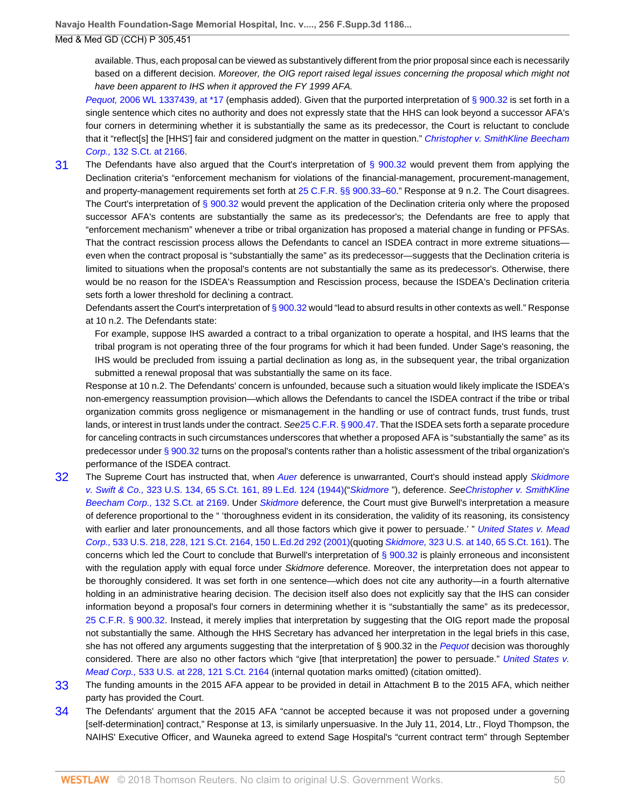available. Thus, each proposal can be viewed as substantively different from the prior proposal since each is necessarily based on a different decision. Moreover, the OIG report raised legal issues concerning the proposal which might not have been apparent to IHS when it approved the FY 1999 AFA.

Pequot, [2006 WL 1337439, at \\*17](http://www.westlaw.com/Link/Document/FullText?findType=Y&serNum=0318655259&pubNum=0000999&originatingDoc=I02a50c30bb1011e5be74e186f6bc2536&refType=DE&originationContext=document&vr=3.0&rs=cblt1.0&transitionType=DocumentItem&contextData=(sc.UserEnteredCitation)) (emphasis added). Given that the purported interpretation of [§ 900.32](http://www.westlaw.com/Link/Document/FullText?findType=L&pubNum=1000547&cite=25CFRS900.32&originatingDoc=I02a50c30bb1011e5be74e186f6bc2536&refType=LQ&originationContext=document&vr=3.0&rs=cblt1.0&transitionType=DocumentItem&contextData=(sc.UserEnteredCitation)) is set forth in a single sentence which cites no authority and does not expressly state that the HHS can look beyond a successor AFA's four corners in determining whether it is substantially the same as its predecessor, the Court is reluctant to conclude that it "reflect[s] the [HHS'] fair and considered judgment on the matter in question." [Christopher v. SmithKline Beecham](http://www.westlaw.com/Link/Document/FullText?findType=Y&serNum=2027916172&pubNum=0000708&originatingDoc=I02a50c30bb1011e5be74e186f6bc2536&refType=RP&fi=co_pp_sp_708_2166&originationContext=document&vr=3.0&rs=cblt1.0&transitionType=DocumentItem&contextData=(sc.UserEnteredCitation)#co_pp_sp_708_2166) Corp., [132 S.Ct. at 2166](http://www.westlaw.com/Link/Document/FullText?findType=Y&serNum=2027916172&pubNum=0000708&originatingDoc=I02a50c30bb1011e5be74e186f6bc2536&refType=RP&fi=co_pp_sp_708_2166&originationContext=document&vr=3.0&rs=cblt1.0&transitionType=DocumentItem&contextData=(sc.UserEnteredCitation)#co_pp_sp_708_2166).

<span id="page-49-0"></span>[31](#page-32-1) The Defendants have also argued that the Court's interpretation of [§ 900.32](http://www.westlaw.com/Link/Document/FullText?findType=L&pubNum=1000547&cite=25CFRS900.32&originatingDoc=I02a50c30bb1011e5be74e186f6bc2536&refType=LQ&originationContext=document&vr=3.0&rs=cblt1.0&transitionType=DocumentItem&contextData=(sc.UserEnteredCitation)) would prevent them from applying the Declination criteria's "enforcement mechanism for violations of the financial-management, procurement-management, and property-management requirements set forth at [25 C.F.R. §§ 900.33](http://www.westlaw.com/Link/Document/FullText?findType=L&pubNum=1000547&cite=25CFRS900.33&originatingDoc=I02a50c30bb1011e5be74e186f6bc2536&refType=LQ&originationContext=document&vr=3.0&rs=cblt1.0&transitionType=DocumentItem&contextData=(sc.UserEnteredCitation))[–60](http://www.westlaw.com/Link/Document/FullText?findType=L&pubNum=1000547&cite=25CFRS900.60&originatingDoc=I02a50c30bb1011e5be74e186f6bc2536&refType=LQ&originationContext=document&vr=3.0&rs=cblt1.0&transitionType=DocumentItem&contextData=(sc.UserEnteredCitation))." Response at 9 n.2. The Court disagrees. The Court's interpretation of [§ 900.32](http://www.westlaw.com/Link/Document/FullText?findType=L&pubNum=1000547&cite=25CFRS900.32&originatingDoc=I02a50c30bb1011e5be74e186f6bc2536&refType=LQ&originationContext=document&vr=3.0&rs=cblt1.0&transitionType=DocumentItem&contextData=(sc.UserEnteredCitation)) would prevent the application of the Declination criteria only where the proposed successor AFA's contents are substantially the same as its predecessor's; the Defendants are free to apply that "enforcement mechanism" whenever a tribe or tribal organization has proposed a material change in funding or PFSAs. That the contract rescission process allows the Defendants to cancel an ISDEA contract in more extreme situations even when the contract proposal is "substantially the same" as its predecessor—suggests that the Declination criteria is limited to situations when the proposal's contents are not substantially the same as its predecessor's. Otherwise, there would be no reason for the ISDEA's Reassumption and Rescission process, because the ISDEA's Declination criteria sets forth a lower threshold for declining a contract.

Defendants assert the Court's interpretation of [§ 900.32](http://www.westlaw.com/Link/Document/FullText?findType=L&pubNum=1000547&cite=25CFRS900.32&originatingDoc=I02a50c30bb1011e5be74e186f6bc2536&refType=LQ&originationContext=document&vr=3.0&rs=cblt1.0&transitionType=DocumentItem&contextData=(sc.UserEnteredCitation)) would "lead to absurd results in other contexts as well." Response at 10 n.2. The Defendants state:

For example, suppose IHS awarded a contract to a tribal organization to operate a hospital, and IHS learns that the tribal program is not operating three of the four programs for which it had been funded. Under Sage's reasoning, the IHS would be precluded from issuing a partial declination as long as, in the subsequent year, the tribal organization submitted a renewal proposal that was substantially the same on its face.

Response at 10 n.2. The Defendants' concern is unfounded, because such a situation would likely implicate the ISDEA's non-emergency reassumption provision—which allows the Defendants to cancel the ISDEA contract if the tribe or tribal organization commits gross negligence or mismanagement in the handling or use of contract funds, trust funds, trust lands, or interest in trust lands under the contract. See[25 C.F.R. § 900.47](http://www.westlaw.com/Link/Document/FullText?findType=L&pubNum=1000547&cite=25CFRS900.47&originatingDoc=I02a50c30bb1011e5be74e186f6bc2536&refType=LQ&originationContext=document&vr=3.0&rs=cblt1.0&transitionType=DocumentItem&contextData=(sc.UserEnteredCitation)). That the ISDEA sets forth a separate procedure for canceling contracts in such circumstances underscores that whether a proposed AFA is "substantially the same" as its predecessor under [§ 900.32](http://www.westlaw.com/Link/Document/FullText?findType=L&pubNum=1000547&cite=25CFRS900.32&originatingDoc=I02a50c30bb1011e5be74e186f6bc2536&refType=LQ&originationContext=document&vr=3.0&rs=cblt1.0&transitionType=DocumentItem&contextData=(sc.UserEnteredCitation)) turns on the proposal's contents rather than a holistic assessment of the tribal organization's performance of the ISDEA contract.

- <span id="page-49-1"></span>[32](#page-32-2) The Supreme Court has instructed that, when [Auer](http://www.westlaw.com/Link/Document/FullText?findType=Y&serNum=1997053629&pubNum=0000780&originatingDoc=I02a50c30bb1011e5be74e186f6bc2536&refType=RP&originationContext=document&vr=3.0&rs=cblt1.0&transitionType=DocumentItem&contextData=(sc.UserEnteredCitation)) deference is unwarranted, Court's should instead apply [Skidmore](http://www.westlaw.com/Link/Document/FullText?findType=Y&serNum=1944117044&pubNum=0000708&originatingDoc=I02a50c30bb1011e5be74e186f6bc2536&refType=RP&originationContext=document&vr=3.0&rs=cblt1.0&transitionType=DocumentItem&contextData=(sc.UserEnteredCitation)) v. Swift & Co., [323 U.S. 134, 65 S.Ct. 161, 89 L.Ed. 124 \(1944\)](http://www.westlaw.com/Link/Document/FullText?findType=Y&serNum=1944117044&pubNum=0000708&originatingDoc=I02a50c30bb1011e5be74e186f6bc2536&refType=RP&originationContext=document&vr=3.0&rs=cblt1.0&transitionType=DocumentItem&contextData=(sc.UserEnteredCitation))("[Skidmore](http://www.westlaw.com/Link/Document/FullText?findType=Y&serNum=1944117044&originatingDoc=I02a50c30bb1011e5be74e186f6bc2536&refType=RP&originationContext=document&vr=3.0&rs=cblt1.0&transitionType=DocumentItem&contextData=(sc.UserEnteredCitation)) "), deference. Se[eChristopher v. SmithKline](http://www.westlaw.com/Link/Document/FullText?findType=Y&serNum=2027916172&pubNum=0000708&originatingDoc=I02a50c30bb1011e5be74e186f6bc2536&refType=RP&fi=co_pp_sp_708_2169&originationContext=document&vr=3.0&rs=cblt1.0&transitionType=DocumentItem&contextData=(sc.UserEnteredCitation)#co_pp_sp_708_2169) Beecham Corp., [132 S.Ct. at 2169](http://www.westlaw.com/Link/Document/FullText?findType=Y&serNum=2027916172&pubNum=0000708&originatingDoc=I02a50c30bb1011e5be74e186f6bc2536&refType=RP&fi=co_pp_sp_708_2169&originationContext=document&vr=3.0&rs=cblt1.0&transitionType=DocumentItem&contextData=(sc.UserEnteredCitation)#co_pp_sp_708_2169). Under [Skidmore](http://www.westlaw.com/Link/Document/FullText?findType=Y&serNum=1944117044&pubNum=0000780&originatingDoc=I02a50c30bb1011e5be74e186f6bc2536&refType=RP&originationContext=document&vr=3.0&rs=cblt1.0&transitionType=DocumentItem&contextData=(sc.UserEnteredCitation)) deference, the Court must give Burwell's interpretation a measure of deference proportional to the " 'thoroughness evident in its consideration, the validity of its reasoning, its consistency with earlier and later pronouncements, and all those factors which give it power to persuade.'" [United States v. Mead](http://www.westlaw.com/Link/Document/FullText?findType=Y&serNum=2001518724&pubNum=0000708&originatingDoc=I02a50c30bb1011e5be74e186f6bc2536&refType=RP&originationContext=document&vr=3.0&rs=cblt1.0&transitionType=DocumentItem&contextData=(sc.UserEnteredCitation)) Corp., [533 U.S. 218, 228, 121 S.Ct. 2164, 150 L.Ed.2d 292 \(2001\)](http://www.westlaw.com/Link/Document/FullText?findType=Y&serNum=2001518724&pubNum=0000708&originatingDoc=I02a50c30bb1011e5be74e186f6bc2536&refType=RP&originationContext=document&vr=3.0&rs=cblt1.0&transitionType=DocumentItem&contextData=(sc.UserEnteredCitation))(quoting Skidmore, [323 U.S. at 140, 65 S.Ct. 161\)](http://www.westlaw.com/Link/Document/FullText?findType=Y&serNum=1944117044&pubNum=0000708&originatingDoc=I02a50c30bb1011e5be74e186f6bc2536&refType=RP&originationContext=document&vr=3.0&rs=cblt1.0&transitionType=DocumentItem&contextData=(sc.UserEnteredCitation)). The concerns which led the Court to conclude that Burwell's interpretation of [§ 900.32](http://www.westlaw.com/Link/Document/FullText?findType=L&pubNum=1000547&cite=25CFRS900.32&originatingDoc=I02a50c30bb1011e5be74e186f6bc2536&refType=LQ&originationContext=document&vr=3.0&rs=cblt1.0&transitionType=DocumentItem&contextData=(sc.UserEnteredCitation)) is plainly erroneous and inconsistent with the regulation apply with equal force under Skidmore deference. Moreover, the interpretation does not appear to be thoroughly considered. It was set forth in one sentence—which does not cite any authority—in a fourth alternative holding in an administrative hearing decision. The decision itself also does not explicitly say that the IHS can consider information beyond a proposal's four corners in determining whether it is "substantially the same" as its predecessor, [25 C.F.R. § 900.32.](http://www.westlaw.com/Link/Document/FullText?findType=L&pubNum=1000547&cite=25CFRS900.32&originatingDoc=I02a50c30bb1011e5be74e186f6bc2536&refType=LQ&originationContext=document&vr=3.0&rs=cblt1.0&transitionType=DocumentItem&contextData=(sc.UserEnteredCitation)) Instead, it merely implies that interpretation by suggesting that the OIG report made the proposal not substantially the same. Although the HHS Secretary has advanced her interpretation in the legal briefs in this case, she has not offered any arguments suggesting that the interpretation of § 900.32 in the [Pequot](http://www.westlaw.com/Link/Document/FullText?findType=Y&serNum=0318655259&pubNum=0000999&originatingDoc=I02a50c30bb1011e5be74e186f6bc2536&refType=RP&originationContext=document&vr=3.0&rs=cblt1.0&transitionType=DocumentItem&contextData=(sc.UserEnteredCitation)) decision was thoroughly considered. There are also no other factors which "give [that interpretation] the power to persuade." [United States v.](http://www.westlaw.com/Link/Document/FullText?findType=Y&serNum=2001518724&pubNum=0000708&originatingDoc=I02a50c30bb1011e5be74e186f6bc2536&refType=RP&originationContext=document&vr=3.0&rs=cblt1.0&transitionType=DocumentItem&contextData=(sc.UserEnteredCitation)) Mead Corp., [533 U.S. at 228, 121 S.Ct. 2164](http://www.westlaw.com/Link/Document/FullText?findType=Y&serNum=2001518724&pubNum=0000708&originatingDoc=I02a50c30bb1011e5be74e186f6bc2536&refType=RP&originationContext=document&vr=3.0&rs=cblt1.0&transitionType=DocumentItem&contextData=(sc.UserEnteredCitation)) (internal quotation marks omitted) (citation omitted).
- <span id="page-49-2"></span>[33](#page-35-3) The funding amounts in the 2015 AFA appear to be provided in detail in Attachment B to the 2015 AFA, which neither party has provided the Court.
- <span id="page-49-3"></span>[34](#page-39-3) The Defendants' argument that the 2015 AFA "cannot be accepted because it was not proposed under a governing [self-determination] contract," Response at 13, is similarly unpersuasive. In the July 11, 2014, Ltr., Floyd Thompson, the NAIHS' Executive Officer, and Wauneka agreed to extend Sage Hospital's "current contract term" through September